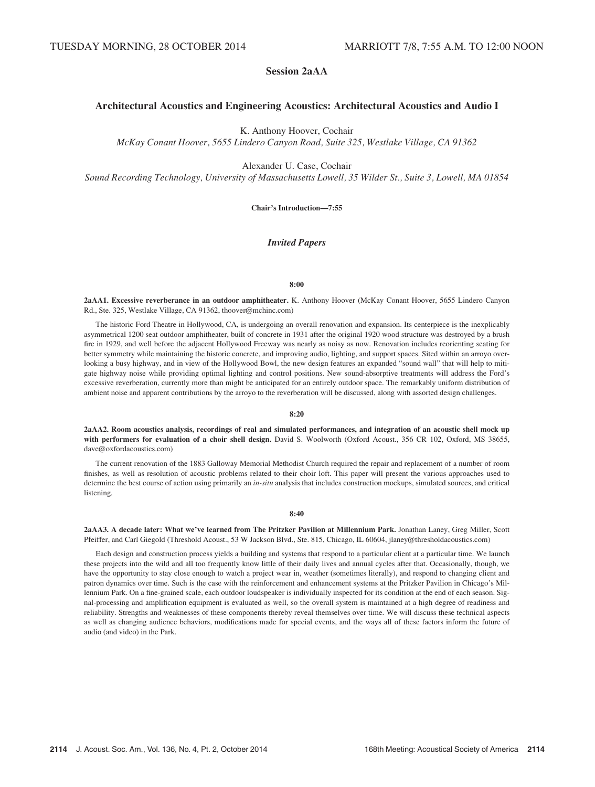# Session 2aAA

# Architectural Acoustics and Engineering Acoustics: Architectural Acoustics and Audio I

K. Anthony Hoover, Cochair

McKay Conant Hoover, 5655 Lindero Canyon Road, Suite 325, Westlake Village, CA 91362

Alexander U. Case, Cochair

Sound Recording Technology, University of Massachusetts Lowell, 35 Wilder St., Suite 3, Lowell, MA 01854

Chair's Introduction—7:55

## Invited Papers

#### 8:00

2aAA1. Excessive reverberance in an outdoor amphitheater. K. Anthony Hoover (McKay Conant Hoover, 5655 Lindero Canyon Rd., Ste. 325, Westlake Village, CA 91362, thoover@mchinc.com)

The historic Ford Theatre in Hollywood, CA, is undergoing an overall renovation and expansion. Its centerpiece is the inexplicably asymmetrical 1200 seat outdoor amphitheater, built of concrete in 1931 after the original 1920 wood structure was destroyed by a brush fire in 1929, and well before the adjacent Hollywood Freeway was nearly as noisy as now. Renovation includes reorienting seating for better symmetry while maintaining the historic concrete, and improving audio, lighting, and support spaces. Sited within an arroyo overlooking a busy highway, and in view of the Hollywood Bowl, the new design features an expanded "sound wall" that will help to mitigate highway noise while providing optimal lighting and control positions. New sound-absorptive treatments will address the Ford's excessive reverberation, currently more than might be anticipated for an entirely outdoor space. The remarkably uniform distribution of ambient noise and apparent contributions by the arroyo to the reverberation will be discussed, along with assorted design challenges.

#### 8:20

2aAA2. Room acoustics analysis, recordings of real and simulated performances, and integration of an acoustic shell mock up with performers for evaluation of a choir shell design. David S. Woolworth (Oxford Acoust., 356 CR 102, Oxford, MS 38655, dave@oxfordacoustics.com)

The current renovation of the 1883 Galloway Memorial Methodist Church required the repair and replacement of a number of room finishes, as well as resolution of acoustic problems related to their choir loft. This paper will present the various approaches used to determine the best course of action using primarily an in-situ analysis that includes construction mockups, simulated sources, and critical listening.

#### 8:40

2aAA3. A decade later: What we've learned from The Pritzker Pavilion at Millennium Park. Jonathan Laney, Greg Miller, Scott Pfeiffer, and Carl Giegold (Threshold Acoust., 53 W Jackson Blvd., Ste. 815, Chicago, IL 60604, jlaney@thresholdacoustics.com)

Each design and construction process yields a building and systems that respond to a particular client at a particular time. We launch these projects into the wild and all too frequently know little of their daily lives and annual cycles after that. Occasionally, though, we have the opportunity to stay close enough to watch a project wear in, weather (sometimes literally), and respond to changing client and patron dynamics over time. Such is the case with the reinforcement and enhancement systems at the Pritzker Pavilion in Chicago's Millennium Park. On a fine-grained scale, each outdoor loudspeaker is individually inspected for its condition at the end of each season. Signal-processing and amplification equipment is evaluated as well, so the overall system is maintained at a high degree of readiness and reliability. Strengths and weaknesses of these components thereby reveal themselves over time. We will discuss these technical aspects as well as changing audience behaviors, modifications made for special events, and the ways all of these factors inform the future of audio (and video) in the Park.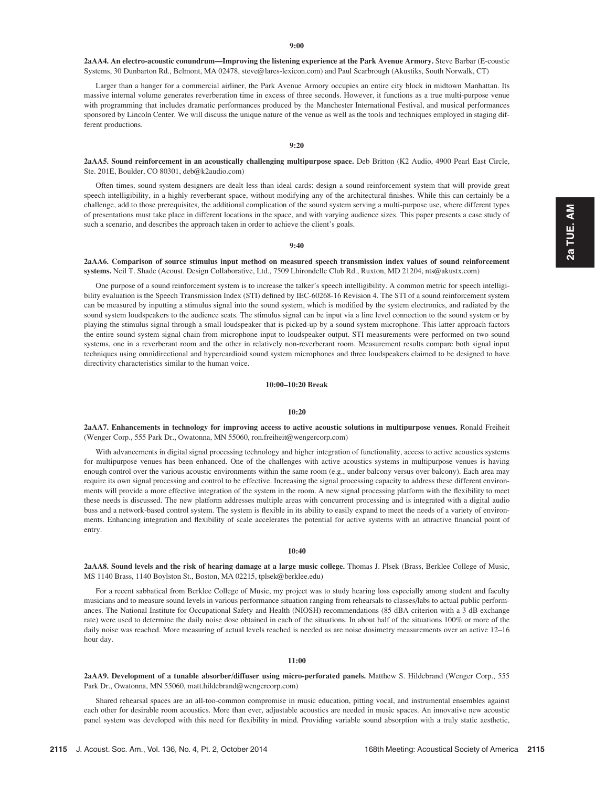2aAA4. An electro-acoustic conundrum—Improving the listening experience at the Park Avenue Armory. Steve Barbar (E-coustic Systems, 30 Dunbarton Rd., Belmont, MA 02478, steve@lares-lexicon.com) and Paul Scarbrough (Akustiks, South Norwalk, CT)

Larger than a hanger for a commercial airliner, the Park Avenue Armory occupies an entire city block in midtown Manhattan. Its massive internal volume generates reverberation time in excess of three seconds. However, it functions as a true multi-purpose venue with programming that includes dramatic performances produced by the Manchester International Festival, and musical performances sponsored by Lincoln Center. We will discuss the unique nature of the venue as well as the tools and techniques employed in staging different productions.

#### 9:20

2aAA5. Sound reinforcement in an acoustically challenging multipurpose space. Deb Britton (K2 Audio, 4900 Pearl East Circle, Ste. 201E, Boulder, CO 80301, deb@k2audio.com)

Often times, sound system designers are dealt less than ideal cards: design a sound reinforcement system that will provide great speech intelligibility, in a highly reverberant space, without modifying any of the architectural finishes. While this can certainly be a challenge, add to those prerequisites, the additional complication of the sound system serving a multi-purpose use, where different types of presentations must take place in different locations in the space, and with varying audience sizes. This paper presents a case study of such a scenario, and describes the approach taken in order to achieve the client's goals.

#### 9:40

## 2aAA6. Comparison of source stimulus input method on measured speech transmission index values of sound reinforcement systems. Neil T. Shade (Acoust. Design Collaborative, Ltd., 7509 Lhirondelle Club Rd., Ruxton, MD 21204, nts@akustx.com)

One purpose of a sound reinforcement system is to increase the talker's speech intelligibility. A common metric for speech intelligibility evaluation is the Speech Transmission Index (STI) defined by IEC-60268-16 Revision 4. The STI of a sound reinforcement system can be measured by inputting a stimulus signal into the sound system, which is modified by the system electronics, and radiated by the sound system loudspeakers to the audience seats. The stimulus signal can be input via a line level connection to the sound system or by playing the stimulus signal through a small loudspeaker that is picked-up by a sound system microphone. This latter approach factors the entire sound system signal chain from microphone input to loudspeaker output. STI measurements were performed on two sound systems, one in a reverberant room and the other in relatively non-reverberant room. Measurement results compare both signal input techniques using omnidirectional and hypercardioid sound system microphones and three loudspeakers claimed to be designed to have directivity characteristics similar to the human voice.

## 10:00–10:20 Break

## 10:20

2aAA7. Enhancements in technology for improving access to active acoustic solutions in multipurpose venues. Ronald Freiheit (Wenger Corp., 555 Park Dr., Owatonna, MN 55060, ron.freiheit@wengercorp.com)

With advancements in digital signal processing technology and higher integration of functionality, access to active acoustics systems for multipurpose venues has been enhanced. One of the challenges with active acoustics systems in multipurpose venues is having enough control over the various acoustic environments within the same room (e.g., under balcony versus over balcony). Each area may require its own signal processing and control to be effective. Increasing the signal processing capacity to address these different environments will provide a more effective integration of the system in the room. A new signal processing platform with the flexibility to meet these needs is discussed. The new platform addresses multiple areas with concurrent processing and is integrated with a digital audio buss and a network-based control system. The system is flexible in its ability to easily expand to meet the needs of a variety of environments. Enhancing integration and flexibility of scale accelerates the potential for active systems with an attractive financial point of entry.

#### 10:40

2aAA8. Sound levels and the risk of hearing damage at a large music college. Thomas J. Plsek (Brass, Berklee College of Music, MS 1140 Brass, 1140 Boylston St., Boston, MA 02215, tplsek@berklee.edu)

For a recent sabbatical from Berklee College of Music, my project was to study hearing loss especially among student and faculty musicians and to measure sound levels in various performance situation ranging from rehearsals to classes/labs to actual public performances. The National Institute for Occupational Safety and Health (NIOSH) recommendations (85 dBA criterion with a 3 dB exchange rate) were used to determine the daily noise dose obtained in each of the situations. In about half of the situations 100% or more of the daily noise was reached. More measuring of actual levels reached is needed as are noise dosimetry measurements over an active 12–16 hour day.

#### $11:00$

2aAA9. Development of a tunable absorber/diffuser using micro-perforated panels. Matthew S. Hildebrand (Wenger Corp., 555 Park Dr., Owatonna, MN 55060, matt.hildebrand@wengercorp.com)

Shared rehearsal spaces are an all-too-common compromise in music education, pitting vocal, and instrumental ensembles against each other for desirable room acoustics. More than ever, adjustable acoustics are needed in music spaces. An innovative new acoustic panel system was developed with this need for flexibility in mind. Providing variable sound absorption with a truly static aesthetic,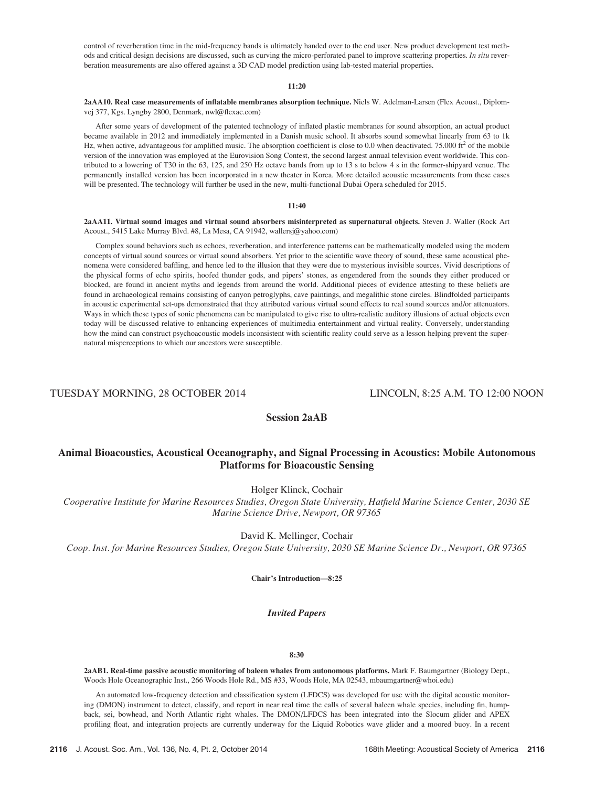control of reverberation time in the mid-frequency bands is ultimately handed over to the end user. New product development test methods and critical design decisions are discussed, such as curving the micro-perforated panel to improve scattering properties. In situ reverberation measurements are also offered against a 3D CAD model prediction using lab-tested material properties.

## 11:20

2aAA10. Real case measurements of inflatable membranes absorption technique. Niels W. Adelman-Larsen (Flex Acoust., Diplomvej 377, Kgs. Lyngby 2800, Denmark, nwl@flexac.com)

After some years of development of the patented technology of inflated plastic membranes for sound absorption, an actual product became available in 2012 and immediately implemented in a Danish music school. It absorbs sound somewhat linearly from 63 to 1k Hz, when active, advantageous for amplified music. The absorption coefficient is close to 0.0 when deactivated. 75.000 ft<sup>2</sup> of the mobile version of the innovation was employed at the Eurovision Song Contest, the second largest annual television event worldwide. This contributed to a lowering of T30 in the 63, 125, and 250 Hz octave bands from up to 13 s to below 4 s in the former-shipyard venue. The permanently installed version has been incorporated in a new theater in Korea. More detailed acoustic measurements from these cases will be presented. The technology will further be used in the new, multi-functional Dubai Opera scheduled for 2015.

## 11:40

2aAA11. Virtual sound images and virtual sound absorbers misinterpreted as supernatural objects. Steven J. Waller (Rock Art Acoust., 5415 Lake Murray Blvd. #8, La Mesa, CA 91942, wallersj@yahoo.com)

Complex sound behaviors such as echoes, reverberation, and interference patterns can be mathematically modeled using the modern concepts of virtual sound sources or virtual sound absorbers. Yet prior to the scientific wave theory of sound, these same acoustical phenomena were considered baffling, and hence led to the illusion that they were due to mysterious invisible sources. Vivid descriptions of the physical forms of echo spirits, hoofed thunder gods, and pipers' stones, as engendered from the sounds they either produced or blocked, are found in ancient myths and legends from around the world. Additional pieces of evidence attesting to these beliefs are found in archaeological remains consisting of canyon petroglyphs, cave paintings, and megalithic stone circles. Blindfolded participants in acoustic experimental set-ups demonstrated that they attributed various virtual sound effects to real sound sources and/or attenuators. Ways in which these types of sonic phenomena can be manipulated to give rise to ultra-realistic auditory illusions of actual objects even today will be discussed relative to enhancing experiences of multimedia entertainment and virtual reality. Conversely, understanding how the mind can construct psychoacoustic models inconsistent with scientific reality could serve as a lesson helping prevent the supernatural misperceptions to which our ancestors were susceptible.

TUESDAY MORNING, 28 OCTOBER 2014 LINCOLN, 8:25 A.M. TO 12:00 NOON

# Session 2aAB

# Animal Bioacoustics, Acoustical Oceanography, and Signal Processing in Acoustics: Mobile Autonomous Platforms for Bioacoustic Sensing

Holger Klinck, Cochair

Cooperative Institute for Marine Resources Studies, Oregon State University, Hatfield Marine Science Center, 2030 SE Marine Science Drive, Newport, OR 97365

David K. Mellinger, Cochair

Coop. Inst. for Marine Resources Studies, Oregon State University, 2030 SE Marine Science Dr., Newport, OR 97365

Chair's Introduction—8:25

## Invited Papers

## 8:30

2aAB1. Real-time passive acoustic monitoring of baleen whales from autonomous platforms. Mark F. Baumgartner (Biology Dept., Woods Hole Oceanographic Inst., 266 Woods Hole Rd., MS #33, Woods Hole, MA 02543, mbaumgartner@whoi.edu)

An automated low-frequency detection and classification system (LFDCS) was developed for use with the digital acoustic monitoring (DMON) instrument to detect, classify, and report in near real time the calls of several baleen whale species, including fin, humpback, sei, bowhead, and North Atlantic right whales. The DMON/LFDCS has been integrated into the Slocum glider and APEX profiling float, and integration projects are currently underway for the Liquid Robotics wave glider and a moored buoy. In a recent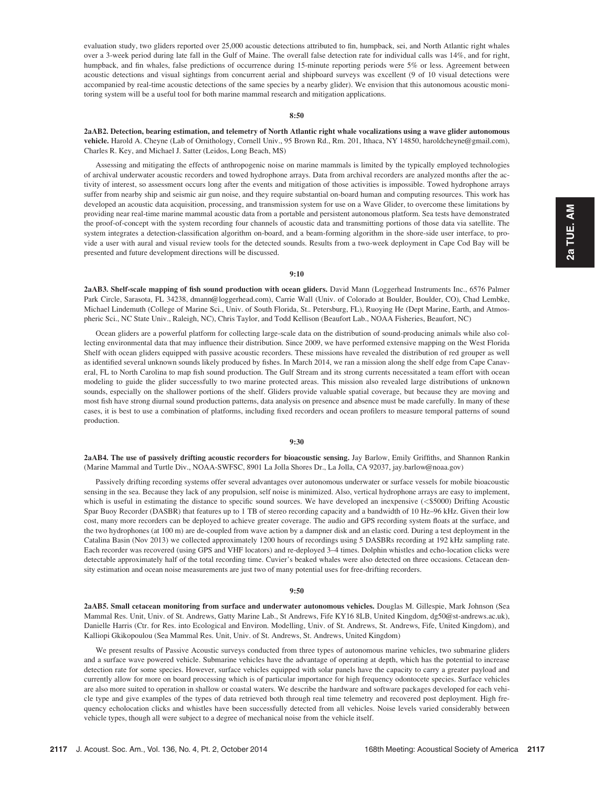evaluation study, two gliders reported over 25,000 acoustic detections attributed to fin, humpback, sei, and North Atlantic right whales over a 3-week period during late fall in the Gulf of Maine. The overall false detection rate for individual calls was 14%, and for right, humpback, and fin whales, false predictions of occurrence during 15-minute reporting periods were 5% or less. Agreement between acoustic detections and visual sightings from concurrent aerial and shipboard surveys was excellent (9 of 10 visual detections were accompanied by real-time acoustic detections of the same species by a nearby glider). We envision that this autonomous acoustic monitoring system will be a useful tool for both marine mammal research and mitigation applications.

## 8:50

2aAB2. Detection, bearing estimation, and telemetry of North Atlantic right whale vocalizations using a wave glider autonomous vehicle. Harold A. Cheyne (Lab of Ornithology, Cornell Univ., 95 Brown Rd., Rm. 201, Ithaca, NY 14850, haroldcheyne@gmail.com), Charles R. Key, and Michael J. Satter (Leidos, Long Beach, MS)

Assessing and mitigating the effects of anthropogenic noise on marine mammals is limited by the typically employed technologies of archival underwater acoustic recorders and towed hydrophone arrays. Data from archival recorders are analyzed months after the activity of interest, so assessment occurs long after the events and mitigation of those activities is impossible. Towed hydrophone arrays suffer from nearby ship and seismic air gun noise, and they require substantial on-board human and computing resources. This work has developed an acoustic data acquisition, processing, and transmission system for use on a Wave Glider, to overcome these limitations by providing near real-time marine mammal acoustic data from a portable and persistent autonomous platform. Sea tests have demonstrated the proof-of-concept with the system recording four channels of acoustic data and transmitting portions of those data via satellite. The system integrates a detection-classification algorithm on-board, and a beam-forming algorithm in the shore-side user interface, to provide a user with aural and visual review tools for the detected sounds. Results from a two-week deployment in Cape Cod Bay will be presented and future development directions will be discussed.

### 9:10

2aAB3. Shelf-scale mapping of fish sound production with ocean gliders. David Mann (Loggerhead Instruments Inc., 6576 Palmer Park Circle, Sarasota, FL 34238, dmann@loggerhead.com), Carrie Wall (Univ. of Colorado at Boulder, Boulder, CO), Chad Lembke, Michael Lindemuth (College of Marine Sci., Univ. of South Florida, St.. Petersburg, FL), Ruoying He (Dept Marine, Earth, and Atmospheric Sci., NC State Univ., Raleigh, NC), Chris Taylor, and Todd Kellison (Beaufort Lab., NOAA Fisheries, Beaufort, NC)

Ocean gliders are a powerful platform for collecting large-scale data on the distribution of sound-producing animals while also collecting environmental data that may influence their distribution. Since 2009, we have performed extensive mapping on the West Florida Shelf with ocean gliders equipped with passive acoustic recorders. These missions have revealed the distribution of red grouper as well as identified several unknown sounds likely produced by fishes. In March 2014, we ran a mission along the shelf edge from Cape Canaveral, FL to North Carolina to map fish sound production. The Gulf Stream and its strong currents necessitated a team effort with ocean modeling to guide the glider successfully to two marine protected areas. This mission also revealed large distributions of unknown sounds, especially on the shallower portions of the shelf. Gliders provide valuable spatial coverage, but because they are moving and most fish have strong diurnal sound production patterns, data analysis on presence and absence must be made carefully. In many of these cases, it is best to use a combination of platforms, including fixed recorders and ocean profilers to measure temporal patterns of sound production.

#### 9:30

2aAB4. The use of passively drifting acoustic recorders for bioacoustic sensing. Jay Barlow, Emily Griffiths, and Shannon Rankin (Marine Mammal and Turtle Div., NOAA-SWFSC, 8901 La Jolla Shores Dr., La Jolla, CA 92037, jay.barlow@noaa.gov)

Passively drifting recording systems offer several advantages over autonomous underwater or surface vessels for mobile bioacoustic sensing in the sea. Because they lack of any propulsion, self noise is minimized. Also, vertical hydrophone arrays are easy to implement, which is useful in estimating the distance to specific sound sources. We have developed an inexpensive (<\$5000) Drifting Acoustic Spar Buoy Recorder (DASBR) that features up to 1 TB of stereo recording capacity and a bandwidth of 10 Hz–96 kHz. Given their low cost, many more recorders can be deployed to achieve greater coverage. The audio and GPS recording system floats at the surface, and the two hydrophones (at 100 m) are de-coupled from wave action by a dampner disk and an elastic cord. During a test deployment in the Catalina Basin (Nov 2013) we collected approximately 1200 hours of recordings using 5 DASBRs recording at 192 kHz sampling rate. Each recorder was recovered (using GPS and VHF locators) and re-deployed 3–4 times. Dolphin whistles and echo-location clicks were detectable approximately half of the total recording time. Cuvier's beaked whales were also detected on three occasions. Cetacean density estimation and ocean noise measurements are just two of many potential uses for free-drifting recorders.

#### $9:50$

2aAB5. Small cetacean monitoring from surface and underwater autonomous vehicles. Douglas M. Gillespie, Mark Johnson (Sea Mammal Res. Unit, Univ. of St. Andrews, Gatty Marine Lab., St Andrews, Fife KY16 8LB, United Kingdom, dg50@st-andrews.ac.uk), Danielle Harris (Ctr. for Res. into Ecological and Environ. Modelling, Univ. of St. Andrews, St. Andrews, Fife, United Kingdom), and Kalliopi Gkikopoulou (Sea Mammal Res. Unit, Univ. of St. Andrews, St. Andrews, United Kingdom)

We present results of Passive Acoustic surveys conducted from three types of autonomous marine vehicles, two submarine gliders and a surface wave powered vehicle. Submarine vehicles have the advantage of operating at depth, which has the potential to increase detection rate for some species. However, surface vehicles equipped with solar panels have the capacity to carry a greater payload and currently allow for more on board processing which is of particular importance for high frequency odontocete species. Surface vehicles are also more suited to operation in shallow or coastal waters. We describe the hardware and software packages developed for each vehicle type and give examples of the types of data retrieved both through real time telemetry and recovered post deployment. High frequency echolocation clicks and whistles have been successfully detected from all vehicles. Noise levels varied considerably between vehicle types, though all were subject to a degree of mechanical noise from the vehicle itself.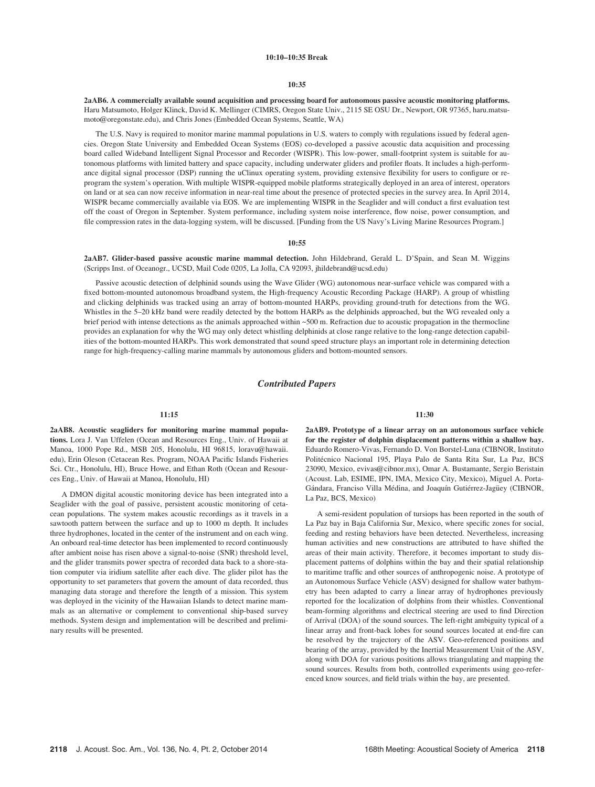## 10:10–10:35 Break

#### 10:35

2aAB6. A commercially available sound acquisition and processing board for autonomous passive acoustic monitoring platforms. Haru Matsumoto, Holger Klinck, David K. Mellinger (CIMRS, Oregon State Univ., 2115 SE OSU Dr., Newport, OR 97365, haru.matsumoto@oregonstate.edu), and Chris Jones (Embedded Ocean Systems, Seattle, WA)

The U.S. Navy is required to monitor marine mammal populations in U.S. waters to comply with regulations issued by federal agencies. Oregon State University and Embedded Ocean Systems (EOS) co-developed a passive acoustic data acquisition and processing board called Wideband Intelligent Signal Processor and Recorder (WISPR). This low-power, small-footprint system is suitable for autonomous platforms with limited battery and space capacity, including underwater gliders and profiler floats. It includes a high-performance digital signal processor (DSP) running the uClinux operating system, providing extensive flexibility for users to configure or reprogram the system's operation. With multiple WISPR-equipped mobile platforms strategically deployed in an area of interest, operators on land or at sea can now receive information in near-real time about the presence of protected species in the survey area. In April 2014, WISPR became commercially available via EOS. We are implementing WISPR in the Seaglider and will conduct a first evaluation test off the coast of Oregon in September. System performance, including system noise interference, flow noise, power consumption, and file compression rates in the data-logging system, will be discussed. [Funding from the US Navy's Living Marine Resources Program.]

#### 10:55

2aAB7. Glider-based passive acoustic marine mammal detection. John Hildebrand, Gerald L. D'Spain, and Sean M. Wiggins (Scripps Inst. of Oceanogr., UCSD, Mail Code 0205, La Jolla, CA 92093, jhildebrand@ucsd.edu)

Passive acoustic detection of delphinid sounds using the Wave Glider (WG) autonomous near-surface vehicle was compared with a fixed bottom-mounted autonomous broadband system, the High-frequency Acoustic Recording Package (HARP). A group of whistling and clicking delphinids was tracked using an array of bottom-mounted HARPs, providing ground-truth for detections from the WG. Whistles in the 5–20 kHz band were readily detected by the bottom HARPs as the delphinids approached, but the WG revealed only a brief period with intense detections as the animals approached within ~500 m. Refraction due to acoustic propagation in the thermocline provides an explanation for why the WG may only detect whistling delphinids at close range relative to the long-range detection capabilities of the bottom-mounted HARPs. This work demonstrated that sound speed structure plays an important role in determining detection range for high-frequency-calling marine mammals by autonomous gliders and bottom-mounted sensors.

## Contributed Papers

#### 11:15

2aAB8. Acoustic seagliders for monitoring marine mammal populations. Lora J. Van Uffelen (Ocean and Resources Eng., Univ. of Hawaii at Manoa, 1000 Pope Rd., MSB 205, Honolulu, HI 96815, loravu@hawaii. edu), Erin Oleson (Cetacean Res. Program, NOAA Pacific Islands Fisheries Sci. Ctr., Honolulu, HI), Bruce Howe, and Ethan Roth (Ocean and Resources Eng., Univ. of Hawaii at Manoa, Honolulu, HI)

A DMON digital acoustic monitoring device has been integrated into a Seaglider with the goal of passive, persistent acoustic monitoring of cetacean populations. The system makes acoustic recordings as it travels in a sawtooth pattern between the surface and up to 1000 m depth. It includes three hydrophones, located in the center of the instrument and on each wing. An onboard real-time detector has been implemented to record continuously after ambient noise has risen above a signal-to-noise (SNR) threshold level, and the glider transmits power spectra of recorded data back to a shore-station computer via iridium satellite after each dive. The glider pilot has the opportunity to set parameters that govern the amount of data recorded, thus managing data storage and therefore the length of a mission. This system was deployed in the vicinity of the Hawaiian Islands to detect marine mammals as an alternative or complement to conventional ship-based survey methods. System design and implementation will be described and preliminary results will be presented.

11:30

2aAB9. Prototype of a linear array on an autonomous surface vehicle for the register of dolphin displacement patterns within a shallow bay. Eduardo Romero-Vivas, Fernando D. Von Borstel-Luna (CIBNOR, Instituto Politécnico Nacional 195, Playa Palo de Santa Rita Sur, La Paz, BCS 23090, Mexico, evivas@cibnor.mx), Omar A. Bustamante, Sergio Beristain (Acoust. Lab, ESIME, IPN, IMA, Mexico City, Mexico), Miguel A. Porta-Gándara, Franciso Villa Médina, and Joaquín Gutiérrez-Jagüey (CIBNOR, La Paz, BCS, Mexico)

A semi-resident population of tursiops has been reported in the south of La Paz bay in Baja California Sur, Mexico, where specific zones for social, feeding and resting behaviors have been detected. Nevertheless, increasing human activities and new constructions are attributed to have shifted the areas of their main activity. Therefore, it becomes important to study displacement patterns of dolphins within the bay and their spatial relationship to maritime traffic and other sources of anthropogenic noise. A prototype of an Autonomous Surface Vehicle (ASV) designed for shallow water bathymetry has been adapted to carry a linear array of hydrophones previously reported for the localization of dolphins from their whistles. Conventional beam-forming algorithms and electrical steering are used to find Direction of Arrival (DOA) of the sound sources. The left-right ambiguity typical of a linear array and front-back lobes for sound sources located at end-fire can be resolved by the trajectory of the ASV. Geo-referenced positions and bearing of the array, provided by the Inertial Measurement Unit of the ASV, along with DOA for various positions allows triangulating and mapping the sound sources. Results from both, controlled experiments using geo-referenced know sources, and field trials within the bay, are presented.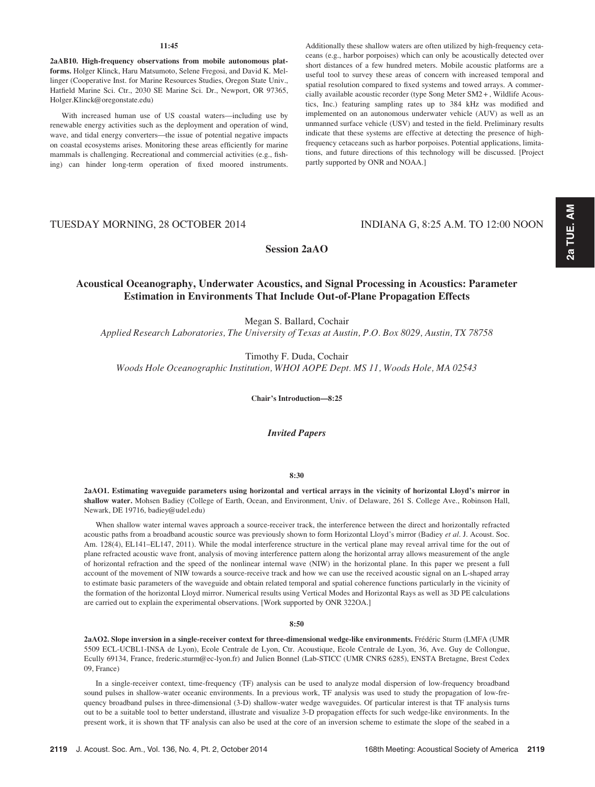## 11:45

2aAB10. High-frequency observations from mobile autonomous platforms. Holger Klinck, Haru Matsumoto, Selene Fregosi, and David K. Mellinger (Cooperative Inst. for Marine Resources Studies, Oregon State Univ., Hatfield Marine Sci. Ctr., 2030 SE Marine Sci. Dr., Newport, OR 97365, Holger.Klinck@oregonstate.edu)

With increased human use of US coastal waters—including use by renewable energy activities such as the deployment and operation of wind, wave, and tidal energy converters—the issue of potential negative impacts on coastal ecosystems arises. Monitoring these areas efficiently for marine mammals is challenging. Recreational and commercial activities (e.g., fishing) can hinder long-term operation of fixed moored instruments. Additionally these shallow waters are often utilized by high-frequency cetaceans (e.g., harbor porpoises) which can only be acoustically detected over short distances of a few hundred meters. Mobile acoustic platforms are a useful tool to survey these areas of concern with increased temporal and spatial resolution compared to fixed systems and towed arrays. A commercially available acoustic recorder (type Song Meter SM2 + , Wildlife Acoustics, Inc.) featuring sampling rates up to 384 kHz was modified and implemented on an autonomous underwater vehicle (AUV) as well as an unmanned surface vehicle (USV) and tested in the field. Preliminary results indicate that these systems are effective at detecting the presence of highfrequency cetaceans such as harbor porpoises. Potential applications, limitations, and future directions of this technology will be discussed. [Project partly supported by ONR and NOAA.]

# TUESDAY MORNING, 28 OCTOBER 2014 INDIANA G, 8:25 A.M. TO 12:00 NOON

Session 2aAO

# Acoustical Oceanography, Underwater Acoustics, and Signal Processing in Acoustics: Parameter Estimation in Environments That Include Out-of-Plane Propagation Effects

Megan S. Ballard, Cochair

Applied Research Laboratories, The University of Texas at Austin, P.O. Box 8029, Austin, TX 78758

Timothy F. Duda, Cochair

Woods Hole Oceanographic Institution, WHOI AOPE Dept. MS 11, Woods Hole, MA 02543

Chair's Introduction—8:25

Invited Papers

### 8:30

2aAO1. Estimating waveguide parameters using horizontal and vertical arrays in the vicinity of horizontal Lloyd's mirror in shallow water. Mohsen Badiey (College of Earth, Ocean, and Environment, Univ. of Delaware, 261 S. College Ave., Robinson Hall, Newark, DE 19716, badiey@udel.edu)

When shallow water internal waves approach a source-receiver track, the interference between the direct and horizontally refracted acoustic paths from a broadband acoustic source was previously shown to form Horizontal Lloyd's mirror (Badiey et al. J. Acoust. Soc. Am. 128(4), EL141–EL147, 2011). While the modal interference structure in the vertical plane may reveal arrival time for the out of plane refracted acoustic wave front, analysis of moving interference pattern along the horizontal array allows measurement of the angle of horizontal refraction and the speed of the nonlinear internal wave (NIW) in the horizontal plane. In this paper we present a full account of the movement of NIW towards a source-receive track and how we can use the received acoustic signal on an L-shaped array to estimate basic parameters of the waveguide and obtain related temporal and spatial coherence functions particularly in the vicinity of the formation of the horizontal Lloyd mirror. Numerical results using Vertical Modes and Horizontal Rays as well as 3D PE calculations are carried out to explain the experimental observations. [Work supported by ONR 322OA.]

#### 8:50

2aAO2. Slope inversion in a single-receiver context for three-dimensional wedge-like environments. Frédéric Sturm (LMFA (UMR 5509 ECL-UCBL1-INSA de Lyon), Ecole Centrale de Lyon, Ctr. Acoustique, Ecole Centrale de Lyon, 36, Ave. Guy de Collongue, Ecully 69134, France, frederic.sturm@ec-lyon.fr) and Julien Bonnel (Lab-STICC (UMR CNRS 6285), ENSTA Bretagne, Brest Cedex 09, France)

In a single-receiver context, time-frequency (TF) analysis can be used to analyze modal dispersion of low-frequency broadband sound pulses in shallow-water oceanic environments. In a previous work, TF analysis was used to study the propagation of low-frequency broadband pulses in three-dimensional (3-D) shallow-water wedge waveguides. Of particular interest is that TF analysis turns out to be a suitable tool to better understand, illustrate and visualize 3-D propagation effects for such wedge-like environments. In the present work, it is shown that TF analysis can also be used at the core of an inversion scheme to estimate the slope of the seabed in a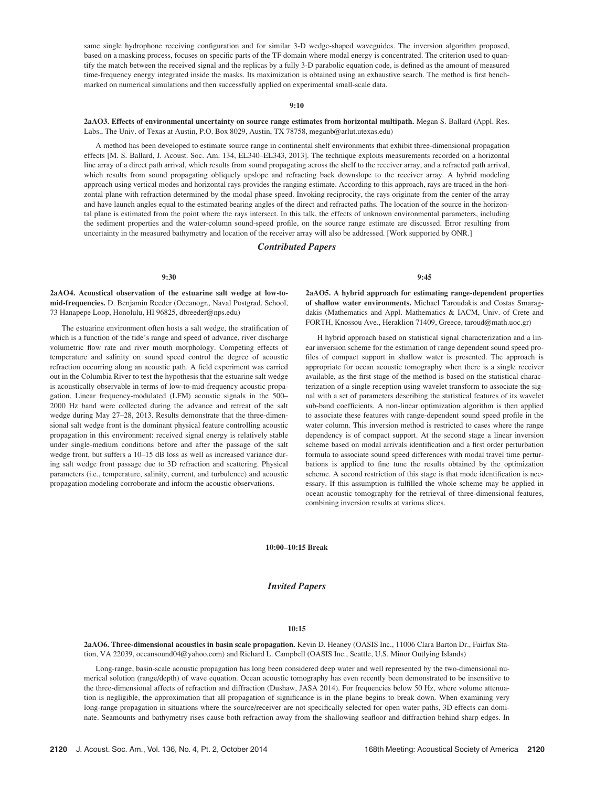same single hydrophone receiving configuration and for similar 3-D wedge-shaped waveguides. The inversion algorithm proposed, based on a masking process, focuses on specific parts of the TF domain where modal energy is concentrated. The criterion used to quantify the match between the received signal and the replicas by a fully 3-D parabolic equation code, is defined as the amount of measured time-frequency energy integrated inside the masks. Its maximization is obtained using an exhaustive search. The method is first benchmarked on numerical simulations and then successfully applied on experimental small-scale data.

#### 9:10

2aAO3. Effects of environmental uncertainty on source range estimates from horizontal multipath. Megan S. Ballard (Appl. Res. Labs., The Univ. of Texas at Austin, P.O. Box 8029, Austin, TX 78758, meganb@arlut.utexas.edu)

A method has been developed to estimate source range in continental shelf environments that exhibit three-dimensional propagation effects [M. S. Ballard, J. Acoust. Soc. Am. 134, EL340–EL343, 2013]. The technique exploits measurements recorded on a horizontal line array of a direct path arrival, which results from sound propagating across the shelf to the receiver array, and a refracted path arrival, which results from sound propagating obliquely upslope and refracting back downslope to the receiver array. A hybrid modeling approach using vertical modes and horizontal rays provides the ranging estimate. According to this approach, rays are traced in the horizontal plane with refraction determined by the modal phase speed. Invoking reciprocity, the rays originate from the center of the array and have launch angles equal to the estimated bearing angles of the direct and refracted paths. The location of the source in the horizontal plane is estimated from the point where the rays intersect. In this talk, the effects of unknown environmental parameters, including the sediment properties and the water-column sound-speed profile, on the source range estimate are discussed. Error resulting from uncertainty in the measured bathymetry and location of the receiver array will also be addressed. [Work supported by ONR.]

## Contributed Papers

#### 9:30

## 2aAO4. Acoustical observation of the estuarine salt wedge at low-tomid-frequencies. D. Benjamin Reeder (Oceanogr., Naval Postgrad. School, 73 Hanapepe Loop, Honolulu, HI 96825, dbreeder@nps.edu)

The estuarine environment often hosts a salt wedge, the stratification of which is a function of the tide's range and speed of advance, river discharge volumetric flow rate and river mouth morphology. Competing effects of temperature and salinity on sound speed control the degree of acoustic refraction occurring along an acoustic path. A field experiment was carried out in the Columbia River to test the hypothesis that the estuarine salt wedge is acoustically observable in terms of low-to-mid-frequency acoustic propagation. Linear frequency-modulated (LFM) acoustic signals in the 500– 2000 Hz band were collected during the advance and retreat of the salt wedge during May 27–28, 2013. Results demonstrate that the three-dimensional salt wedge front is the dominant physical feature controlling acoustic propagation in this environment: received signal energy is relatively stable under single-medium conditions before and after the passage of the salt wedge front, but suffers a 10–15 dB loss as well as increased variance during salt wedge front passage due to 3D refraction and scattering. Physical parameters (i.e., temperature, salinity, current, and turbulence) and acoustic propagation modeling corroborate and inform the acoustic observations.

9:45

2aAO5. A hybrid approach for estimating range-dependent properties of shallow water environments. Michael Taroudakis and Costas Smaragdakis (Mathematics and Appl. Mathematics & IACM, Univ. of Crete and FORTH, Knossou Ave., Heraklion 71409, Greece, taroud@math.uoc.gr)

H hybrid approach based on statistical signal characterization and a linear inversion scheme for the estimation of range dependent sound speed profiles of compact support in shallow water is presented. The approach is appropriate for ocean acoustic tomography when there is a single receiver available, as the first stage of the method is based on the statistical characterization of a single reception using wavelet transform to associate the signal with a set of parameters describing the statistical features of its wavelet sub-band coefficients. A non-linear optimization algorithm is then applied to associate these features with range-dependent sound speed profile in the water column. This inversion method is restricted to cases where the range dependency is of compact support. At the second stage a linear inversion scheme based on modal arrivals identification and a first order perturbation formula to associate sound speed differences with modal travel time perturbations is applied to fine tune the results obtained by the optimization scheme. A second restriction of this stage is that mode identification is necessary. If this assumption is fulfilled the whole scheme may be applied in ocean acoustic tomography for the retrieval of three-dimensional features, combining inversion results at various slices.

#### 10:00–10:15 Break

## Invited Papers

## 10:15

2aAO6. Three-dimensional acoustics in basin scale propagation. Kevin D. Heaney (OASIS Inc., 11006 Clara Barton Dr., Fairfax Station, VA 22039, oceansound04@yahoo.com) and Richard L. Campbell (OASIS Inc., Seattle, U.S. Minor Outlying Islands)

Long-range, basin-scale acoustic propagation has long been considered deep water and well represented by the two-dimensional numerical solution (range/depth) of wave equation. Ocean acoustic tomography has even recently been demonstrated to be insensitive to the three-dimensional affects of refraction and diffraction (Dushaw, JASA 2014). For frequencies below 50 Hz, where volume attenuation is negligible, the approximation that all propagation of significance is in the plane begins to break down. When examining very long-range propagation in situations where the source/receiver are not specifically selected for open water paths, 3D effects can dominate. Seamounts and bathymetry rises cause both refraction away from the shallowing seafloor and diffraction behind sharp edges. In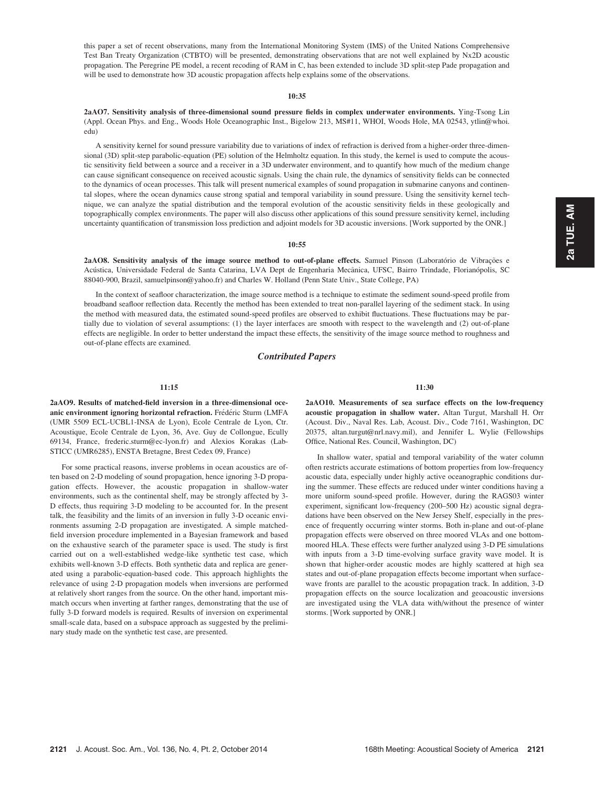this paper a set of recent observations, many from the International Monitoring System (IMS) of the United Nations Comprehensive Test Ban Treaty Organization (CTBTO) will be presented, demonstrating observations that are not well explained by Nx2D acoustic propagation. The Peregrine PE model, a recent recoding of RAM in C, has been extended to include 3D split-step Pade propagation and will be used to demonstrate how 3D acoustic propagation affects help explains some of the observations.

#### 10:35

2aAO7. Sensitivity analysis of three-dimensional sound pressure fields in complex underwater environments. Ying-Tsong Lin (Appl. Ocean Phys. and Eng., Woods Hole Oceanographic Inst., Bigelow 213, MS#11, WHOI, Woods Hole, MA 02543, ytlin@whoi. edu)

A sensitivity kernel for sound pressure variability due to variations of index of refraction is derived from a higher-order three-dimensional (3D) split-step parabolic-equation (PE) solution of the Helmholtz equation. In this study, the kernel is used to compute the acoustic sensitivity field between a source and a receiver in a 3D underwater environment, and to quantify how much of the medium change can cause significant consequence on received acoustic signals. Using the chain rule, the dynamics of sensitivity fields can be connected to the dynamics of ocean processes. This talk will present numerical examples of sound propagation in submarine canyons and continental slopes, where the ocean dynamics cause strong spatial and temporal variability in sound pressure. Using the sensitivity kernel technique, we can analyze the spatial distribution and the temporal evolution of the acoustic sensitivity fields in these geologically and topographically complex environments. The paper will also discuss other applications of this sound pressure sensitivity kernel, including uncertainty quantification of transmission loss prediction and adjoint models for 3D acoustic inversions. [Work supported by the ONR.]

#### 10:55

2aAO8. Sensitivity analysis of the image source method to out-of-plane effects. Samuel Pinson (Laboratório de Vibrações e Acústica, Universidade Federal de Santa Catarina, LVA Dept de Engenharia Mecânica, UFSC, Bairro Trindade, Florianópolis, SC 88040-900, Brazil, samuelpinson@yahoo.fr) and Charles W. Holland (Penn State Univ., State College, PA)

In the context of seafloor characterization, the image source method is a technique to estimate the sediment sound-speed profile from broadband seafloor reflection data. Recently the method has been extended to treat non-parallel layering of the sediment stack. In using the method with measured data, the estimated sound-speed profiles are observed to exhibit fluctuations. These fluctuations may be partially due to violation of several assumptions: (1) the layer interfaces are smooth with respect to the wavelength and (2) out-of-plane effects are negligible. In order to better understand the impact these effects, the sensitivity of the image source method to roughness and out-of-plane effects are examined.

## Contributed Papers

### 11:15

2aAO9. Results of matched-field inversion in a three-dimensional oceanic environment ignoring horizontal refraction. Frédéric Sturm (LMFA (UMR 5509 ECL-UCBL1-INSA de Lyon), Ecole Centrale de Lyon, Ctr. Acoustique, Ecole Centrale de Lyon, 36, Ave. Guy de Collongue, Ecully 69134, France, frederic.sturm@ec-lyon.fr) and Alexios Korakas (Lab-STICC (UMR6285), ENSTA Bretagne, Brest Cedex 09, France)

For some practical reasons, inverse problems in ocean acoustics are often based on 2-D modeling of sound propagation, hence ignoring 3-D propagation effects. However, the acoustic propagation in shallow-water environments, such as the continental shelf, may be strongly affected by 3- D effects, thus requiring 3-D modeling to be accounted for. In the present talk, the feasibility and the limits of an inversion in fully 3-D oceanic environments assuming 2-D propagation are investigated. A simple matchedfield inversion procedure implemented in a Bayesian framework and based on the exhaustive search of the parameter space is used. The study is first carried out on a well-established wedge-like synthetic test case, which exhibits well-known 3-D effects. Both synthetic data and replica are generated using a parabolic-equation-based code. This approach highlights the relevance of using 2-D propagation models when inversions are performed at relatively short ranges from the source. On the other hand, important mismatch occurs when inverting at farther ranges, demonstrating that the use of fully 3-D forward models is required. Results of inversion on experimental small-scale data, based on a subspace approach as suggested by the preliminary study made on the synthetic test case, are presented.

11:30

2aAO10. Measurements of sea surface effects on the low-frequency acoustic propagation in shallow water. Altan Turgut, Marshall H. Orr (Acoust. Div., Naval Res. Lab, Acoust. Div., Code 7161, Washington, DC 20375, altan.turgut@nrl.navy.mil), and Jennifer L. Wylie (Fellowships Office, National Res. Council, Washington, DC)

In shallow water, spatial and temporal variability of the water column often restricts accurate estimations of bottom properties from low-frequency acoustic data, especially under highly active oceanographic conditions during the summer. These effects are reduced under winter conditions having a more uniform sound-speed profile. However, during the RAGS03 winter experiment, significant low-frequency (200–500 Hz) acoustic signal degradations have been observed on the New Jersey Shelf, especially in the presence of frequently occurring winter storms. Both in-plane and out-of-plane propagation effects were observed on three moored VLAs and one bottommoored HLA. These effects were further analyzed using 3-D PE simulations with inputs from a 3-D time-evolving surface gravity wave model. It is shown that higher-order acoustic modes are highly scattered at high sea states and out-of-plane propagation effects become important when surfacewave fronts are parallel to the acoustic propagation track. In addition, 3-D propagation effects on the source localization and geoacoustic inversions are investigated using the VLA data with/without the presence of winter storms. [Work supported by ONR.]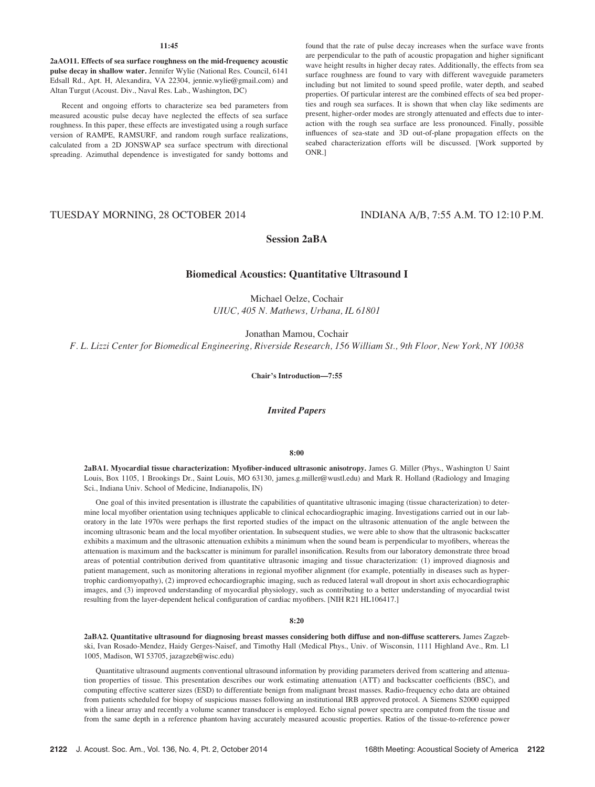## 11:45

2aAO11. Effects of sea surface roughness on the mid-frequency acoustic pulse decay in shallow water. Jennifer Wylie (National Res. Council, 6141 Edsall Rd., Apt. H, Alexandira, VA 22304, jennie.wylie@gmail.com) and Altan Turgut (Acoust. Div., Naval Res. Lab., Washington, DC)

Recent and ongoing efforts to characterize sea bed parameters from measured acoustic pulse decay have neglected the effects of sea surface roughness. In this paper, these effects are investigated using a rough surface version of RAMPE, RAMSURF, and random rough surface realizations, calculated from a 2D JONSWAP sea surface spectrum with directional spreading. Azimuthal dependence is investigated for sandy bottoms and found that the rate of pulse decay increases when the surface wave fronts are perpendicular to the path of acoustic propagation and higher significant wave height results in higher decay rates. Additionally, the effects from sea surface roughness are found to vary with different waveguide parameters including but not limited to sound speed profile, water depth, and seabed properties. Of particular interest are the combined effects of sea bed properties and rough sea surfaces. It is shown that when clay like sediments are present, higher-order modes are strongly attenuated and effects due to interaction with the rough sea surface are less pronounced. Finally, possible influences of sea-state and 3D out-of-plane propagation effects on the seabed characterization efforts will be discussed. [Work supported by ONR.]

# TUESDAY MORNING, 28 OCTOBER 2014 INDIANA A/B, 7:55 A.M. TO 12:10 P.M.

# Session 2aBA

# Biomedical Acoustics: Quantitative Ultrasound I

Michael Oelze, Cochair UIUC, 405 N. Mathews, Urbana, IL 61801

Jonathan Mamou, Cochair

F. L. Lizzi Center for Biomedical Engineering, Riverside Research, 156 William St., 9th Floor, New York, NY 10038

Chair's Introduction—7:55

Invited Papers

## 8:00

2aBA1. Myocardial tissue characterization: Myofiber-induced ultrasonic anisotropy. James G. Miller (Phys., Washington U Saint Louis, Box 1105, 1 Brookings Dr., Saint Louis, MO 63130, james.g.miller@wustl.edu) and Mark R. Holland (Radiology and Imaging Sci., Indiana Univ. School of Medicine, Indianapolis, IN)

One goal of this invited presentation is illustrate the capabilities of quantitative ultrasonic imaging (tissue characterization) to determine local myofiber orientation using techniques applicable to clinical echocardiographic imaging. Investigations carried out in our laboratory in the late 1970s were perhaps the first reported studies of the impact on the ultrasonic attenuation of the angle between the incoming ultrasonic beam and the local myofiber orientation. In subsequent studies, we were able to show that the ultrasonic backscatter exhibits a maximum and the ultrasonic attenuation exhibits a minimum when the sound beam is perpendicular to myofibers, whereas the attenuation is maximum and the backscatter is minimum for parallel insonification. Results from our laboratory demonstrate three broad areas of potential contribution derived from quantitative ultrasonic imaging and tissue characterization: (1) improved diagnosis and patient management, such as monitoring alterations in regional myofiber alignment (for example, potentially in diseases such as hypertrophic cardiomyopathy), (2) improved echocardiographic imaging, such as reduced lateral wall dropout in short axis echocardiographic images, and (3) improved understanding of myocardial physiology, such as contributing to a better understanding of myocardial twist resulting from the layer-dependent helical configuration of cardiac myofibers. [NIH R21 HL106417.]

## 8:20

2aBA2. Quantitative ultrasound for diagnosing breast masses considering both diffuse and non-diffuse scatterers. James Zagzebski, Ivan Rosado-Mendez, Haidy Gerges-Naisef, and Timothy Hall (Medical Phys., Univ. of Wisconsin, 1111 Highland Ave., Rm. L1 1005, Madison, WI 53705, jazagzeb@wisc.edu)

Quantitative ultrasound augments conventional ultrasound information by providing parameters derived from scattering and attenuation properties of tissue. This presentation describes our work estimating attenuation (ATT) and backscatter coefficients (BSC), and computing effective scatterer sizes (ESD) to differentiate benign from malignant breast masses. Radio-frequency echo data are obtained from patients scheduled for biopsy of suspicious masses following an institutional IRB approved protocol. A Siemens S2000 equipped with a linear array and recently a volume scanner transducer is employed. Echo signal power spectra are computed from the tissue and from the same depth in a reference phantom having accurately measured acoustic properties. Ratios of the tissue-to-reference power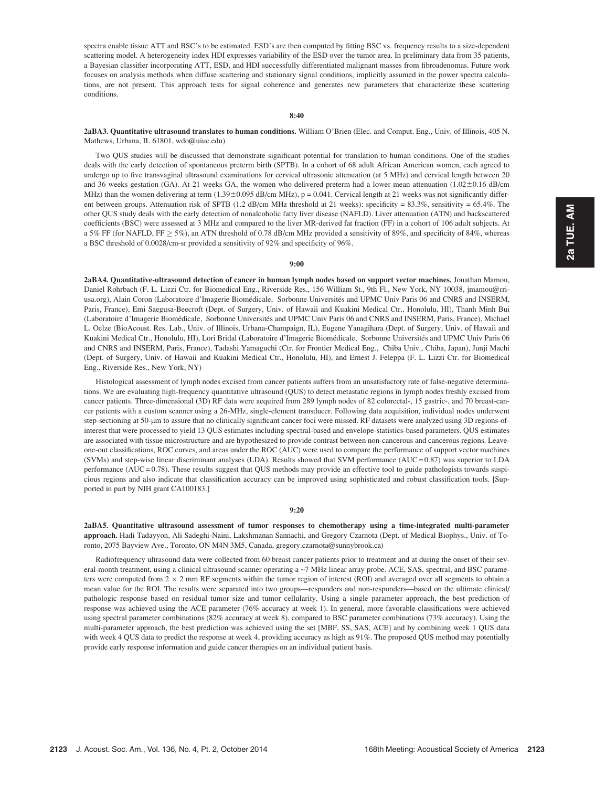## 8:40

## 2aBA3. Quantitative ultrasound translates to human conditions. William O'Brien (Elec. and Comput. Eng., Univ. of Illinois, 405 N. Mathews, Urbana, IL 61801, wdo@uiuc.edu)

Two QUS studies will be discussed that demonstrate significant potential for translation to human conditions. One of the studies deals with the early detection of spontaneous preterm birth (SPTB). In a cohort of 68 adult African American women, each agreed to undergo up to five transvaginal ultrasound examinations for cervical ultrasonic attenuation (at 5 MHz) and cervical length between 20 and 36 weeks gestation (GA). At 21 weeks GA, the women who delivered preterm had a lower mean attenuation  $(1.02 \pm 0.16 \text{ dB/cm})$ MHz) than the women delivering at term  $(1.39\pm0.095 \text{ dB/cm MHz})$ ,  $p = 0.041$ . Cervical length at 21 weeks was not significantly different between groups. Attenuation risk of SPTB (1.2 dB/cm MHz threshold at 21 weeks): specificity = 83.3%, sensitivity = 65.4%. The other QUS study deals with the early detection of nonalcoholic fatty liver disease (NAFLD). Liver attenuation (ATN) and backscattered coefficients (BSC) were assessed at 3 MHz and compared to the liver MR-derived fat fraction (FF) in a cohort of 106 adult subjects. At a 5% FF (for NAFLD, FF  $\geq$  5%), an ATN threshold of 0.78 dB/cm MHz provided a sensitivity of 89%, and specificity of 84%, whereas a BSC threshold of 0.0028/cm-sr provided a sensitivity of 92% and specificity of 96%.

#### 9:00

2aBA4. Quantitative-ultrasound detection of cancer in human lymph nodes based on support vector machines. Jonathan Mamou, Daniel Rohrbach (F. L. Lizzi Ctr. for Biomedical Eng., Riverside Res., 156 William St., 9th Fl., New York, NY 10038, jmamou@rriusa.org), Alain Coron (Laboratoire d'Imagerie Biomédicale, Sorbonne Universités and UPMC Univ Paris 06 and CNRS and INSERM, Paris, France), Emi Saegusa-Beecroft (Dept. of Surgery, Univ. of Hawaii and Kuakini Medical Ctr., Honolulu, HI), Thanh Minh Bui (Laboratoire d'Imagerie Biomédicale, Sorbonne Universités and UPMC Univ Paris 06 and CNRS and INSERM, Paris, France), Michael L. Oelze (BioAcoust. Res. Lab., Univ. of Illinois, Urbana-Champaign, IL), Eugene Yanagihara (Dept. of Surgery, Univ. of Hawaii and Kuakini Medical Ctr., Honolulu, HI), Lori Bridal (Laboratoire d'Imagerie Biomédicale, Sorbonne Universités and UPMC Univ Paris 06 and CNRS and INSERM, Paris, France), Tadashi Yamaguchi (Ctr. for Frontier Medical Eng., Chiba Univ., Chiba, Japan), Junji Machi (Dept. of Surgery, Univ. of Hawaii and Kuakini Medical Ctr., Honolulu, HI), and Ernest J. Feleppa (F. L. Lizzi Ctr. for Biomedical Eng., Riverside Res., New York, NY)

Histological assessment of lymph nodes excised from cancer patients suffers from an unsatisfactory rate of false-negative determinations. We are evaluating high-frequency quantitative ultrasound (QUS) to detect metastatic regions in lymph nodes freshly excised from cancer patients. Three-dimensional (3D) RF data were acquired from 289 lymph nodes of 82 colorectal-, 15 gastric-, and 70 breast-cancer patients with a custom scanner using a 26-MHz, single-element transducer. Following data acquisition, individual nodes underwent step-sectioning at 50-mm to assure that no clinically significant cancer foci were missed. RF datasets were analyzed using 3D regions-ofinterest that were processed to yield 13 QUS estimates including spectral-based and envelope-statistics-based parameters. QUS estimates are associated with tissue microstructure and are hypothesized to provide contrast between non-cancerous and cancerous regions. Leaveone-out classifications, ROC curves, and areas under the ROC (AUC) were used to compare the performance of support vector machines (SVMs) and step-wise linear discriminant analyses (LDA). Results showed that SVM performance (AUC = 0.87) was superior to LDA performance (AUC = 0.78). These results suggest that QUS methods may provide an effective tool to guide pathologists towards suspicious regions and also indicate that classification accuracy can be improved using sophisticated and robust classification tools. [Supported in part by NIH grant CA100183.]

## 9:20

2aBA5. Quantitative ultrasound assessment of tumor responses to chemotherapy using a time-integrated multi-parameter approach. Hadi Tadayyon, Ali Sadeghi-Naini, Lakshmanan Sannachi, and Gregory Czarnota (Dept. of Medical Biophys., Univ. of Toronto, 2075 Bayview Ave., Toronto, ON M4N 3M5, Canada, gregory.czarnota@sunnybrook.ca)

Radiofrequency ultrasound data were collected from 60 breast cancer patients prior to treatment and at during the onset of their several-month treatment, using a clinical ultrasound scanner operating a  $\sim$ 7 MHz linear array probe. ACE, SAS, spectral, and BSC parameters were computed from  $2 \times 2$  mm RF segments within the tumor region of interest (ROI) and averaged over all segments to obtain a mean value for the ROI. The results were separated into two groups—responders and non-responders—based on the ultimate clinical/ pathologic response based on residual tumor size and tumor cellularity. Using a single parameter approach, the best prediction of response was achieved using the ACE parameter (76% accuracy at week 1). In general, more favorable classifications were achieved using spectral parameter combinations (82% accuracy at week 8), compared to BSC parameter combinations (73% accuracy). Using the multi-parameter approach, the best prediction was achieved using the set [MBF, SS, SAS, ACE] and by combining week 1 QUS data with week 4 QUS data to predict the response at week 4, providing accuracy as high as 91%. The proposed QUS method may potentially provide early response information and guide cancer therapies on an individual patient basis.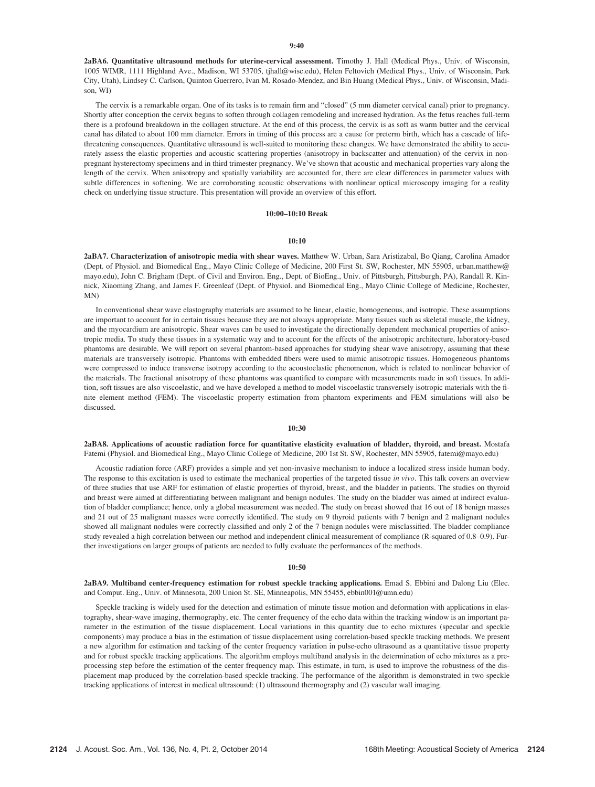2aBA6. Quantitative ultrasound methods for uterine-cervical assessment. Timothy J. Hall (Medical Phys., Univ. of Wisconsin, 1005 WIMR, 1111 Highland Ave., Madison, WI 53705, tjhall@wisc.edu), Helen Feltovich (Medical Phys., Univ. of Wisconsin, Park City, Utah), Lindsey C. Carlson, Quinton Guerrero, Ivan M. Rosado-Mendez, and Bin Huang (Medical Phys., Univ. of Wisconsin, Madison, WI)

The cervix is a remarkable organ. One of its tasks is to remain firm and "closed" (5 mm diameter cervical canal) prior to pregnancy. Shortly after conception the cervix begins to soften through collagen remodeling and increased hydration. As the fetus reaches full-term there is a profound breakdown in the collagen structure. At the end of this process, the cervix is as soft as warm butter and the cervical canal has dilated to about 100 mm diameter. Errors in timing of this process are a cause for preterm birth, which has a cascade of lifethreatening consequences. Quantitative ultrasound is well-suited to monitoring these changes. We have demonstrated the ability to accurately assess the elastic properties and acoustic scattering properties (anisotropy in backscatter and attenuation) of the cervix in nonpregnant hysterectomy specimens and in third trimester pregnancy. We've shown that acoustic and mechanical properties vary along the length of the cervix. When anisotropy and spatially variability are accounted for, there are clear differences in parameter values with subtle differences in softening. We are corroborating acoustic observations with nonlinear optical microscopy imaging for a reality check on underlying tissue structure. This presentation will provide an overview of this effort.

## 10:00–10:10 Break

## $10:10$

2aBA7. Characterization of anisotropic media with shear waves. Matthew W. Urban, Sara Aristizabal, Bo Qiang, Carolina Amador (Dept. of Physiol. and Biomedical Eng., Mayo Clinic College of Medicine, 200 First St. SW, Rochester, MN 55905, urban.matthew@ mayo.edu), John C. Brigham (Dept. of Civil and Environ. Eng., Dept. of BioEng., Univ. of Pittsburgh, Pittsburgh, PA), Randall R. Kinnick, Xiaoming Zhang, and James F. Greenleaf (Dept. of Physiol. and Biomedical Eng., Mayo Clinic College of Medicine, Rochester, MN)

In conventional shear wave elastography materials are assumed to be linear, elastic, homogeneous, and isotropic. These assumptions are important to account for in certain tissues because they are not always appropriate. Many tissues such as skeletal muscle, the kidney, and the myocardium are anisotropic. Shear waves can be used to investigate the directionally dependent mechanical properties of anisotropic media. To study these tissues in a systematic way and to account for the effects of the anisotropic architecture, laboratory-based phantoms are desirable. We will report on several phantom-based approaches for studying shear wave anisotropy, assuming that these materials are transversely isotropic. Phantoms with embedded fibers were used to mimic anisotropic tissues. Homogeneous phantoms were compressed to induce transverse isotropy according to the acoustoelastic phenomenon, which is related to nonlinear behavior of the materials. The fractional anisotropy of these phantoms was quantified to compare with measurements made in soft tissues. In addition, soft tissues are also viscoelastic, and we have developed a method to model viscoelastic transversely isotropic materials with the finite element method (FEM). The viscoelastic property estimation from phantom experiments and FEM simulations will also be discussed.

#### 10:30

2aBA8. Applications of acoustic radiation force for quantitative elasticity evaluation of bladder, thyroid, and breast. Mostafa Fatemi (Physiol. and Biomedical Eng., Mayo Clinic College of Medicine, 200 1st St. SW, Rochester, MN 55905, fatemi@mayo.edu)

Acoustic radiation force (ARF) provides a simple and yet non-invasive mechanism to induce a localized stress inside human body. The response to this excitation is used to estimate the mechanical properties of the targeted tissue in vivo. This talk covers an overview of three studies that use ARF for estimation of elastic properties of thyroid, breast, and the bladder in patients. The studies on thyroid and breast were aimed at differentiating between malignant and benign nodules. The study on the bladder was aimed at indirect evaluation of bladder compliance; hence, only a global measurement was needed. The study on breast showed that 16 out of 18 benign masses and 21 out of 25 malignant masses were correctly identified. The study on 9 thyroid patients with 7 benign and 2 malignant nodules showed all malignant nodules were correctly classified and only 2 of the 7 benign nodules were misclassified. The bladder compliance study revealed a high correlation between our method and independent clinical measurement of compliance (R-squared of 0.8–0.9). Further investigations on larger groups of patients are needed to fully evaluate the performances of the methods.

#### 10:50

2aBA9. Multiband center-frequency estimation for robust speckle tracking applications. Emad S. Ebbini and Dalong Liu (Elec. and Comput. Eng., Univ. of Minnesota, 200 Union St. SE, Minneapolis, MN 55455, ebbin001@umn.edu)

Speckle tracking is widely used for the detection and estimation of minute tissue motion and deformation with applications in elastography, shear-wave imaging, thermography, etc. The center frequency of the echo data within the tracking window is an important parameter in the estimation of the tissue displacement. Local variations in this quantity due to echo mixtures (specular and speckle components) may produce a bias in the estimation of tissue displacement using correlation-based speckle tracking methods. We present a new algorithm for estimation and tacking of the center frequency variation in pulse-echo ultrasound as a quantitative tissue property and for robust speckle tracking applications. The algorithm employs multiband analysis in the determination of echo mixtures as a preprocessing step before the estimation of the center frequency map. This estimate, in turn, is used to improve the robustness of the displacement map produced by the correlation-based speckle tracking. The performance of the algorithm is demonstrated in two speckle tracking applications of interest in medical ultrasound: (1) ultrasound thermography and (2) vascular wall imaging.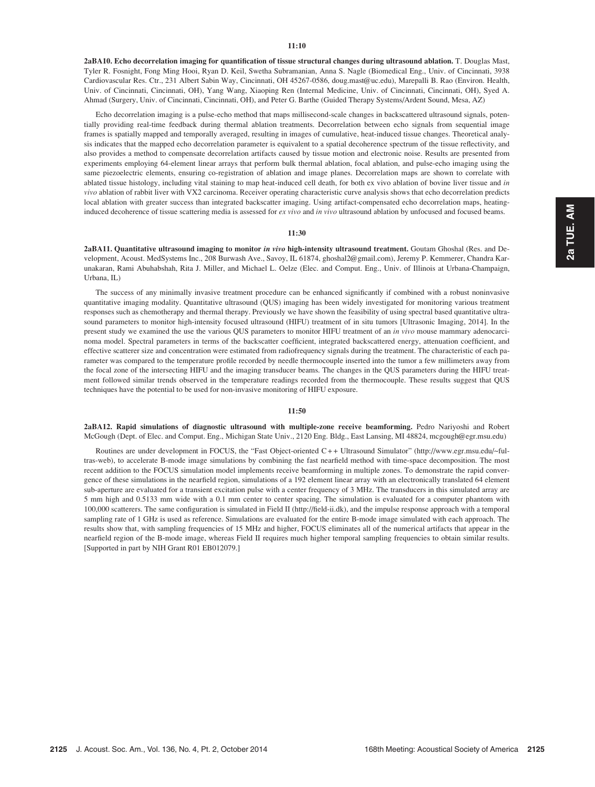2aBA10. Echo decorrelation imaging for quantification of tissue structural changes during ultrasound ablation. T. Douglas Mast, Tyler R. Fosnight, Fong Ming Hooi, Ryan D. Keil, Swetha Subramanian, Anna S. Nagle (Biomedical Eng., Univ. of Cincinnati, 3938 Cardiovascular Res. Ctr., 231 Albert Sabin Way, Cincinnati, OH 45267-0586, doug.mast@uc.edu), Marepalli B. Rao (Environ. Health, Univ. of Cincinnati, Cincinnati, OH), Yang Wang, Xiaoping Ren (Internal Medicine, Univ. of Cincinnati, Cincinnati, OH), Syed A. Ahmad (Surgery, Univ. of Cincinnati, Cincinnati, OH), and Peter G. Barthe (Guided Therapy Systems/Ardent Sound, Mesa, AZ)

Echo decorrelation imaging is a pulse-echo method that maps millisecond-scale changes in backscattered ultrasound signals, potentially providing real-time feedback during thermal ablation treatments. Decorrelation between echo signals from sequential image frames is spatially mapped and temporally averaged, resulting in images of cumulative, heat-induced tissue changes. Theoretical analysis indicates that the mapped echo decorrelation parameter is equivalent to a spatial decoherence spectrum of the tissue reflectivity, and also provides a method to compensate decorrelation artifacts caused by tissue motion and electronic noise. Results are presented from experiments employing 64-element linear arrays that perform bulk thermal ablation, focal ablation, and pulse-echo imaging using the same piezoelectric elements, ensuring co-registration of ablation and image planes. Decorrelation maps are shown to correlate with ablated tissue histology, including vital staining to map heat-induced cell death, for both ex vivo ablation of bovine liver tissue and in vivo ablation of rabbit liver with VX2 carcinoma. Receiver operating characteristic curve analysis shows that echo decorrelation predicts local ablation with greater success than integrated backscatter imaging. Using artifact-compensated echo decorrelation maps, heatinginduced decoherence of tissue scattering media is assessed for ex vivo and in vivo ultrasound ablation by unfocused and focused beams.

## 11:30

2aBA11. Quantitative ultrasound imaging to monitor in vivo high-intensity ultrasound treatment. Goutam Ghoshal (Res. and Development, Acoust. MedSystems Inc., 208 Burwash Ave., Savoy, IL 61874, ghoshal2@gmail.com), Jeremy P. Kemmerer, Chandra Karunakaran, Rami Abuhabshah, Rita J. Miller, and Michael L. Oelze (Elec. and Comput. Eng., Univ. of Illinois at Urbana-Champaign, Urbana, IL)

The success of any minimally invasive treatment procedure can be enhanced significantly if combined with a robust noninvasive quantitative imaging modality. Quantitative ultrasound (QUS) imaging has been widely investigated for monitoring various treatment responses such as chemotherapy and thermal therapy. Previously we have shown the feasibility of using spectral based quantitative ultrasound parameters to monitor high-intensity focused ultrasound (HIFU) treatment of in situ tumors [Ultrasonic Imaging, 2014]. In the present study we examined the use the various QUS parameters to monitor HIFU treatment of an in vivo mouse mammary adenocarcinoma model. Spectral parameters in terms of the backscatter coefficient, integrated backscattered energy, attenuation coefficient, and effective scatterer size and concentration were estimated from radiofrequency signals during the treatment. The characteristic of each parameter was compared to the temperature profile recorded by needle thermocouple inserted into the tumor a few millimeters away from the focal zone of the intersecting HIFU and the imaging transducer beams. The changes in the QUS parameters during the HIFU treatment followed similar trends observed in the temperature readings recorded from the thermocouple. These results suggest that QUS techniques have the potential to be used for non-invasive monitoring of HIFU exposure.

## 11:50

2aBA12. Rapid simulations of diagnostic ultrasound with multiple-zone receive beamforming. Pedro Nariyoshi and Robert McGough (Dept. of Elec. and Comput. Eng., Michigan State Univ., 2120 Eng. Bldg., East Lansing, MI 48824, mcgough@egr.msu.edu)

Routines are under development in FOCUS, the "Fast Object-oriented C + + Ultrasound Simulator" (http://www.egr.msu.edu/~fultras-web), to accelerate B-mode image simulations by combining the fast nearfield method with time-space decomposition. The most recent addition to the FOCUS simulation model implements receive beamforming in multiple zones. To demonstrate the rapid convergence of these simulations in the nearfield region, simulations of a 192 element linear array with an electronically translated 64 element sub-aperture are evaluated for a transient excitation pulse with a center frequency of 3 MHz. The transducers in this simulated array are 5 mm high and 0.5133 mm wide with a 0.1 mm center to center spacing. The simulation is evaluated for a computer phantom with 100,000 scatterers. The same configuration is simulated in Field II (http://field-ii.dk), and the impulse response approach with a temporal sampling rate of 1 GHz is used as reference. Simulations are evaluated for the entire B-mode image simulated with each approach. The results show that, with sampling frequencies of 15 MHz and higher, FOCUS eliminates all of the numerical artifacts that appear in the nearfield region of the B-mode image, whereas Field II requires much higher temporal sampling frequencies to obtain similar results. [Supported in part by NIH Grant R01 EB012079.]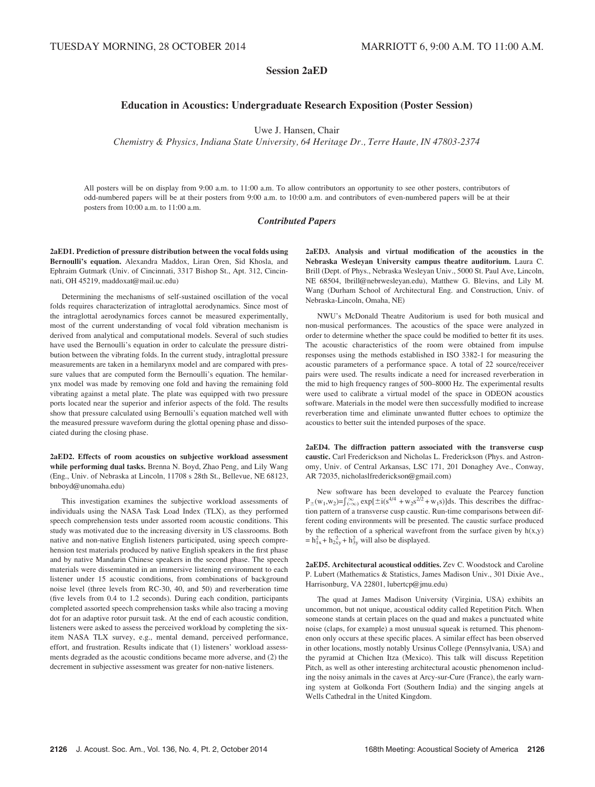# Session 2aED

# Education in Acoustics: Undergraduate Research Exposition (Poster Session)

Uwe J. Hansen, Chair

Chemistry & Physics, Indiana State University, 64 Heritage Dr., Terre Haute, IN 47803-2374

All posters will be on display from 9:00 a.m. to 11:00 a.m. To allow contributors an opportunity to see other posters, contributors of odd-numbered papers will be at their posters from 9:00 a.m. to 10:00 a.m. and contributors of even-numbered papers will be at their posters from 10:00 a.m. to 11:00 a.m.

## Contributed Papers

2aED1. Prediction of pressure distribution between the vocal folds using Bernoulli's equation. Alexandra Maddox, Liran Oren, Sid Khosla, and Ephraim Gutmark (Univ. of Cincinnati, 3317 Bishop St., Apt. 312, Cincinnati, OH 45219, maddoxat@mail.uc.edu)

Determining the mechanisms of self-sustained oscillation of the vocal folds requires characterization of intraglottal aerodynamics. Since most of the intraglottal aerodynamics forces cannot be measured experimentally, most of the current understanding of vocal fold vibration mechanism is derived from analytical and computational models. Several of such studies have used the Bernoulli's equation in order to calculate the pressure distribution between the vibrating folds. In the current study, intraglottal pressure measurements are taken in a hemilarynx model and are compared with pressure values that are computed form the Bernoulli's equation. The hemilarynx model was made by removing one fold and having the remaining fold vibrating against a metal plate. The plate was equipped with two pressure ports located near the superior and inferior aspects of the fold. The results show that pressure calculated using Bernoulli's equation matched well with the measured pressure waveform during the glottal opening phase and dissociated during the closing phase.

2aED2. Effects of room acoustics on subjective workload assessment while performing dual tasks. Brenna N. Boyd, Zhao Peng, and Lily Wang (Eng., Univ. of Nebraska at Lincoln, 11708 s 28th St., Bellevue, NE 68123, bnboyd@unomaha.edu)

This investigation examines the subjective workload assessments of individuals using the NASA Task Load Index (TLX), as they performed speech comprehension tests under assorted room acoustic conditions. This study was motivated due to the increasing diversity in US classrooms. Both native and non-native English listeners participated, using speech comprehension test materials produced by native English speakers in the first phase and by native Mandarin Chinese speakers in the second phase. The speech materials were disseminated in an immersive listening environment to each listener under 15 acoustic conditions, from combinations of background noise level (three levels from RC-30, 40, and 50) and reverberation time (five levels from 0.4 to 1.2 seconds). During each condition, participants completed assorted speech comprehension tasks while also tracing a moving dot for an adaptive rotor pursuit task. At the end of each acoustic condition, listeners were asked to assess the perceived workload by completing the sixitem NASA TLX survey, e.g., mental demand, perceived performance, effort, and frustration. Results indicate that (1) listeners' workload assessments degraded as the acoustic conditions became more adverse, and (2) the decrement in subjective assessment was greater for non-native listeners.

2aED3. Analysis and virtual modification of the acoustics in the Nebraska Wesleyan University campus theatre auditorium. Laura C. Brill (Dept. of Phys., Nebraska Wesleyan Univ., 5000 St. Paul Ave, Lincoln, NE 68504, lbrill@nebrwesleyan.edu), Matthew G. Blevins, and Lily M. Wang (Durham School of Architectural Eng. and Construction, Univ. of Nebraska-Lincoln, Omaha, NE)

NWU's McDonald Theatre Auditorium is used for both musical and non-musical performances. The acoustics of the space were analyzed in order to determine whether the space could be modified to better fit its uses. The acoustic characteristics of the room were obtained from impulse responses using the methods established in ISO 3382-1 for measuring the acoustic parameters of a performance space. A total of 22 source/receiver pairs were used. The results indicate a need for increased reverberation in the mid to high frequency ranges of 500–8000 Hz. The experimental results were used to calibrate a virtual model of the space in ODEON acoustics software. Materials in the model were then successfully modified to increase reverberation time and eliminate unwanted flutter echoes to optimize the acoustics to better suit the intended purposes of the space.

2aED4. The diffraction pattern associated with the transverse cusp caustic. Carl Frederickson and Nicholas L. Frederickson (Phys. and Astronomy, Univ. of Central Arkansas, LSC 171, 201 Donaghey Ave., Conway, AR 72035, nicholaslfrederickson@gmail.com)

New software has been developed to evaluate the Pearcey function  $P_{\pm}(w_1, w_2) = \int_{(\infty)}^{\infty} \exp[\pm i(s^{4/4} + w_2 s^{2/2} + w_1 s)]ds$ . This describes the diffraction pattern of a transverse cusp caustic. Run-time comparisons between different coding environments will be presented. The caustic surface produced by the reflection of a spherical wavefront from the surface given by  $h(x,y)$  $= h_{1x}^2 + h_{2xy}^2 + h_{3y}^2$  will also be displayed.

2aED5. Architectural acoustical oddities. Zev C. Woodstock and Caroline P. Lubert (Mathematics & Statistics, James Madison Univ., 301 Dixie Ave., Harrisonburg, VA 22801, lubertcp@jmu.edu)

The quad at James Madison University (Virginia, USA) exhibits an uncommon, but not unique, acoustical oddity called Repetition Pitch. When someone stands at certain places on the quad and makes a punctuated white noise (claps, for example) a most unusual squeak is returned. This phenomenon only occurs at these specific places. A similar effect has been observed in other locations, mostly notably Ursinus College (Pennsylvania, USA) and the pyramid at Chichen Itza (Mexico). This talk will discuss Repetition Pitch, as well as other interesting architectural acoustic phenomenon including the noisy animals in the caves at Arcy-sur-Cure (France), the early warning system at Golkonda Fort (Southern India) and the singing angels at Wells Cathedral in the United Kingdom.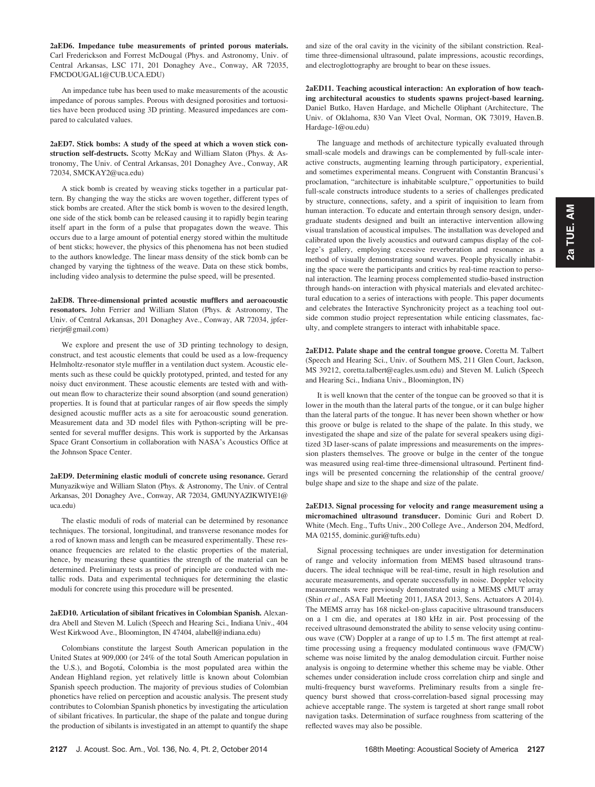2aED6. Impedance tube measurements of printed porous materials. Carl Frederickson and Forrest McDougal (Phys. and Astronomy, Univ. of Central Arkansas, LSC 171, 201 Donaghey Ave., Conway, AR 72035, FMCDOUGAL1@CUB.UCA.EDU)

An impedance tube has been used to make measurements of the acoustic impedance of porous samples. Porous with designed porosities and tortuosities have been produced using 3D printing. Measured impedances are compared to calculated values.

2aED7. Stick bombs: A study of the speed at which a woven stick construction self-destructs. Scotty McKay and William Slaton (Phys. & Astronomy, The Univ. of Central Arkansas, 201 Donaghey Ave., Conway, AR 72034, SMCKAY2@uca.edu)

A stick bomb is created by weaving sticks together in a particular pattern. By changing the way the sticks are woven together, different types of stick bombs are created. After the stick bomb is woven to the desired length, one side of the stick bomb can be released causing it to rapidly begin tearing itself apart in the form of a pulse that propagates down the weave. This occurs due to a large amount of potential energy stored within the multitude of bent sticks; however, the physics of this phenomena has not been studied to the authors knowledge. The linear mass density of the stick bomb can be changed by varying the tightness of the weave. Data on these stick bombs, including video analysis to determine the pulse speed, will be presented.

2aED8. Three-dimensional printed acoustic mufflers and aeroacoustic resonators. John Ferrier and William Slaton (Phys. & Astronomy, The Univ. of Central Arkansas, 201 Donaghey Ave., Conway, AR 72034, jpferrierjr@gmail.com)

We explore and present the use of 3D printing technology to design, construct, and test acoustic elements that could be used as a low-frequency Helmholtz-resonator style muffler in a ventilation duct system. Acoustic elements such as these could be quickly prototyped, printed, and tested for any noisy duct environment. These acoustic elements are tested with and without mean flow to characterize their sound absorption (and sound generation) properties. It is found that at particular ranges of air flow speeds the simply designed acoustic muffler acts as a site for aeroacoustic sound generation. Measurement data and 3D model files with Python-scripting will be presented for several muffler designs. This work is supported by the Arkansas Space Grant Consortium in collaboration with NASA's Acoustics Office at the Johnson Space Center.

2aED9. Determining elastic moduli of concrete using resonance. Gerard Munyazikwiye and William Slaton (Phys. & Astronomy, The Univ. of Central Arkansas, 201 Donaghey Ave., Conway, AR 72034, GMUNYAZIKWIYE1@ uca.edu)

The elastic moduli of rods of material can be determined by resonance techniques. The torsional, longitudinal, and transverse resonance modes for a rod of known mass and length can be measured experimentally. These resonance frequencies are related to the elastic properties of the material, hence, by measuring these quantities the strength of the material can be determined. Preliminary tests as proof of principle are conducted with metallic rods. Data and experimental techniques for determining the elastic moduli for concrete using this procedure will be presented.

2aED10. Articulation of sibilant fricatives in Colombian Spanish. Alexandra Abell and Steven M. Lulich (Speech and Hearing Sci., Indiana Univ., 404 West Kirkwood Ave., Bloomington, IN 47404, alabell@indiana.edu)

Colombians constitute the largest South American population in the United States at 909,000 (or 24% of the total South American population in the U.S.), and Bogotá, Colombia is the most populated area within the Andean Highland region, yet relatively little is known about Colombian Spanish speech production. The majority of previous studies of Colombian phonetics have relied on perception and acoustic analysis. The present study contributes to Colombian Spanish phonetics by investigating the articulation of sibilant fricatives. In particular, the shape of the palate and tongue during the production of sibilants is investigated in an attempt to quantify the shape and size of the oral cavity in the vicinity of the sibilant constriction. Realtime three-dimensional ultrasound, palate impressions, acoustic recordings, and electroglottography are brought to bear on these issues.

2aED11. Teaching acoustical interaction: An exploration of how teaching architectural acoustics to students spawns project-based learning. Daniel Butko, Haven Hardage, and Michelle Oliphant (Architecture, The Univ. of Oklahoma, 830 Van Vleet Oval, Norman, OK 73019, Haven.B. Hardage-1@ou.edu)

The language and methods of architecture typically evaluated through small-scale models and drawings can be complemented by full-scale interactive constructs, augmenting learning through participatory, experiential, and sometimes experimental means. Congruent with Constantin Brancusi's proclamation, "architecture is inhabitable sculpture," opportunities to build full-scale constructs introduce students to a series of challenges predicated by structure, connections, safety, and a spirit of inquisition to learn from human interaction. To educate and entertain through sensory design, undergraduate students designed and built an interactive intervention allowing visual translation of acoustical impulses. The installation was developed and calibrated upon the lively acoustics and outward campus display of the college's gallery, employing excessive reverberation and resonance as a method of visually demonstrating sound waves. People physically inhabiting the space were the participants and critics by real-time reaction to personal interaction. The learning process complemented studio-based instruction through hands-on interaction with physical materials and elevated architectural education to a series of interactions with people. This paper documents and celebrates the Interactive Synchronicity project as a teaching tool outside common studio project representation while enticing classmates, faculty, and complete strangers to interact with inhabitable space.

2aED12. Palate shape and the central tongue groove. Coretta M. Talbert (Speech and Hearing Sci., Univ. of Southern MS, 211 Glen Court, Jackson, MS 39212, coretta.talbert@eagles.usm.edu) and Steven M. Lulich (Speech and Hearing Sci., Indiana Univ., Bloomington, IN)

It is well known that the center of the tongue can be grooved so that it is lower in the mouth than the lateral parts of the tongue, or it can bulge higher than the lateral parts of the tongue. It has never been shown whether or how this groove or bulge is related to the shape of the palate. In this study, we investigated the shape and size of the palate for several speakers using digitized 3D laser-scans of palate impressions and measurements on the impression plasters themselves. The groove or bulge in the center of the tongue was measured using real-time three-dimensional ultrasound. Pertinent findings will be presented concerning the relationship of the central groove/ bulge shape and size to the shape and size of the palate.

2aED13. Signal processing for velocity and range measurement using a micromachined ultrasound transducer. Dominic Guri and Robert D. White (Mech. Eng., Tufts Univ., 200 College Ave., Anderson 204, Medford, MA 02155, dominic.guri@tufts.edu)

Signal processing techniques are under investigation for determination of range and velocity information from MEMS based ultrasound transducers. The ideal technique will be real-time, result in high resolution and accurate measurements, and operate successfully in noise. Doppler velocity measurements were previously demonstrated using a MEMS cMUT array (Shin et al., ASA Fall Meeting 2011, JASA 2013, Sens. Actuators A 2014). The MEMS array has 168 nickel-on-glass capacitive ultrasound transducers on a 1 cm die, and operates at 180 kHz in air. Post processing of the received ultrasound demonstrated the ability to sense velocity using continuous wave (CW) Doppler at a range of up to 1.5 m. The first attempt at realtime processing using a frequency modulated continuous wave (FM/CW) scheme was noise limited by the analog demodulation circuit. Further noise analysis is ongoing to determine whether this scheme may be viable. Other schemes under consideration include cross correlation chirp and single and multi-frequency burst waveforms. Preliminary results from a single frequency burst showed that cross-correlation-based signal processing may achieve acceptable range. The system is targeted at short range small robot navigation tasks. Determination of surface roughness from scattering of the reflected waves may also be possible.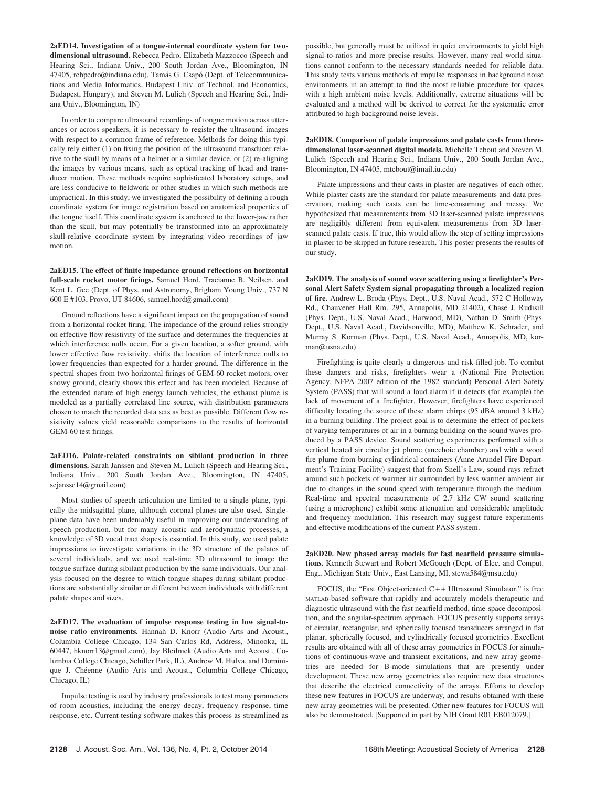2aED14. Investigation of a tongue-internal coordinate system for twodimensional ultrasound. Rebecca Pedro, Elizabeth Mazzocco (Speech and Hearing Sci., Indiana Univ., 200 South Jordan Ave., Bloomington, IN 47405, rebpedro@indiana.edu), Tamás G. Csapó (Dept. of Telecommunications and Media Informatics, Budapest Univ. of Technol. and Economics, Budapest, Hungary), and Steven M. Lulich (Speech and Hearing Sci., Indiana Univ., Bloomington, IN)

In order to compare ultrasound recordings of tongue motion across utterances or across speakers, it is necessary to register the ultrasound images with respect to a common frame of reference. Methods for doing this typically rely either (1) on fixing the position of the ultrasound transducer relative to the skull by means of a helmet or a similar device, or (2) re-aligning the images by various means, such as optical tracking of head and transducer motion. These methods require sophisticated laboratory setups, and are less conducive to fieldwork or other studies in which such methods are impractical. In this study, we investigated the possibility of defining a rough coordinate system for image registration based on anatomical properties of the tongue itself. This coordinate system is anchored to the lower-jaw rather than the skull, but may potentially be transformed into an approximately skull-relative coordinate system by integrating video recordings of jaw motion.

2aED15. The effect of finite impedance ground reflections on horizontal full-scale rocket motor firings. Samuel Hord, Tracianne B. Neilsen, and Kent L. Gee (Dept. of Phys. and Astronomy, Brigham Young Univ., 737 N 600 E #103, Provo, UT 84606, samuel.hord@gmail.com)

Ground reflections have a significant impact on the propagation of sound from a horizontal rocket firing. The impedance of the ground relies strongly on effective flow resistivity of the surface and determines the frequencies at which interference nulls occur. For a given location, a softer ground, with lower effective flow resistivity, shifts the location of interference nulls to lower frequencies than expected for a harder ground. The difference in the spectral shapes from two horizontal firings of GEM-60 rocket motors, over snowy ground, clearly shows this effect and has been modeled. Because of the extended nature of high energy launch vehicles, the exhaust plume is modeled as a partially correlated line source, with distribution parameters chosen to match the recorded data sets as best as possible. Different flow resistivity values yield reasonable comparisons to the results of horizontal GEM-60 test firings.

2aED16. Palate-related constraints on sibilant production in three dimensions. Sarah Janssen and Steven M. Lulich (Speech and Hearing Sci., Indiana Univ., 200 South Jordan Ave., Bloomington, IN 47405, sejansse14@gmail.com)

Most studies of speech articulation are limited to a single plane, typically the midsagittal plane, although coronal planes are also used. Singleplane data have been undeniably useful in improving our understanding of speech production, but for many acoustic and aerodynamic processes, a knowledge of 3D vocal tract shapes is essential. In this study, we used palate impressions to investigate variations in the 3D structure of the palates of several individuals, and we used real-time 3D ultrasound to image the tongue surface during sibilant production by the same individuals. Our analysis focused on the degree to which tongue shapes during sibilant productions are substantially similar or different between individuals with different palate shapes and sizes.

2aED17. The evaluation of impulse response testing in low signal-tonoise ratio environments. Hannah D. Knorr (Audio Arts and Acoust., Columbia College Chicago, 134 San Carlos Rd, Address, Minooka, IL 60447, hknorr13@gmail.com), Jay Bleifnick (Audio Arts and Acoust., Columbia College Chicago, Schiller Park, IL), Andrew M. Hulva, and Dominique J. Chéenne (Audio Arts and Acoust., Columbia College Chicago, Chicago, IL)

Impulse testing is used by industry professionals to test many parameters of room acoustics, including the energy decay, frequency response, time response, etc. Current testing software makes this process as streamlined as possible, but generally must be utilized in quiet environments to yield high signal-to-ratios and more precise results. However, many real world situations cannot conform to the necessary standards needed for reliable data. This study tests various methods of impulse responses in background noise environments in an attempt to find the most reliable procedure for spaces with a high ambient noise levels. Additionally, extreme situations will be evaluated and a method will be derived to correct for the systematic error attributed to high background noise levels.

2aED18. Comparison of palate impressions and palate casts from threedimensional laser-scanned digital models. Michelle Tebout and Steven M. Lulich (Speech and Hearing Sci., Indiana Univ., 200 South Jordan Ave., Bloomington, IN 47405, mtebout@imail.iu.edu)

Palate impressions and their casts in plaster are negatives of each other. While plaster casts are the standard for palate measurements and data preservation, making such casts can be time-consuming and messy. We hypothesized that measurements from 3D laser-scanned palate impressions are negligibly different from equivalent measurements from 3D laserscanned palate casts. If true, this would allow the step of setting impressions in plaster to be skipped in future research. This poster presents the results of our study.

2aED19. The analysis of sound wave scattering using a firefighter's Personal Alert Safety System signal propagating through a localized region of fire. Andrew L. Broda (Phys. Dept., U.S. Naval Acad., 572 C Holloway Rd., Chauvenet Hall Rm. 295, Annapolis, MD 21402), Chase J. Rudisill (Phys. Dept., U.S. Naval Acad., Harwood, MD), Nathan D. Smith (Phys. Dept., U.S. Naval Acad., Davidsonville, MD), Matthew K. Schrader, and Murray S. Korman (Phys. Dept., U.S. Naval Acad., Annapolis, MD, korman@usna.edu)

Firefighting is quite clearly a dangerous and risk-filled job. To combat these dangers and risks, firefighters wear a (National Fire Protection Agency, NFPA 2007 edition of the 1982 standard) Personal Alert Safety System (PASS) that will sound a loud alarm if it detects (for example) the lack of movement of a firefighter. However, firefighters have experienced difficulty locating the source of these alarm chirps (95 dBA around 3 kHz) in a burning building. The project goal is to determine the effect of pockets of varying temperatures of air in a burning building on the sound waves produced by a PASS device. Sound scattering experiments performed with a vertical heated air circular jet plume (anechoic chamber) and with a wood fire plume from burning cylindrical containers (Anne Arundel Fire Department's Training Facility) suggest that from Snell's Law, sound rays refract around such pockets of warmer air surrounded by less warmer ambient air due to changes in the sound speed with temperature through the medium. Real-time and spectral measurements of 2.7 kHz CW sound scattering (using a microphone) exhibit some attenuation and considerable amplitude and frequency modulation. This research may suggest future experiments and effective modifications of the current PASS system.

2aED20. New phased array models for fast nearfield pressure simulations. Kenneth Stewart and Robert McGough (Dept. of Elec. and Comput. Eng., Michigan State Univ., East Lansing, MI, stewa584@msu.edu)

FOCUS, the "Fast Object-oriented  $C++$  Ultrasound Simulator," is free MATLAB-based software that rapidly and accurately models therapeutic and diagnostic ultrasound with the fast nearfield method, time-space decomposition, and the angular-spectrum approach. FOCUS presently supports arrays of circular, rectangular, and spherically focused transducers arranged in flat planar, spherically focused, and cylindrically focused geometries. Excellent results are obtained with all of these array geometries in FOCUS for simulations of continuous-wave and transient excitations, and new array geometries are needed for B-mode simulations that are presently under development. These new array geometries also require new data structures that describe the electrical connectivity of the arrays. Efforts to develop these new features in FOCUS are underway, and results obtained with these new array geometries will be presented. Other new features for FOCUS will also be demonstrated. [Supported in part by NIH Grant R01 EB012079.]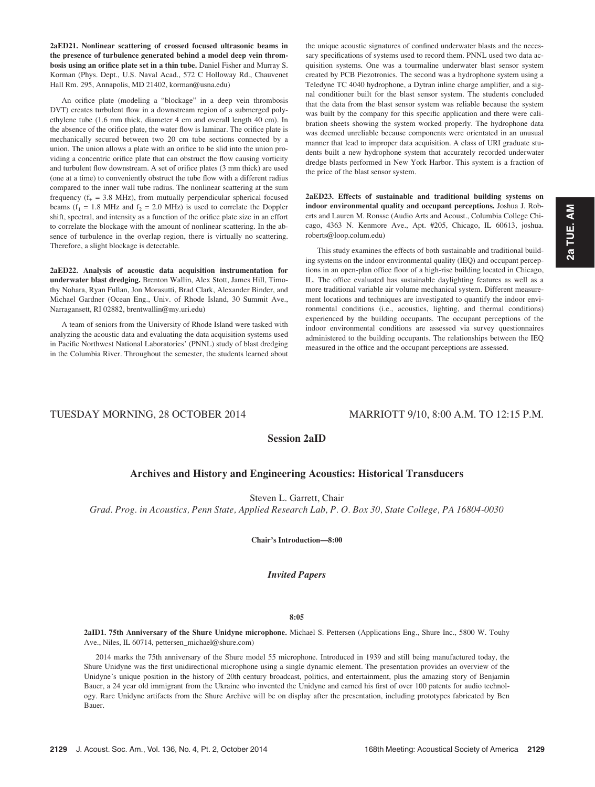2aED21. Nonlinear scattering of crossed focused ultrasonic beams in the presence of turbulence generated behind a model deep vein thrombosis using an orifice plate set in a thin tube. Daniel Fisher and Murray S. Korman (Phys. Dept., U.S. Naval Acad., 572 C Holloway Rd., Chauvenet Hall Rm. 295, Annapolis, MD 21402, korman@usna.edu)

An orifice plate (modeling a "blockage" in a deep vein thrombosis DVT) creates turbulent flow in a downstream region of a submerged polyethylene tube (1.6 mm thick, diameter 4 cm and overall length 40 cm). In the absence of the orifice plate, the water flow is laminar. The orifice plate is mechanically secured between two 20 cm tube sections connected by a union. The union allows a plate with an orifice to be slid into the union providing a concentric orifice plate that can obstruct the flow causing vorticity and turbulent flow downstream. A set of orifice plates (3 mm thick) are used (one at a time) to conveniently obstruct the tube flow with a different radius compared to the inner wall tube radius. The nonlinear scattering at the sum frequency ( $f_{+}$  = 3.8 MHz), from mutually perpendicular spherical focused beams ( $f_1 = 1.8$  MHz and  $f_2 = 2.0$  MHz) is used to correlate the Doppler shift, spectral, and intensity as a function of the orifice plate size in an effort to correlate the blockage with the amount of nonlinear scattering. In the absence of turbulence in the overlap region, there is virtually no scattering. Therefore, a slight blockage is detectable.

2aED22. Analysis of acoustic data acquisition instrumentation for underwater blast dredging. Brenton Wallin, Alex Stott, James Hill, Timothy Nohara, Ryan Fullan, Jon Morasutti, Brad Clark, Alexander Binder, and Michael Gardner (Ocean Eng., Univ. of Rhode Island, 30 Summit Ave., Narragansett, RI 02882, brentwallin@my.uri.edu)

A team of seniors from the University of Rhode Island were tasked with analyzing the acoustic data and evaluating the data acquisition systems used in Pacific Northwest National Laboratories' (PNNL) study of blast dredging in the Columbia River. Throughout the semester, the students learned about the unique acoustic signatures of confined underwater blasts and the necessary specifications of systems used to record them. PNNL used two data acquisition systems. One was a tourmaline underwater blast sensor system created by PCB Piezotronics. The second was a hydrophone system using a Teledyne TC 4040 hydrophone, a Dytran inline charge amplifier, and a signal conditioner built for the blast sensor system. The students concluded that the data from the blast sensor system was reliable because the system was built by the company for this specific application and there were calibration sheets showing the system worked properly. The hydrophone data was deemed unreliable because components were orientated in an unusual manner that lead to improper data acquisition. A class of URI graduate students built a new hydrophone system that accurately recorded underwater dredge blasts performed in New York Harbor. This system is a fraction of the price of the blast sensor system.

2aED23. Effects of sustainable and traditional building systems on indoor environmental quality and occupant perceptions. Joshua J. Roberts and Lauren M. Ronsse (Audio Arts and Acoust., Columbia College Chicago, 4363 N. Kenmore Ave., Apt. #205, Chicago, IL 60613, joshua. roberts@loop.colum.edu)

This study examines the effects of both sustainable and traditional building systems on the indoor environmental quality (IEQ) and occupant perceptions in an open-plan office floor of a high-rise building located in Chicago, IL. The office evaluated has sustainable daylighting features as well as a more traditional variable air volume mechanical system. Different measurement locations and techniques are investigated to quantify the indoor environmental conditions (i.e., acoustics, lighting, and thermal conditions) experienced by the building occupants. The occupant perceptions of the indoor environmental conditions are assessed via survey questionnaires administered to the building occupants. The relationships between the IEQ measured in the office and the occupant perceptions are assessed.

# TUESDAY MORNING, 28 OCTOBER 2014 MARRIOTT 9/10, 8:00 A.M. TO 12:15 P.M.

# Session 2aID

# Archives and History and Engineering Acoustics: Historical Transducers

Steven L. Garrett, Chair

Grad. Prog. in Acoustics, Penn State, Applied Research Lab, P. O. Box 30, State College, PA 16804-0030

Chair's Introduction—8:00

# Invited Papers

## 8:05

2aID1. 75th Anniversary of the Shure Unidyne microphone. Michael S. Pettersen (Applications Eng., Shure Inc., 5800 W. Touhy Ave., Niles, IL 60714, pettersen\_michael@shure.com)

2014 marks the 75th anniversary of the Shure model 55 microphone. Introduced in 1939 and still being manufactured today, the Shure Unidyne was the first unidirectional microphone using a single dynamic element. The presentation provides an overview of the Unidyne's unique position in the history of 20th century broadcast, politics, and entertainment, plus the amazing story of Benjamin Bauer, a 24 year old immigrant from the Ukraine who invented the Unidyne and earned his first of over 100 patents for audio technology. Rare Unidyne artifacts from the Shure Archive will be on display after the presentation, including prototypes fabricated by Ben Bauer.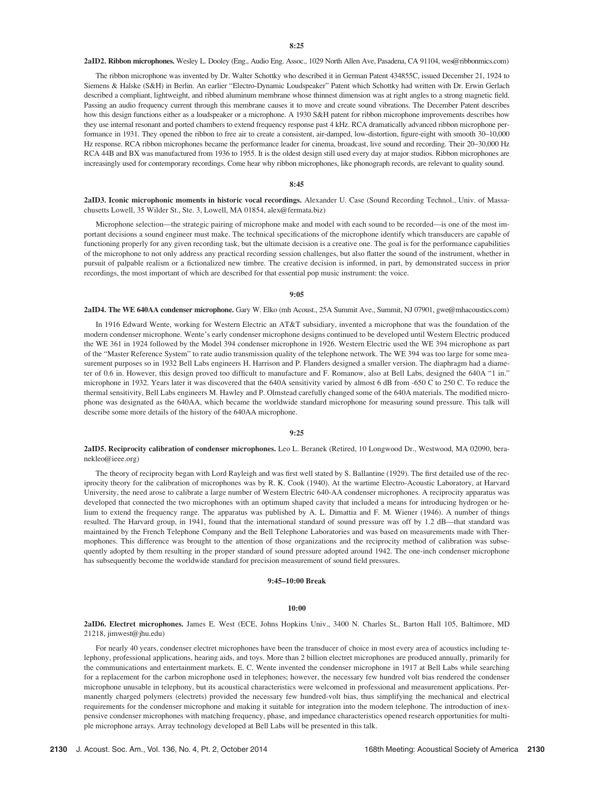2aID2. Ribbon microphones. Wesley L. Dooley (Eng., Audio Eng. Assoc., 1029 North Allen Ave, Pasadena, CA 91104, wes@ribbonmics.com)

The ribbon microphone was invented by Dr. Walter Schottky who described it in German Patent 434855C, issued December 21, 1924 to Siemens & Halske (S&H) in Berlin. An earlier "Electro-Dynamic Loudspeaker" Patent which Schottky had written with Dr. Erwin Gerlach described a compliant, lightweight, and ribbed aluminum membrane whose thinnest dimension was at right angles to a strong magnetic field. Passing an audio frequency current through this membrane causes it to move and create sound vibrations. The December Patent describes how this design functions either as a loudspeaker or a microphone. A 1930 S&H patent for ribbon microphone improvements describes how they use internal resonant and ported chambers to extend frequency response past 4 kHz. RCA dramatically advanced ribbon microphone performance in 1931. They opened the ribbon to free air to create a consistent, air-damped, low-distortion, figure-eight with smooth 30–10,000 Hz response. RCA ribbon microphones became the performance leader for cinema, broadcast, live sound and recording. Their 20–30,000 Hz RCA 44B and BX was manufactured from 1936 to 1955. It is the oldest design still used every day at major studios. Ribbon microphones are increasingly used for contemporary recordings. Come hear why ribbon microphones, like phonograph records, are relevant to quality sound.

#### 8:45

2aID3. Iconic microphonic moments in historic vocal recordings. Alexander U. Case (Sound Recording Technol., Univ. of Massachusetts Lowell, 35 Wilder St., Ste. 3, Lowell, MA 01854, alex@fermata.biz)

Microphone selection—the strategic pairing of microphone make and model with each sound to be recorded—is one of the most important decisions a sound engineer must make. The technical specifications of the microphone identify which transducers are capable of functioning properly for any given recording task, but the ultimate decision is a creative one. The goal is for the performance capabilities of the microphone to not only address any practical recording session challenges, but also flatter the sound of the instrument, whether in pursuit of palpable realism or a fictionalized new timbre. The creative decision is informed, in part, by demonstrated success in prior recordings, the most important of which are described for that essential pop music instrument: the voice.

## 9:05

2aID4. The WE 640AA condenser microphone. Gary W. Elko (mh Acoust., 25A Summit Ave., Summit, NJ 07901, gwe@mhacoustics.com)

In 1916 Edward Wente, working for Western Electric an AT&T subsidiary, invented a microphone that was the foundation of the modern condenser microphone. Wente's early condenser microphone designs continued to be developed until Western Electric produced the WE 361 in 1924 followed by the Model 394 condenser microphone in 1926. Western Electric used the WE 394 microphone as part of the "Master Reference System" to rate audio transmission quality of the telephone network. The WE 394 was too large for some measurement purposes so in 1932 Bell Labs engineers H. Harrison and P. Flanders designed a smaller version. The diaphragm had a diameter of 0.6 in. However, this design proved too difficult to manufacture and F. Romanow, also at Bell Labs, designed the 640A "1 in." microphone in 1932. Years later it was discovered that the 640A sensitivity varied by almost 6 dB from -650 C to 250 C. To reduce the thermal sensitivity, Bell Labs engineers M. Hawley and P. Olmstead carefully changed some of the 640A materials. The modified microphone was designated as the 640AA, which became the worldwide standard microphone for measuring sound pressure. This talk will describe some more details of the history of the 640AA microphone.

## 9:25

2aID5. Reciprocity calibration of condenser microphones. Leo L. Beranek (Retired, 10 Longwood Dr., Westwood, MA 02090, beranekleo@ieee.org)

The theory of reciprocity began with Lord Rayleigh and was first well stated by S. Ballantine (1929). The first detailed use of the reciprocity theory for the calibration of microphones was by R. K. Cook (1940). At the wartime Electro-Acoustic Laboratory, at Harvard University, the need arose to calibrate a large number of Western Electric 640-AA condenser microphones. A reciprocity apparatus was developed that connected the two microphones with an optimum shaped cavity that included a means for introducing hydrogen or helium to extend the frequency range. The apparatus was published by A. L. Dimattia and F. M. Wiener (1946). A number of things resulted. The Harvard group, in 1941, found that the international standard of sound pressure was off by 1.2 dB—that standard was maintained by the French Telephone Company and the Bell Telephone Laboratories and was based on measurements made with Thermophones. This difference was brought to the attention of those organizations and the reciprocity method of calibration was subsequently adopted by them resulting in the proper standard of sound pressure adopted around 1942. The one-inch condenser microphone has subsequently become the worldwide standard for precision measurement of sound field pressures.

## 9:45–10:00 Break

#### $10:00$

2aID6. Electret microphones. James E. West (ECE, Johns Hopkins Univ., 3400 N. Charles St., Barton Hall 105, Baltimore, MD 21218, jimwest@jhu.edu)

For nearly 40 years, condenser electret microphones have been the transducer of choice in most every area of acoustics including telephony, professional applications, hearing aids, and toys. More than 2 billion electret microphones are produced annually, primarily for the communications and entertainment markets. E. C. Wente invented the condenser microphone in 1917 at Bell Labs while searching for a replacement for the carbon microphone used in telephones; however, the necessary few hundred volt bias rendered the condenser microphone unusable in telephony, but its acoustical characteristics were welcomed in professional and measurement applications. Permanently charged polymers (electrets) provided the necessary few hundred-volt bias, thus simplifying the mechanical and electrical requirements for the condenser microphone and making it suitable for integration into the modern telephone. The introduction of inexpensive condenser microphones with matching frequency, phase, and impedance characteristics opened research opportunities for multiple microphone arrays. Array technology developed at Bell Labs will be presented in this talk.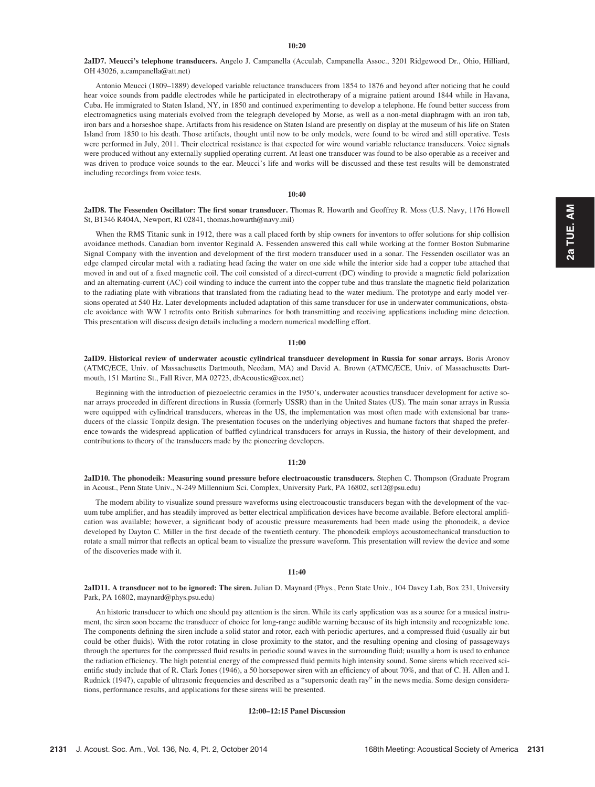### $10:20$

2aID7. Meucci's telephone transducers. Angelo J. Campanella (Acculab, Campanella Assoc., 3201 Ridgewood Dr., Ohio, Hilliard, OH 43026, a.campanella@att.net)

Antonio Meucci (1809–1889) developed variable reluctance transducers from 1854 to 1876 and beyond after noticing that he could hear voice sounds from paddle electrodes while he participated in electrotherapy of a migraine patient around 1844 while in Havana, Cuba. He immigrated to Staten Island, NY, in 1850 and continued experimenting to develop a telephone. He found better success from electromagnetics using materials evolved from the telegraph developed by Morse, as well as a non-metal diaphragm with an iron tab, iron bars and a horseshoe shape. Artifacts from his residence on Staten Island are presently on display at the museum of his life on Staten Island from 1850 to his death. Those artifacts, thought until now to be only models, were found to be wired and still operative. Tests were performed in July, 2011. Their electrical resistance is that expected for wire wound variable reluctance transducers. Voice signals were produced without any externally supplied operating current. At least one transducer was found to be also operable as a receiver and was driven to produce voice sounds to the ear. Meucci's life and works will be discussed and these test results will be demonstrated including recordings from voice tests.

## 10:40

2aID8. The Fessenden Oscillator: The first sonar transducer. Thomas R. Howarth and Geoffrey R. Moss (U.S. Navy, 1176 Howell St, B1346 R404A, Newport, RI 02841, thomas.howarth@navy.mil)

When the RMS Titanic sunk in 1912, there was a call placed forth by ship owners for inventors to offer solutions for ship collision avoidance methods. Canadian born inventor Reginald A. Fessenden answered this call while working at the former Boston Submarine Signal Company with the invention and development of the first modern transducer used in a sonar. The Fessenden oscillator was an edge clamped circular metal with a radiating head facing the water on one side while the interior side had a copper tube attached that moved in and out of a fixed magnetic coil. The coil consisted of a direct-current (DC) winding to provide a magnetic field polarization and an alternating-current (AC) coil winding to induce the current into the copper tube and thus translate the magnetic field polarization to the radiating plate with vibrations that translated from the radiating head to the water medium. The prototype and early model versions operated at 540 Hz. Later developments included adaptation of this same transducer for use in underwater communications, obstacle avoidance with WW I retrofits onto British submarines for both transmitting and receiving applications including mine detection. This presentation will discuss design details including a modern numerical modelling effort.

#### $11:00$

2aID9. Historical review of underwater acoustic cylindrical transducer development in Russia for sonar arrays. Boris Aronov (ATMC/ECE, Univ. of Massachusetts Dartmouth, Needam, MA) and David A. Brown (ATMC/ECE, Univ. of Massachusetts Dartmouth, 151 Martine St., Fall River, MA 02723, dbAcoustics@cox.net)

Beginning with the introduction of piezoelectric ceramics in the 1950's, underwater acoustics transducer development for active sonar arrays proceeded in different directions in Russia (formerly USSR) than in the United States (US). The main sonar arrays in Russia were equipped with cylindrical transducers, whereas in the US, the implementation was most often made with extensional bar transducers of the classic Tonpilz design. The presentation focuses on the underlying objectives and humane factors that shaped the preference towards the widespread application of baffled cylindrical transducers for arrays in Russia, the history of their development, and contributions to theory of the transducers made by the pioneering developers.

#### 11:20

2aID10. The phonodeik: Measuring sound pressure before electroacoustic transducers. Stephen C. Thompson (Graduate Program in Acoust., Penn State Univ., N-249 Millennium Sci. Complex, University Park, PA 16802, sct12@psu.edu)

The modern ability to visualize sound pressure waveforms using electroacoustic transducers began with the development of the vacuum tube amplifier, and has steadily improved as better electrical amplification devices have become available. Before electoral amplification was available; however, a significant body of acoustic pressure measurements had been made using the phonodeik, a device developed by Dayton C. Miller in the first decade of the twentieth century. The phonodeik employs acoustomechanical transduction to rotate a small mirror that reflects an optical beam to visualize the pressure waveform. This presentation will review the device and some of the discoveries made with it.

## 11:40

2aID11. A transducer not to be ignored: The siren. Julian D. Maynard (Phys., Penn State Univ., 104 Davey Lab, Box 231, University Park, PA 16802, maynard@phys.psu.edu)

An historic transducer to which one should pay attention is the siren. While its early application was as a source for a musical instrument, the siren soon became the transducer of choice for long-range audible warning because of its high intensity and recognizable tone. The components defining the siren include a solid stator and rotor, each with periodic apertures, and a compressed fluid (usually air but could be other fluids). With the rotor rotating in close proximity to the stator, and the resulting opening and closing of passageways through the apertures for the compressed fluid results in periodic sound waves in the surrounding fluid; usually a horn is used to enhance the radiation efficiency. The high potential energy of the compressed fluid permits high intensity sound. Some sirens which received scientific study include that of R. Clark Jones (1946), a 50 horsepower siren with an efficiency of about 70%, and that of C. H. Allen and I. Rudnick (1947), capable of ultrasonic frequencies and described as a "supersonic death ray" in the news media. Some design considerations, performance results, and applications for these sirens will be presented.

## 12:00–12:15 Panel Discussion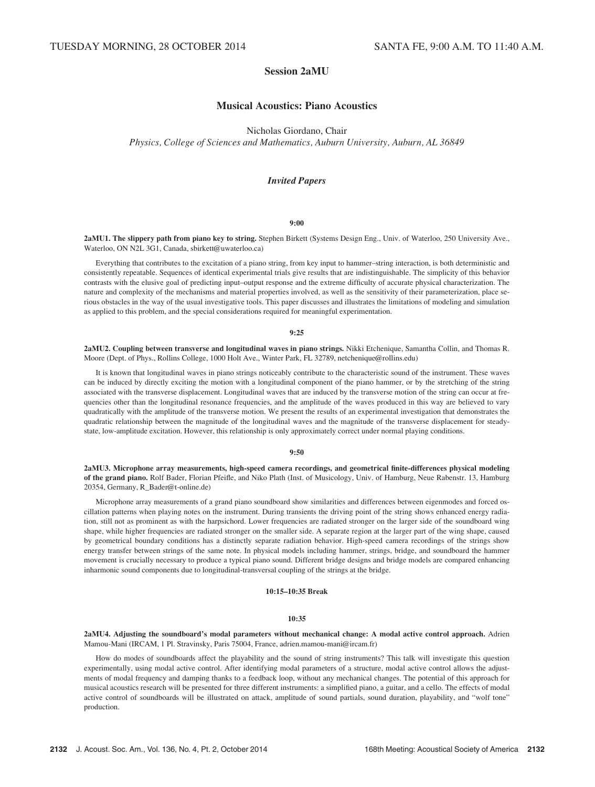# Session 2aMU

# Musical Acoustics: Piano Acoustics

Nicholas Giordano, Chair

Physics, College of Sciences and Mathematics, Auburn University, Auburn, AL 36849

# Invited Papers

## 9:00

2aMU1. The slippery path from piano key to string. Stephen Birkett (Systems Design Eng., Univ. of Waterloo, 250 University Ave., Waterloo, ON N2L 3G1, Canada, sbirkett@uwaterloo.ca)

Everything that contributes to the excitation of a piano string, from key input to hammer–string interaction, is both deterministic and consistently repeatable. Sequences of identical experimental trials give results that are indistinguishable. The simplicity of this behavior contrasts with the elusive goal of predicting input–output response and the extreme difficulty of accurate physical characterization. The nature and complexity of the mechanisms and material properties involved, as well as the sensitivity of their parameterization, place serious obstacles in the way of the usual investigative tools. This paper discusses and illustrates the limitations of modeling and simulation as applied to this problem, and the special considerations required for meaningful experimentation.

#### 9:25

2aMU2. Coupling between transverse and longitudinal waves in piano strings. Nikki Etchenique, Samantha Collin, and Thomas R. Moore (Dept. of Phys., Rollins College, 1000 Holt Ave., Winter Park, FL 32789, netchenique@rollins.edu)

It is known that longitudinal waves in piano strings noticeably contribute to the characteristic sound of the instrument. These waves can be induced by directly exciting the motion with a longitudinal component of the piano hammer, or by the stretching of the string associated with the transverse displacement. Longitudinal waves that are induced by the transverse motion of the string can occur at frequencies other than the longitudinal resonance frequencies, and the amplitude of the waves produced in this way are believed to vary quadratically with the amplitude of the transverse motion. We present the results of an experimental investigation that demonstrates the quadratic relationship between the magnitude of the longitudinal waves and the magnitude of the transverse displacement for steadystate, low-amplitude excitation. However, this relationship is only approximately correct under normal playing conditions.

#### 9:50

2aMU3. Microphone array measurements, high-speed camera recordings, and geometrical finite-differences physical modeling of the grand piano. Rolf Bader, Florian Pfeifle, and Niko Plath (Inst. of Musicology, Univ. of Hamburg, Neue Rabenstr. 13, Hamburg 20354, Germany, R\_Bader@t-online.de)

Microphone array measurements of a grand piano soundboard show similarities and differences between eigenmodes and forced oscillation patterns when playing notes on the instrument. During transients the driving point of the string shows enhanced energy radiation, still not as prominent as with the harpsichord. Lower frequencies are radiated stronger on the larger side of the soundboard wing shape, while higher frequencies are radiated stronger on the smaller side. A separate region at the larger part of the wing shape, caused by geometrical boundary conditions has a distinctly separate radiation behavior. High-speed camera recordings of the strings show energy transfer between strings of the same note. In physical models including hammer, strings, bridge, and soundboard the hammer movement is crucially necessary to produce a typical piano sound. Different bridge designs and bridge models are compared enhancing inharmonic sound components due to longitudinal-transversal coupling of the strings at the bridge.

## 10:15–10:35 Break

#### 10:35

## 2aMU4. Adjusting the soundboard's modal parameters without mechanical change: A modal active control approach. Adrien Mamou-Mani (IRCAM, 1 Pl. Stravinsky, Paris 75004, France, adrien.mamou-mani@ircam.fr)

How do modes of soundboards affect the playability and the sound of string instruments? This talk will investigate this question experimentally, using modal active control. After identifying modal parameters of a structure, modal active control allows the adjustments of modal frequency and damping thanks to a feedback loop, without any mechanical changes. The potential of this approach for musical acoustics research will be presented for three different instruments: a simplified piano, a guitar, and a cello. The effects of modal active control of soundboards will be illustrated on attack, amplitude of sound partials, sound duration, playability, and "wolf tone" production.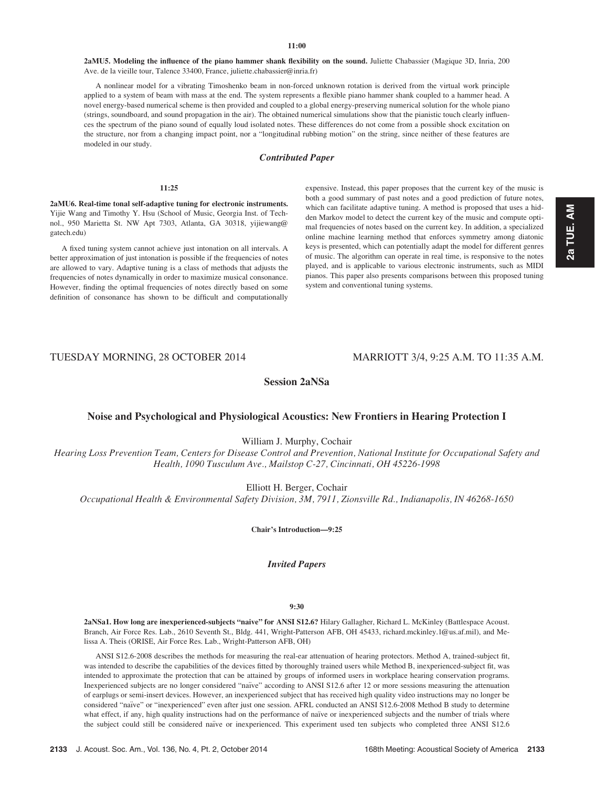2aMU5. Modeling the influence of the piano hammer shank flexibility on the sound. Juliette Chabassier (Magique 3D, Inria, 200 Ave. de la vieille tour, Talence 33400, France, juliette.chabassier@inria.fr)

A nonlinear model for a vibrating Timoshenko beam in non-forced unknown rotation is derived from the virtual work principle applied to a system of beam with mass at the end. The system represents a flexible piano hammer shank coupled to a hammer head. A novel energy-based numerical scheme is then provided and coupled to a global energy-preserving numerical solution for the whole piano (strings, soundboard, and sound propagation in the air). The obtained numerical simulations show that the pianistic touch clearly influences the spectrum of the piano sound of equally loud isolated notes. These differences do not come from a possible shock excitation on the structure, nor from a changing impact point, nor a "longitudinal rubbing motion" on the string, since neither of these features are modeled in our study.

# Contributed Paper

## 11:25

2aMU6. Real-time tonal self-adaptive tuning for electronic instruments. Yijie Wang and Timothy Y. Hsu (School of Music, Georgia Inst. of Technol., 950 Marietta St. NW Apt 7303, Atlanta, GA 30318, yijiewang@ gatech.edu)

A fixed tuning system cannot achieve just intonation on all intervals. A better approximation of just intonation is possible if the frequencies of notes are allowed to vary. Adaptive tuning is a class of methods that adjusts the frequencies of notes dynamically in order to maximize musical consonance. However, finding the optimal frequencies of notes directly based on some definition of consonance has shown to be difficult and computationally expensive. Instead, this paper proposes that the current key of the music is both a good summary of past notes and a good prediction of future notes, which can facilitate adaptive tuning. A method is proposed that uses a hidden Markov model to detect the current key of the music and compute optimal frequencies of notes based on the current key. In addition, a specialized online machine learning method that enforces symmetry among diatonic keys is presented, which can potentially adapt the model for different genres of music. The algorithm can operate in real time, is responsive to the notes played, and is applicable to various electronic instruments, such as MIDI pianos. This paper also presents comparisons between this proposed tuning system and conventional tuning systems.

TUESDAY MORNING, 28 OCTOBER 2014 MARRIOTT 3/4, 9:25 A.M. TO 11:35 A.M.

Session 2aNSa

## Noise and Psychological and Physiological Acoustics: New Frontiers in Hearing Protection I

William J. Murphy, Cochair

Hearing Loss Prevention Team, Centers for Disease Control and Prevention, National Institute for Occupational Safety and Health, 1090 Tusculum Ave., Mailstop C-27, Cincinnati, OH 45226-1998

Elliott H. Berger, Cochair

Occupational Health & Environmental Safety Division, 3M, 7911, Zionsville Rd., Indianapolis, IN 46268-1650

Chair's Introduction—9:25

Invited Papers

## 9:30

2aNSa1. How long are inexperienced-subjects "naive" for ANSI S12.6? Hilary Gallagher, Richard L. McKinley (Battlespace Acoust. Branch, Air Force Res. Lab., 2610 Seventh St., Bldg. 441, Wright-Patterson AFB, OH 45433, richard.mckinley.1@us.af.mil), and Melissa A. Theis (ORISE, Air Force Res. Lab., Wright-Patterson AFB, OH)

ANSI S12.6-2008 describes the methods for measuring the real-ear attenuation of hearing protectors. Method A, trained-subject fit, was intended to describe the capabilities of the devices fitted by thoroughly trained users while Method B, inexperienced-subject fit, was intended to approximate the protection that can be attained by groups of informed users in workplace hearing conservation programs. Inexperienced subjects are no longer considered "naïve" according to ANSI S12.6 after 12 or more sessions measuring the attenuation of earplugs or semi-insert devices. However, an inexperienced subject that has received high quality video instructions may no longer be considered "naïve" or "inexperienced" even after just one session. AFRL conducted an ANSI S12.6-2008 Method B study to determine what effect, if any, high quality instructions had on the performance of naïve or inexperienced subjects and the number of trials where the subject could still be considered naïve or inexperienced. This experiment used ten subjects who completed three ANSI S12.6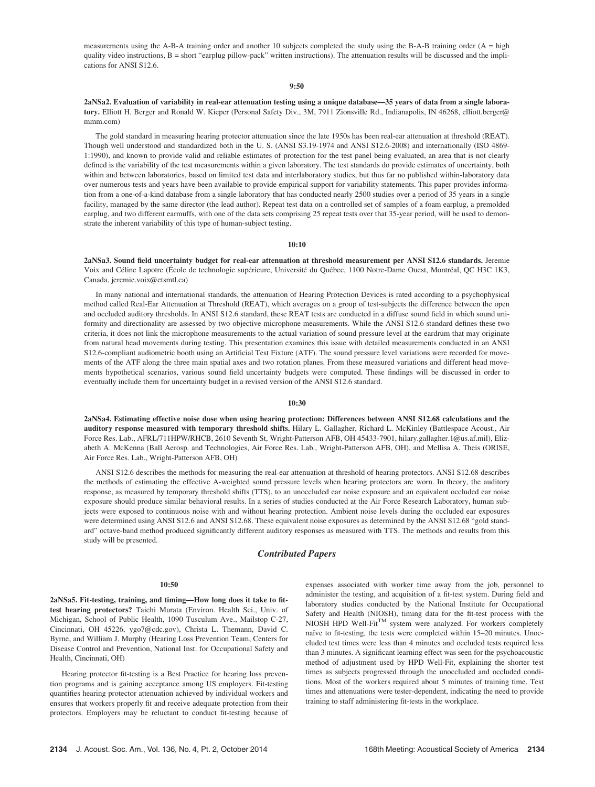measurements using the A-B-A training order and another 10 subjects completed the study using the B-A-B training order (A = high quality video instructions,  $B =$  short "earplug pillow-pack" written instructions). The attenuation results will be discussed and the implications for ANSI S12.6.

#### 9:50

2aNSa2. Evaluation of variability in real-ear attenuation testing using a unique database—35 years of data from a single laboratory. Elliott H. Berger and Ronald W. Kieper (Personal Safety Div., 3M, 7911 Zionsville Rd., Indianapolis, IN 46268, elliott.berger@ mmm.com)

The gold standard in measuring hearing protector attenuation since the late 1950s has been real-ear attenuation at threshold (REAT). Though well understood and standardized both in the U. S. (ANSI S3.19-1974 and ANSI S12.6-2008) and internationally (ISO 4869- 1:1990), and known to provide valid and reliable estimates of protection for the test panel being evaluated, an area that is not clearly defined is the variability of the test measurements within a given laboratory. The test standards do provide estimates of uncertainty, both within and between laboratories, based on limited test data and interlaboratory studies, but thus far no published within-laboratory data over numerous tests and years have been available to provide empirical support for variability statements. This paper provides information from a one-of-a-kind database from a single laboratory that has conducted nearly 2500 studies over a period of 35 years in a single facility, managed by the same director (the lead author). Repeat test data on a controlled set of samples of a foam earplug, a premolded earplug, and two different earmuffs, with one of the data sets comprising 25 repeat tests over that 35-year period, will be used to demonstrate the inherent variability of this type of human-subject testing.

#### 10:10

2aNSa3. Sound field uncertainty budget for real-ear attenuation at threshold measurement per ANSI S12.6 standards. Jeremie Voix and Céline Lapotre (École de technologie supérieure, Université du Québec, 1100 Notre-Dame Ouest, Montréal, QC H3C 1K3, Canada, jeremie.voix@etsmtl.ca)

In many national and international standards, the attenuation of Hearing Protection Devices is rated according to a psychophysical method called Real-Ear Attenuation at Threshold (REAT), which averages on a group of test-subjects the difference between the open and occluded auditory thresholds. In ANSI S12.6 standard, these REAT tests are conducted in a diffuse sound field in which sound uniformity and directionality are assessed by two objective microphone measurements. While the ANSI S12.6 standard defines these two criteria, it does not link the microphone measurements to the actual variation of sound pressure level at the eardrum that may originate from natural head movements during testing. This presentation examines this issue with detailed measurements conducted in an ANSI S12.6-compliant audiometric booth using an Artificial Test Fixture (ATF). The sound pressure level variations were recorded for movements of the ATF along the three main spatial axes and two rotation planes. From these measured variations and different head movements hypothetical scenarios, various sound field uncertainty budgets were computed. These findings will be discussed in order to eventually include them for uncertainty budget in a revised version of the ANSI S12.6 standard.

#### 10:30

2aNSa4. Estimating effective noise dose when using hearing protection: Differences between ANSI S12.68 calculations and the auditory response measured with temporary threshold shifts. Hilary L. Gallagher, Richard L. McKinley (Battlespace Acoust., Air Force Res. Lab., AFRL/711HPW/RHCB, 2610 Seventh St, Wright-Patterson AFB, OH 45433-7901, hilary.gallagher.1@us.af.mil), Elizabeth A. McKenna (Ball Aerosp. and Technologies, Air Force Res. Lab., Wright-Patterson AFB, OH), and Mellisa A. Theis (ORISE, Air Force Res. Lab., Wright-Patterson AFB, OH)

ANSI S12.6 describes the methods for measuring the real-ear attenuation at threshold of hearing protectors. ANSI S12.68 describes the methods of estimating the effective A-weighted sound pressure levels when hearing protectors are worn. In theory, the auditory response, as measured by temporary threshold shifts (TTS), to an unoccluded ear noise exposure and an equivalent occluded ear noise exposure should produce similar behavioral results. In a series of studies conducted at the Air Force Research Laboratory, human subjects were exposed to continuous noise with and without hearing protection. Ambient noise levels during the occluded ear exposures were determined using ANSI S12.6 and ANSI S12.68. These equivalent noise exposures as determined by the ANSI S12.68 "gold standard" octave-band method produced significantly different auditory responses as measured with TTS. The methods and results from this study will be presented.

## Contributed Papers

#### 10:50

2aNSa5. Fit-testing, training, and timing—How long does it take to fittest hearing protectors? Taichi Murata (Environ. Health Sci., Univ. of Michigan, School of Public Health, 1090 Tusculum Ave., Mailstop C-27, Cincinnati, OH 45226, ygo7@cdc.gov), Christa L. Themann, David C. Byrne, and William J. Murphy (Hearing Loss Prevention Team, Centers for Disease Control and Prevention, National Inst. for Occupational Safety and Health, Cincinnati, OH)

Hearing protector fit-testing is a Best Practice for hearing loss prevention programs and is gaining acceptance among US employers. Fit-testing quantifies hearing protector attenuation achieved by individual workers and ensures that workers properly fit and receive adequate protection from their protectors. Employers may be reluctant to conduct fit-testing because of expenses associated with worker time away from the job, personnel to administer the testing, and acquisition of a fit-test system. During field and laboratory studies conducted by the National Institute for Occupational Safety and Health (NIOSH), timing data for the fit-test process with the NIOSH HPD Well-Fit<sup>TM</sup> system were analyzed. For workers completely naïve to fit-testing, the tests were completed within 15–20 minutes. Unoccluded test times were less than 4 minutes and occluded tests required less than 3 minutes. A significant learning effect was seen for the psychoacoustic method of adjustment used by HPD Well-Fit, explaining the shorter test times as subjects progressed through the unoccluded and occluded conditions. Most of the workers required about 5 minutes of training time. Test times and attenuations were tester-dependent, indicating the need to provide training to staff administering fit-tests in the workplace.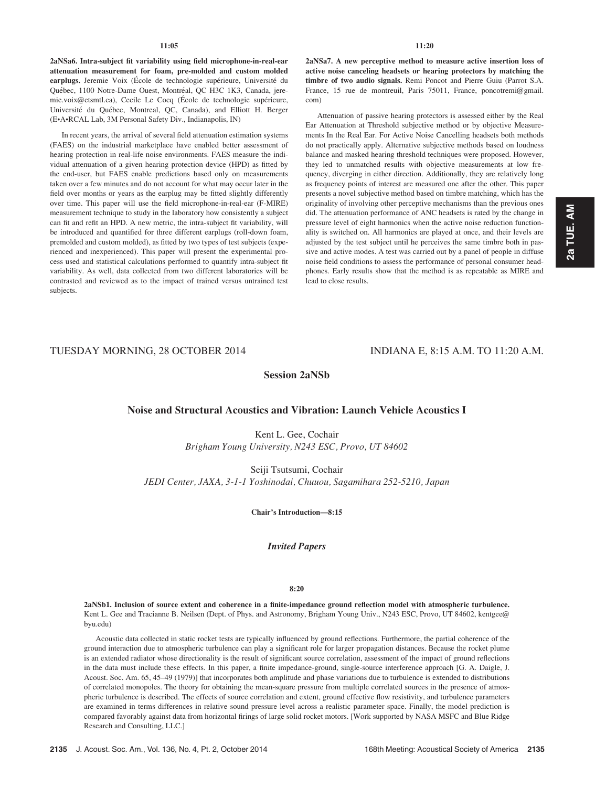2aNSa6. Intra-subject fit variability using field microphone-in-real-ear attenuation measurement for foam, pre-molded and custom molded earplugs. Jeremie Voix (École de technologie supérieure, Université du Québec, 1100 Notre-Dame Ouest, Montréal, QC H3C 1K3, Canada, jeremie.voix@etsmtl.ca), Cecile Le Cocq (École de technologie supérieure, Université du Québec, Montreal, QC, Canada), and Elliott H. Berger (E•A•RCAL Lab, 3M Personal Safety Div., Indianapolis, IN)

In recent years, the arrival of several field attenuation estimation systems (FAES) on the industrial marketplace have enabled better assessment of hearing protection in real-life noise environments. FAES measure the individual attenuation of a given hearing protection device (HPD) as fitted by the end-user, but FAES enable predictions based only on measurements taken over a few minutes and do not account for what may occur later in the field over months or years as the earplug may be fitted slightly differently over time. This paper will use the field microphone-in-real-ear (F-MIRE) measurement technique to study in the laboratory how consistently a subject can fit and refit an HPD. A new metric, the intra-subject fit variability, will be introduced and quantified for three different earplugs (roll-down foam, premolded and custom molded), as fitted by two types of test subjects (experienced and inexperienced). This paper will present the experimental process used and statistical calculations performed to quantify intra-subject fit variability. As well, data collected from two different laboratories will be contrasted and reviewed as to the impact of trained versus untrained test subjects.

## 11:20

2aNSa7. A new perceptive method to measure active insertion loss of active noise canceling headsets or hearing protectors by matching the timbre of two audio signals. Remi Poncot and Pierre Guiu (Parrot S.A. France, 15 rue de montreuil, Paris 75011, France, poncotremi@gmail. com)

Attenuation of passive hearing protectors is assessed either by the Real Ear Attenuation at Threshold subjective method or by objective Measurements In the Real Ear. For Active Noise Cancelling headsets both methods do not practically apply. Alternative subjective methods based on loudness balance and masked hearing threshold techniques were proposed. However, they led to unmatched results with objective measurements at low frequency, diverging in either direction. Additionally, they are relatively long as frequency points of interest are measured one after the other. This paper presents a novel subjective method based on timbre matching, which has the originality of involving other perceptive mechanisms than the previous ones did. The attenuation performance of ANC headsets is rated by the change in pressure level of eight harmonics when the active noise reduction functionality is switched on. All harmonics are played at once, and their levels are adjusted by the test subject until he perceives the same timbre both in passive and active modes. A test was carried out by a panel of people in diffuse noise field conditions to assess the performance of personal consumer headphones. Early results show that the method is as repeatable as MIRE and lead to close results.

# TUESDAY MORNING, 28 OCTOBER 2014 INDIANA E, 8:15 A.M. TO 11:20 A.M.

# Session 2aNSb

# Noise and Structural Acoustics and Vibration: Launch Vehicle Acoustics I

Kent L. Gee, Cochair Brigham Young University, N243 ESC, Provo, UT 84602

Seiji Tsutsumi, Cochair JEDI Center, JAXA, 3-1-1 Yoshinodai, Chuuou, Sagamihara 252-5210, Japan

## Chair's Introduction—8:15

# Invited Papers

## 8:20

2aNSb1. Inclusion of source extent and coherence in a finite-impedance ground reflection model with atmospheric turbulence. Kent L. Gee and Tracianne B. Neilsen (Dept. of Phys. and Astronomy, Brigham Young Univ., N243 ESC, Provo, UT 84602, kentgee@ byu.edu)

Acoustic data collected in static rocket tests are typically influenced by ground reflections. Furthermore, the partial coherence of the ground interaction due to atmospheric turbulence can play a significant role for larger propagation distances. Because the rocket plume is an extended radiator whose directionality is the result of significant source correlation, assessment of the impact of ground reflections in the data must include these effects. In this paper, a finite impedance-ground, single-source interference approach [G. A. Daigle, J. Acoust. Soc. Am. 65, 45–49 (1979)] that incorporates both amplitude and phase variations due to turbulence is extended to distributions of correlated monopoles. The theory for obtaining the mean-square pressure from multiple correlated sources in the presence of atmospheric turbulence is described. The effects of source correlation and extent, ground effective flow resistivity, and turbulence parameters are examined in terms differences in relative sound pressure level across a realistic parameter space. Finally, the model prediction is compared favorably against data from horizontal firings of large solid rocket motors. [Work supported by NASA MSFC and Blue Ridge Research and Consulting, LLC.]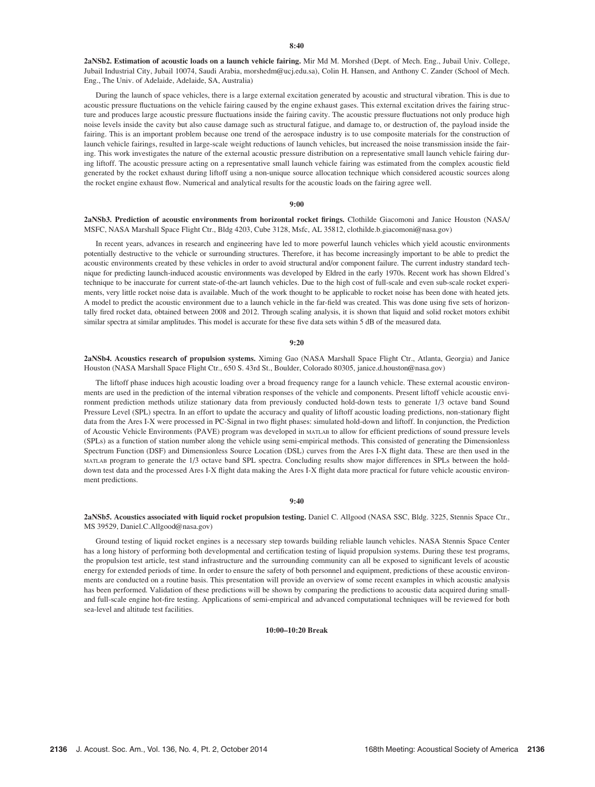2aNSb2. Estimation of acoustic loads on a launch vehicle fairing. Mir Md M. Morshed (Dept. of Mech. Eng., Jubail Univ. College, Jubail Industrial City, Jubail 10074, Saudi Arabia, morshedm@ucj.edu.sa), Colin H. Hansen, and Anthony C. Zander (School of Mech. Eng., The Univ. of Adelaide, Adelaide, SA, Australia)

During the launch of space vehicles, there is a large external excitation generated by acoustic and structural vibration. This is due to acoustic pressure fluctuations on the vehicle fairing caused by the engine exhaust gases. This external excitation drives the fairing structure and produces large acoustic pressure fluctuations inside the fairing cavity. The acoustic pressure fluctuations not only produce high noise levels inside the cavity but also cause damage such as structural fatigue, and damage to, or destruction of, the payload inside the fairing. This is an important problem because one trend of the aerospace industry is to use composite materials for the construction of launch vehicle fairings, resulted in large-scale weight reductions of launch vehicles, but increased the noise transmission inside the fairing. This work investigates the nature of the external acoustic pressure distribution on a representative small launch vehicle fairing during liftoff. The acoustic pressure acting on a representative small launch vehicle fairing was estimated from the complex acoustic field generated by the rocket exhaust during liftoff using a non-unique source allocation technique which considered acoustic sources along the rocket engine exhaust flow. Numerical and analytical results for the acoustic loads on the fairing agree well.

#### 9:00

## 2aNSb3. Prediction of acoustic environments from horizontal rocket firings. Clothilde Giacomoni and Janice Houston (NASA/ MSFC, NASA Marshall Space Flight Ctr., Bldg 4203, Cube 3128, Msfc, AL 35812, clothilde.b.giacomoni@nasa.gov)

In recent years, advances in research and engineering have led to more powerful launch vehicles which yield acoustic environments potentially destructive to the vehicle or surrounding structures. Therefore, it has become increasingly important to be able to predict the acoustic environments created by these vehicles in order to avoid structural and/or component failure. The current industry standard technique for predicting launch-induced acoustic environments was developed by Eldred in the early 1970s. Recent work has shown Eldred's technique to be inaccurate for current state-of-the-art launch vehicles. Due to the high cost of full-scale and even sub-scale rocket experiments, very little rocket noise data is available. Much of the work thought to be applicable to rocket noise has been done with heated jets. A model to predict the acoustic environment due to a launch vehicle in the far-field was created. This was done using five sets of horizontally fired rocket data, obtained between 2008 and 2012. Through scaling analysis, it is shown that liquid and solid rocket motors exhibit similar spectra at similar amplitudes. This model is accurate for these five data sets within 5 dB of the measured data.

#### 9:20

2aNSb4. Acoustics research of propulsion systems. Ximing Gao (NASA Marshall Space Flight Ctr., Atlanta, Georgia) and Janice Houston (NASA Marshall Space Flight Ctr., 650 S. 43rd St., Boulder, Colorado 80305, janice.d.houston@nasa.gov)

The liftoff phase induces high acoustic loading over a broad frequency range for a launch vehicle. These external acoustic environments are used in the prediction of the internal vibration responses of the vehicle and components. Present liftoff vehicle acoustic environment prediction methods utilize stationary data from previously conducted hold-down tests to generate 1/3 octave band Sound Pressure Level (SPL) spectra. In an effort to update the accuracy and quality of liftoff acoustic loading predictions, non-stationary flight data from the Ares I-X were processed in PC-Signal in two flight phases: simulated hold-down and liftoff. In conjunction, the Prediction of Acoustic Vehicle Environments (PAVE) program was developed in MATLAB to allow for efficient predictions of sound pressure levels (SPLs) as a function of station number along the vehicle using semi-empirical methods. This consisted of generating the Dimensionless Spectrum Function (DSF) and Dimensionless Source Location (DSL) curves from the Ares I-X flight data. These are then used in the MATLAB program to generate the 1/3 octave band SPL spectra. Concluding results show major differences in SPLs between the holddown test data and the processed Ares I-X flight data making the Ares I-X flight data more practical for future vehicle acoustic environment predictions.

#### 9:40

## 2aNSb5. Acoustics associated with liquid rocket propulsion testing. Daniel C. Allgood (NASA SSC, Bldg. 3225, Stennis Space Ctr., MS 39529, Daniel.C.Allgood@nasa.gov)

Ground testing of liquid rocket engines is a necessary step towards building reliable launch vehicles. NASA Stennis Space Center has a long history of performing both developmental and certification testing of liquid propulsion systems. During these test programs, the propulsion test article, test stand infrastructure and the surrounding community can all be exposed to significant levels of acoustic energy for extended periods of time. In order to ensure the safety of both personnel and equipment, predictions of these acoustic environments are conducted on a routine basis. This presentation will provide an overview of some recent examples in which acoustic analysis has been performed. Validation of these predictions will be shown by comparing the predictions to acoustic data acquired during smalland full-scale engine hot-fire testing. Applications of semi-empirical and advanced computational techniques will be reviewed for both sea-level and altitude test facilities.

## 10:00–10:20 Break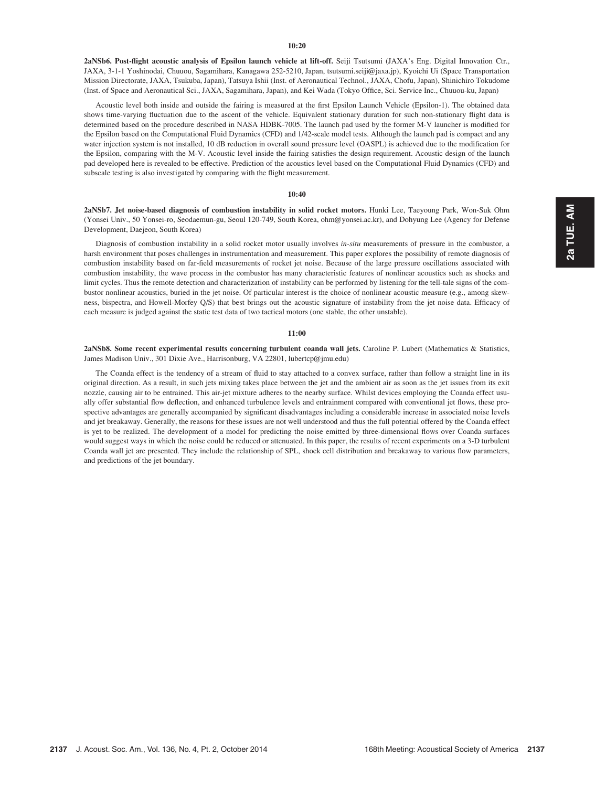2aNSb6. Post-flight acoustic analysis of Epsilon launch vehicle at lift-off. Seiji Tsutsumi (JAXA's Eng. Digital Innovation Ctr., JAXA, 3-1-1 Yoshinodai, Chuuou, Sagamihara, Kanagawa 252-5210, Japan, tsutsumi.seiji@jaxa.jp), Kyoichi Ui (Space Transportation Mission Directorate, JAXA, Tsukuba, Japan), Tatsuya Ishii (Inst. of Aeronautical Technol., JAXA, Chofu, Japan), Shinichiro Tokudome (Inst. of Space and Aeronautical Sci., JAXA, Sagamihara, Japan), and Kei Wada (Tokyo Office, Sci. Service Inc., Chuuou-ku, Japan)

Acoustic level both inside and outside the fairing is measured at the first Epsilon Launch Vehicle (Epsilon-1). The obtained data shows time-varying fluctuation due to the ascent of the vehicle. Equivalent stationary duration for such non-stationary flight data is determined based on the procedure described in NASA HDBK-7005. The launch pad used by the former M-V launcher is modified for the Epsilon based on the Computational Fluid Dynamics (CFD) and 1/42-scale model tests. Although the launch pad is compact and any water injection system is not installed, 10 dB reduction in overall sound pressure level (OASPL) is achieved due to the modification for the Epsilon, comparing with the M-V. Acoustic level inside the fairing satisfies the design requirement. Acoustic design of the launch pad developed here is revealed to be effective. Prediction of the acoustics level based on the Computational Fluid Dynamics (CFD) and subscale testing is also investigated by comparing with the flight measurement.

## 10:40

2aNSb7. Jet noise-based diagnosis of combustion instability in solid rocket motors. Hunki Lee, Taeyoung Park, Won-Suk Ohm (Yonsei Univ., 50 Yonsei-ro, Seodaemun-gu, Seoul 120-749, South Korea, ohm@yonsei.ac.kr), and Dohyung Lee (Agency for Defense Development, Daejeon, South Korea)

Diagnosis of combustion instability in a solid rocket motor usually involves in-situ measurements of pressure in the combustor, a harsh environment that poses challenges in instrumentation and measurement. This paper explores the possibility of remote diagnosis of combustion instability based on far-field measurements of rocket jet noise. Because of the large pressure oscillations associated with combustion instability, the wave process in the combustor has many characteristic features of nonlinear acoustics such as shocks and limit cycles. Thus the remote detection and characterization of instability can be performed by listening for the tell-tale signs of the combustor nonlinear acoustics, buried in the jet noise. Of particular interest is the choice of nonlinear acoustic measure (e.g., among skewness, bispectra, and Howell-Morfey Q/S) that best brings out the acoustic signature of instability from the jet noise data. Efficacy of each measure is judged against the static test data of two tactical motors (one stable, the other unstable).

#### 11:00

2aNSb8. Some recent experimental results concerning turbulent coanda wall jets. Caroline P. Lubert (Mathematics & Statistics, James Madison Univ., 301 Dixie Ave., Harrisonburg, VA 22801, lubertcp@jmu.edu)

The Coanda effect is the tendency of a stream of fluid to stay attached to a convex surface, rather than follow a straight line in its original direction. As a result, in such jets mixing takes place between the jet and the ambient air as soon as the jet issues from its exit nozzle, causing air to be entrained. This air-jet mixture adheres to the nearby surface. Whilst devices employing the Coanda effect usually offer substantial flow deflection, and enhanced turbulence levels and entrainment compared with conventional jet flows, these prospective advantages are generally accompanied by significant disadvantages including a considerable increase in associated noise levels and jet breakaway. Generally, the reasons for these issues are not well understood and thus the full potential offered by the Coanda effect is yet to be realized. The development of a model for predicting the noise emitted by three-dimensional flows over Coanda surfaces would suggest ways in which the noise could be reduced or attenuated. In this paper, the results of recent experiments on a 3-D turbulent Coanda wall jet are presented. They include the relationship of SPL, shock cell distribution and breakaway to various flow parameters, and predictions of the jet boundary.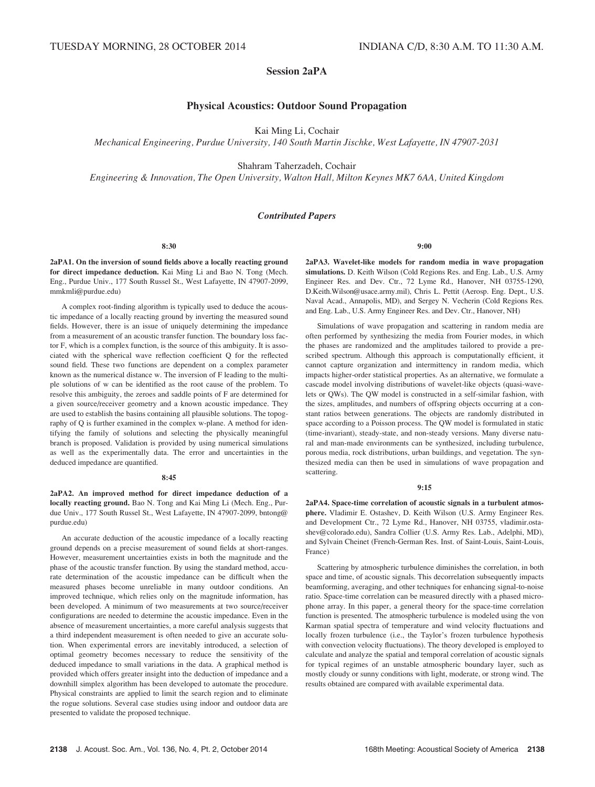# Session 2aPA

# Physical Acoustics: Outdoor Sound Propagation

Kai Ming Li, Cochair

Mechanical Engineering, Purdue University, 140 South Martin Jischke, West Lafayette, IN 47907-2031

Shahram Taherzadeh, Cochair

Engineering & Innovation, The Open University, Walton Hall, Milton Keynes MK7 6AA, United Kingdom

# Contributed Papers

8:30

2aPA1. On the inversion of sound fields above a locally reacting ground for direct impedance deduction. Kai Ming Li and Bao N. Tong (Mech. Eng., Purdue Univ., 177 South Russel St., West Lafayette, IN 47907-2099, mmkmli@purdue.edu)

A complex root-finding algorithm is typically used to deduce the acoustic impedance of a locally reacting ground by inverting the measured sound fields. However, there is an issue of uniquely determining the impedance from a measurement of an acoustic transfer function. The boundary loss factor F, which is a complex function, is the source of this ambiguity. It is associated with the spherical wave reflection coefficient Q for the reflected sound field. These two functions are dependent on a complex parameter known as the numerical distance w. The inversion of F leading to the multiple solutions of w can be identified as the root cause of the problem. To resolve this ambiguity, the zeroes and saddle points of F are determined for a given source/receiver geometry and a known acoustic impedance. They are used to establish the basins containing all plausible solutions. The topography of Q is further examined in the complex w-plane. A method for identifying the family of solutions and selecting the physically meaningful branch is proposed. Validation is provided by using numerical simulations as well as the experimentally data. The error and uncertainties in the deduced impedance are quantified.

## 8:45

2aPA2. An improved method for direct impedance deduction of a locally reacting ground. Bao N. Tong and Kai Ming Li (Mech. Eng., Purdue Univ., 177 South Russel St., West Lafayette, IN 47907-2099, bntong@ purdue.edu)

An accurate deduction of the acoustic impedance of a locally reacting ground depends on a precise measurement of sound fields at short-ranges. However, measurement uncertainties exists in both the magnitude and the phase of the acoustic transfer function. By using the standard method, accurate determination of the acoustic impedance can be difficult when the measured phases become unreliable in many outdoor conditions. An improved technique, which relies only on the magnitude information, has been developed. A minimum of two measurements at two source/receiver configurations are needed to determine the acoustic impedance. Even in the absence of measurement uncertainties, a more careful analysis suggests that a third independent measurement is often needed to give an accurate solution. When experimental errors are inevitably introduced, a selection of optimal geometry becomes necessary to reduce the sensitivity of the deduced impedance to small variations in the data. A graphical method is provided which offers greater insight into the deduction of impedance and a downhill simplex algorithm has been developed to automate the procedure. Physical constraints are applied to limit the search region and to eliminate the rogue solutions. Several case studies using indoor and outdoor data are presented to validate the proposed technique.

## 9:00

2aPA3. Wavelet-like models for random media in wave propagation simulations. D. Keith Wilson (Cold Regions Res. and Eng. Lab., U.S. Army Engineer Res. and Dev. Ctr., 72 Lyme Rd., Hanover, NH 03755-1290, D.Keith.Wilson@usace.army.mil), Chris L. Pettit (Aerosp. Eng. Dept., U.S. Naval Acad., Annapolis, MD), and Sergey N. Vecherin (Cold Regions Res. and Eng. Lab., U.S. Army Engineer Res. and Dev. Ctr., Hanover, NH)

Simulations of wave propagation and scattering in random media are often performed by synthesizing the media from Fourier modes, in which the phases are randomized and the amplitudes tailored to provide a prescribed spectrum. Although this approach is computationally efficient, it cannot capture organization and intermittency in random media, which impacts higher-order statistical properties. As an alternative, we formulate a cascade model involving distributions of wavelet-like objects (quasi-wavelets or QWs). The QW model is constructed in a self-similar fashion, with the sizes, amplitudes, and numbers of offspring objects occurring at a constant ratios between generations. The objects are randomly distributed in space according to a Poisson process. The QW model is formulated in static (time-invariant), steady-state, and non-steady versions. Many diverse natural and man-made environments can be synthesized, including turbulence, porous media, rock distributions, urban buildings, and vegetation. The synthesized media can then be used in simulations of wave propagation and scattering.

### 9:15

2aPA4. Space-time correlation of acoustic signals in a turbulent atmosphere. Vladimir E. Ostashev, D. Keith Wilson (U.S. Army Engineer Res. and Development Ctr., 72 Lyme Rd., Hanover, NH 03755, vladimir.ostashev@colorado.edu), Sandra Collier (U.S. Army Res. Lab., Adelphi, MD), and Sylvain Cheinet (French-German Res. Inst. of Saint-Louis, Saint-Louis, France)

Scattering by atmospheric turbulence diminishes the correlation, in both space and time, of acoustic signals. This decorrelation subsequently impacts beamforming, averaging, and other techniques for enhancing signal-to-noise ratio. Space-time correlation can be measured directly with a phased microphone array. In this paper, a general theory for the space-time correlation function is presented. The atmospheric turbulence is modeled using the von Karman spatial spectra of temperature and wind velocity fluctuations and locally frozen turbulence (i.e., the Taylor's frozen turbulence hypothesis with convection velocity fluctuations). The theory developed is employed to calculate and analyze the spatial and temporal correlation of acoustic signals for typical regimes of an unstable atmospheric boundary layer, such as mostly cloudy or sunny conditions with light, moderate, or strong wind. The results obtained are compared with available experimental data.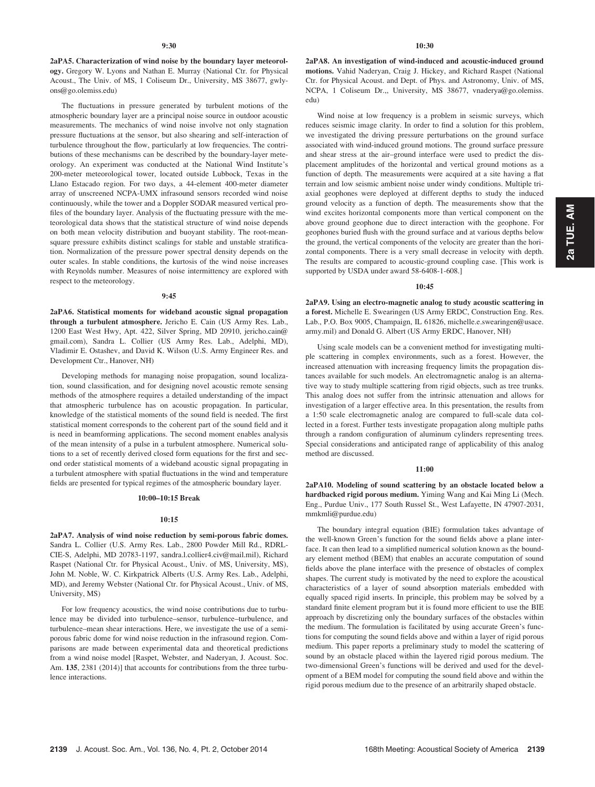2aPA5. Characterization of wind noise by the boundary layer meteorology. Gregory W. Lyons and Nathan E. Murray (National Ctr. for Physical Acoust., The Univ. of MS, 1 Coliseum Dr., University, MS 38677, gwlyons@go.olemiss.edu)

The fluctuations in pressure generated by turbulent motions of the atmospheric boundary layer are a principal noise source in outdoor acoustic measurements. The mechanics of wind noise involve not only stagnation pressure fluctuations at the sensor, but also shearing and self-interaction of turbulence throughout the flow, particularly at low frequencies. The contributions of these mechanisms can be described by the boundary-layer meteorology. An experiment was conducted at the National Wind Institute's 200-meter meteorological tower, located outside Lubbock, Texas in the Llano Estacado region. For two days, a 44-element 400-meter diameter array of unscreened NCPA-UMX infrasound sensors recorded wind noise continuously, while the tower and a Doppler SODAR measured vertical profiles of the boundary layer. Analysis of the fluctuating pressure with the meteorological data shows that the statistical structure of wind noise depends on both mean velocity distribution and buoyant stability. The root-meansquare pressure exhibits distinct scalings for stable and unstable stratification. Normalization of the pressure power spectral density depends on the outer scales. In stable conditions, the kurtosis of the wind noise increases with Reynolds number. Measures of noise intermittency are explored with respect to the meteorology.

### 9:45

2aPA6. Statistical moments for wideband acoustic signal propagation through a turbulent atmosphere. Jericho E. Cain (US Army Res. Lab., 1200 East West Hwy, Apt. 422, Silver Spring, MD 20910, jericho.cain@ gmail.com), Sandra L. Collier (US Army Res. Lab., Adelphi, MD), Vladimir E. Ostashev, and David K. Wilson (U.S. Army Engineer Res. and Development Ctr., Hanover, NH)

Developing methods for managing noise propagation, sound localization, sound classification, and for designing novel acoustic remote sensing methods of the atmosphere requires a detailed understanding of the impact that atmospheric turbulence has on acoustic propagation. In particular, knowledge of the statistical moments of the sound field is needed. The first statistical moment corresponds to the coherent part of the sound field and it is need in beamforming applications. The second moment enables analysis of the mean intensity of a pulse in a turbulent atmosphere. Numerical solutions to a set of recently derived closed form equations for the first and second order statistical moments of a wideband acoustic signal propagating in a turbulent atmosphere with spatial fluctuations in the wind and temperature fields are presented for typical regimes of the atmospheric boundary layer.

## 10:00–10:15 Break

#### 10:15

2aPA7. Analysis of wind noise reduction by semi-porous fabric domes. Sandra L. Collier (U.S. Army Res. Lab., 2800 Powder Mill Rd., RDRL-CIE-S, Adelphi, MD 20783-1197, sandra.l.collier4.civ@mail.mil), Richard Raspet (National Ctr. for Physical Acoust., Univ. of MS, University, MS), John M. Noble, W. C. Kirkpatrick Alberts (U.S. Army Res. Lab., Adelphi, MD), and Jeremy Webster (National Ctr. for Physical Acoust., Univ. of MS, University, MS)

For low frequency acoustics, the wind noise contributions due to turbulence may be divided into turbulence–sensor, turbulence–turbulence, and turbulence–mean shear interactions. Here, we investigate the use of a semiporous fabric dome for wind noise reduction in the infrasound region. Comparisons are made between experimental data and theoretical predictions from a wind noise model [Raspet, Webster, and Naderyan, J. Acoust. Soc. Am. 135, 2381 (2014)] that accounts for contributions from the three turbulence interactions.

2aPA8. An investigation of wind-induced and acoustic-induced ground motions. Vahid Naderyan, Craig J. Hickey, and Richard Raspet (National Ctr. for Physical Acoust. and Dept. of Phys. and Astronomy, Univ. of MS, NCPA, 1 Coliseum Dr.,, University, MS 38677, vnaderya@go.olemiss. edu)

Wind noise at low frequency is a problem in seismic surveys, which reduces seismic image clarity. In order to find a solution for this problem, we investigated the driving pressure perturbations on the ground surface associated with wind-induced ground motions. The ground surface pressure and shear stress at the air–ground interface were used to predict the displacement amplitudes of the horizontal and vertical ground motions as a function of depth. The measurements were acquired at a site having a flat terrain and low seismic ambient noise under windy conditions. Multiple triaxial geophones were deployed at different depths to study the induced ground velocity as a function of depth. The measurements show that the wind excites horizontal components more than vertical component on the above ground geophone due to direct interaction with the geophone. For geophones buried flush with the ground surface and at various depths below the ground, the vertical components of the velocity are greater than the horizontal components. There is a very small decrease in velocity with depth. The results are compared to acoustic-ground coupling case. [This work is supported by USDA under award 58-6408-1-608.]

#### 10:45

2aPA9. Using an electro-magnetic analog to study acoustic scattering in a forest. Michelle E. Swearingen (US Army ERDC, Construction Eng. Res. Lab., P.O. Box 9005, Champaign, IL 61826, michelle.e.swearingen@usace. army.mil) and Donald G. Albert (US Army ERDC, Hanover, NH)

Using scale models can be a convenient method for investigating multiple scattering in complex environments, such as a forest. However, the increased attenuation with increasing frequency limits the propagation distances available for such models. An electromagnetic analog is an alternative way to study multiple scattering from rigid objects, such as tree trunks. This analog does not suffer from the intrinsic attenuation and allows for investigation of a larger effective area. In this presentation, the results from a 1:50 scale electromagnetic analog are compared to full-scale data collected in a forest. Further tests investigate propagation along multiple paths through a random configuration of aluminum cylinders representing trees. Special considerations and anticipated range of applicability of this analog method are discussed.

## 11:00

2aPA10. Modeling of sound scattering by an obstacle located below a hardbacked rigid porous medium. Yiming Wang and Kai Ming Li (Mech. Eng., Purdue Univ., 177 South Russel St., West Lafayette, IN 47907-2031, mmkmli@purdue.edu)

The boundary integral equation (BIE) formulation takes advantage of the well-known Green's function for the sound fields above a plane interface. It can then lead to a simplified numerical solution known as the boundary element method (BEM) that enables an accurate computation of sound fields above the plane interface with the presence of obstacles of complex shapes. The current study is motivated by the need to explore the acoustical characteristics of a layer of sound absorption materials embedded with equally spaced rigid inserts. In principle, this problem may be solved by a standard finite element program but it is found more efficient to use the BIE approach by discretizing only the boundary surfaces of the obstacles within the medium. The formulation is facilitated by using accurate Green's functions for computing the sound fields above and within a layer of rigid porous medium. This paper reports a preliminary study to model the scattering of sound by an obstacle placed within the layered rigid porous medium. The two-dimensional Green's functions will be derived and used for the development of a BEM model for computing the sound field above and within the rigid porous medium due to the presence of an arbitrarily shaped obstacle.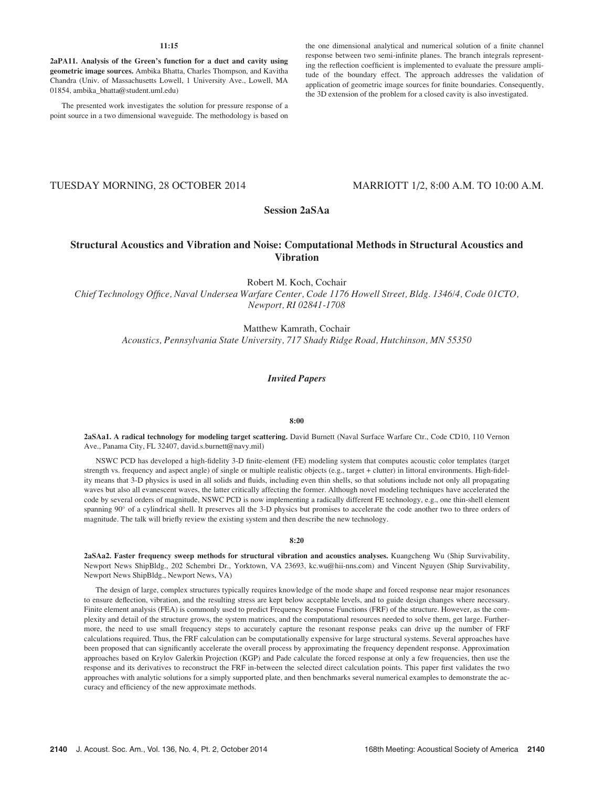## 11:15

2aPA11. Analysis of the Green's function for a duct and cavity using geometric image sources. Ambika Bhatta, Charles Thompson, and Kavitha Chandra (Univ. of Massachusetts Lowell, 1 University Ave., Lowell, MA 01854, ambika\_bhatta@student.uml.edu)

The presented work investigates the solution for pressure response of a point source in a two dimensional waveguide. The methodology is based on the one dimensional analytical and numerical solution of a finite channel response between two semi-infinite planes. The branch integrals representing the reflection coefficient is implemented to evaluate the pressure amplitude of the boundary effect. The approach addresses the validation of application of geometric image sources for finite boundaries. Consequently, the 3D extension of the problem for a closed cavity is also investigated.

# TUESDAY MORNING, 28 OCTOBER 2014 MARRIOTT 1/2, 8:00 A.M. TO 10:00 A.M.

# Session 2aSAa

# Structural Acoustics and Vibration and Noise: Computational Methods in Structural Acoustics and Vibration

Robert M. Koch, Cochair Chief Technology Office, Naval Undersea Warfare Center, Code 1176 Howell Street, Bldg. 1346/4, Code 01CTO, Newport, RI 02841-1708

> Matthew Kamrath, Cochair Acoustics, Pennsylvania State University, 717 Shady Ridge Road, Hutchinson, MN 55350

# Invited Papers

## 8:00

2aSAa1. A radical technology for modeling target scattering. David Burnett (Naval Surface Warfare Ctr., Code CD10, 110 Vernon Ave., Panama City, FL 32407, david.s.burnett@navy.mil)

NSWC PCD has developed a high-fidelity 3-D finite-element (FE) modeling system that computes acoustic color templates (target strength vs. frequency and aspect angle) of single or multiple realistic objects (e.g., target + clutter) in littoral environments. High-fidelity means that 3-D physics is used in all solids and fluids, including even thin shells, so that solutions include not only all propagating waves but also all evanescent waves, the latter critically affecting the former. Although novel modeling techniques have accelerated the code by several orders of magnitude, NSWC PCD is now implementing a radically different FE technology, e.g., one thin-shell element spanning 90° of a cylindrical shell. It preserves all the 3-D physics but promises to accelerate the code another two to three orders of magnitude. The talk will briefly review the existing system and then describe the new technology.

#### 8:20

2aSAa2. Faster frequency sweep methods for structural vibration and acoustics analyses. Kuangcheng Wu (Ship Survivability, Newport News ShipBldg., 202 Schembri Dr., Yorktown, VA 23693, kc.wu@hii-nns.com) and Vincent Nguyen (Ship Survivability, Newport News ShipBldg., Newport News, VA)

The design of large, complex structures typically requires knowledge of the mode shape and forced response near major resonances to ensure deflection, vibration, and the resulting stress are kept below acceptable levels, and to guide design changes where necessary. Finite element analysis (FEA) is commonly used to predict Frequency Response Functions (FRF) of the structure. However, as the complexity and detail of the structure grows, the system matrices, and the computational resources needed to solve them, get large. Furthermore, the need to use small frequency steps to accurately capture the resonant response peaks can drive up the number of FRF calculations required. Thus, the FRF calculation can be computationally expensive for large structural systems. Several approaches have been proposed that can significantly accelerate the overall process by approximating the frequency dependent response. Approximation approaches based on Krylov Galerkin Projection (KGP) and Pade calculate the forced response at only a few frequencies, then use the response and its derivatives to reconstruct the FRF in-between the selected direct calculation points. This paper first validates the two approaches with analytic solutions for a simply supported plate, and then benchmarks several numerical examples to demonstrate the accuracy and efficiency of the new approximate methods.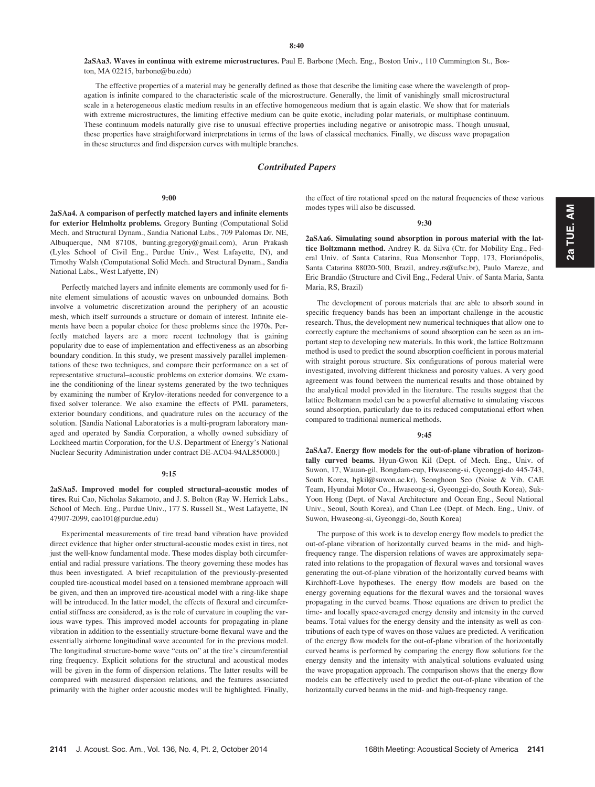2aSAa3. Waves in continua with extreme microstructures. Paul E. Barbone (Mech. Eng., Boston Univ., 110 Cummington St., Boston, MA 02215, barbone@bu.edu)

The effective properties of a material may be generally defined as those that describe the limiting case where the wavelength of propagation is infinite compared to the characteristic scale of the microstructure. Generally, the limit of vanishingly small microstructural scale in a heterogeneous elastic medium results in an effective homogeneous medium that is again elastic. We show that for materials with extreme microstructures, the limiting effective medium can be quite exotic, including polar materials, or multiphase continuum. These continuum models naturally give rise to unusual effective properties including negative or anisotropic mass. Though unusual, these properties have straightforward interpretations in terms of the laws of classical mechanics. Finally, we discuss wave propagation in these structures and find dispersion curves with multiple branches.

## Contributed Papers

#### 9:00

2aSAa4. A comparison of perfectly matched layers and infinite elements for exterior Helmholtz problems. Gregory Bunting (Computational Solid Mech. and Structural Dynam., Sandia National Labs., 709 Palomas Dr. NE, Albuquerque, NM 87108, bunting.gregory@gmail.com), Arun Prakash (Lyles School of Civil Eng., Purdue Univ., West Lafayette, IN), and Timothy Walsh (Computational Solid Mech. and Structural Dynam., Sandia National Labs., West Lafyette, IN)

Perfectly matched layers and infinite elements are commonly used for finite element simulations of acoustic waves on unbounded domains. Both involve a volumetric discretization around the periphery of an acoustic mesh, which itself surrounds a structure or domain of interest. Infinite elements have been a popular choice for these problems since the 1970s. Perfectly matched layers are a more recent technology that is gaining popularity due to ease of implementation and effectiveness as an absorbing boundary condition. In this study, we present massively parallel implementations of these two techniques, and compare their performance on a set of representative structural–acoustic problems on exterior domains. We examine the conditioning of the linear systems generated by the two techniques by examining the number of Krylov-iterations needed for convergence to a fixed solver tolerance. We also examine the effects of PML parameters, exterior boundary conditions, and quadrature rules on the accuracy of the solution. [Sandia National Laboratories is a multi-program laboratory managed and operated by Sandia Corporation, a wholly owned subsidiary of Lockheed martin Corporation, for the U.S. Department of Energy's National Nuclear Security Administration under contract DE-AC04-94AL850000.]

#### 9:15

2aSAa5. Improved model for coupled structural–acoustic modes of tires. Rui Cao, Nicholas Sakamoto, and J. S. Bolton (Ray W. Herrick Labs., School of Mech. Eng., Purdue Univ., 177 S. Russell St., West Lafayette, IN 47907-2099, cao101@purdue.edu)

Experimental measurements of tire tread band vibration have provided direct evidence that higher order structural-acoustic modes exist in tires, not just the well-know fundamental mode. These modes display both circumferential and radial pressure variations. The theory governing these modes has thus been investigated. A brief recapitulation of the previously-presented coupled tire-acoustical model based on a tensioned membrane approach will be given, and then an improved tire-acoustical model with a ring-like shape will be introduced. In the latter model, the effects of flexural and circumferential stiffness are considered, as is the role of curvature in coupling the various wave types. This improved model accounts for propagating in-plane vibration in addition to the essentially structure-borne flexural wave and the essentially airborne longitudinal wave accounted for in the previous model. The longitudinal structure-borne wave "cuts on" at the tire's circumferential ring frequency. Explicit solutions for the structural and acoustical modes will be given in the form of dispersion relations. The latter results will be compared with measured dispersion relations, and the features associated primarily with the higher order acoustic modes will be highlighted. Finally, the effect of tire rotational speed on the natural frequencies of these various modes types will also be discussed.

#### 9:30

2aSAa6. Simulating sound absorption in porous material with the lattice Boltzmann method. Andrey R. da Silva (Ctr. for Mobility Eng., Federal Univ. of Santa Catarina, Rua Monsenhor Topp, 173, Florianópolis, Santa Catarina 88020-500, Brazil, andrey.rs@ufsc.br), Paulo Mareze, and Eric Brandão (Structure and Civil Eng., Federal Univ. of Santa Maria, Santa Maria, RS, Brazil)

The development of porous materials that are able to absorb sound in specific frequency bands has been an important challenge in the acoustic research. Thus, the development new numerical techniques that allow one to correctly capture the mechanisms of sound absorption can be seen as an important step to developing new materials. In this work, the lattice Boltzmann method is used to predict the sound absorption coefficient in porous material with straight porous structure. Six configurations of porous material were investigated, involving different thickness and porosity values. A very good agreement was found between the numerical results and those obtained by the analytical model provided in the literature. The results suggest that the lattice Boltzmann model can be a powerful alternative to simulating viscous sound absorption, particularly due to its reduced computational effort when compared to traditional numerical methods.

#### 9:45

2aSAa7. Energy flow models for the out-of-plane vibration of horizontally curved beams. Hyun-Gwon Kil (Dept. of Mech. Eng., Univ. of Suwon, 17, Wauan-gil, Bongdam-eup, Hwaseong-si, Gyeonggi-do 445-743, South Korea, hgkil@suwon.ac.kr), Seonghoon Seo (Noise & Vib. CAE Team, Hyundai Motor Co., Hwaseong-si, Gyeonggi-do, South Korea), Suk-Yoon Hong (Dept. of Naval Architecture and Ocean Eng., Seoul National Univ., Seoul, South Korea), and Chan Lee (Dept. of Mech. Eng., Univ. of Suwon, Hwaseong-si, Gyeonggi-do, South Korea)

The purpose of this work is to develop energy flow models to predict the out-of-plane vibration of horizontally curved beams in the mid- and highfrequency range. The dispersion relations of waves are approximately separated into relations to the propagation of flexural waves and torsional waves generating the out-of-plane vibration of the horizontally curved beams with Kirchhoff-Love hypotheses. The energy flow models are based on the energy governing equations for the flexural waves and the torsional waves propagating in the curved beams. Those equations are driven to predict the time- and locally space-averaged energy density and intensity in the curved beams. Total values for the energy density and the intensity as well as contributions of each type of waves on those values are predicted. A verification of the energy flow models for the out-of-plane vibration of the horizontally curved beams is performed by comparing the energy flow solutions for the energy density and the intensity with analytical solutions evaluated using the wave propagation approach. The comparison shows that the energy flow models can be effectively used to predict the out-of-plane vibration of the horizontally curved beams in the mid- and high-frequency range.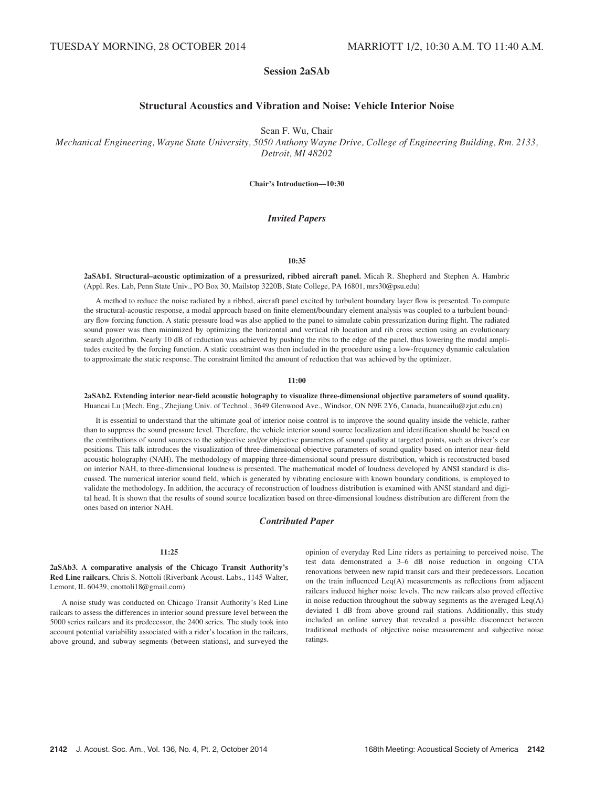# Session 2aSAb

# Structural Acoustics and Vibration and Noise: Vehicle Interior Noise

Sean F. Wu, Chair

Mechanical Engineering, Wayne State University, 5050 Anthony Wayne Drive, College of Engineering Building, Rm. 2133, Detroit, MI 48202

Chair's Introduction—10:30

## Invited Papers

## 10:35

2aSAb1. Structural–acoustic optimization of a pressurized, ribbed aircraft panel. Micah R. Shepherd and Stephen A. Hambric (Appl. Res. Lab, Penn State Univ., PO Box 30, Mailstop 3220B, State College, PA 16801, mrs30@psu.edu)

A method to reduce the noise radiated by a ribbed, aircraft panel excited by turbulent boundary layer flow is presented. To compute the structural-acoustic response, a modal approach based on finite element/boundary element analysis was coupled to a turbulent boundary flow forcing function. A static pressure load was also applied to the panel to simulate cabin pressurization during flight. The radiated sound power was then minimized by optimizing the horizontal and vertical rib location and rib cross section using an evolutionary search algorithm. Nearly 10 dB of reduction was achieved by pushing the ribs to the edge of the panel, thus lowering the modal amplitudes excited by the forcing function. A static constraint was then included in the procedure using a low-frequency dynamic calculation to approximate the static response. The constraint limited the amount of reduction that was achieved by the optimizer.

## 11:00

2aSAb2. Extending interior near-field acoustic holography to visualize three-dimensional objective parameters of sound quality. Huancai Lu (Mech. Eng., Zhejiang Univ. of Technol., 3649 Glenwood Ave., Windsor, ON N9E 2Y6, Canada, huancailu@zjut.edu.cn)

It is essential to understand that the ultimate goal of interior noise control is to improve the sound quality inside the vehicle, rather than to suppress the sound pressure level. Therefore, the vehicle interior sound source localization and identification should be based on the contributions of sound sources to the subjective and/or objective parameters of sound quality at targeted points, such as driver's ear positions. This talk introduces the visualization of three-dimensional objective parameters of sound quality based on interior near-field acoustic holography (NAH). The methodology of mapping three-dimensional sound pressure distribution, which is reconstructed based on interior NAH, to three-dimensional loudness is presented. The mathematical model of loudness developed by ANSI standard is discussed. The numerical interior sound field, which is generated by vibrating enclosure with known boundary conditions, is employed to validate the methodology. In addition, the accuracy of reconstruction of loudness distribution is examined with ANSI standard and digital head. It is shown that the results of sound source localization based on three-dimensional loudness distribution are different from the ones based on interior NAH.

## Contributed Paper

## 11:25

2aSAb3. A comparative analysis of the Chicago Transit Authority's Red Line railcars. Chris S. Nottoli (Riverbank Acoust. Labs., 1145 Walter, Lemont, IL 60439, cnottoli18@gmail.com)

A noise study was conducted on Chicago Transit Authority's Red Line railcars to assess the differences in interior sound pressure level between the 5000 series railcars and its predecessor, the 2400 series. The study took into account potential variability associated with a rider's location in the railcars, above ground, and subway segments (between stations), and surveyed the opinion of everyday Red Line riders as pertaining to perceived noise. The test data demonstrated a 3–6 dB noise reduction in ongoing CTA renovations between new rapid transit cars and their predecessors. Location on the train influenced Leq(A) measurements as reflections from adjacent railcars induced higher noise levels. The new railcars also proved effective in noise reduction throughout the subway segments as the averaged  $\text{Leq}(A)$ deviated 1 dB from above ground rail stations. Additionally, this study included an online survey that revealed a possible disconnect between traditional methods of objective noise measurement and subjective noise ratings.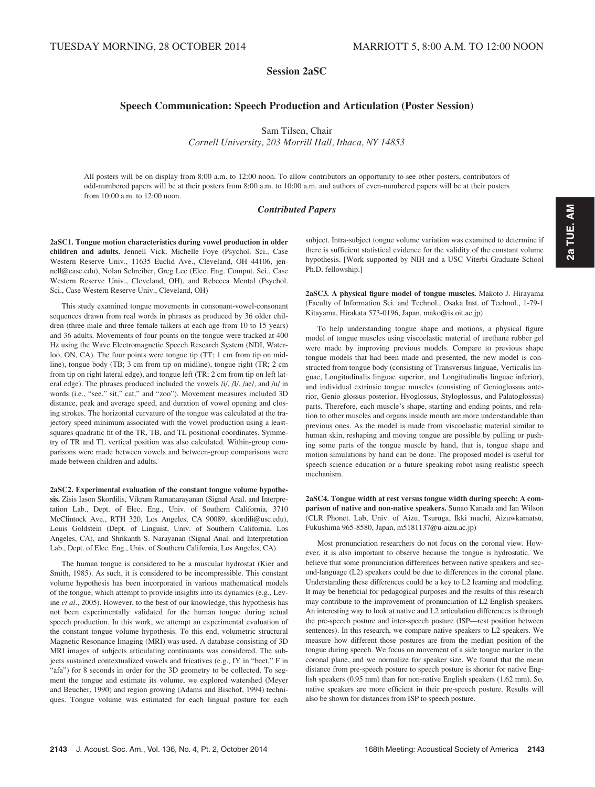Session 2aSC

# Speech Communication: Speech Production and Articulation (Poster Session)

Sam Tilsen, Chair

Cornell University, 203 Morrill Hall, Ithaca, NY 14853

All posters will be on display from 8:00 a.m. to 12:00 noon. To allow contributors an opportunity to see other posters, contributors of odd-numbered papers will be at their posters from 8:00 a.m. to 10:00 a.m. and authors of even-numbered papers will be at their posters from 10:00 a.m. to 12:00 noon.

## Contributed Papers

2aSC1. Tongue motion characteristics during vowel production in older children and adults. Jennell Vick, Michelle Foye (Psychol. Sci., Case Western Reserve Univ., 11635 Euclid Ave., Cleveland, OH 44106, jennell@case.edu), Nolan Schreiber, Greg Lee (Elec. Eng. Comput. Sci., Case Western Reserve Univ., Cleveland, OH), and Rebecca Mental (Psychol. Sci., Case Western Reserve Univ., Cleveland, OH)

This study examined tongue movements in consonant-vowel-consonant sequences drawn from real words in phrases as produced by 36 older children (three male and three female talkers at each age from 10 to 15 years) and 36 adults. Movements of four points on the tongue were tracked at 400 Hz using the Wave Electromagnetic Speech Research System (NDI, Waterloo, ON, CA). The four points were tongue tip (TT; 1 cm from tip on midline), tongue body (TB; 3 cm from tip on midline), tongue right (TR; 2 cm from tip on right lateral edge), and tongue left (TR; 2 cm from tip on left lateral edge). The phrases produced included the vowels /i/, /I/, /ae/, and /u/ in words (i.e., "see," sit," cat," and "zoo"). Movement measures included 3D distance, peak and average speed, and duration of vowel opening and closing strokes. The horizontal curvature of the tongue was calculated at the trajectory speed minimum associated with the vowel production using a leastsquares quadratic fit of the TR, TB, and TL positional coordinates. Symmetry of TR and TL vertical position was also calculated. Within-group comparisons were made between vowels and between-group comparisons were made between children and adults.

2aSC2. Experimental evaluation of the constant tongue volume hypothesis. Zisis Iason Skordilis, Vikram Ramanarayanan (Signal Anal. and Interpretation Lab., Dept. of Elec. Eng., Univ. of Southern California, 3710 McClintock Ave., RTH 320, Los Angeles, CA 90089, skordili@usc.edu), Louis Goldstein (Dept. of Linguist, Univ. of Southern California, Los Angeles, CA), and Shrikanth S. Narayanan (Signal Anal. and Interpretation Lab., Dept. of Elec. Eng., Univ. of Southern California, Los Angeles, CA)

The human tongue is considered to be a muscular hydrostat (Kier and Smith, 1985). As such, it is considered to be incompressible. This constant volume hypothesis has been incorporated in various mathematical models of the tongue, which attempt to provide insights into its dynamics (e.g., Levine et al., 2005). However, to the best of our knowledge, this hypothesis has not been experimentally validated for the human tongue during actual speech production. In this work, we attempt an experimental evaluation of the constant tongue volume hypothesis. To this end, volumetric structural Magnetic Resonance Imaging (MRI) was used. A database consisting of 3D MRI images of subjects articulating continuants was considered. The subjects sustained contextualized vowels and fricatives (e.g., IY in "beet," F in "afa") for 8 seconds in order for the 3D geometry to be collected. To segment the tongue and estimate its volume, we explored watershed (Meyer and Beucher, 1990) and region growing (Adams and Bischof, 1994) techniques. Tongue volume was estimated for each lingual posture for each 2a TUE. AM 2a TUE. AM

subject. Intra-subject tongue volume variation was examined to determine if there is sufficient statistical evidence for the validity of the constant volume hypothesis. [Work supported by NIH and a USC Viterbi Graduate School Ph.D. fellowship.]

2aSC3. A physical figure model of tongue muscles. Makoto J. Hirayama (Faculty of Information Sci. and Technol., Osaka Inst. of Technol., 1-79-1 Kitayama, Hirakata 573-0196, Japan, mako@is.oit.ac.jp)

To help understanding tongue shape and motions, a physical figure model of tongue muscles using viscoelastic material of urethane rubber gel were made by improving previous models. Compare to previous shape tongue models that had been made and presented, the new model is constructed from tongue body (consisting of Transversus linguae, Verticalis linguae, Longitudinalis linguae superior, and Longitudinalis linguae inferior), and individual extrinsic tongue muscles (consisting of Genioglossus anterior, Genio glossus posterior, Hyoglossus, Styloglossus, and Palatoglossus) parts. Therefore, each muscle's shape, starting and ending points, and relation to other muscles and organs inside mouth are more understandable than previous ones. As the model is made from viscoelastic material similar to human skin, reshaping and moving tongue are possible by pulling or pushing some parts of the tongue muscle by hand, that is, tongue shape and motion simulations by hand can be done. The proposed model is useful for speech science education or a future speaking robot using realistic speech mechanism.

2aSC4. Tongue width at rest versus tongue width during speech: A comparison of native and non-native speakers. Sunao Kanada and Ian Wilson (CLR Phonet. Lab, Univ. of Aizu, Tsuruga, Ikki machi, Aizuwkamatsu, Fukushima 965-8580, Japan, m5181137@u-aizu.ac.jp)

Most pronunciation researchers do not focus on the coronal view. However, it is also important to observe because the tongue is hydrostatic. We believe that some pronunciation differences between native speakers and second-language (L2) speakers could be due to differences in the coronal plane. Understanding these differences could be a key to L2 learning and modeling. It may be beneficial for pedagogical purposes and the results of this research may contribute to the improvement of pronunciation of L2 English speakers. An interesting way to look at native and L2 articulation differences is through the pre-speech posture and inter-speech posture (ISP—rest position between sentences). In this research, we compare native speakers to L2 speakers. We measure how different those postures are from the median position of the tongue during speech. We focus on movement of a side tongue marker in the coronal plane, and we normalize for speaker size. We found that the mean distance from pre-speech posture to speech posture is shorter for native English speakers (0.95 mm) than for non-native English speakers (1.62 mm). So, native speakers are more efficient in their pre-speech posture. Results will also be shown for distances from ISP to speech posture.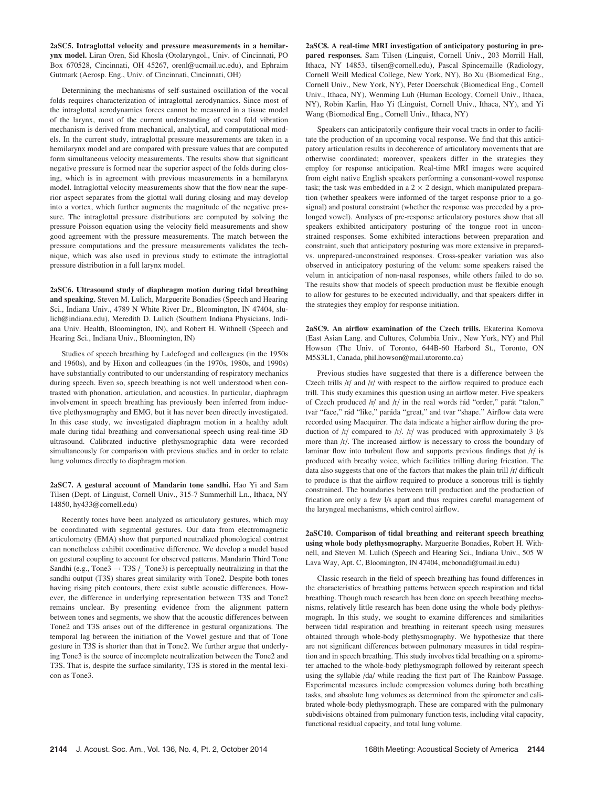2aSC5. Intraglottal velocity and pressure measurements in a hemilarynx model. Liran Oren, Sid Khosla (Otolaryngol., Univ. of Cincinnati, PO Box 670528, Cincinnati, OH 45267, orenl@ucmail.uc.edu), and Ephraim Gutmark (Aerosp. Eng., Univ. of Cincinnati, Cincinnati, OH)

Determining the mechanisms of self-sustained oscillation of the vocal folds requires characterization of intraglottal aerodynamics. Since most of the intraglottal aerodynamics forces cannot be measured in a tissue model of the larynx, most of the current understanding of vocal fold vibration mechanism is derived from mechanical, analytical, and computational models. In the current study, intraglottal pressure measurements are taken in a hemilarynx model and are compared with pressure values that are computed form simultaneous velocity measurements. The results show that significant negative pressure is formed near the superior aspect of the folds during closing, which is in agreement with previous measurements in a hemilarynx model. Intraglottal velocity measurements show that the flow near the superior aspect separates from the glottal wall during closing and may develop into a vortex, which further augments the magnitude of the negative pressure. The intraglottal pressure distributions are computed by solving the pressure Poisson equation using the velocity field measurements and show good agreement with the pressure measurements. The match between the pressure computations and the pressure measurements validates the technique, which was also used in previous study to estimate the intraglottal pressure distribution in a full larynx model.

2aSC6. Ultrasound study of diaphragm motion during tidal breathing and speaking. Steven M. Lulich, Marguerite Bonadies (Speech and Hearing Sci., Indiana Univ., 4789 N White River Dr., Bloomington, IN 47404, slulich@indiana.edu), Meredith D. Lulich (Southern Indiana Physicians, Indiana Univ. Health, Bloomington, IN), and Robert H. Withnell (Speech and Hearing Sci., Indiana Univ., Bloomington, IN)

Studies of speech breathing by Ladefoged and colleagues (in the 1950s and 1960s), and by Hixon and colleagues (in the 1970s, 1980s, and 1990s) have substantially contributed to our understanding of respiratory mechanics during speech. Even so, speech breathing is not well understood when contrasted with phonation, articulation, and acoustics. In particular, diaphragm involvement in speech breathing has previously been inferred from inductive plethysmography and EMG, but it has never been directly investigated. In this case study, we investigated diaphragm motion in a healthy adult male during tidal breathing and conversational speech using real-time 3D ultrasound. Calibrated inductive plethysmographic data were recorded simultaneously for comparison with previous studies and in order to relate lung volumes directly to diaphragm motion.

2aSC7. A gestural account of Mandarin tone sandhi. Hao Yi and Sam Tilsen (Dept. of Linguist, Cornell Univ., 315-7 Summerhill Ln., Ithaca, NY 14850, hy433@cornell.edu)

Recently tones have been analyzed as articulatory gestures, which may be coordinated with segmental gestures. Our data from electromagnetic articulometry (EMA) show that purported neutralized phonological contrast can nonetheless exhibit coordinative difference. We develop a model based on gestural coupling to account for observed patterns. Mandarin Third Tone Sandhi (e.g., Tone3  $\rightarrow$  T3S / Tone3) is perceptually neutralizing in that the sandhi output (T3S) shares great similarity with Tone2. Despite both tones having rising pitch contours, there exist subtle acoustic differences. However, the difference in underlying representation between T3S and Tone2 remains unclear. By presenting evidence from the alignment pattern between tones and segments, we show that the acoustic differences between Tone2 and T3S arises out of the difference in gestural organizations. The temporal lag between the initiation of the Vowel gesture and that of Tone gesture in T3S is shorter than that in Tone2. We further argue that underlying Tone3 is the source of incomplete neutralization between the Tone2 and T3S. That is, despite the surface similarity, T3S is stored in the mental lexicon as Tone3.

2aSC8. A real-time MRI investigation of anticipatory posturing in prepared responses. Sam Tilsen (Linguist, Cornell Univ., 203 Morrill Hall, Ithaca, NY 14853, tilsen@cornell.edu), Pascal Spincemaille (Radiology, Cornell Weill Medical College, New York, NY), Bo Xu (Biomedical Eng., Cornell Univ., New York, NY), Peter Doerschuk (Biomedical Eng., Cornell Univ., Ithaca, NY), Wenming Luh (Human Ecology, Cornell Univ., Ithaca, NY), Robin Karlin, Hao Yi (Linguist, Cornell Univ., Ithaca, NY), and Yi Wang (Biomedical Eng., Cornell Univ., Ithaca, NY)

Speakers can anticipatorily configure their vocal tracts in order to facilitate the production of an upcoming vocal response. We find that this anticipatory articulation results in decoherence of articulatory movements that are otherwise coordinated; moreover, speakers differ in the strategies they employ for response anticipation. Real-time MRI images were acquired from eight native English speakers performing a consonant-vowel response task; the task was embedded in a  $2 \times 2$  design, which manipulated preparation (whether speakers were informed of the target response prior to a gosignal) and postural constraint (whether the response was preceded by a prolonged vowel). Analyses of pre-response articulatory postures show that all speakers exhibited anticipatory posturing of the tongue root in unconstrained responses. Some exhibited interactions between preparation and constraint, such that anticipatory posturing was more extensive in preparedvs. unprepared-unconstrained responses. Cross-speaker variation was also observed in anticipatory posturing of the velum: some speakers raised the velum in anticipation of non-nasal responses, while others failed to do so. The results show that models of speech production must be flexible enough to allow for gestures to be executed individually, and that speakers differ in the strategies they employ for response initiation.

2aSC9. An airflow examination of the Czech trills. Ekaterina Komova (East Asian Lang. and Cultures, Columbia Univ., New York, NY) and Phil Howson (The Univ. of Toronto, 644B-60 Harbord St., Toronto, ON M5S3L1, Canada, phil.howson@mail.utoronto.ca)

Previous studies have suggested that there is a difference between the Czech trills  $/r/$  and  $/r/$  with respect to the airflow required to produce each trill. This study examines this question using an airflow meter. Five speakers of Czech produced /r/ and /r/ in the real words rad "order," parat "talon," tvař "face," rád "like," paráda "great," and tvar "shape." Airflow data were recorded using Macquirer. The data indicate a higher airflow during the production of  $/r/$  compared to  $/r/$ .  $/r/$  was produced with approximately 3  $1/s$ more than /r/. The increased airflow is necessary to cross the boundary of laminar flow into turbulent flow and supports previous findings that  $/r/$  is produced with breathy voice, which facilities trilling during frication. The data also suggests that one of the factors that makes the plain trill /r/ difficult to produce is that the airflow required to produce a sonorous trill is tightly constrained. The boundaries between trill production and the production of frication are only a few l/s apart and thus requires careful management of the laryngeal mechanisms, which control airflow.

2aSC10. Comparison of tidal breathing and reiterant speech breathing using whole body plethysmography. Marguerite Bonadies, Robert H. Withnell, and Steven M. Lulich (Speech and Hearing Sci., Indiana Univ., 505 W Lava Way, Apt. C, Bloomington, IN 47404, mcbonadi@umail.iu.edu)

Classic research in the field of speech breathing has found differences in the characteristics of breathing patterns between speech respiration and tidal breathing. Though much research has been done on speech breathing mechanisms, relatively little research has been done using the whole body plethysmograph. In this study, we sought to examine differences and similarities between tidal respiration and breathing in reiterant speech using measures obtained through whole-body plethysmography. We hypothesize that there are not significant differences between pulmonary measures in tidal respiration and in speech breathing. This study involves tidal breathing on a spirometer attached to the whole-body plethysmograph followed by reiterant speech using the syllable /da/ while reading the first part of The Rainbow Passage. Experimental measures include compression volumes during both breathing tasks, and absolute lung volumes as determined from the spirometer and calibrated whole-body plethysmograph. These are compared with the pulmonary subdivisions obtained from pulmonary function tests, including vital capacity, functional residual capacity, and total lung volume.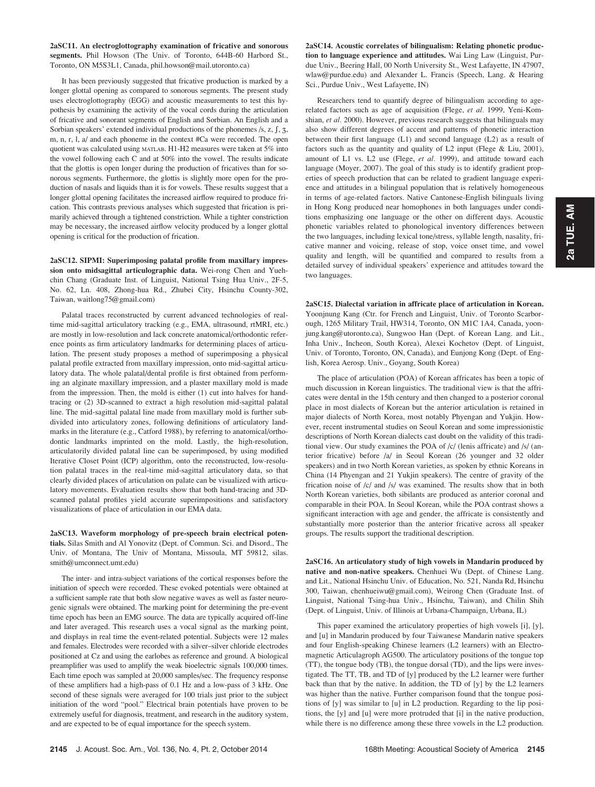2aSC11. An electroglottography examination of fricative and sonorous segments. Phil Howson (The Univ. of Toronto, 644B-60 Harbord St., Toronto, ON M5S3L1, Canada, phil.howson@mail.utoronto.ca)

It has been previously suggested that fricative production is marked by a longer glottal opening as compared to sonorous segments. The present study uses electroglottography (EGG) and acoustic measurements to test this hypothesis by examining the activity of the vocal cords during the articulation of fricative and sonorant segments of English and Sorbian. An English and a Sorbian speakers' extended individual productions of the phonemes  $/s$ ,  $z$ ,  $\int$ ,  $\frac{z}{3}$ , m, n, r, l, a/ and each phoneme in the context #Ca were recorded. The open quotient was calculated using MATLAB. H1-H2 measures were taken at 5% into the vowel following each C and at 50% into the vowel. The results indicate that the glottis is open longer during the production of fricatives than for sonorous segments. Furthermore, the glottis is slightly more open for the production of nasals and liquids than it is for vowels. These results suggest that a longer glottal opening facilitates the increased airflow required to produce frication. This contrasts previous analyses which suggested that frication is primarily achieved through a tightened constriction. While a tighter constriction may be necessary, the increased airflow velocity produced by a longer glottal opening is critical for the production of frication.

2aSC12. SIPMI: Superimposing palatal profile from maxillary impression onto midsagittal articulographic data. Wei-rong Chen and Yuehchin Chang (Graduate Inst. of Linguist, National Tsing Hua Univ., 2F-5, No. 62, Ln. 408, Zhong-hua Rd., Zhubei City, Hsinchu County-302, Taiwan, waitlong75@gmail.com)

Palatal traces reconstructed by current advanced technologies of realtime mid-sagittal articulatory tracking (e.g., EMA, ultrasound, rtMRI, etc.) are mostly in low-resolution and lack concrete anatomical/orthodontic reference points as firm articulatory landmarks for determining places of articulation. The present study proposes a method of superimposing a physical palatal profile extracted from maxillary impression, onto mid-sagittal articulatory data. The whole palatal/dental profile is first obtained from performing an alginate maxillary impression, and a plaster maxillary mold is made from the impression. Then, the mold is either (1) cut into halves for handtracing or (2) 3D-scanned to extract a high resolution mid-sagittal palatal line. The mid-sagittal palatal line made from maxillary mold is further subdivided into articulatory zones, following definitions of articulatory landmarks in the literature (e.g., Catford 1988), by referring to anatomical/orthodontic landmarks imprinted on the mold. Lastly, the high-resolution, articulatorily divided palatal line can be superimposed, by using modified Iterative Closet Point (ICP) algorithm, onto the reconstructed, low-resolution palatal traces in the real-time mid-sagittal articulatory data, so that clearly divided places of articulation on palate can be visualized with articulatory movements. Evaluation results show that both hand-tracing and 3Dscanned palatal profiles yield accurate superimpositions and satisfactory visualizations of place of articulation in our EMA data.

2aSC13. Waveform morphology of pre-speech brain electrical potentials. Silas Smith and Al Yonovitz (Dept. of Commun. Sci. and Disord., The Univ. of Montana, The Univ of Montana, Missoula, MT 59812, silas. smith@umconnect.umt.edu)

The inter- and intra-subject variations of the cortical responses before the initiation of speech were recorded. These evoked potentials were obtained at a sufficient sample rate that both slow negative waves as well as faster neurogenic signals were obtained. The marking point for determining the pre-event time epoch has been an EMG source. The data are typically acquired off-line and later averaged. This research uses a vocal signal as the marking point, and displays in real time the event-related potential. Subjects were 12 males and females. Electrodes were recorded with a silver–silver chloride electrodes positioned at Cz and using the earlobes as reference and ground. A biological preamplifier was used to amplify the weak bioelectric signals 100,000 times. Each time epoch was sampled at 20,000 samples/sec. The frequency response of these amplifiers had a high-pass of 0.1 Hz and a low-pass of 3 kHz. One second of these signals were averaged for 100 trials just prior to the subject initiation of the word "pool." Electrical brain potentials have proven to be extremely useful for diagnosis, treatment, and research in the auditory system, and are expected to be of equal importance for the speech system.

2aSC14. Acoustic correlates of bilingualism: Relating phonetic production to language experience and attitudes. Wai Ling Law (Linguist, Purdue Univ., Beering Hall, 00 North University St., West Lafayette, IN 47907, wlaw@purdue.edu) and Alexander L. Francis (Speech, Lang. & Hearing Sci., Purdue Univ., West Lafayette, IN)

Researchers tend to quantify degree of bilingualism according to agerelated factors such as age of acquisition (Flege, et al. 1999, Yeni-Komshian, et al. 2000). However, previous research suggests that bilinguals may also show different degrees of accent and patterns of phonetic interaction between their first language (L1) and second language (L2) as a result of factors such as the quantity and quality of L2 input (Flege & Liu, 2001), amount of L1 vs. L2 use (Flege, et al. 1999), and attitude toward each language (Moyer, 2007). The goal of this study is to identify gradient properties of speech production that can be related to gradient language experience and attitudes in a bilingual population that is relatively homogeneous in terms of age-related factors. Native Cantonese-English bilinguals living in Hong Kong produced near homophones in both languages under conditions emphasizing one language or the other on different days. Acoustic phonetic variables related to phonological inventory differences between the two languages, including lexical tone/stress, syllable length, nasality, fricative manner and voicing, release of stop, voice onset time, and vowel quality and length, will be quantified and compared to results from a detailed survey of individual speakers' experience and attitudes toward the two languages.

2aSC15. Dialectal variation in affricate place of articulation in Korean. Yoonjnung Kang (Ctr. for French and Linguist, Univ. of Toronto Scarborough, 1265 Military Trail, HW314, Toronto, ON M1C 1A4, Canada, yoonjung.kang@utoronto.ca), Sungwoo Han (Dept. of Korean Lang. and Lit., Inha Univ., Incheon, South Korea), Alexei Kochetov (Dept. of Linguist, Univ. of Toronto, Toronto, ON, Canada), and Eunjong Kong (Dept. of English, Korea Aerosp. Univ., Goyang, South Korea)

The place of articulation (POA) of Korean affricates has been a topic of much discussion in Korean linguistics. The traditional view is that the affricates were dental in the 15th century and then changed to a posterior coronal place in most dialects of Korean but the anterior articulation is retained in major dialects of North Korea, most notably Phyengan and Yukjin. However, recent instrumental studies on Seoul Korean and some impressionistic descriptions of North Korean dialects cast doubt on the validity of this traditional view. Our study examines the POA of /c/ (lenis affricate) and /s/ (anterior fricative) before /a/ in Seoul Korean (26 younger and 32 older speakers) and in two North Korean varieties, as spoken by ethnic Koreans in China (14 Phyengan and 21 Yukjin speakers). The centre of gravity of the frication noise of /c/ and /s/ was examined. The results show that in both North Korean varieties, both sibilants are produced as anterior coronal and comparable in their POA. In Seoul Korean, while the POA contrast shows a significant interaction with age and gender, the affricate is consistently and substantially more posterior than the anterior fricative across all speaker groups. The results support the traditional description.

2aSC16. An articulatory study of high vowels in Mandarin produced by native and non-native speakers. Chenhuei Wu (Dept. of Chinese Lang. and Lit., National Hsinchu Univ. of Education, No. 521, Nanda Rd, Hsinchu 300, Taiwan, chenhueiwu@gmail.com), Weirong Chen (Graduate Inst. of Linguist, National Tsing-hua Univ., Hsinchu, Taiwan), and Chilin Shih (Dept. of Linguist, Univ. of Illinois at Urbana-Champaign, Urbana, IL)

This paper examined the articulatory properties of high vowels [i], [y], and [u] in Mandarin produced by four Taiwanese Mandarin native speakers and four English-speaking Chinese learners (L2 learners) with an Electromagnetic Articulagroph AG500. The articulatory positions of the tongue top (TT), the tongue body (TB), the tongue dorsal (TD), and the lips were investigated. The TT, TB, and TD of [y] produced by the L2 learner were further back than that by the native. In addition, the TD of [y] by the L2 learners was higher than the native. Further comparison found that the tongue positions of [y] was similar to [u] in L2 production. Regarding to the lip positions, the [y] and [u] were more protruded that [i] in the native production, while there is no difference among these three vowels in the L2 production.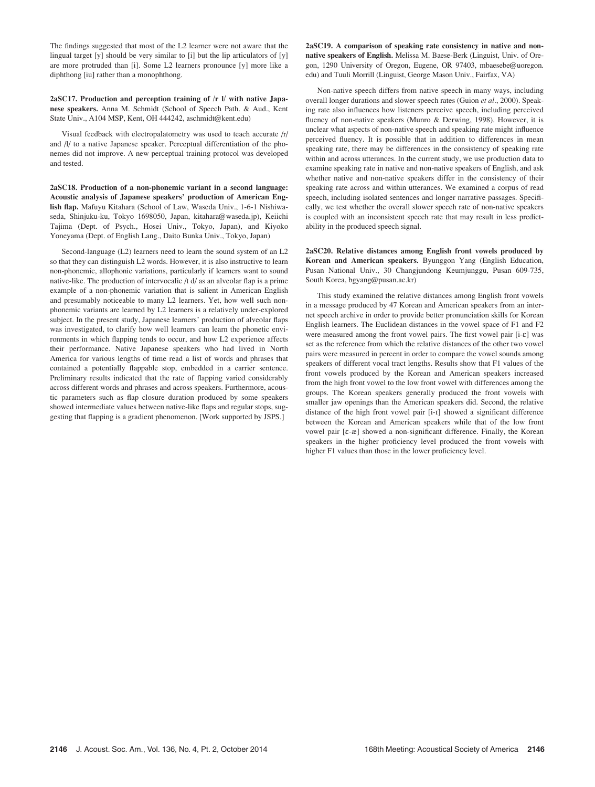The findings suggested that most of the L2 learner were not aware that the lingual target [y] should be very similar to [i] but the lip articulators of [y] are more protruded than [i]. Some L2 learners pronounce [y] more like a diphthong [iu] rather than a monophthong.

2aSC17. Production and perception training of /r l/ with native Japanese speakers. Anna M. Schmidt (School of Speech Path. & Aud., Kent State Univ., A104 MSP, Kent, OH 444242, aschmidt@kent.edu)

Visual feedback with electropalatometry was used to teach accurate /r/ and /l/ to a native Japanese speaker. Perceptual differentiation of the phonemes did not improve. A new perceptual training protocol was developed and tested.

2aSC18. Production of a non-phonemic variant in a second language: Acoustic analysis of Japanese speakers' production of American English flap. Mafuyu Kitahara (School of Law, Waseda Univ., 1-6-1 Nishiwaseda, Shinjuku-ku, Tokyo 1698050, Japan, kitahara@waseda.jp), Keiichi Tajima (Dept. of Psych., Hosei Univ., Tokyo, Japan), and Kiyoko Yoneyama (Dept. of English Lang., Daito Bunka Univ., Tokyo, Japan)

Second-language (L2) learners need to learn the sound system of an L2 so that they can distinguish L2 words. However, it is also instructive to learn non-phonemic, allophonic variations, particularly if learners want to sound native-like. The production of intervocalic /t d/ as an alveolar flap is a prime example of a non-phonemic variation that is salient in American English and presumably noticeable to many L2 learners. Yet, how well such nonphonemic variants are learned by L2 learners is a relatively under-explored subject. In the present study, Japanese learners' production of alveolar flaps was investigated, to clarify how well learners can learn the phonetic environments in which flapping tends to occur, and how L2 experience affects their performance. Native Japanese speakers who had lived in North America for various lengths of time read a list of words and phrases that contained a potentially flappable stop, embedded in a carrier sentence. Preliminary results indicated that the rate of flapping varied considerably across different words and phrases and across speakers. Furthermore, acoustic parameters such as flap closure duration produced by some speakers showed intermediate values between native-like flaps and regular stops, suggesting that flapping is a gradient phenomenon. [Work supported by JSPS.]

2aSC19. A comparison of speaking rate consistency in native and nonnative speakers of English. Melissa M. Baese-Berk (Linguist, Univ. of Oregon, 1290 University of Oregon, Eugene, OR 97403, mbaesebe@uoregon. edu) and Tuuli Morrill (Linguist, George Mason Univ., Fairfax, VA)

Non-native speech differs from native speech in many ways, including overall longer durations and slower speech rates (Guion et al., 2000). Speaking rate also influences how listeners perceive speech, including perceived fluency of non-native speakers (Munro & Derwing, 1998). However, it is unclear what aspects of non-native speech and speaking rate might influence perceived fluency. It is possible that in addition to differences in mean speaking rate, there may be differences in the consistency of speaking rate within and across utterances. In the current study, we use production data to examine speaking rate in native and non-native speakers of English, and ask whether native and non-native speakers differ in the consistency of their speaking rate across and within utterances. We examined a corpus of read speech, including isolated sentences and longer narrative passages. Specifically, we test whether the overall slower speech rate of non-native speakers is coupled with an inconsistent speech rate that may result in less predictability in the produced speech signal.

2aSC20. Relative distances among English front vowels produced by Korean and American speakers. Byunggon Yang (English Education, Pusan National Univ., 30 Changjundong Keumjunggu, Pusan 609-735, South Korea, bgyang@pusan.ac.kr)

This study examined the relative distances among English front vowels in a message produced by 47 Korean and American speakers from an internet speech archive in order to provide better pronunciation skills for Korean English learners. The Euclidean distances in the vowel space of F1 and F2 were measured among the front vowel pairs. The first vowel pair [i- $\varepsilon$ ] was set as the reference from which the relative distances of the other two vowel pairs were measured in percent in order to compare the vowel sounds among speakers of different vocal tract lengths. Results show that F1 values of the front vowels produced by the Korean and American speakers increased from the high front vowel to the low front vowel with differences among the groups. The Korean speakers generally produced the front vowels with smaller jaw openings than the American speakers did. Second, the relative distance of the high front vowel pair [i-I] showed a significant difference between the Korean and American speakers while that of the low front vowel pair [E-æ] showed a non-significant difference. Finally, the Korean speakers in the higher proficiency level produced the front vowels with higher F1 values than those in the lower proficiency level.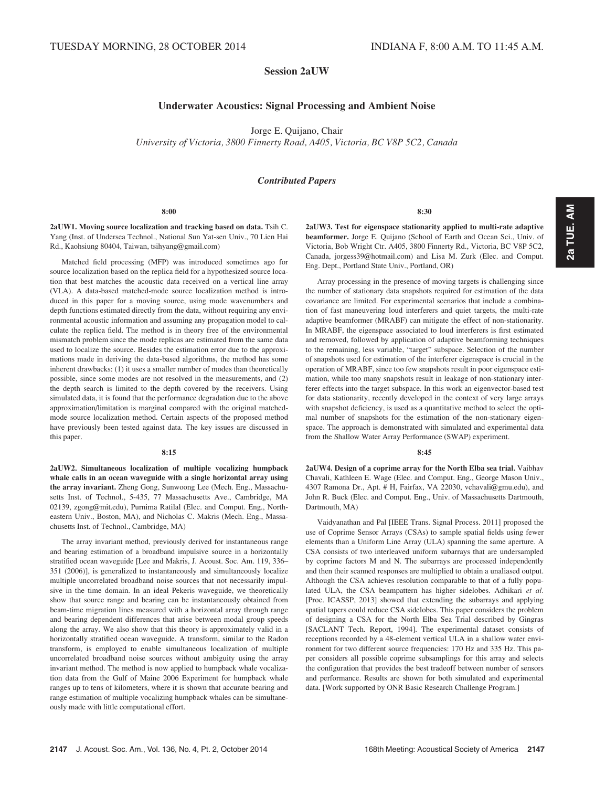# Session 2aUW

# Underwater Acoustics: Signal Processing and Ambient Noise

Jorge E. Quijano, Chair

University of Victoria, 3800 Finnerty Road, A405, Victoria, BC V8P 5C2, Canada

## Contributed Papers

#### 8:00

2aUW1. Moving source localization and tracking based on data. Tsih C. Yang (Inst. of Undersea Technol., National Sun Yat-sen Univ., 70 Lien Hai Rd., Kaohsiung 80404, Taiwan, tsihyang@gmail.com)

Matched field processing (MFP) was introduced sometimes ago for source localization based on the replica field for a hypothesized source location that best matches the acoustic data received on a vertical line array (VLA). A data-based matched-mode source localization method is introduced in this paper for a moving source, using mode wavenumbers and depth functions estimated directly from the data, without requiring any environmental acoustic information and assuming any propagation model to calculate the replica field. The method is in theory free of the environmental mismatch problem since the mode replicas are estimated from the same data used to localize the source. Besides the estimation error due to the approximations made in deriving the data-based algorithms, the method has some inherent drawbacks: (1) it uses a smaller number of modes than theoretically possible, since some modes are not resolved in the measurements, and (2) the depth search is limited to the depth covered by the receivers. Using simulated data, it is found that the performance degradation due to the above approximation/limitation is marginal compared with the original matchedmode source localization method. Certain aspects of the proposed method have previously been tested against data. The key issues are discussed in this paper.

#### $8.15$

2aUW2. Simultaneous localization of multiple vocalizing humpback whale calls in an ocean waveguide with a single horizontal array using the array invariant. Zheng Gong, Sunwoong Lee (Mech. Eng., Massachusetts Inst. of Technol., 5-435, 77 Massachusetts Ave., Cambridge, MA 02139, zgong@mit.edu), Purnima Ratilal (Elec. and Comput. Eng., Northeastern Univ., Boston, MA), and Nicholas C. Makris (Mech. Eng., Massachusetts Inst. of Technol., Cambridge, MA)

The array invariant method, previously derived for instantaneous range and bearing estimation of a broadband impulsive source in a horizontally stratified ocean waveguide [Lee and Makris, J. Acoust. Soc. Am. 119, 336– 351 (2006)], is generalized to instantaneously and simultaneously localize multiple uncorrelated broadband noise sources that not necessarily impulsive in the time domain. In an ideal Pekeris waveguide, we theoretically show that source range and bearing can be instantaneously obtained from beam-time migration lines measured with a horizontal array through range and bearing dependent differences that arise between modal group speeds along the array. We also show that this theory is approximately valid in a horizontally stratified ocean waveguide. A transform, similar to the Radon transform, is employed to enable simultaneous localization of multiple uncorrelated broadband noise sources without ambiguity using the array invariant method. The method is now applied to humpback whale vocalization data from the Gulf of Maine 2006 Experiment for humpback whale ranges up to tens of kilometers, where it is shown that accurate bearing and range estimation of multiple vocalizing humpback whales can be simultaneously made with little computational effort.

8:30

2aUW3. Test for eigenspace stationarity applied to multi-rate adaptive beamformer. Jorge E. Quijano (School of Earth and Ocean Sci., Univ. of Victoria, Bob Wright Ctr. A405, 3800 Finnerty Rd., Victoria, BC V8P 5C2, Canada, jorgess39@hotmail.com) and Lisa M. Zurk (Elec. and Comput. Eng. Dept., Portland State Univ., Portland, OR)

Array processing in the presence of moving targets is challenging since the number of stationary data snapshots required for estimation of the data covariance are limited. For experimental scenarios that include a combination of fast maneuvering loud interferers and quiet targets, the multi-rate adaptive beamformer (MRABF) can mitigate the effect of non-stationarity. In MRABF, the eigenspace associated to loud interferers is first estimated and removed, followed by application of adaptive beamforming techniques to the remaining, less variable, "target" subspace. Selection of the number of snapshots used for estimation of the interferer eigenspace is crucial in the operation of MRABF, since too few snapshots result in poor eigenspace estimation, while too many snapshots result in leakage of non-stationary interferer effects into the target subspace. In this work an eigenvector-based test for data stationarity, recently developed in the context of very large arrays with snapshot deficiency, is used as a quantitative method to select the optimal number of snapshots for the estimation of the non-stationary eigenspace. The approach is demonstrated with simulated and experimental data from the Shallow Water Array Performance (SWAP) experiment.

#### $8.45$

2aUW4. Design of a coprime array for the North Elba sea trial. Vaibhav Chavali, Kathleen E. Wage (Elec. and Comput. Eng., George Mason Univ., 4307 Ramona Dr., Apt. # H, Fairfax, VA 22030, vchavali@gmu.edu), and John R. Buck (Elec. and Comput. Eng., Univ. of Massachusetts Dartmouth, Dartmouth, MA)

Vaidyanathan and Pal [IEEE Trans. Signal Process. 2011] proposed the use of Coprime Sensor Arrays (CSAs) to sample spatial fields using fewer elements than a Uniform Line Array (ULA) spanning the same aperture. A CSA consists of two interleaved uniform subarrays that are undersampled by coprime factors M and N. The subarrays are processed independently and then their scanned responses are multiplied to obtain a unaliased output. Although the CSA achieves resolution comparable to that of a fully populated ULA, the CSA beampattern has higher sidelobes. Adhikari et al. [Proc. ICASSP, 2013] showed that extending the subarrays and applying spatial tapers could reduce CSA sidelobes. This paper considers the problem of designing a CSA for the North Elba Sea Trial described by Gingras [SACLANT Tech. Report, 1994]. The experimental dataset consists of receptions recorded by a 48-element vertical ULA in a shallow water environment for two different source frequencies: 170 Hz and 335 Hz. This paper considers all possible coprime subsamplings for this array and selects the configuration that provides the best tradeoff between number of sensors and performance. Results are shown for both simulated and experimental data. [Work supported by ONR Basic Research Challenge Program.]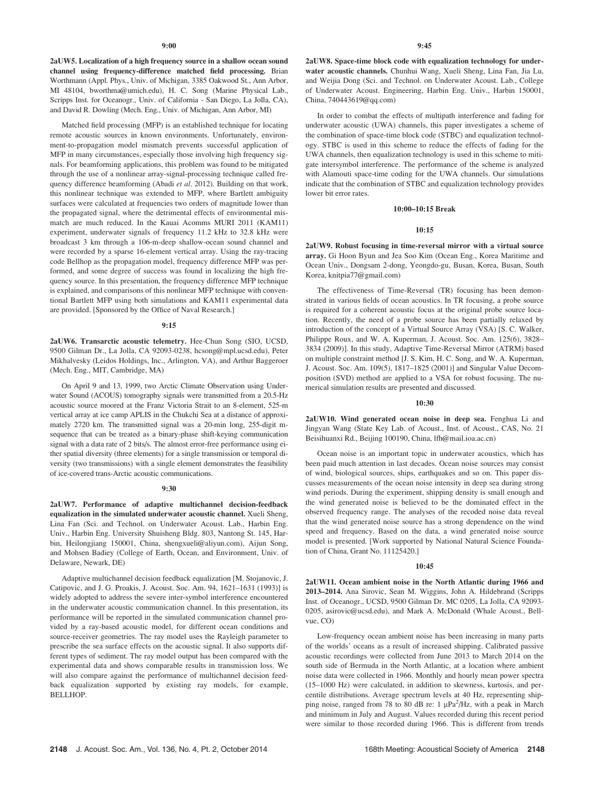2aUW5. Localization of a high frequency source in a shallow ocean sound channel using frequency-difference matched field processing. Brian Worthmann (Appl. Phys., Univ. of Michigan, 3385 Oakwood St., Ann Arbor, MI 48104, bworthma@umich.edu), H. C. Song (Marine Physical Lab., Scripps Inst. for Oceanogr., Univ. of California - San Diego, La Jolla, CA), and David R. Dowling (Mech. Eng., Univ. of Michigan, Ann Arbor, MI)

Matched field processing (MFP) is an established technique for locating remote acoustic sources in known environments. Unfortunately, environment-to-propagation model mismatch prevents successful application of MFP in many circumstances, especially those involving high frequency signals. For beamforming applications, this problem was found to be mitigated through the use of a nonlinear array-signal-processing technique called frequency difference beamforming (Abadi et al. 2012). Building on that work, this nonlinear technique was extended to MFP, where Bartlett ambiguity surfaces were calculated at frequencies two orders of magnitude lower than the propagated signal, where the detrimental effects of environmental mismatch are much reduced. In the Kauai Acomms MURI 2011 (KAM11) experiment, underwater signals of frequency 11.2 kHz to 32.8 kHz were broadcast 3 km through a 106-m-deep shallow-ocean sound channel and were recorded by a sparse 16-element vertical array. Using the ray-tracing code Bellhop as the propagation model, frequency difference MFP was performed, and some degree of success was found in localizing the high frequency source. In this presentation, the frequency difference MFP technique is explained, and comparisons of this nonlinear MFP technique with conventional Bartlett MFP using both simulations and KAM11 experimental data are provided. [Sponsored by the Office of Naval Research.]

## 9:15

2aUW6. Transarctic acoustic telemetry. Hee-Chun Song (SIO, UCSD, 9500 Gilman Dr., La Jolla, CA 92093-0238, hcsong@mpl.ucsd.edu), Peter Mikhalvesky (Leidos Holdings, Inc., Arlington, VA), and Arthur Baggeroer (Mech. Eng., MIT, Cambridge, MA)

On April 9 and 13, 1999, two Arctic Climate Observation using Underwater Sound (ACOUS) tomography signals were transmitted from a 20.5-Hz acoustic source moored at the Franz Victoria Strait to an 8-element, 525-m vertical array at ice camp APLIS in the Chukchi Sea at a distance of approximately 2720 km. The transmitted signal was a 20-min long, 255-digit msequence that can be treated as a binary-phase shift-keying communication signal with a data rate of 2 bits/s. The almost error-free performance using either spatial diversity (three elements) for a single transmission or temporal diversity (two transmissions) with a single element demonstrates the feasibility of ice-covered trans-Arctic acoustic communications.

### 9:30

2aUW7. Performance of adaptive multichannel decision-feedback equalization in the simulated underwater acoustic channel. Xueli Sheng, Lina Fan (Sci. and Technol. on Underwater Acoust. Lab., Harbin Eng. Univ., Harbin Eng. University Shuisheng Bldg. 803, Nantong St. 145, Harbin, Heilongjiang 150001, China, shengxueli@aliyun.com), Aijun Song, and Mohsen Badiey (College of Earth, Ocean, and Environment, Univ. of Delaware, Newark, DE)

Adaptive multichannel decision feedback equalization [M. Stojanovic, J. Catipovic, and J. G. Proakis, J. Acoust. Soc. Am. 94, 1621–1631 (1993)] is widely adopted to address the severe inter-symbol interference encountered in the underwater acoustic communication channel. In this presentation, its performance will be reported in the simulated communication channel provided by a ray-based acoustic model, for different ocean conditions and source-receiver geometries. The ray model uses the Rayleigh parameter to prescribe the sea surface effects on the acoustic signal. It also supports different types of sediment. The ray model output has been compared with the experimental data and shows comparable results in transmission loss. We will also compare against the performance of multichannel decision feedback equalization supported by existing ray models, for example, BELLHOP.

2aUW8. Space-time block code with equalization technology for underwater acoustic channels. Chunhui Wang, Xueli Sheng, Lina Fan, Jia Lu, and Weijia Dong (Sci. and Technol. on Underwater Acoust. Lab., College of Underwater Acoust. Engineering, Harbin Eng. Univ., Harbin 150001, China, 740443619@qq.com)

In order to combat the effects of multipath interference and fading for underwater acoustic (UWA) channels, this paper investigates a scheme of the combination of space-time block code (STBC) and equalization technology. STBC is used in this scheme to reduce the effects of fading for the UWA channels, then equalization technology is used in this scheme to mitigate intersymbol interference. The performance of the scheme is analyzed with Alamouti space-time coding for the UWA channels. Our simulations indicate that the combination of STBC and equalization technology provides lower bit error rates.

## 10:00–10:15 Break

## 10:15

2aUW9. Robust focusing in time-reversal mirror with a virtual source array. Gi Hoon Byun and Jea Soo Kim (Ocean Eng., Korea Maritime and Ocean Univ., Dongsam 2-dong, Yeongdo-gu, Busan, Korea, Busan, South Korea, knitpia77@gmail.com)

The effectiveness of Time-Reversal (TR) focusing has been demonstrated in various fields of ocean acoustics. In TR focusing, a probe source is required for a coherent acoustic focus at the original probe source location. Recently, the need of a probe source has been partially relaxed by introduction of the concept of a Virtual Source Array (VSA) [S. C. Walker, Philippe Roux, and W. A. Kuperman, J. Acoust. Soc. Am. 125(6), 3828– 3834 (2009)]. In this study, Adaptive Time-Reversal Mirror (ATRM) based on multiple constraint method [J. S. Kim, H. C. Song, and W. A. Kuperman, J. Acoust. Soc. Am. 109(5), 1817–1825 (2001)] and Singular Value Decomposition (SVD) method are applied to a VSA for robust focusing. The numerical simulation results are presented and discussed.

#### 10:30

2aUW10. Wind generated ocean noise in deep sea. Fenghua Li and Jingyan Wang (State Key Lab. of Acoust., Inst. of Acoust., CAS, No. 21 Beisihuanxi Rd., Beijing 100190, China, lfh@mail.ioa.ac.cn)

Ocean noise is an important topic in underwater acoustics, which has been paid much attention in last decades. Ocean noise sources may consist of wind, biological sources, ships, earthquakes and so on. This paper discusses measurements of the ocean noise intensity in deep sea during strong wind periods. During the experiment, shipping density is small enough and the wind generated noise is believed to be the dominated effect in the observed frequency range. The analyses of the recoded noise data reveal that the wind generated noise source has a strong dependence on the wind speed and frequency. Based on the data, a wind generated noise source model is presented. [Work supported by National Natural Science Foundation of China, Grant No. 11125420.]

#### 10:45

2aUW11. Ocean ambient noise in the North Atlantic during 1966 and 2013–2014. Ana Sirovic, Sean M. Wiggins, John A. Hildebrand (Scripps Inst. of Oceanogr., UCSD, 9500 Gilman Dr. MC 0205, La Jolla, CA 92093- 0205, asirovic@ucsd.edu), and Mark A. McDonald (Whale Acoust., Bellvue, CO)

Low-frequency ocean ambient noise has been increasing in many parts of the worlds' oceans as a result of increased shipping. Calibrated passive acoustic recordings were collected from June 2013 to March 2014 on the south side of Bermuda in the North Atlantic, at a location where ambient noise data were collected in 1966. Monthly and hourly mean power spectra (15–1000 Hz) were calculated, in addition to skewness, kurtosis, and percentile distributions. Average spectrum levels at 40 Hz, representing shipping noise, ranged from 78 to 80 dB re: 1  $\mu$ Pa<sup>2</sup>/Hz, with a peak in March and minimum in July and August. Values recorded during this recent period were similar to those recorded during 1966. This is different from trends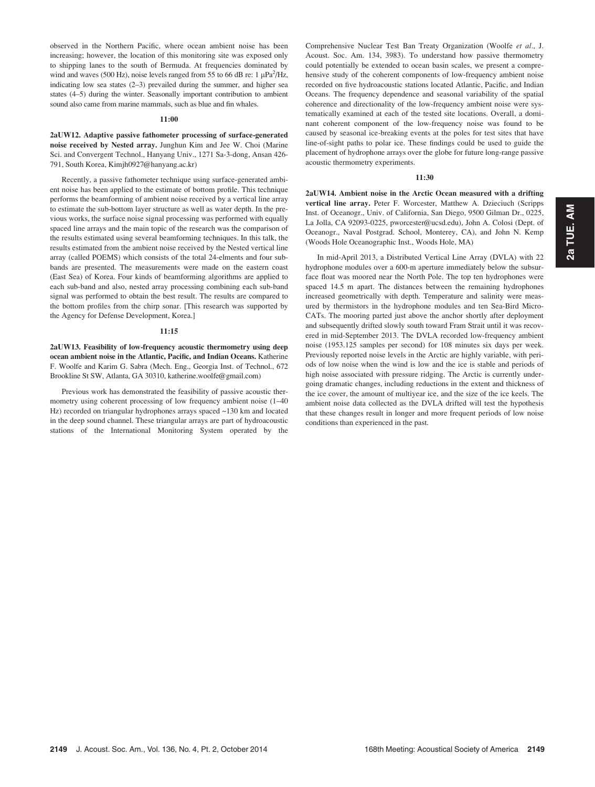observed in the Northern Pacific, where ocean ambient noise has been increasing; however, the location of this monitoring site was exposed only to shipping lanes to the south of Bermuda. At frequencies dominated by wind and waves (500 Hz), noise levels ranged from 55 to 66 dB re: 1  $\mu$ Pa<sup>2</sup>/Hz, indicating low sea states (2–3) prevailed during the summer, and higher sea states (4–5) during the winter. Seasonally important contribution to ambient sound also came from marine mammals, such as blue and fin whales.

#### $11:00$

2aUW12. Adaptive passive fathometer processing of surface-generated noise received by Nested array. Junghun Kim and Jee W. Choi (Marine Sci. and Convergent Technol., Hanyang Univ., 1271 Sa-3-dong, Ansan 426- 791, South Korea, Kimjh0927@hanyang.ac.kr)

Recently, a passive fathometer technique using surface-generated ambient noise has been applied to the estimate of bottom profile. This technique performs the beamforming of ambient noise received by a vertical line array to estimate the sub-bottom layer structure as well as water depth. In the previous works, the surface noise signal processing was performed with equally spaced line arrays and the main topic of the research was the comparison of the results estimated using several beamforming techniques. In this talk, the results estimated from the ambient noise received by the Nested vertical line array (called POEMS) which consists of the total 24-elments and four subbands are presented. The measurements were made on the eastern coast (East Sea) of Korea. Four kinds of beamforming algorithms are applied to each sub-band and also, nested array processing combining each sub-band signal was performed to obtain the best result. The results are compared to the bottom profiles from the chirp sonar. [This research was supported by the Agency for Defense Development, Korea.]

#### 11:15

2aUW13. Feasibility of low-frequency acoustic thermometry using deep ocean ambient noise in the Atlantic, Pacific, and Indian Oceans. Katherine F. Woolfe and Karim G. Sabra (Mech. Eng., Georgia Inst. of Technol., 672 Brookline St SW, Atlanta, GA 30310, katherine.woolfe@gmail.com)

Previous work has demonstrated the feasibility of passive acoustic thermometry using coherent processing of low frequency ambient noise (1–40 Hz) recorded on triangular hydrophones arrays spaced ~130 km and located in the deep sound channel. These triangular arrays are part of hydroacoustic stations of the International Monitoring System operated by the Comprehensive Nuclear Test Ban Treaty Organization (Woolfe et al., J. Acoust. Soc. Am. 134, 3983). To understand how passive thermometry could potentially be extended to ocean basin scales, we present a comprehensive study of the coherent components of low-frequency ambient noise recorded on five hydroacoustic stations located Atlantic, Pacific, and Indian Oceans. The frequency dependence and seasonal variability of the spatial coherence and directionality of the low-frequency ambient noise were systematically examined at each of the tested site locations. Overall, a dominant coherent component of the low-frequency noise was found to be caused by seasonal ice-breaking events at the poles for test sites that have line-of-sight paths to polar ice. These findings could be used to guide the placement of hydrophone arrays over the globe for future long-range passive acoustic thermometry experiments.

#### 11:30

2aUW14. Ambient noise in the Arctic Ocean measured with a drifting vertical line array. Peter F. Worcester, Matthew A. Dzieciuch (Scripps Inst. of Oceanogr., Univ. of California, San Diego, 9500 Gilman Dr., 0225, La Jolla, CA 92093-0225, pworcester@ucsd.edu), John A. Colosi (Dept. of Oceanogr., Naval Postgrad. School, Monterey, CA), and John N. Kemp (Woods Hole Oceanographic Inst., Woods Hole, MA)

In mid-April 2013, a Distributed Vertical Line Array (DVLA) with 22 hydrophone modules over a 600-m aperture immediately below the subsurface float was moored near the North Pole. The top ten hydrophones were spaced 14.5 m apart. The distances between the remaining hydrophones increased geometrically with depth. Temperature and salinity were measured by thermistors in the hydrophone modules and ten Sea-Bird Micro-CATs. The mooring parted just above the anchor shortly after deployment and subsequently drifted slowly south toward Fram Strait until it was recovered in mid-September 2013. The DVLA recorded low-frequency ambient noise (1953.125 samples per second) for 108 minutes six days per week. Previously reported noise levels in the Arctic are highly variable, with periods of low noise when the wind is low and the ice is stable and periods of high noise associated with pressure ridging. The Arctic is currently undergoing dramatic changes, including reductions in the extent and thickness of the ice cover, the amount of multiyear ice, and the size of the ice keels. The ambient noise data collected as the DVLA drifted will test the hypothesis that these changes result in longer and more frequent periods of low noise conditions than experienced in the past.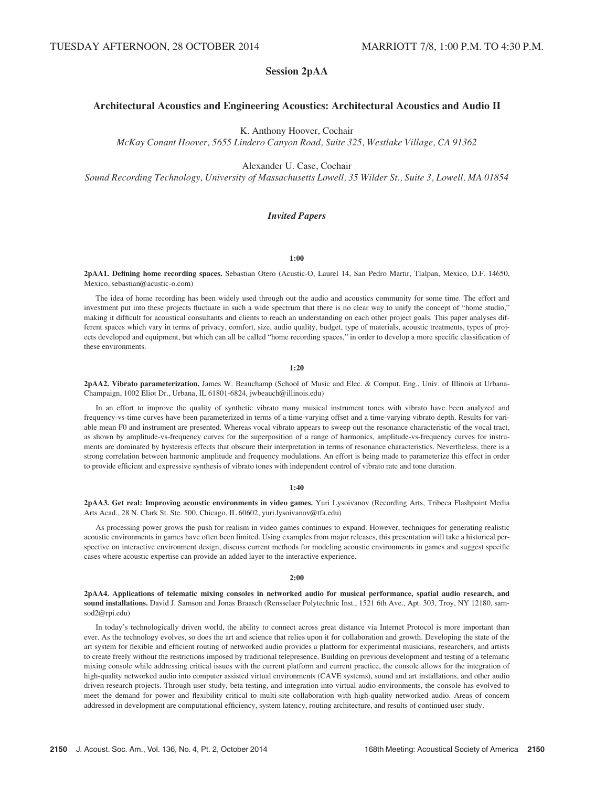# Session 2pAA

# Architectural Acoustics and Engineering Acoustics: Architectural Acoustics and Audio II

K. Anthony Hoover, Cochair

McKay Conant Hoover, 5655 Lindero Canyon Road, Suite 325, Westlake Village, CA 91362

Alexander U. Case, Cochair

Sound Recording Technology, University of Massachusetts Lowell, 35 Wilder St., Suite 3, Lowell, MA 01854

# Invited Papers

## 1:00

2pAA1. Defining home recording spaces. Sebastian Otero (Acustic-O, Laurel 14, San Pedro Martir, Tlalpan, Mexico, D.F. 14650, Mexico, sebastian@acustic-o.com)

The idea of home recording has been widely used through out the audio and acoustics community for some time. The effort and investment put into these projects fluctuate in such a wide spectrum that there is no clear way to unify the concept of "home studio," making it difficult for acoustical consultants and clients to reach an understanding on each other project goals. This paper analyses different spaces which vary in terms of privacy, comfort, size, audio quality, budget, type of materials, acoustic treatments, types of projects developed and equipment, but which can all be called "home recording spaces," in order to develop a more specific classification of these environments.

1:20

2pAA2. Vibrato parameterization. James W. Beauchamp (School of Music and Elec. & Comput. Eng., Univ. of Illinois at Urbana-Champaign, 1002 Eliot Dr., Urbana, IL 61801-6824, jwbeauch@illinois.edu)

In an effort to improve the quality of synthetic vibrato many musical instrument tones with vibrato have been analyzed and frequency-vs-time curves have been parameterized in terms of a time-varying offset and a time-varying vibrato depth. Results for variable mean F0 and instrument are presented. Whereas vocal vibrato appears to sweep out the resonance characteristic of the vocal tract, as shown by amplitude-vs-frequency curves for the superposition of a range of harmonics, amplitude-vs-frequency curves for instruments are dominated by hysteresis effects that obscure their interpretation in terms of resonance characteristics. Nevertheless, there is a strong correlation between harmonic amplitude and frequency modulations. An effort is being made to parameterize this effect in order to provide efficient and expressive synthesis of vibrato tones with independent control of vibrato rate and tone duration.

## 1:40

2pAA3. Get real: Improving acoustic environments in video games. Yuri Lysoivanov (Recording Arts, Tribeca Flashpoint Media Arts Acad., 28 N. Clark St. Ste. 500, Chicago, IL 60602, yuri.lysoivanov@tfa.edu)

As processing power grows the push for realism in video games continues to expand. However, techniques for generating realistic acoustic environments in games have often been limited. Using examples from major releases, this presentation will take a historical perspective on interactive environment design, discuss current methods for modeling acoustic environments in games and suggest specific cases where acoustic expertise can provide an added layer to the interactive experience.

#### 2:00

2pAA4. Applications of telematic mixing consoles in networked audio for musical performance, spatial audio research, and sound installations. David J. Samson and Jonas Braasch (Rensselaer Polytechnic Inst., 1521 6th Ave., Apt. 303, Troy, NY 12180, samsod2@rpi.edu)

In today's technologically driven world, the ability to connect across great distance via Internet Protocol is more important than ever. As the technology evolves, so does the art and science that relies upon it for collaboration and growth. Developing the state of the art system for flexible and efficient routing of networked audio provides a platform for experimental musicians, researchers, and artists to create freely without the restrictions imposed by traditional telepresence. Building on previous development and testing of a telematic mixing console while addressing critical issues with the current platform and current practice, the console allows for the integration of high-quality networked audio into computer assisted virtual environments (CAVE systems), sound and art installations, and other audio driven research projects. Through user study, beta testing, and integration into virtual audio environments, the console has evolved to meet the demand for power and flexibility critical to multi-site collaboration with high-quality networked audio. Areas of concern addressed in development are computational efficiency, system latency, routing architecture, and results of continued user study.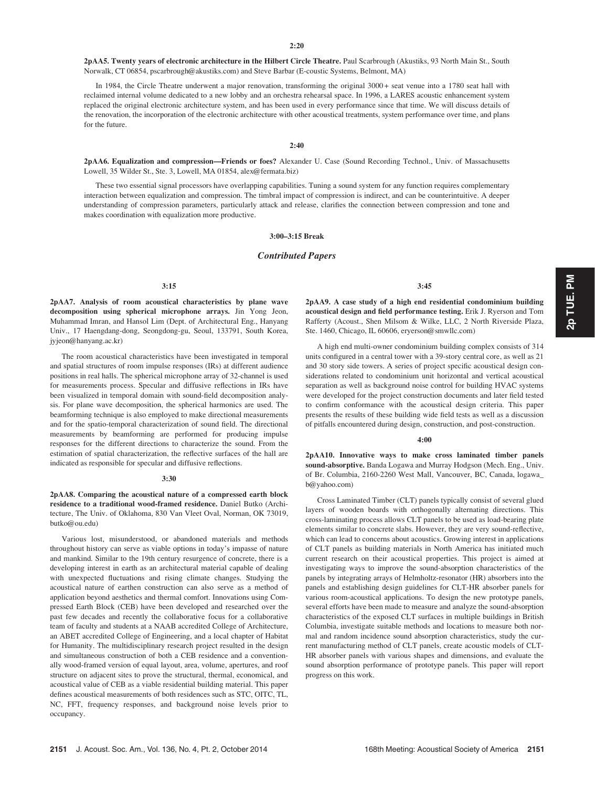2pAA5. Twenty years of electronic architecture in the Hilbert Circle Theatre. Paul Scarbrough (Akustiks, 93 North Main St., South Norwalk, CT 06854, pscarbrough@akustiks.com) and Steve Barbar (E-coustic Systems, Belmont, MA)

In 1984, the Circle Theatre underwent a major renovation, transforming the original 3000 + seat venue into a 1780 seat hall with reclaimed internal volume dedicated to a new lobby and an orchestra rehearsal space. In 1996, a LARES acoustic enhancement system replaced the original electronic architecture system, and has been used in every performance since that time. We will discuss details of the renovation, the incorporation of the electronic architecture with other acoustical treatments, system performance over time, and plans for the future.

2:40

2pAA6. Equalization and compression—Friends or foes? Alexander U. Case (Sound Recording Technol., Univ. of Massachusetts Lowell, 35 Wilder St., Ste. 3, Lowell, MA 01854, alex@fermata.biz)

These two essential signal processors have overlapping capabilities. Tuning a sound system for any function requires complementary interaction between equalization and compression. The timbral impact of compression is indirect, and can be counterintuitive. A deeper understanding of compression parameters, particularly attack and release, clarifies the connection between compression and tone and makes coordination with equalization more productive.

## 3:00–3:15 Break

## Contributed Papers

## 3:15

2pAA7. Analysis of room acoustical characteristics by plane wave decomposition using spherical microphone arrays. Jin Yong Jeon, Muhammad Imran, and Hansol Lim (Dept. of Architectural Eng., Hanyang Univ., 17 Haengdang-dong, Seongdong-gu, Seoul, 133791, South Korea, jyjeon@hanyang.ac.kr)

The room acoustical characteristics have been investigated in temporal and spatial structures of room impulse responses (IRs) at different audience positions in real halls. The spherical microphone array of 32-channel is used for measurements process. Specular and diffusive reflections in IRs have been visualized in temporal domain with sound-field decomposition analysis. For plane wave decomposition, the spherical harmonics are used. The beamforming technique is also employed to make directional measurements and for the spatio-temporal characterization of sound field. The directional measurements by beamforming are performed for producing impulse responses for the different directions to characterize the sound. From the estimation of spatial characterization, the reflective surfaces of the hall are indicated as responsible for specular and diffusive reflections.

#### 3:30

2pAA8. Comparing the acoustical nature of a compressed earth block residence to a traditional wood-framed residence. Daniel Butko (Architecture, The Univ. of Oklahoma, 830 Van Vleet Oval, Norman, OK 73019, butko@ou.edu)

Various lost, misunderstood, or abandoned materials and methods throughout history can serve as viable options in today's impasse of nature and mankind. Similar to the 19th century resurgence of concrete, there is a developing interest in earth as an architectural material capable of dealing with unexpected fluctuations and rising climate changes. Studying the acoustical nature of earthen construction can also serve as a method of application beyond aesthetics and thermal comfort. Innovations using Compressed Earth Block (CEB) have been developed and researched over the past few decades and recently the collaborative focus for a collaborative team of faculty and students at a NAAB accredited College of Architecture, an ABET accredited College of Engineering, and a local chapter of Habitat for Humanity. The multidisciplinary research project resulted in the design and simultaneous construction of both a CEB residence and a conventionally wood-framed version of equal layout, area, volume, apertures, and roof structure on adjacent sites to prove the structural, thermal, economical, and acoustical value of CEB as a viable residential building material. This paper defines acoustical measurements of both residences such as STC, OITC, TL, NC, FFT, frequency responses, and background noise levels prior to occupancy.

3:45

2pAA9. A case study of a high end residential condominium building acoustical design and field performance testing. Erik J. Ryerson and Tom Rafferty (Acoust., Shen Milsom & Wilke, LLC, 2 North Riverside Plaza, Ste. 1460, Chicago, IL 60606, eryerson@smwllc.com)

A high end multi-owner condominium building complex consists of 314 units configured in a central tower with a 39-story central core, as well as 21 and 30 story side towers. A series of project specific acoustical design considerations related to condominium unit horizontal and vertical acoustical separation as well as background noise control for building HVAC systems were developed for the project construction documents and later field tested to confirm conformance with the acoustical design criteria. This paper presents the results of these building wide field tests as well as a discussion of pitfalls encountered during design, construction, and post-construction.

#### 4:00

2pAA10. Innovative ways to make cross laminated timber panels sound-absorptive. Banda Logawa and Murray Hodgson (Mech. Eng., Univ. of Br. Columbia, 2160-2260 West Mall, Vancouver, BC, Canada, logawa\_ b@yahoo.com)

Cross Laminated Timber (CLT) panels typically consist of several glued layers of wooden boards with orthogonally alternating directions. This cross-laminating process allows CLT panels to be used as load-bearing plate elements similar to concrete slabs. However, they are very sound-reflective, which can lead to concerns about acoustics. Growing interest in applications of CLT panels as building materials in North America has initiated much current research on their acoustical properties. This project is aimed at investigating ways to improve the sound-absorption characteristics of the panels by integrating arrays of Helmholtz-resonator (HR) absorbers into the panels and establishing design guidelines for CLT-HR absorber panels for various room-acoustical applications. To design the new prototype panels, several efforts have been made to measure and analyze the sound-absorption characteristics of the exposed CLT surfaces in multiple buildings in British Columbia, investigate suitable methods and locations to measure both normal and random incidence sound absorption characteristics, study the current manufacturing method of CLT panels, create acoustic models of CLT-HR absorber panels with various shapes and dimensions, and evaluate the sound absorption performance of prototype panels. This paper will report progress on this work.

2p TUE. PM 2p TUE. PM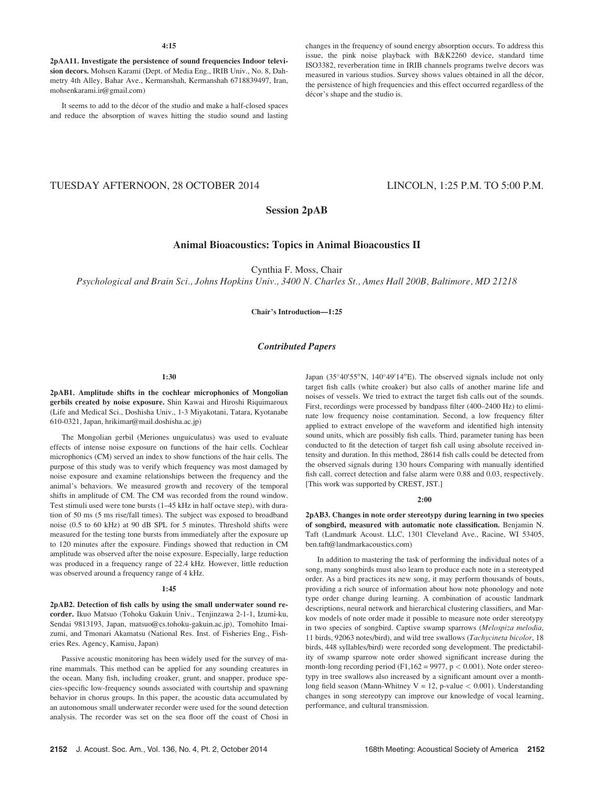2pAA11. Investigate the persistence of sound frequencies Indoor television decors. Mohsen Karami (Dept. of Media Eng., IRIB Univ., No. 8, Dahmetry 4th Alley, Bahar Ave., Kermanshah, Kermanshah 6718839497, Iran, mohsenkarami.ir@gmail.com)

It seems to add to the décor of the studio and make a half-closed spaces and reduce the absorption of waves hitting the studio sound and lasting changes in the frequency of sound energy absorption occurs. To address this issue, the pink noise playback with B&K2260 device, standard time ISO3382, reverberation time in IRIB channels programs twelve decors was measured in various studios. Survey shows values obtained in all the décor, the persistence of high frequencies and this effect occurred regardless of the décor's shape and the studio is.

# TUESDAY AFTERNOON, 28 OCTOBER 2014 LINCOLN, 1:25 P.M. TO 5:00 P.M.

# Session 2pAB

# Animal Bioacoustics: Topics in Animal Bioacoustics II

Cynthia F. Moss, Chair

Psychological and Brain Sci., Johns Hopkins Univ., 3400 N. Charles St., Ames Hall 200B, Baltimore, MD 21218

## Chair's Introduction—1:25

# Contributed Papers

## 1:30

2pAB1. Amplitude shifts in the cochlear microphonics of Mongolian gerbils created by noise exposure. Shin Kawai and Hiroshi Riquimaroux (Life and Medical Sci., Doshisha Univ., 1-3 Miyakotani, Tatara, Kyotanabe 610-0321, Japan, hrikimar@mail.doshisha.ac.jp)

The Mongolian gerbil (Meriones unguiculatus) was used to evaluate effects of intense noise exposure on functions of the hair cells. Cochlear microphonics (CM) served an index to show functions of the hair cells. The purpose of this study was to verify which frequency was most damaged by noise exposure and examine relationships between the frequency and the animal's behaviors. We measured growth and recovery of the temporal shifts in amplitude of CM. The CM was recorded from the round window. Test stimuli used were tone bursts (1–45 kHz in half octave step), with duration of 50 ms (5 ms rise/fall times). The subject was exposed to broadband noise (0.5 to 60 kHz) at 90 dB SPL for 5 minutes. Threshold shifts were measured for the testing tone bursts from immediately after the exposure up to 120 minutes after the exposure. Findings showed that reduction in CM amplitude was observed after the noise exposure. Especially, large reduction was produced in a frequency range of 22.4 kHz. However, little reduction was observed around a frequency range of 4 kHz.

## 1:45

2pAB2. Detection of fish calls by using the small underwater sound recorder. Ikuo Matsuo (Tohoku Gakuin Univ., Tenjinzawa 2-1-1, Izumi-ku, Sendai 9813193, Japan, matsuo@cs.tohoku-gakuin.ac.jp), Tomohito Imaizumi, and Tmonari Akamatsu (National Res. Inst. of Fisheries Eng., Fisheries Res. Agency, Kamisu, Japan)

Passive acoustic monitoring has been widely used for the survey of marine mammals. This method can be applied for any sounding creatures in the ocean. Many fish, including croaker, grunt, and snapper, produce species-specific low-frequency sounds associated with courtship and spawning behavior in chorus groups. In this paper, the acoustic data accumulated by an autonomous small underwater recorder were used for the sound detection analysis. The recorder was set on the sea floor off the coast of Chosi in

Japan (35°40'55"N, 140°49'14"E). The observed signals include not only target fish calls (white croaker) but also calls of another marine life and noises of vessels. We tried to extract the target fish calls out of the sounds. First, recordings were processed by bandpass filter (400–2400 Hz) to eliminate low frequency noise contamination. Second, a low frequency filter applied to extract envelope of the waveform and identified high intensity sound units, which are possibly fish calls. Third, parameter tuning has been conducted to fit the detection of target fish call using absolute received intensity and duration. In this method, 28614 fish calls could be detected from the observed signals during 130 hours Comparing with manually identified fish call, correct detection and false alarm were 0.88 and 0.03, respectively. [This work was supported by CREST, JST.]

#### 2:00

2pAB3. Changes in note order stereotypy during learning in two species of songbird, measured with automatic note classification. Benjamin N. Taft (Landmark Acoust. LLC, 1301 Cleveland Ave., Racine, WI 53405, ben.taft@landmarkacoustics.com)

In addition to mastering the task of performing the individual notes of a song, many songbirds must also learn to produce each note in a stereotyped order. As a bird practices its new song, it may perform thousands of bouts, providing a rich source of information about how note phonology and note type order change during learning. A combination of acoustic landmark descriptions, neural network and hierarchical clustering classifiers, and Markov models of note order made it possible to measure note order stereotypy in two species of songbird. Captive swamp sparrows (Melospiza melodia, 11 birds, 92063 notes/bird), and wild tree swallows (Tachycineta bicolor, 18 birds, 448 syllables/bird) were recorded song development. The predictability of swamp sparrow note order showed significant increase during the month-long recording period (F1,162 = 9977,  $p < 0.001$ ). Note order stereotypy in tree swallows also increased by a significant amount over a monthlong field season (Mann-Whitney  $V = 12$ , p-value  $< 0.001$ ). Understanding changes in song stereotypy can improve our knowledge of vocal learning, performance, and cultural transmission.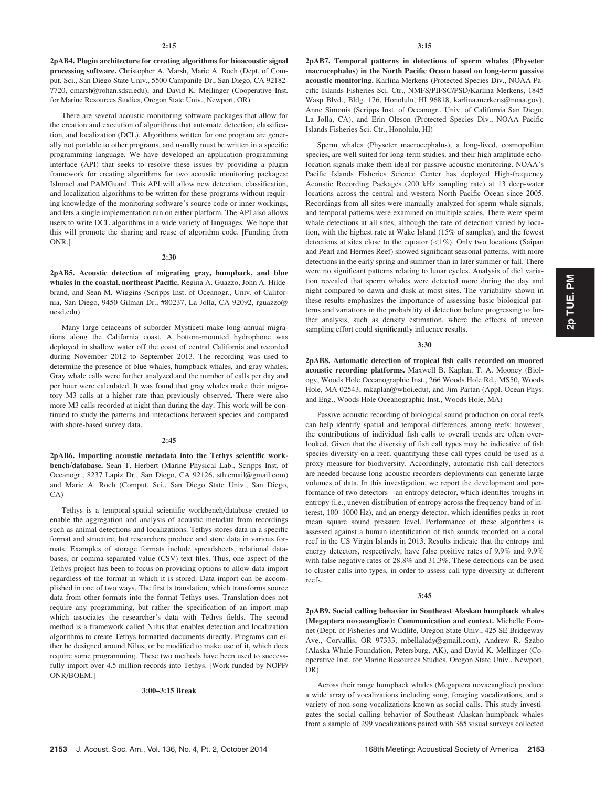2pAB4. Plugin architecture for creating algorithms for bioacoustic signal processing software. Christopher A. Marsh, Marie A. Roch (Dept. of Comput. Sci., San Diego State Univ., 5500 Campanile Dr., San Diego, CA 92182- 7720, cmarsh@rohan.sdsu.edu), and David K. Mellinger (Cooperative Inst. for Marine Resources Studies, Oregon State Univ., Newport, OR)

There are several acoustic monitoring software packages that allow for the creation and execution of algorithms that automate detection, classification, and localization (DCL). Algorithms written for one program are generally not portable to other programs, and usually must be written in a specific programming language. We have developed an application programming interface (API) that seeks to resolve these issues by providing a plugin framework for creating algorithms for two acoustic monitoring packages: Ishmael and PAMGuard. This API will allow new detection, classification, and localization algorithms to be written for these programs without requiring knowledge of the monitoring software's source code or inner workings, and lets a single implementation run on either platform. The API also allows users to write DCL algorithms in a wide variety of languages. We hope that this will promote the sharing and reuse of algorithm code. [Funding from ONR.]

## 2:30

2pAB5. Acoustic detection of migrating gray, humpback, and blue whales in the coastal, northeast Pacific. Regina A. Guazzo, John A. Hildebrand, and Sean M. Wiggins (Scripps Inst. of Oceanogr., Univ. of California, San Diego, 9450 Gilman Dr., #80237, La Jolla, CA 92092, rguazzo@ ucsd.edu)

Many large cetaceans of suborder Mysticeti make long annual migrations along the California coast. A bottom-mounted hydrophone was deployed in shallow water off the coast of central California and recorded during November 2012 to September 2013. The recording was used to determine the presence of blue whales, humpback whales, and gray whales. Gray whale calls were further analyzed and the number of calls per day and per hour were calculated. It was found that gray whales make their migratory M3 calls at a higher rate than previously observed. There were also more M3 calls recorded at night than during the day. This work will be continued to study the patterns and interactions between species and compared with shore-based survey data.

#### 2:45

2pAB6. Importing acoustic metadata into the Tethys scientific workbench/database. Sean T. Herbert (Marine Physical Lab., Scripps Inst. of Oceanogr., 8237 Lapiz Dr., San Diego, CA 92126, sth.email@gmail.com) and Marie A. Roch (Comput. Sci., San Diego State Univ., San Diego, CA)

Tethys is a temporal-spatial scientific workbench/database created to enable the aggregation and analysis of acoustic metadata from recordings such as animal detections and localizations. Tethys stores data in a specific format and structure, but researchers produce and store data in various formats. Examples of storage formats include spreadsheets, relational databases, or comma-separated value (CSV) text files. Thus, one aspect of the Tethys project has been to focus on providing options to allow data import regardless of the format in which it is stored. Data import can be accomplished in one of two ways. The first is translation, which transforms source data from other formats into the format Tethys uses. Translation does not require any programming, but rather the specification of an import map which associates the researcher's data with Tethys fields. The second method is a framework called Nilus that enables detection and localization algorithms to create Tethys formatted documents directly. Programs can either be designed around Nilus, or be modified to make use of it, which does require some programming. These two methods have been used to successfully import over 4.5 million records into Tethys. [Work funded by NOPP/ ONR/BOEM.]

#### 3:00–3:15 Break

2pAB7. Temporal patterns in detections of sperm whales (Physeter macrocephalus) in the North Pacific Ocean based on long-term passive acoustic monitoring. Karlina Merkens (Protected Species Div., NOAA Pacific Islands Fisheries Sci. Ctr., NMFS/PIFSC/PSD/Karlina Merkens, 1845 Wasp Blvd., Bldg. 176, Honolulu, HI 96818, karlina.merkens@noaa.gov), Anne Simonis (Scripps Inst. of Oceanogr., Univ. of California San Diego, La Jolla, CA), and Erin Oleson (Protected Species Div., NOAA Pacific Islands Fisheries Sci. Ctr., Honolulu, HI)

Sperm whales (Physeter macrocephalus), a long-lived, cosmopolitan species, are well suited for long-term studies, and their high amplitude echolocation signals make them ideal for passive acoustic monitoring. NOAA's Pacific Islands Fisheries Science Center has deployed High-frequency Acoustic Recording Packages (200 kHz sampling rate) at 13 deep-water locations across the central and western North Pacific Ocean since 2005. Recordings from all sites were manually analyzed for sperm whale signals, and temporal patterns were examined on multiple scales. There were sperm whale detections at all sites, although the rate of detection varied by location, with the highest rate at Wake Island (15% of samples), and the fewest detections at sites close to the equator (<1%). Only two locations (Saipan and Pearl and Hermes Reef) showed significant seasonal patterns, with more detections in the early spring and summer than in later summer or fall. There were no significant patterns relating to lunar cycles. Analysis of diel variation revealed that sperm whales were detected more during the day and night compared to dawn and dusk at most sites. The variability shown in these results emphasizes the importance of assessing basic biological patterns and variations in the probability of detection before progressing to further analysis, such as density estimation, where the effects of uneven sampling effort could significantly influence results.

### 3:30

2pAB8. Automatic detection of tropical fish calls recorded on moored acoustic recording platforms. Maxwell B. Kaplan, T. A. Mooney (Biology, Woods Hole Oceanographic Inst., 266 Woods Hole Rd., MS50, Woods Hole, MA 02543, mkaplan@whoi.edu), and Jim Partan (Appl. Ocean Phys. and Eng., Woods Hole Oceanographic Inst., Woods Hole, MA)

Passive acoustic recording of biological sound production on coral reefs can help identify spatial and temporal differences among reefs; however, the contributions of individual fish calls to overall trends are often overlooked. Given that the diversity of fish call types may be indicative of fish species diversity on a reef, quantifying these call types could be used as a proxy measure for biodiversity. Accordingly, automatic fish call detectors are needed because long acoustic recorders deployments can generate large volumes of data. In this investigation, we report the development and performance of two detectors—an entropy detector, which identifies troughs in entropy (i.e., uneven distribution of entropy across the frequency band of interest, 100–1000 Hz), and an energy detector, which identifies peaks in root mean square sound pressure level. Performance of these algorithms is assessed against a human identification of fish sounds recorded on a coral reef in the US Virgin Islands in 2013. Results indicate that the entropy and energy detectors, respectively, have false positive rates of 9.9% and 9.9% with false negative rates of 28.8% and 31.3%. These detections can be used to cluster calls into types, in order to assess call type diversity at different reefs.

#### 3:45

2pAB9. Social calling behavior in Southeast Alaskan humpback whales (Megaptera novaeangliae): Communication and context. Michelle Fournet (Dept. of Fisheries and Wildlife, Oregon State Univ., 425 SE Bridgeway Ave., Corvallis, OR 97333, mbellalady@gmail.com), Andrew R. Szabo (Alaska Whale Foundation, Petersburg, AK), and David K. Mellinger (Cooperative Inst. for Marine Resources Studies, Oregon State Univ., Newport, OR)

Across their range humpback whales (Megaptera novaeangliae) produce a wide array of vocalizations including song, foraging vocalizations, and a variety of non-song vocalizations known as social calls. This study investigates the social calling behavior of Southeast Alaskan humpback whales from a sample of 299 vocalizations paired with 365 visual surveys collected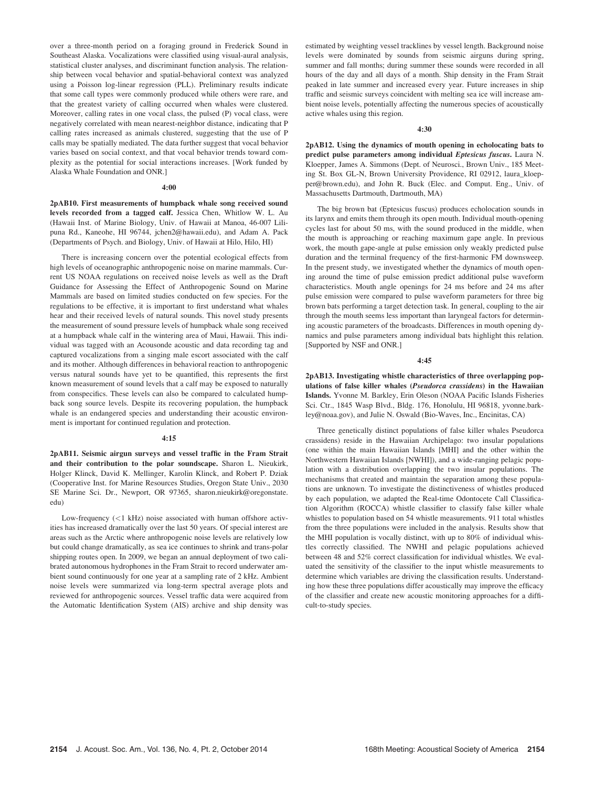over a three-month period on a foraging ground in Frederick Sound in Southeast Alaska. Vocalizations were classified using visual-aural analysis, statistical cluster analyses, and discriminant function analysis. The relationship between vocal behavior and spatial-behavioral context was analyzed using a Poisson log-linear regression (PLL). Preliminary results indicate that some call types were commonly produced while others were rare, and that the greatest variety of calling occurred when whales were clustered. Moreover, calling rates in one vocal class, the pulsed (P) vocal class, were negatively correlated with mean nearest-neighbor distance, indicating that P calling rates increased as animals clustered, suggesting that the use of P calls may be spatially mediated. The data further suggest that vocal behavior varies based on social context, and that vocal behavior trends toward complexity as the potential for social interactions increases. [Work funded by Alaska Whale Foundation and ONR.]

#### 4:00

2pAB10. First measurements of humpback whale song received sound levels recorded from a tagged calf. Jessica Chen, Whitlow W. L. Au (Hawaii Inst. of Marine Biology, Univ. of Hawaii at Manoa, 46-007 Lilipuna Rd., Kaneohe, HI 96744, jchen2@hawaii.edu), and Adam A. Pack (Departments of Psych. and Biology, Univ. of Hawaii at Hilo, Hilo, HI)

There is increasing concern over the potential ecological effects from high levels of oceanographic anthropogenic noise on marine mammals. Current US NOAA regulations on received noise levels as well as the Draft Guidance for Assessing the Effect of Anthropogenic Sound on Marine Mammals are based on limited studies conducted on few species. For the regulations to be effective, it is important to first understand what whales hear and their received levels of natural sounds. This novel study presents the measurement of sound pressure levels of humpback whale song received at a humpback whale calf in the wintering area of Maui, Hawaii. This individual was tagged with an Acousonde acoustic and data recording tag and captured vocalizations from a singing male escort associated with the calf and its mother. Although differences in behavioral reaction to anthropogenic versus natural sounds have yet to be quantified, this represents the first known measurement of sound levels that a calf may be exposed to naturally from conspecifics. These levels can also be compared to calculated humpback song source levels. Despite its recovering population, the humpback whale is an endangered species and understanding their acoustic environment is important for continued regulation and protection.

#### 4:15

2pAB11. Seismic airgun surveys and vessel traffic in the Fram Strait and their contribution to the polar soundscape. Sharon L. Nieukirk, Holger Klinck, David K. Mellinger, Karolin Klinck, and Robert P. Dziak (Cooperative Inst. for Marine Resources Studies, Oregon State Univ., 2030 SE Marine Sci. Dr., Newport, OR 97365, sharon.nieukirk@oregonstate. edu)

Low-frequency (<1 kHz) noise associated with human offshore activities has increased dramatically over the last 50 years. Of special interest are areas such as the Arctic where anthropogenic noise levels are relatively low but could change dramatically, as sea ice continues to shrink and trans-polar shipping routes open. In 2009, we began an annual deployment of two calibrated autonomous hydrophones in the Fram Strait to record underwater ambient sound continuously for one year at a sampling rate of 2 kHz. Ambient noise levels were summarized via long-term spectral average plots and reviewed for anthropogenic sources. Vessel traffic data were acquired from the Automatic Identification System (AIS) archive and ship density was estimated by weighting vessel tracklines by vessel length. Background noise levels were dominated by sounds from seismic airguns during spring, summer and fall months; during summer these sounds were recorded in all hours of the day and all days of a month. Ship density in the Fram Strait peaked in late summer and increased every year. Future increases in ship traffic and seismic surveys coincident with melting sea ice will increase ambient noise levels, potentially affecting the numerous species of acoustically active whales using this region.

## 4:30

2pAB12. Using the dynamics of mouth opening in echolocating bats to predict pulse parameters among individual Eptesicus fuscus. Laura N. Kloepper, James A. Simmons (Dept. of Neurosci., Brown Univ., 185 Meeting St. Box GL-N, Brown University Providence, RI 02912, laura\_kloepper@brown.edu), and John R. Buck (Elec. and Comput. Eng., Univ. of Massachusetts Dartmouth, Dartmouth, MA)

The big brown bat (Eptesicus fuscus) produces echolocation sounds in its larynx and emits them through its open mouth. Individual mouth-opening cycles last for about 50 ms, with the sound produced in the middle, when the mouth is approaching or reaching maximum gape angle. In previous work, the mouth gape-angle at pulse emission only weakly predicted pulse duration and the terminal frequency of the first-harmonic FM downsweep. In the present study, we investigated whether the dynamics of mouth opening around the time of pulse emission predict additional pulse waveform characteristics. Mouth angle openings for 24 ms before and 24 ms after pulse emission were compared to pulse waveform parameters for three big brown bats performing a target detection task. In general, coupling to the air through the mouth seems less important than laryngeal factors for determining acoustic parameters of the broadcasts. Differences in mouth opening dynamics and pulse parameters among individual bats highlight this relation. [Supported by NSF and ONR.]

#### $4.45$

2pAB13. Investigating whistle characteristics of three overlapping populations of false killer whales (Pseudorca crassidens) in the Hawaiian Islands. Yvonne M. Barkley, Erin Oleson (NOAA Pacific Islands Fisheries Sci. Ctr., 1845 Wasp Blvd., Bldg. 176, Honolulu, HI 96818, yvonne.barkley@noaa.gov), and Julie N. Oswald (Bio-Waves, Inc., Encinitas, CA)

Three genetically distinct populations of false killer whales Pseudorca crassidens) reside in the Hawaiian Archipelago: two insular populations (one within the main Hawaiian Islands [MHI] and the other within the Northwestern Hawaiian Islands [NWHI]), and a wide-ranging pelagic population with a distribution overlapping the two insular populations. The mechanisms that created and maintain the separation among these populations are unknown. To investigate the distinctiveness of whistles produced by each population, we adapted the Real-time Odontocete Call Classification Algorithm (ROCCA) whistle classifier to classify false killer whale whistles to population based on 54 whistle measurements. 911 total whistles from the three populations were included in the analysis. Results show that the MHI population is vocally distinct, with up to 80% of individual whistles correctly classified. The NWHI and pelagic populations achieved between 48 and 52% correct classification for individual whistles. We evaluated the sensitivity of the classifier to the input whistle measurements to determine which variables are driving the classification results. Understanding how these three populations differ acoustically may improve the efficacy of the classifier and create new acoustic monitoring approaches for a difficult-to-study species.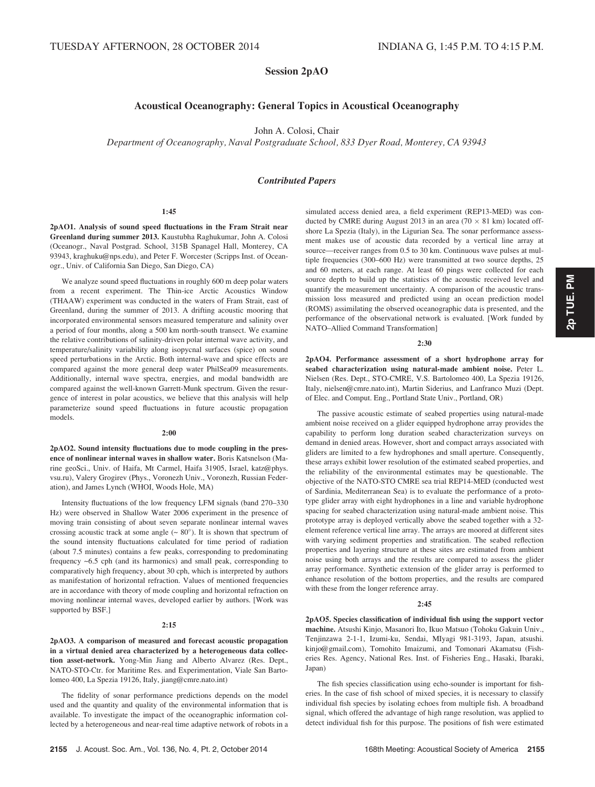# Session 2pAO

# Acoustical Oceanography: General Topics in Acoustical Oceanography

John A. Colosi, Chair

Department of Oceanography, Naval Postgraduate School, 833 Dyer Road, Monterey, CA 93943

## Contributed Papers

#### 1:45

2pAO1. Analysis of sound speed fluctuations in the Fram Strait near Greenland during summer 2013. Kaustubha Raghukumar, John A. Colosi (Oceanogr., Naval Postgrad. School, 315B Spanagel Hall, Monterey, CA 93943, kraghuku@nps.edu), and Peter F. Worcester (Scripps Inst. of Oceanogr., Univ. of California San Diego, San Diego, CA)

We analyze sound speed fluctuations in roughly 600 m deep polar waters from a recent experiment. The Thin-ice Arctic Acoustics Window (THAAW) experiment was conducted in the waters of Fram Strait, east of Greenland, during the summer of 2013. A drifting acoustic mooring that incorporated environmental sensors measured temperature and salinity over a period of four months, along a 500 km north-south transect. We examine the relative contributions of salinity-driven polar internal wave activity, and temperature/salinity variability along isopycnal surfaces (spice) on sound speed perturbations in the Arctic. Both internal-wave and spice effects are compared against the more general deep water PhilSea09 measurements. Additionally, internal wave spectra, energies, and modal bandwidth are compared against the well-known Garrett-Munk spectrum. Given the resurgence of interest in polar acoustics, we believe that this analysis will help parameterize sound speed fluctuations in future acoustic propagation models.

## 2:00

2pAO2. Sound intensity fluctuations due to mode coupling in the presence of nonlinear internal waves in shallow water. Boris Katsnelson (Marine geoSci., Univ. of Haifa, Mt Carmel, Haifa 31905, Israel, katz@phys. vsu.ru), Valery Grogirev (Phys., Voronezh Univ., Voronezh, Russian Federation), and James Lynch (WHOI, Woods Hole, MA)

Intensity fluctuations of the low frequency LFM signals (band 270–330 Hz) were observed in Shallow Water 2006 experiment in the presence of moving train consisting of about seven separate nonlinear internal waves crossing acoustic track at some angle  $(~80^{\circ})$ . It is shown that spectrum of the sound intensity fluctuations calculated for time period of radiation (about 7.5 minutes) contains a few peaks, corresponding to predominating frequency ~6.5 cph (and its harmonics) and small peak, corresponding to comparatively high frequency, about 30 cph, which is interpreted by authors as manifestation of horizontal refraction. Values of mentioned frequencies are in accordance with theory of mode coupling and horizontal refraction on moving nonlinear internal waves, developed earlier by authors. [Work was supported by BSF.]

#### 2:15

2pAO3. A comparison of measured and forecast acoustic propagation in a virtual denied area characterized by a heterogeneous data collection asset-network. Yong-Min Jiang and Alberto Alvarez (Res. Dept., NATO-STO-Ctr. for Maritime Res. and Experimentation, Viale San Bartolomeo 400, La Spezia 19126, Italy, jiang@cmre.nato.int)

The fidelity of sonar performance predictions depends on the model used and the quantity and quality of the environmental information that is available. To investigate the impact of the oceanographic information collected by a heterogeneous and near-real time adaptive network of robots in a simulated access denied area, a field experiment (REP13-MED) was conducted by CMRE during August 2013 in an area (70  $\times$  81 km) located offshore La Spezia (Italy), in the Ligurian Sea. The sonar performance assessment makes use of acoustic data recorded by a vertical line array at source—receiver ranges from 0.5 to 30 km. Continuous wave pulses at multiple frequencies (300–600 Hz) were transmitted at two source depths, 25 and 60 meters, at each range. At least 60 pings were collected for each source depth to build up the statistics of the acoustic received level and quantify the measurement uncertainty. A comparison of the acoustic transmission loss measured and predicted using an ocean prediction model (ROMS) assimilating the observed oceanographic data is presented, and the performance of the observational network is evaluated. [Work funded by NATO–Allied Command Transformation]

#### 2:30

2pAO4. Performance assessment of a short hydrophone array for seabed characterization using natural-made ambient noise. Peter L. Nielsen (Res. Dept., STO-CMRE, V.S. Bartolomeo 400, La Spezia 19126, Italy, nielsen@cmre.nato.int), Martin Siderius, and Lanfranco Muzi (Dept. of Elec. and Comput. Eng., Portland State Univ., Portland, OR)

The passive acoustic estimate of seabed properties using natural-made ambient noise received on a glider equipped hydrophone array provides the capability to perform long duration seabed characterization surveys on demand in denied areas. However, short and compact arrays associated with gliders are limited to a few hydrophones and small aperture. Consequently, these arrays exhibit lower resolution of the estimated seabed properties, and the reliability of the environmental estimates may be questionable. The objective of the NATO-STO CMRE sea trial REP14-MED (conducted west of Sardinia, Mediterranean Sea) is to evaluate the performance of a prototype glider array with eight hydrophones in a line and variable hydrophone spacing for seabed characterization using natural-made ambient noise. This prototype array is deployed vertically above the seabed together with a 32 element reference vertical line array. The arrays are moored at different sites with varying sediment properties and stratification. The seabed reflection properties and layering structure at these sites are estimated from ambient noise using both arrays and the results are compared to assess the glider array performance. Synthetic extension of the glider array is performed to enhance resolution of the bottom properties, and the results are compared with these from the longer reference array.

## 2:45

2pAO5. Species classification of individual fish using the support vector machine. Atsushi Kinjo, Masanori Ito, Ikuo Matsuo (Tohoku Gakuin Univ., Tenjinzawa 2-1-1, Izumi-ku, Sendai, MIyagi 981-3193, Japan, atsushi. kinjo@gmail.com), Tomohito Imaizumi, and Tomonari Akamatsu (Fisheries Res. Agency, National Res. Inst. of Fisheries Eng., Hasaki, Ibaraki, Japan)

The fish species classification using echo-sounder is important for fisheries. In the case of fish school of mixed species, it is necessary to classify individual fish species by isolating echoes from multiple fish. A broadband signal, which offered the advantage of high range resolution, was applied to detect individual fish for this purpose. The positions of fish were estimated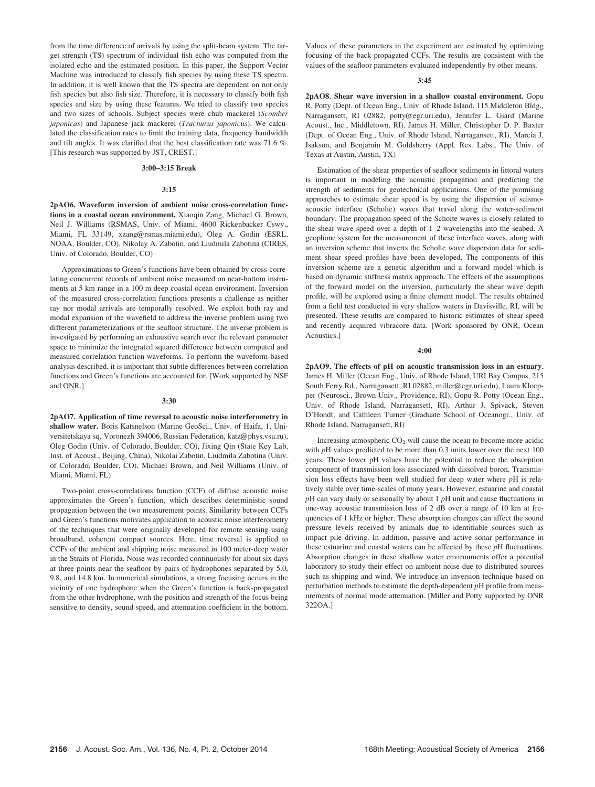from the time difference of arrivals by using the split-beam system. The target strength (TS) spectrum of individual fish echo was computed from the isolated echo and the estimated position. In this paper, the Support Vector Machine was introduced to classify fish species by using these TS spectra. In addition, it is well known that the TS spectra are dependent on not only fish species but also fish size. Therefore, it is necessary to classify both fish species and size by using these features. We tried to classify two species and two sizes of schools. Subject species were chub mackerel (Scomber japonicas) and Japanese jack mackerel (Trachurus japonicus). We calculated the classification rates to limit the training data, frequency bandwidth and tilt angles. It was clarified that the best classification rate was 71.6 %. [This research was supported by JST, CREST.]

## 3:00–3:15 Break

## 3:15

2pAO6. Waveform inversion of ambient noise cross-correlation functions in a coastal ocean environment. Xiaoqin Zang, Michael G. Brown, Neil J. Williams (RSMAS, Univ. of Miami, 4600 Rickenbacker Cswy., Miami, FL 33149, xzang@rsmas.miami.edu), Oleg A. Godin (ESRL, NOAA, Boulder, CO), Nikolay A. Zabotin, and Liudmila Zabotina (CIRES, Univ. of Colorado, Boulder, CO)

Approximations to Green's functions have been obtained by cross-correlating concurrent records of ambient noise measured on near-bottom instruments at 5 km range in a 100 m deep coastal ocean environment. Inversion of the measured cross-correlation functions presents a challenge as neither ray nor modal arrivals are temporally resolved. We exploit both ray and modal expansion of the wavefield to address the inverse problem using two different parameterizations of the seafloor structure. The inverse problem is investigated by performing an exhaustive search over the relevant parameter space to minimize the integrated squared difference between computed and measured correlation function waveforms. To perform the waveform-based analysis described, it is important that subtle differences between correlation functions and Green's functions are accounted for. [Work supported by NSF and ONR.]

#### 3:30

2pAO7. Application of time reversal to acoustic noise interferometry in shallow water. Boris Katsnelson (Marine GeoSci., Univ. of Haifa, 1, Universitetskaya sq, Voronezh 394006, Russian Federation, katz@phys.vsu.ru), Oleg Godin (Univ. of Colorado, Boulder, CO), Jixing Qin (State Key Lab, Inst. of Acoust., Beijing, China), Nikolai Zabotin, Liudmila Zabotina (Univ. of Colorado, Boulder, CO), Michael Brown, and Neil Williams (Univ. of Miami, Miami, FL)

Two-point cross-correlations function (CCF) of diffuse acoustic noise approximates the Green's function, which describes deterministic sound propagation between the two measurement points. Similarity between CCFs and Green's functions motivates application to acoustic noise interferometry of the techniques that were originally developed for remote sensing using broadband, coherent compact sources. Here, time reversal is applied to CCFs of the ambient and shipping noise measured in 100 meter-deep water in the Straits of Florida. Noise was recorded continuously for about six days at three points near the seafloor by pairs of hydrophones separated by 5.0, 9.8, and 14.8 km. In numerical simulations, a strong focusing occurs in the vicinity of one hydrophone when the Green's function is back-propagated from the other hydrophone, with the position and strength of the focus being sensitive to density, sound speed, and attenuation coefficient in the bottom. Values of these parameters in the experiment are estimated by optimizing focusing of the back-propagated CCFs. The results are consistent with the values of the seafloor parameters evaluated independently by other means.

#### 3:45

2pAO8. Shear wave inversion in a shallow coastal environment. Gopu R. Potty (Dept. of Ocean Eng., Univ. of Rhode Island, 115 Middleton Bldg., Narragansett, RI 02882, potty@egr.uri.edu), Jennifer L. Giard (Marine Acoust., Inc., Middletown, RI), James H. Miller, Christopher D. P. Baxter (Dept. of Ocean Eng., Univ. of Rhode Island, Narragansett, RI), Marcia J. Isakson, and Benjamin M. Goldsberry (Appl. Res. Labs., The Univ. of Texas at Austin, Austin, TX)

Estimation of the shear properties of seafloor sediments in littoral waters is important in modeling the acoustic propagation and predicting the strength of sediments for geotechnical applications. One of the promising approaches to estimate shear speed is by using the dispersion of seismoacoustic interface (Scholte) waves that travel along the water-sediment boundary. The propagation speed of the Scholte waves is closely related to the shear wave speed over a depth of 1–2 wavelengths into the seabed. A geophone system for the measurement of these interface waves, along with an inversion scheme that inverts the Scholte wave dispersion data for sediment shear speed profiles have been developed. The components of this inversion scheme are a genetic algorithm and a forward model which is based on dynamic stiffness matrix approach. The effects of the assumptions of the forward model on the inversion, particularly the shear wave depth profile, will be explored using a finite element model. The results obtained from a field test conducted in very shallow waters in Davisville, RI, will be presented. These results are compared to historic estimates of shear speed and recently acquired vibracore data. [Work sponsored by ONR, Ocean Acoustics.]

#### 4:00

2pAO9. The effects of pH on acoustic transmission loss in an estuary. James H. Miller (Ocean Eng., Univ. of Rhode Island, URI Bay Campus, 215 South Ferry Rd., Narragansett, RI 02882, miller@egr.uri.edu), Laura Kloepper (Neurosci., Brown Univ., Providence, RI), Gopu R. Potty (Ocean Eng., Univ. of Rhode Island, Narragansett, RI), Arthur J. Spivack, Steven D'Hondt, and Cathleen Turner (Graduate School of Oceanogr., Univ. of Rhode Island, Narragansett, RI)

Increasing atmospheric  $CO<sub>2</sub>$  will cause the ocean to become more acidic with *pH* values predicted to be more than 0.3 units lower over the next 100 years. These lower pH values have the potential to reduce the absorption component of transmission loss associated with dissolved boron. Transmission loss effects have been well studied for deep water where  $pH$  is relatively stable over time-scales of many years. However, estuarine and coastal  $pH$  can vary daily or seasonally by about 1  $pH$  unit and cause fluctuations in one-way acoustic transmission loss of 2 dB over a range of 10 km at frequencies of 1 kHz or higher. These absorption changes can affect the sound pressure levels received by animals due to identifiable sources such as impact pile driving. In addition, passive and active sonar performance in these estuarine and coastal waters can be affected by these pH fluctuations. Absorption changes in these shallow water environments offer a potential laboratory to study their effect on ambient noise due to distributed sources such as shipping and wind. We introduce an inversion technique based on perturbation methods to estimate the depth-dependent  $p$ H profile from measurements of normal mode attenuation. [Miller and Potty supported by ONR 322OA.]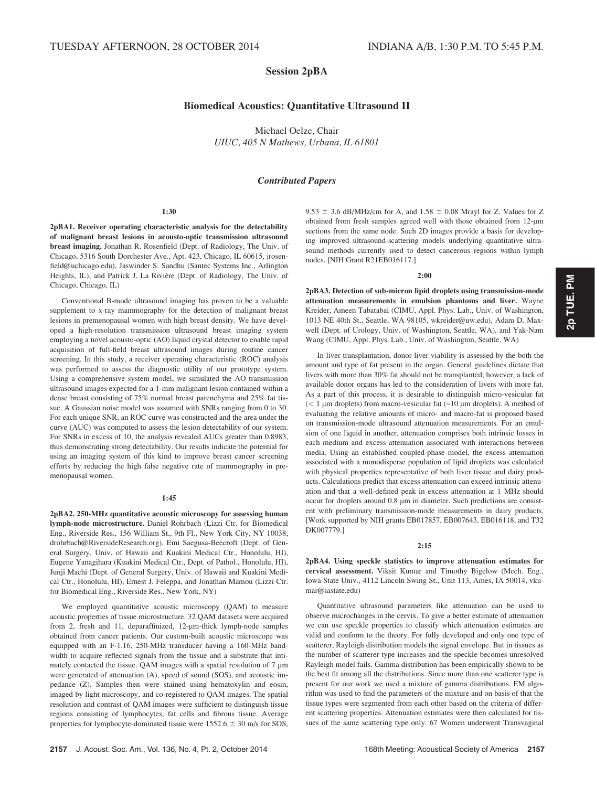# Session 2pBA

# Biomedical Acoustics: Quantitative Ultrasound II

Michael Oelze, Chair UIUC, 405 N Mathews, Urbana, IL 61801

## Contributed Papers

#### 1:30

2pBA1. Receiver operating characteristic analysis for the detectability of malignant breast lesions in acousto-optic transmission ultrasound breast imaging. Jonathan R. Rosenfield (Dept. of Radiology, The Univ. of Chicago, 5316 South Dorchester Ave., Apt. 423, Chicago, IL 60615, jrosenfield@uchicago.edu), Jaswinder S. Sandhu (Santec Systems Inc., Arlington Heights, IL), and Patrick J. La Rivière (Dept. of Radiology, The Univ. of Chicago, Chicago, IL)

Conventional B-mode ultrasound imaging has proven to be a valuable supplement to x-ray mammography for the detection of malignant breast lesions in premenopausal women with high breast density. We have developed a high-resolution transmission ultrasound breast imaging system employing a novel acousto-optic (AO) liquid crystal detector to enable rapid acquisition of full-field breast ultrasound images during routine cancer screening. In this study, a receiver operating characteristic (ROC) analysis was performed to assess the diagnostic utility of our prototype system. Using a comprehensive system model, we simulated the AO transmission ultrasound images expected for a 1-mm malignant lesion contained within a dense breast consisting of 75% normal breast parenchyma and 25% fat tissue. A Gaussian noise model was assumed with SNRs ranging from 0 to 30. For each unique SNR, an ROC curve was constructed and the area under the curve (AUC) was computed to assess the lesion detectability of our system. For SNRs in excess of 10, the analysis revealed AUCs greater than 0.8983, thus demonstrating strong detectability. Our results indicate the potential for using an imaging system of this kind to improve breast cancer screening efforts by reducing the high false negative rate of mammography in premenopausal women.

## 1:45

2pBA2. 250-MHz quantitative acoustic microscopy for assessing human lymph-node microstructure. Daniel Rohrbach (Lizzi Ctr. for Biomedical Eng., Riverside Res., 156 William St., 9th Fl., New York City, NY 10038, drohrbach@RiversideResearch.org), Emi Saegusa-Beecroft (Dept. of General Surgery, Univ. of Hawaii and Kuakini Medical Ctr., Honolulu, HI), Eugene Yanagihara (Kuakini Medical Ctr., Dept. of Pathol., Honolulu, HI), Junji Machi (Dept. of General Surgery, Univ. of Hawaii and Kuakini Medical Ctr., Honolulu, HI), Ernest J. Feleppa, and Jonathan Mamou (Lizzi Ctr. for Biomedical Eng., Riverside Res., New York, NY)

We employed quantitative acoustic microscopy (QAM) to measure acoustic properties of tissue microstructure. 32 QAM datasets were acquired from 2, fresh and 11, deparaffinized, 12-um-thick lymph-node samples obtained from cancer patients. Our custom-built acoustic microscope was equipped with an F-1.16, 250-MHz transducer having a 160-MHz bandwidth to acquire reflected signals from the tissue and a substrate that intimately contacted the tissue. QAM images with a spatial resolution of  $7 \mu m$ were generated of attenuation (A), speed of sound (SOS), and acoustic impedance (Z). Samples then were stained using hematoxylin and eosin, imaged by light microscopy, and co-registered to QAM images. The spatial resolution and contrast of QAM images were sufficient to distinguish tissue regions consisting of lymphocytes, fat cells and fibrous tissue. Average properties for lymphocyte-dominated tissue were  $1552.6 \pm 30$  m/s for SOS,  $9.53 \pm 3.6$  dB/MHz/cm for A, and  $1.58 \pm 0.08$  Mrayl for Z. Values for Z obtained from fresh samples agreed well with those obtained from 12-µm sections from the same node. Such 2D images provide a basis for developing improved ultrasound-scattering models underlying quantitative ultrasound methods currently used to detect cancerous regions within lymph nodes. [NIH Grant R21EB016117.]

## 2:00

2pBA3. Detection of sub-micron lipid droplets using transmission-mode attenuation measurements in emulsion phantoms and liver. Wayne Kreider, Ameen Tabatabai (CIMU, Appl. Phys. Lab., Univ. of Washington, 1013 NE 40th St., Seattle, WA 98105, wkreider@uw.edu), Adam D. Maxwell (Dept. of Urology, Univ. of Washington, Seattle, WA), and Yak-Nam Wang (CIMU, Appl. Phys. Lab., Univ. of Washington, Seattle, WA)

In liver transplantation, donor liver viability is assessed by the both the amount and type of fat present in the organ. General guidelines dictate that livers with more than 30% fat should not be transplanted; however, a lack of available donor organs has led to the consideration of livers with more fat. As a part of this process, it is desirable to distinguish micro-vesicular fat  $\ll 1$  µm droplets) from macro-vesicular fat  $\sim 10$  µm droplets). A method of evaluating the relative amounts of micro- and macro-fat is proposed based on transmission-mode ultrasound attenuation measurements. For an emulsion of one liquid in another, attenuation comprises both intrinsic losses in each medium and excess attenuation associated with interactions between media. Using an established coupled-phase model, the excess attenuation associated with a monodisperse population of lipid droplets was calculated with physical properties representative of both liver tissue and dairy products. Calculations predict that excess attenuation can exceed intrinsic attenuation and that a well-defined peak in excess attenuation at 1 MHz should occur for droplets around 0.8 µm in diameter. Such predictions are consistent with preliminary transmission-mode measurements in dairy products. [Work supported by NIH grants EB017857, EB007643, EB016118, and T32 DK007779.]

## 2:15

2pBA4. Using speckle statistics to improve attenuation estimates for cervical assessment. Viksit Kumar and Timothy Bigelow (Mech. Eng., Iowa State Univ., 4112 Lincoln Swing St., Unit 113, Ames, IA 50014, vkumar@iastate.edu)

Quantitative ultrasound parameters like attenuation can be used to observe microchanges in the cervix. To give a better estimate of attenuation we can use speckle properties to classify which attenuation estimates are valid and conform to the theory. For fully developed and only one type of scatterer, Rayleigh distribution models the signal envelope. But in tissues as the number of scatterer type increases and the speckle becomes unresolved Rayleigh model fails. Gamma distribution has been empirically shown to be the best fit among all the distributions. Since more than one scatterer type is present for our work we used a mixture of gamma distributions. EM algorithm was used to find the parameters of the mixture and on basis of that the tissue types were segmented from each other based on the criteria of different scattering properties. Attenuation estimates were then calculated for tissues of the same scattering type only. 67 Women underwent Transvaginal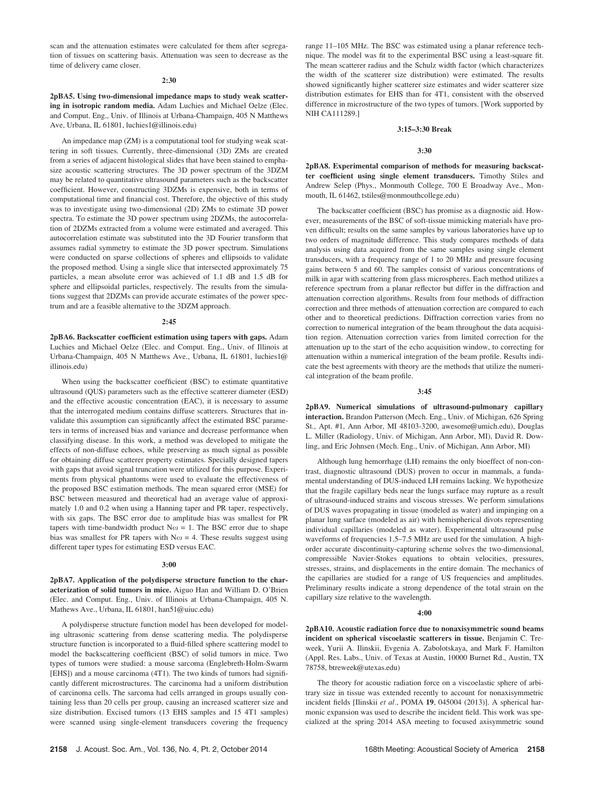scan and the attenuation estimates were calculated for them after segregation of tissues on scattering basis. Attenuation was seen to decrease as the time of delivery came closer.

### 2:30

2pBA5. Using two-dimensional impedance maps to study weak scattering in isotropic random media. Adam Luchies and Michael Oelze (Elec. and Comput. Eng., Univ. of Illinois at Urbana-Champaign, 405 N Matthews Ave, Urbana, IL 61801, luchies1@illinois.edu)

An impedance map (ZM) is a computational tool for studying weak scattering in soft tissues. Currently, three-dimensional (3D) ZMs are created from a series of adjacent histological slides that have been stained to emphasize acoustic scattering structures. The 3D power spectrum of the 3DZM may be related to quantitative ultrasound parameters such as the backscatter coefficient. However, constructing 3DZMs is expensive, both in terms of computational time and financial cost. Therefore, the objective of this study was to investigate using two-dimensional (2D) ZMs to estimate 3D power spectra. To estimate the 3D power spectrum using 2DZMs, the autocorrelation of 2DZMs extracted from a volume were estimated and averaged. This autocorrelation estimate was substituted into the 3D Fourier transform that assumes radial symmetry to estimate the 3D power spectrum. Simulations were conducted on sparse collections of spheres and ellipsoids to validate the proposed method. Using a single slice that intersected approximately 75 particles, a mean absolute error was achieved of 1.1 dB and 1.5 dB for sphere and ellipsoidal particles, respectively. The results from the simulations suggest that 2DZMs can provide accurate estimates of the power spectrum and are a feasible alternative to the 3DZM approach.

#### 2:45

2pBA6. Backscatter coefficient estimation using tapers with gaps. Adam Luchies and Michael Oelze (Elec. and Comput. Eng., Univ. of Illinois at Urbana-Champaign, 405 N Matthews Ave., Urbana, IL 61801, luchies1@ illinois.edu)

When using the backscatter coefficient (BSC) to estimate quantitative ultrasound (QUS) parameters such as the effective scatterer diameter (ESD) and the effective acoustic concentration (EAC), it is necessary to assume that the interrogated medium contains diffuse scatterers. Structures that invalidate this assumption can significantly affect the estimated BSC parameters in terms of increased bias and variance and decrease performance when classifying disease. In this work, a method was developed to mitigate the effects of non-diffuse echoes, while preserving as much signal as possible for obtaining diffuse scatterer property estimates. Specially designed tapers with gaps that avoid signal truncation were utilized for this purpose. Experiments from physical phantoms were used to evaluate the effectiveness of the proposed BSC estimation methods. The mean squared error (MSE) for BSC between measured and theoretical had an average value of approximately 1.0 and 0.2 when using a Hanning taper and PR taper, respectively, with six gaps. The BSC error due to amplitude bias was smallest for PR tapers with time-bandwidth product  $N\omega = 1$ . The BSC error due to shape bias was smallest for PR tapers with  $N\omega = 4$ . These results suggest using different taper types for estimating ESD versus EAC.

## 3:00

2pBA7. Application of the polydisperse structure function to the characterization of solid tumors in mice. Aiguo Han and William D. O'Brien (Elec. and Comput. Eng., Univ. of Illinois at Urbana-Champaign, 405 N. Mathews Ave., Urbana, IL 61801, han51@uiuc.edu)

A polydisperse structure function model has been developed for modeling ultrasonic scattering from dense scattering media. The polydisperse structure function is incorporated to a fluid-filled sphere scattering model to model the backscattering coefficient (BSC) of solid tumors in mice. Two types of tumors were studied: a mouse sarcoma (Englebreth-Holm-Swarm [EHS]) and a mouse carcinoma (4T1). The two kinds of tumors had significantly different microstructures. The carcinoma had a uniform distribution of carcinoma cells. The sarcoma had cells arranged in groups usually containing less than 20 cells per group, causing an increased scatterer size and size distribution. Excised tumors (13 EHS samples and 15 4T1 samples) were scanned using single-element transducers covering the frequency range 11–105 MHz. The BSC was estimated using a planar reference technique. The model was fit to the experimental BSC using a least-square fit. The mean scatterer radius and the Schulz width factor (which characterizes the width of the scatterer size distribution) were estimated. The results showed significantly higher scatterer size estimates and wider scatterer size distribution estimates for EHS than for 4T1, consistent with the observed difference in microstructure of the two types of tumors. [Work supported by NIH CA111289.]

## 3:15–3:30 Break

## 3:30

2pBA8. Experimental comparison of methods for measuring backscatter coefficient using single element transducers. Timothy Stiles and Andrew Selep (Phys., Monmouth College, 700 E Broadway Ave., Monmouth, IL 61462, tstiles@monmouthcollege.edu)

The backscatter coefficient (BSC) has promise as a diagnostic aid. However, measurements of the BSC of soft-tissue mimicking materials have proven difficult; results on the same samples by various laboratories have up to two orders of magnitude difference. This study compares methods of data analysis using data acquired from the same samples using single element transducers, with a frequency range of 1 to 20 MHz and pressure focusing gains between 5 and 60. The samples consist of various concentrations of milk in agar with scattering from glass microspheres. Each method utilizes a reference spectrum from a planar reflector but differ in the diffraction and attenuation correction algorithms. Results from four methods of diffraction correction and three methods of attenuation correction are compared to each other and to theoretical predictions. Diffraction correction varies from no correction to numerical integration of the beam throughout the data acquisition region. Attenuation correction varies from limited correction for the attenuation up to the start of the echo acquisition window, to correcting for attenuation within a numerical integration of the beam profile. Results indicate the best agreements with theory are the methods that utilize the numerical integration of the beam profile.

#### 3:45

2pBA9. Numerical simulations of ultrasound-pulmonary capillary interaction. Brandon Patterson (Mech. Eng., Univ. of Michigan, 626 Spring St., Apt. #1, Ann Arbor, MI 48103-3200, awesome@umich.edu), Douglas L. Miller (Radiology, Univ. of Michigan, Ann Arbor, MI), David R. Dowling, and Eric Johnsen (Mech. Eng., Univ. of Michigan, Ann Arbor, MI)

Although lung hemorrhage (LH) remains the only bioeffect of non-contrast, diagnostic ultrasound (DUS) proven to occur in mammals, a fundamental understanding of DUS-induced LH remains lacking. We hypothesize that the fragile capillary beds near the lungs surface may rupture as a result of ultrasound-induced strains and viscous stresses. We perform simulations of DUS waves propagating in tissue (modeled as water) and impinging on a planar lung surface (modeled as air) with hemispherical divots representing individual capillaries (modeled as water). Experimental ultrasound pulse waveforms of frequencies 1.5–7.5 MHz are used for the simulation. A highorder accurate discontinuity-capturing scheme solves the two-dimensional, compressible Navier-Stokes equations to obtain velocities, pressures, stresses, strains, and displacements in the entire domain. The mechanics of the capillaries are studied for a range of US frequencies and amplitudes. Preliminary results indicate a strong dependence of the total strain on the capillary size relative to the wavelength.

#### 4:00

2pBA10. Acoustic radiation force due to nonaxisymmetric sound beams incident on spherical viscoelastic scatterers in tissue. Benjamin C. Treweek, Yurii A. Ilinskii, Evgenia A. Zabolotskaya, and Mark F. Hamilton (Appl. Res. Labs., Univ. of Texas at Austin, 10000 Burnet Rd., Austin, TX 78758, btreweek@utexas.edu)

The theory for acoustic radiation force on a viscoelastic sphere of arbitrary size in tissue was extended recently to account for nonaxisymmetric incident fields [Ilinskii et al., POMA 19, 045004 (2013)]. A spherical harmonic expansion was used to describe the incident field. This work was specialized at the spring 2014 ASA meeting to focused axisymmetric sound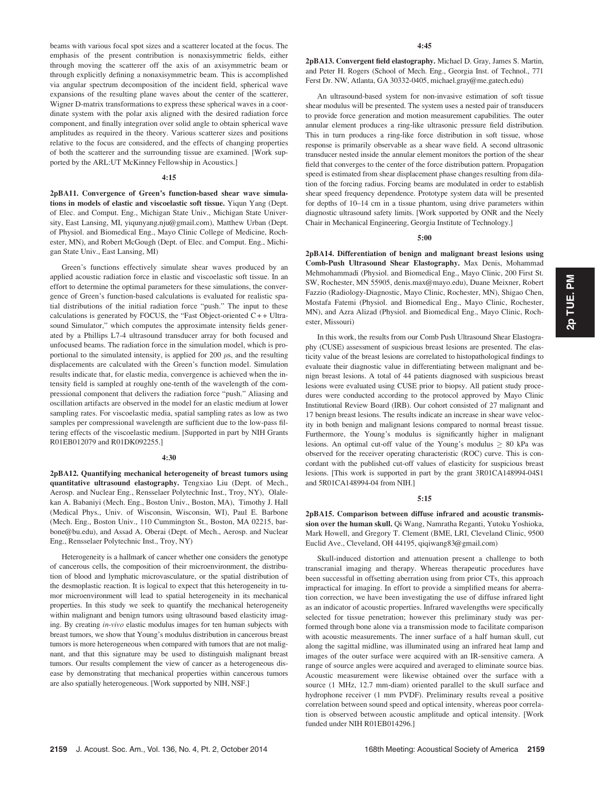beams with various focal spot sizes and a scatterer located at the focus. The emphasis of the present contribution is nonaxisymmetric fields, either through moving the scatterer off the axis of an axisymmetric beam or through explicitly defining a nonaxisymmetric beam. This is accomplished via angular spectrum decomposition of the incident field, spherical wave expansions of the resulting plane waves about the center of the scatterer, Wigner D-matrix transformations to express these spherical waves in a coordinate system with the polar axis aligned with the desired radiation force component, and finally integration over solid angle to obtain spherical wave amplitudes as required in the theory. Various scatterer sizes and positions relative to the focus are considered, and the effects of changing properties of both the scatterer and the surrounding tissue are examined. [Work supported by the ARL:UT McKinney Fellowship in Acoustics.]

## 4:15

2pBA11. Convergence of Green's function-based shear wave simulations in models of elastic and viscoelastic soft tissue. Yiqun Yang (Dept. of Elec. and Comput. Eng., Michigan State Univ., Michigan State University, East Lansing, MI, yiqunyang.nju@gmail.com), Matthew Urban (Dept. of Physiol. and Biomedical Eng., Mayo Clinic College of Medicine, Rochester, MN), and Robert McGough (Dept. of Elec. and Comput. Eng., Michigan State Univ., East Lansing, MI)

Green's functions effectively simulate shear waves produced by an applied acoustic radiation force in elastic and viscoelastic soft tissue. In an effort to determine the optimal parameters for these simulations, the convergence of Green's function-based calculations is evaluated for realistic spatial distributions of the initial radiation force "push." The input to these calculations is generated by FOCUS, the "Fast Object-oriented  $C++$  Ultrasound Simulator," which computes the approximate intensity fields generated by a Phillips L7-4 ultrasound transducer array for both focused and unfocused beams. The radiation force in the simulation model, which is proportional to the simulated intensity, is applied for 200  $\mu$ s, and the resulting displacements are calculated with the Green's function model. Simulation results indicate that, for elastic media, convergence is achieved when the intensity field is sampled at roughly one-tenth of the wavelength of the compressional component that delivers the radiation force "push." Aliasing and oscillation artifacts are observed in the model for an elastic medium at lower sampling rates. For viscoelastic media, spatial sampling rates as low as two samples per compressional wavelength are sufficient due to the low-pass filtering effects of the viscoelastic medium. [Supported in part by NIH Grants R01EB012079 and R01DK092255.]

## 4:30

2pBA12. Quantifying mechanical heterogeneity of breast tumors using quantitative ultrasound elastography. Tengxiao Liu (Dept. of Mech., Aerosp. and Nuclear Eng., Rensselaer Polytechnic Inst., Troy, NY), Olalekan A. Babaniyi (Mech. Eng., Boston Univ., Boston, MA), Timothy J. Hall (Medical Phys., Univ. of Wisconsin, Wisconsin, WI), Paul E. Barbone (Mech. Eng., Boston Univ., 110 Cummington St., Boston, MA 02215, barbone@bu.edu), and Assad A. Oberai (Dept. of Mech., Aerosp. and Nuclear Eng., Rensselaer Polytechnic Inst., Troy, NY)

Heterogeneity is a hallmark of cancer whether one considers the genotype of cancerous cells, the composition of their microenvironment, the distribution of blood and lymphatic microvasculature, or the spatial distribution of the desmoplastic reaction. It is logical to expect that this heterogeneity in tumor microenvironment will lead to spatial heterogeneity in its mechanical properties. In this study we seek to quantify the mechanical heterogeneity within malignant and benign tumors using ultrasound based elasticity imaging. By creating in-vivo elastic modulus images for ten human subjects with breast tumors, we show that Young's modulus distribution in cancerous breast tumors is more heterogeneous when compared with tumors that are not malignant, and that this signature may be used to distinguish malignant breast tumors. Our results complement the view of cancer as a heterogeneous disease by demonstrating that mechanical properties within cancerous tumors are also spatially heterogeneous. [Work supported by NIH, NSF.]

2pBA13. Convergent field elastography. Michael D. Gray, James S. Martin, and Peter H. Rogers (School of Mech. Eng., Georgia Inst. of Technol., 771 Ferst Dr. NW, Atlanta, GA 30332-0405, michael.gray@me.gatech.edu)

An ultrasound-based system for non-invasive estimation of soft tissue shear modulus will be presented. The system uses a nested pair of transducers to provide force generation and motion measurement capabilities. The outer annular element produces a ring-like ultrasonic pressure field distribution. This in turn produces a ring-like force distribution in soft tissue, whose response is primarily observable as a shear wave field. A second ultrasonic transducer nested inside the annular element monitors the portion of the shear field that converges to the center of the force distribution pattern. Propagation speed is estimated from shear displacement phase changes resulting from dilation of the forcing radius. Forcing beams are modulated in order to establish shear speed frequency dependence. Prototype system data will be presented for depths of 10–14 cm in a tissue phantom, using drive parameters within diagnostic ultrasound safety limits. [Work supported by ONR and the Neely Chair in Mechanical Engineering, Georgia Institute of Technology.]

## 5:00

2pBA14. Differentiation of benign and malignant breast lesions using Comb-Push Ultrasound Shear Elastography. Max Denis, Mohammad Mehmohammadi (Physiol. and Biomedical Eng., Mayo Clinic, 200 First St. SW, Rochester, MN 55905, denis.max@mayo.edu), Duane Meixner, Robert Fazzio (Radiology-Diagnostic, Mayo Clinic, Rochester, MN), Shigao Chen, Mostafa Fatemi (Physiol. and Biomedical Eng., Mayo Clinic, Rochester, MN), and Azra Alizad (Physiol. and Biomedical Eng., Mayo Clinic, Rochester, Missouri)

In this work, the results from our Comb Push Ultrasound Shear Elastography (CUSE) assessment of suspicious breast lesions are presented. The elasticity value of the breast lesions are correlated to histopathological findings to evaluate their diagnostic value in differentiating between malignant and benign breast lesions. A total of 44 patients diagnosed with suspicious breast lesions were evaluated using CUSE prior to biopsy. All patient study procedures were conducted according to the protocol approved by Mayo Clinic Institutional Review Board (IRB). Our cohort consisted of 27 malignant and 17 benign breast lesions. The results indicate an increase in shear wave velocity in both benign and malignant lesions compared to normal breast tissue. Furthermore, the Young's modulus is significantly higher in malignant lesions. An optimal cut-off value of the Young's modulus  $\geq 80$  kPa was observed for the receiver operating characteristic (ROC) curve. This is concordant with the published cut-off values of elasticity for suspicious breast lesions. [This work is supported in part by the grant 3R01CA148994-04S1 and 5R01CA148994-04 from NIH.]

## 5:15

2pBA15. Comparison between diffuse infrared and acoustic transmission over the human skull. Qi Wang, Namratha Reganti, Yutoku Yoshioka, Mark Howell, and Gregory T. Clement (BME, LRI, Cleveland Clinic, 9500 Euclid Ave., Cleveland, OH 44195, qiqiwang83@gmail.com)

Skull-induced distortion and attenuation present a challenge to both transcranial imaging and therapy. Whereas therapeutic procedures have been successful in offsetting aberration using from prior CTs, this approach impractical for imaging. In effort to provide a simplified means for aberration correction, we have been investigating the use of diffuse infrared light as an indicator of acoustic properties. Infrared wavelengths were specifically selected for tissue penetration; however this preliminary study was performed through bone alone via a transmission mode to facilitate comparison with acoustic measurements. The inner surface of a half human skull, cut along the sagittal midline, was illuminated using an infrared heat lamp and images of the outer surface were acquired with an IR-sensitive camera. A range of source angles were acquired and averaged to eliminate source bias. Acoustic measurement were likewise obtained over the surface with a source (1 MHz, 12.7 mm-diam) oriented parallel to the skull surface and hydrophone receiver (1 mm PVDF). Preliminary results reveal a positive correlation between sound speed and optical intensity, whereas poor correlation is observed between acoustic amplitude and optical intensity. [Work funded under NIH R01EB014296.]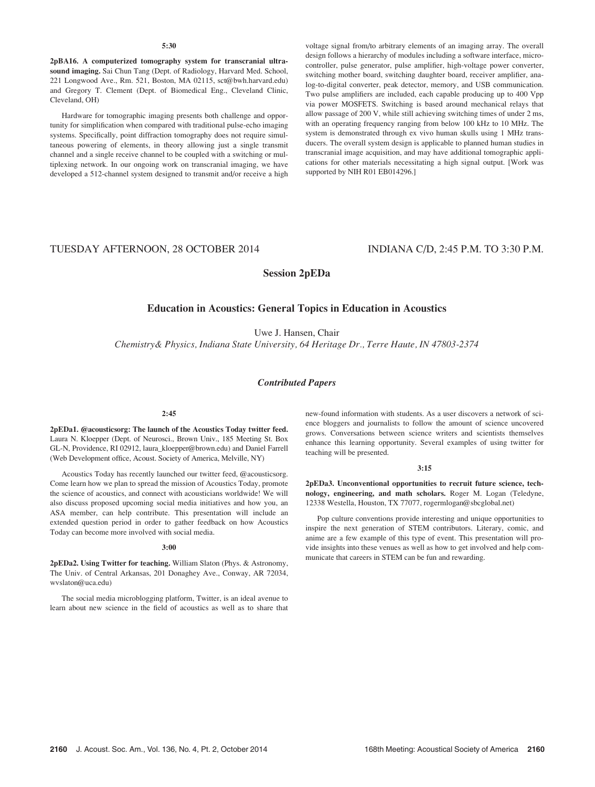## 5:30

2pBA16. A computerized tomography system for transcranial ultrasound imaging. Sai Chun Tang (Dept. of Radiology, Harvard Med. School, 221 Longwood Ave., Rm. 521, Boston, MA 02115, sct@bwh.harvard.edu) and Gregory T. Clement (Dept. of Biomedical Eng., Cleveland Clinic, Cleveland, OH)

Hardware for tomographic imaging presents both challenge and opportunity for simplification when compared with traditional pulse-echo imaging systems. Specifically, point diffraction tomography does not require simultaneous powering of elements, in theory allowing just a single transmit channel and a single receive channel to be coupled with a switching or multiplexing network. In our ongoing work on transcranial imaging, we have developed a 512-channel system designed to transmit and/or receive a high voltage signal from/to arbitrary elements of an imaging array. The overall design follows a hierarchy of modules including a software interface, microcontroller, pulse generator, pulse amplifier, high-voltage power converter, switching mother board, switching daughter board, receiver amplifier, analog-to-digital converter, peak detector, memory, and USB communication. Two pulse amplifiers are included, each capable producing up to 400 Vpp via power MOSFETS. Switching is based around mechanical relays that allow passage of 200 V, while still achieving switching times of under 2 ms, with an operating frequency ranging from below 100 kHz to 10 MHz. The system is demonstrated through ex vivo human skulls using 1 MHz transducers. The overall system design is applicable to planned human studies in transcranial image acquisition, and may have additional tomographic applications for other materials necessitating a high signal output. [Work was supported by NIH R01 EB014296.]

# TUESDAY AFTERNOON, 28 OCTOBER 2014 INDIANA C/D, 2:45 P.M. TO 3:30 P.M.

# Session 2pEDa

# Education in Acoustics: General Topics in Education in Acoustics

Uwe J. Hansen, Chair

Chemistry& Physics, Indiana State University, 64 Heritage Dr., Terre Haute, IN 47803-2374

## Contributed Papers

#### 2:45

2pEDa1. @acousticsorg: The launch of the Acoustics Today twitter feed. Laura N. Kloepper (Dept. of Neurosci., Brown Univ., 185 Meeting St. Box GL-N, Providence, RI 02912, laura\_kloepper@brown.edu) and Daniel Farrell (Web Development office, Acoust. Society of America, Melville, NY)

Acoustics Today has recently launched our twitter feed, @acousticsorg. Come learn how we plan to spread the mission of Acoustics Today, promote the science of acoustics, and connect with acousticians worldwide! We will also discuss proposed upcoming social media initiatives and how you, an ASA member, can help contribute. This presentation will include an extended question period in order to gather feedback on how Acoustics Today can become more involved with social media.

#### 3:00

2pEDa2. Using Twitter for teaching. William Slaton (Phys. & Astronomy, The Univ. of Central Arkansas, 201 Donaghey Ave., Conway, AR 72034, wvslaton@uca.edu)

The social media microblogging platform, Twitter, is an ideal avenue to learn about new science in the field of acoustics as well as to share that new-found information with students. As a user discovers a network of science bloggers and journalists to follow the amount of science uncovered grows. Conversations between science writers and scientists themselves enhance this learning opportunity. Several examples of using twitter for teaching will be presented.

### 3:15

2pEDa3. Unconventional opportunities to recruit future science, technology, engineering, and math scholars. Roger M. Logan (Teledyne, 12338 Westella, Houston, TX 77077, rogermlogan@sbcglobal.net)

Pop culture conventions provide interesting and unique opportunities to inspire the next generation of STEM contributors. Literary, comic, and anime are a few example of this type of event. This presentation will provide insights into these venues as well as how to get involved and help communicate that careers in STEM can be fun and rewarding.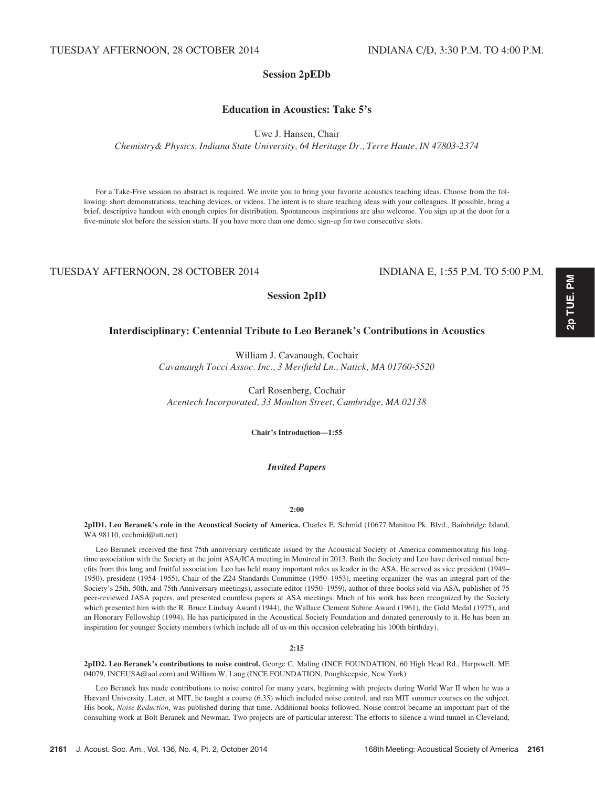# Session 2pEDb

Education in Acoustics: Take 5's

Uwe J. Hansen, Chair

Chemistry& Physics, Indiana State University, 64 Heritage Dr., Terre Haute, IN 47803-2374

For a Take-Five session no abstract is required. We invite you to bring your favorite acoustics teaching ideas. Choose from the following: short demonstrations, teaching devices, or videos. The intent is to share teaching ideas with your colleagues. If possible, bring a brief, descriptive handout with enough copies for distribution. Spontaneous inspirations are also welcome. You sign up at the door for a five-minute slot before the session starts. If you have more than one demo, sign-up for two consecutive slots.

# TUESDAY AFTERNOON, 28 OCTOBER 2014 INDIANA E, 1:55 P.M. TO 5:00 P.M.

# Session 2pID

# Interdisciplinary: Centennial Tribute to Leo Beranek's Contributions in Acoustics

William J. Cavanaugh, Cochair Cavanaugh Tocci Assoc. Inc., 3 Merifield Ln., Natick, MA 01760-5520

Carl Rosenberg, Cochair Acentech Incorporated, 33 Moulton Street, Cambridge, MA 02138

Chair's Introduction—1:55

## Invited Papers

## 2:00

2pID1. Leo Beranek's role in the Acoustical Society of America. Charles E. Schmid (10677 Manitou Pk. Blvd., Bainbridge Island, WA 98110, cechmid@att.net)

Leo Beranek received the first 75th anniversary certificate issued by the Acoustical Society of America commemorating his longtime association with the Society at the joint ASA/ICA meeting in Montreal in 2013. Both the Society and Leo have derived mutual benefits from this long and fruitful association. Leo has held many important roles as leader in the ASA. He served as vice president (1949– 1950), president (1954–1955), Chair of the Z24 Standards Committee (1950–1953), meeting organizer (he was an integral part of the Society's 25th, 50th, and 75th Anniversary meetings), associate editor (1950–1959), author of three books sold via ASA, publisher of 75 peer-reviewed JASA papers, and presented countless papers at ASA meetings. Much of his work has been recognized by the Society which presented him with the R. Bruce Lindsay Award (1944), the Wallace Clement Sabine Award (1961), the Gold Medal (1975), and an Honorary Fellowship (1994). He has participated in the Acoustical Society Foundation and donated generously to it. He has been an inspiration for younger Society members (which include all of us on this occasion celebrating his 100th birthday).

## 2:15

2pID2. Leo Beranek's contributions to noise control. George C. Maling (INCE FOUNDATION, 60 High Head Rd., Harpswell, ME 04079, INCEUSA@aol.com) and William W. Lang (INCE FOUNDATION, Poughkeepsie, New York)

Leo Beranek has made contributions to noise control for many years, beginning with projects during World War II when he was a Harvard University. Later, at MIT, he taught a course (6.35) which included noise control, and ran MIT summer courses on the subject. His book, Noise Reduction, was published during that time. Additional books followed. Noise control became an important part of the consulting work at Bolt Beranek and Newman. Two projects are of particular interest: The efforts to silence a wind tunnel in Cleveland,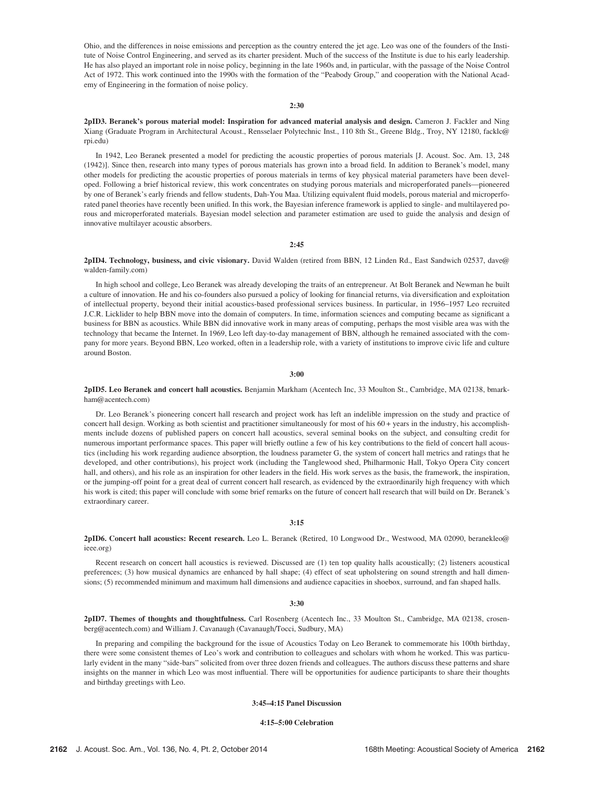Ohio, and the differences in noise emissions and perception as the country entered the jet age. Leo was one of the founders of the Institute of Noise Control Engineering, and served as its charter president. Much of the success of the Institute is due to his early leadership. He has also played an important role in noise policy, beginning in the late 1960s and, in particular, with the passage of the Noise Control Act of 1972. This work continued into the 1990s with the formation of the "Peabody Group," and cooperation with the National Academy of Engineering in the formation of noise policy.

## 2:30

2pID3. Beranek's porous material model: Inspiration for advanced material analysis and design. Cameron J. Fackler and Ning Xiang (Graduate Program in Architectural Acoust., Rensselaer Polytechnic Inst., 110 8th St., Greene Bldg., Troy, NY 12180, facklc@ rpi.edu)

In 1942, Leo Beranek presented a model for predicting the acoustic properties of porous materials [J. Acoust. Soc. Am. 13, 248 (1942)]. Since then, research into many types of porous materials has grown into a broad field. In addition to Beranek's model, many other models for predicting the acoustic properties of porous materials in terms of key physical material parameters have been developed. Following a brief historical review, this work concentrates on studying porous materials and microperforated panels—pioneered by one of Beranek's early friends and fellow students, Dah-You Maa. Utilizing equivalent fluid models, porous material and microperforated panel theories have recently been unified. In this work, the Bayesian inference framework is applied to single- and multilayered porous and microperforated materials. Bayesian model selection and parameter estimation are used to guide the analysis and design of innovative multilayer acoustic absorbers.

## 2:45

2pID4. Technology, business, and civic visionary. David Walden (retired from BBN, 12 Linden Rd., East Sandwich 02537, dave@ walden-family.com)

In high school and college, Leo Beranek was already developing the traits of an entrepreneur. At Bolt Beranek and Newman he built a culture of innovation. He and his co-founders also pursued a policy of looking for financial returns, via diversification and exploitation of intellectual property, beyond their initial acoustics-based professional services business. In particular, in 1956–1957 Leo recruited J.C.R. Licklider to help BBN move into the domain of computers. In time, information sciences and computing became as significant a business for BBN as acoustics. While BBN did innovative work in many areas of computing, perhaps the most visible area was with the technology that became the Internet. In 1969, Leo left day-to-day management of BBN, although he remained associated with the company for more years. Beyond BBN, Leo worked, often in a leadership role, with a variety of institutions to improve civic life and culture around Boston.

## 3:00

2pID5. Leo Beranek and concert hall acoustics. Benjamin Markham (Acentech Inc, 33 Moulton St., Cambridge, MA 02138, bmarkham@acentech.com)

Dr. Leo Beranek's pioneering concert hall research and project work has left an indelible impression on the study and practice of concert hall design. Working as both scientist and practitioner simultaneously for most of his 60 + years in the industry, his accomplishments include dozens of published papers on concert hall acoustics, several seminal books on the subject, and consulting credit for numerous important performance spaces. This paper will briefly outline a few of his key contributions to the field of concert hall acoustics (including his work regarding audience absorption, the loudness parameter G, the system of concert hall metrics and ratings that he developed, and other contributions), his project work (including the Tanglewood shed, Philharmonic Hall, Tokyo Opera City concert hall, and others), and his role as an inspiration for other leaders in the field. His work serves as the basis, the framework, the inspiration, or the jumping-off point for a great deal of current concert hall research, as evidenced by the extraordinarily high frequency with which his work is cited; this paper will conclude with some brief remarks on the future of concert hall research that will build on Dr. Beranek's extraordinary career.

## 3:15

2pID6. Concert hall acoustics: Recent research. Leo L. Beranek (Retired, 10 Longwood Dr., Westwood, MA 02090, beranekleo@ ieee.org)

Recent research on concert hall acoustics is reviewed. Discussed are (1) ten top quality halls acoustically; (2) listeners acoustical preferences; (3) how musical dynamics are enhanced by hall shape; (4) effect of seat upholstering on sound strength and hall dimensions; (5) recommended minimum and maximum hall dimensions and audience capacities in shoebox, surround, and fan shaped halls.

#### 3:30

2pID7. Themes of thoughts and thoughtfulness. Carl Rosenberg (Acentech Inc., 33 Moulton St., Cambridge, MA 02138, crosenberg@acentech.com) and William J. Cavanaugh (Cavanaugh/Tocci, Sudbury, MA)

In preparing and compiling the background for the issue of Acoustics Today on Leo Beranek to commemorate his 100th birthday, there were some consistent themes of Leo's work and contribution to colleagues and scholars with whom he worked. This was particularly evident in the many "side-bars" solicited from over three dozen friends and colleagues. The authors discuss these patterns and share insights on the manner in which Leo was most influential. There will be opportunities for audience participants to share their thoughts and birthday greetings with Leo.

## 3:45–4:15 Panel Discussion

#### 4:15–5:00 Celebration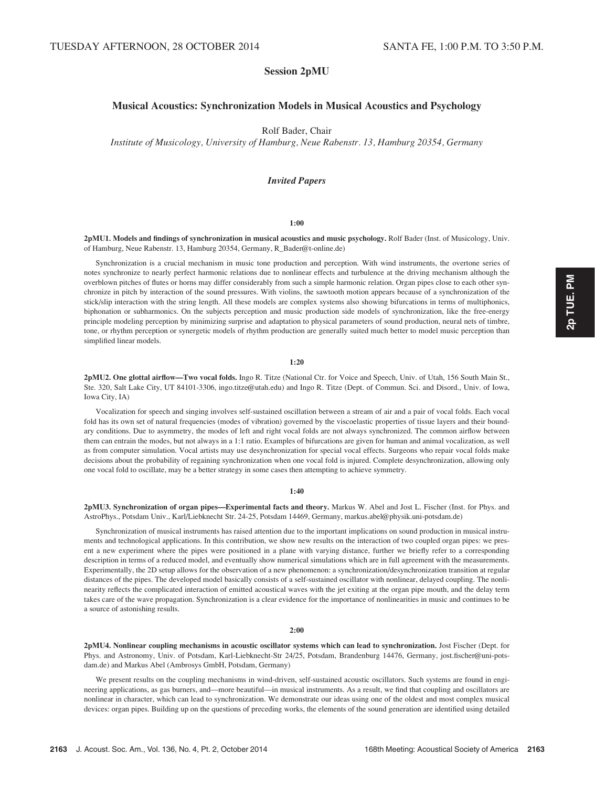# Session 2pMU

# Musical Acoustics: Synchronization Models in Musical Acoustics and Psychology

Rolf Bader, Chair

Institute of Musicology, University of Hamburg, Neue Rabenstr. 13, Hamburg 20354, Germany

## Invited Papers

## 1:00

2pMU1. Models and findings of synchronization in musical acoustics and music psychology. Rolf Bader (Inst. of Musicology, Univ. of Hamburg, Neue Rabenstr. 13, Hamburg 20354, Germany, R\_Bader@t-online.de)

Synchronization is a crucial mechanism in music tone production and perception. With wind instruments, the overtone series of notes synchronize to nearly perfect harmonic relations due to nonlinear effects and turbulence at the driving mechanism although the overblown pitches of flutes or horns may differ considerably from such a simple harmonic relation. Organ pipes close to each other synchronize in pitch by interaction of the sound pressures. With violins, the sawtooth motion appears because of a synchronization of the stick/slip interaction with the string length. All these models are complex systems also showing bifurcations in terms of multiphonics, biphonation or subharmonics. On the subjects perception and music production side models of synchronization, like the free-energy principle modeling perception by minimizing surprise and adaptation to physical parameters of sound production, neural nets of timbre, tone, or rhythm perception or synergetic models of rhythm production are generally suited much better to model music perception than simplified linear models.

#### 1:20

2pMU2. One glottal airflow—Two vocal folds. Ingo R. Titze (National Ctr. for Voice and Speech, Univ. of Utah, 156 South Main St., Ste. 320, Salt Lake City, UT 84101-3306, ingo.titze@utah.edu) and Ingo R. Titze (Dept. of Commun. Sci. and Disord., Univ. of Iowa, Iowa City, IA)

Vocalization for speech and singing involves self-sustained oscillation between a stream of air and a pair of vocal folds. Each vocal fold has its own set of natural frequencies (modes of vibration) governed by the viscoelastic properties of tissue layers and their boundary conditions. Due to asymmetry, the modes of left and right vocal folds are not always synchronized. The common airflow between them can entrain the modes, but not always in a 1:1 ratio. Examples of bifurcations are given for human and animal vocalization, as well as from computer simulation. Vocal artists may use desynchronization for special vocal effects. Surgeons who repair vocal folds make decisions about the probability of regaining synchronization when one vocal fold is injured. Complete desynchronization, allowing only one vocal fold to oscillate, may be a better strategy in some cases then attempting to achieve symmetry.

#### 1:40

2pMU3. Synchronization of organ pipes—Experimental facts and theory. Markus W. Abel and Jost L. Fischer (Inst. for Phys. and AstroPhys., Potsdam Univ., Karl/Liebknecht Str. 24-25, Potsdam 14469, Germany, markus.abel@physik.uni-potsdam.de)

Synchronization of musical instruments has raised attention due to the important implications on sound production in musical instruments and technological applications. In this contribution, we show new results on the interaction of two coupled organ pipes: we present a new experiment where the pipes were positioned in a plane with varying distance, further we briefly refer to a corresponding description in terms of a reduced model, and eventually show numerical simulations which are in full agreement with the measurements. Experimentally, the 2D setup allows for the observation of a new phenomenon: a synchronization/desynchronization transition at regular distances of the pipes. The developed model basically consists of a self-sustained oscillator with nonlinear, delayed coupling. The nonlinearity reflects the complicated interaction of emitted acoustical waves with the jet exiting at the organ pipe mouth, and the delay term takes care of the wave propagation. Synchronization is a clear evidence for the importance of nonlinearities in music and continues to be a source of astonishing results.

#### $2:00$

2pMU4. Nonlinear coupling mechanisms in acoustic oscillator systems which can lead to synchronization. Jost Fischer (Dept. for Phys. and Astronomy, Univ. of Potsdam, Karl-Liebknecht-Str 24/25, Potsdam, Brandenburg 14476, Germany, jost.fischer@uni-potsdam.de) and Markus Abel (Ambrosys GmbH, Potsdam, Germany)

We present results on the coupling mechanisms in wind-driven, self-sustained acoustic oscillators. Such systems are found in engineering applications, as gas burners, and—more beautiful—in musical instruments. As a result, we find that coupling and oscillators are nonlinear in character, which can lead to synchronization. We demonstrate our ideas using one of the oldest and most complex musical devices: organ pipes. Building up on the questions of preceding works, the elements of the sound generation are identified using detailed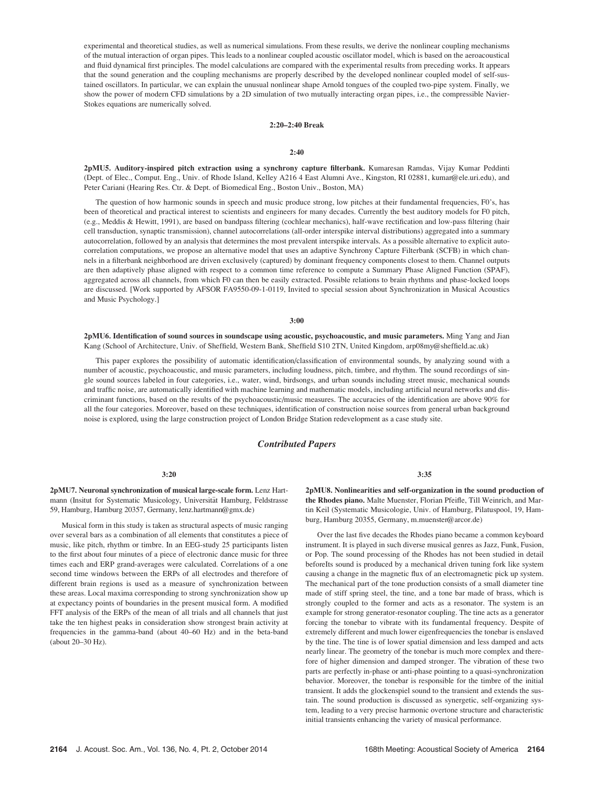experimental and theoretical studies, as well as numerical simulations. From these results, we derive the nonlinear coupling mechanisms of the mutual interaction of organ pipes. This leads to a nonlinear coupled acoustic oscillator model, which is based on the aeroacoustical and fluid dynamical first principles. The model calculations are compared with the experimental results from preceding works. It appears that the sound generation and the coupling mechanisms are properly described by the developed nonlinear coupled model of self-sustained oscillators. In particular, we can explain the unusual nonlinear shape Arnold tongues of the coupled two-pipe system. Finally, we show the power of modern CFD simulations by a 2D simulation of two mutually interacting organ pipes, i.e., the compressible Navier-Stokes equations are numerically solved.

## 2:20–2:40 Break

### $2:40$

2pMU5. Auditory-inspired pitch extraction using a synchrony capture filterbank. Kumaresan Ramdas, Vijay Kumar Peddinti (Dept. of Elec., Comput. Eng., Univ. of Rhode Island, Kelley A216 4 East Alumni Ave., Kingston, RI 02881, kumar@ele.uri.edu), and Peter Cariani (Hearing Res. Ctr. & Dept. of Biomedical Eng., Boston Univ., Boston, MA)

The question of how harmonic sounds in speech and music produce strong, low pitches at their fundamental frequencies, F0's, has been of theoretical and practical interest to scientists and engineers for many decades. Currently the best auditory models for F0 pitch, (e.g., Meddis & Hewitt, 1991), are based on bandpass filtering (cochlear mechanics), half-wave rectification and low-pass filtering (hair cell transduction, synaptic transmission), channel autocorrelations (all-order interspike interval distributions) aggregated into a summary autocorrelation, followed by an analysis that determines the most prevalent interspike intervals. As a possible alternative to explicit autocorrelation computations, we propose an alternative model that uses an adaptive Synchrony Capture Filterbank (SCFB) in which channels in a filterbank neighborhood are driven exclusively (captured) by dominant frequency components closest to them. Channel outputs are then adaptively phase aligned with respect to a common time reference to compute a Summary Phase Aligned Function (SPAF), aggregated across all channels, from which F0 can then be easily extracted. Possible relations to brain rhythms and phase-locked loops are discussed. [Work supported by AFSOR FA9550-09-1-0119, Invited to special session about Synchronization in Musical Acoustics and Music Psychology.]

## 3:00

2pMU6. Identification of sound sources in soundscape using acoustic, psychoacoustic, and music parameters. Ming Yang and Jian Kang (School of Architecture, Univ. of Sheffield, Western Bank, Sheffield S10 2TN, United Kingdom, arp08my@sheffield.ac.uk)

This paper explores the possibility of automatic identification/classification of environmental sounds, by analyzing sound with a number of acoustic, psychoacoustic, and music parameters, including loudness, pitch, timbre, and rhythm. The sound recordings of single sound sources labeled in four categories, i.e., water, wind, birdsongs, and urban sounds including street music, mechanical sounds and traffic noise, are automatically identified with machine learning and mathematic models, including artificial neural networks and discriminant functions, based on the results of the psychoacoustic/music measures. The accuracies of the identification are above 90% for all the four categories. Moreover, based on these techniques, identification of construction noise sources from general urban background noise is explored, using the large construction project of London Bridge Station redevelopment as a case study site.

# Contributed Papers

### 3:20

2pMU7. Neuronal synchronization of musical large-scale form. Lenz Hartmann (Insitut for Systematic Musicology, Universität Hamburg, Feldstrasse 59, Hamburg, Hamburg 20357, Germany, lenz.hartmann@gmx.de)

Musical form in this study is taken as structural aspects of music ranging over several bars as a combination of all elements that constitutes a piece of music, like pitch, rhythm or timbre. In an EEG-study 25 participants listen to the first about four minutes of a piece of electronic dance music for three times each and ERP grand-averages were calculated. Correlations of a one second time windows between the ERPs of all electrodes and therefore of different brain regions is used as a measure of synchronization between these areas. Local maxima corresponding to strong synchronization show up at expectancy points of boundaries in the present musical form. A modified FFT analysis of the ERPs of the mean of all trials and all channels that just take the ten highest peaks in consideration show strongest brain activity at frequencies in the gamma-band (about 40–60 Hz) and in the beta-band (about 20–30 Hz).

3:35

2pMU8. Nonlinearities and self-organization in the sound production of the Rhodes piano. Malte Muenster, Florian Pfeifle, Till Weinrich, and Martin Keil (Systematic Musicologie, Univ. of Hamburg, Pilatuspool, 19, Hamburg, Hamburg 20355, Germany, m.muenster@arcor.de)

Over the last five decades the Rhodes piano became a common keyboard instrument. It is played in such diverse musical genres as Jazz, Funk, Fusion, or Pop. The sound processing of the Rhodes has not been studied in detail beforeIts sound is produced by a mechanical driven tuning fork like system causing a change in the magnetic flux of an electromagnetic pick up system. The mechanical part of the tone production consists of a small diameter tine made of stiff spring steel, the tine, and a tone bar made of brass, which is strongly coupled to the former and acts as a resonator. The system is an example for strong generator-resonator coupling. The tine acts as a generator forcing the tonebar to vibrate with its fundamental frequency. Despite of extremely different and much lower eigenfrequencies the tonebar is enslaved by the tine. The tine is of lower spatial dimension and less damped and acts nearly linear. The geometry of the tonebar is much more complex and therefore of higher dimension and damped stronger. The vibration of these two parts are perfectly in-phase or anti-phase pointing to a quasi-synchronization behavior. Moreover, the tonebar is responsible for the timbre of the initial transient. It adds the glockenspiel sound to the transient and extends the sustain. The sound production is discussed as synergetic, self-organizing system, leading to a very precise harmonic overtone structure and characteristic initial transients enhancing the variety of musical performance.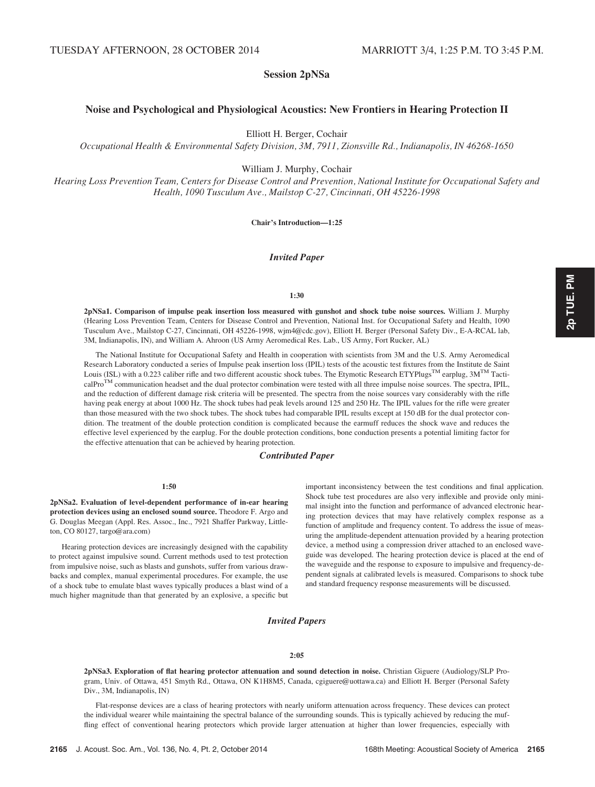# Session 2pNSa

# Noise and Psychological and Physiological Acoustics: New Frontiers in Hearing Protection II

Elliott H. Berger, Cochair

Occupational Health & Environmental Safety Division, 3M, 7911, Zionsville Rd., Indianapolis, IN 46268-1650

William J. Murphy, Cochair

Hearing Loss Prevention Team, Centers for Disease Control and Prevention, National Institute for Occupational Safety and Health, 1090 Tusculum Ave., Mailstop C-27, Cincinnati, OH 45226-1998

Chair's Introduction—1:25

## Invited Paper

## 1:30

2pNSa1. Comparison of impulse peak insertion loss measured with gunshot and shock tube noise sources. William J. Murphy (Hearing Loss Prevention Team, Centers for Disease Control and Prevention, National Inst. for Occupational Safety and Health, 1090 Tusculum Ave., Mailstop C-27, Cincinnati, OH 45226-1998, wjm4@cdc.gov), Elliott H. Berger (Personal Safety Div., E-A-RCAL lab, 3M, Indianapolis, IN), and William A. Ahroon (US Army Aeromedical Res. Lab., US Army, Fort Rucker, AL)

The National Institute for Occupational Safety and Health in cooperation with scientists from 3M and the U.S. Army Aeromedical Research Laboratory conducted a series of Impulse peak insertion loss (IPIL) tests of the acoustic test fixtures from the Institute de Saint Louis (ISL) with a 0.223 caliber rifle and two different acoustic shock tubes. The Etymotic Research ETYPlugs<sup>TM</sup> earplug,  $3M^{TM}$  Tacti $calP$ <sup>TM</sup> communication headset and the dual protector combination were tested with all three impulse noise sources. The spectra, IPIL, and the reduction of different damage risk criteria will be presented. The spectra from the noise sources vary considerably with the rifle having peak energy at about 1000 Hz. The shock tubes had peak levels around 125 and 250 Hz. The IPIL values for the rifle were greater than those measured with the two shock tubes. The shock tubes had comparable IPIL results except at 150 dB for the dual protector condition. The treatment of the double protection condition is complicated because the earmuff reduces the shock wave and reduces the effective level experienced by the earplug. For the double protection conditions, bone conduction presents a potential limiting factor for the effective attenuation that can be achieved by hearing protection.

## Contributed Paper

## $1:50$

2pNSa2. Evaluation of level-dependent performance of in-ear hearing protection devices using an enclosed sound source. Theodore F. Argo and G. Douglas Meegan (Appl. Res. Assoc., Inc., 7921 Shaffer Parkway, Littleton, CO 80127, targo@ara.com)

Hearing protection devices are increasingly designed with the capability to protect against impulsive sound. Current methods used to test protection from impulsive noise, such as blasts and gunshots, suffer from various drawbacks and complex, manual experimental procedures. For example, the use of a shock tube to emulate blast waves typically produces a blast wind of a much higher magnitude than that generated by an explosive, a specific but important inconsistency between the test conditions and final application. Shock tube test procedures are also very inflexible and provide only minimal insight into the function and performance of advanced electronic hearing protection devices that may have relatively complex response as a function of amplitude and frequency content. To address the issue of measuring the amplitude-dependent attenuation provided by a hearing protection device, a method using a compression driver attached to an enclosed waveguide was developed. The hearing protection device is placed at the end of the waveguide and the response to exposure to impulsive and frequency-dependent signals at calibrated levels is measured. Comparisons to shock tube and standard frequency response measurements will be discussed.

## Invited Papers

#### 2:05

2pNSa3. Exploration of flat hearing protector attenuation and sound detection in noise. Christian Giguere (Audiology/SLP Program, Univ. of Ottawa, 451 Smyth Rd., Ottawa, ON K1H8M5, Canada, cgiguere@uottawa.ca) and Elliott H. Berger (Personal Safety Div., 3M, Indianapolis, IN)

Flat-response devices are a class of hearing protectors with nearly uniform attenuation across frequency. These devices can protect the individual wearer while maintaining the spectral balance of the surrounding sounds. This is typically achieved by reducing the muffling effect of conventional hearing protectors which provide larger attenuation at higher than lower frequencies, especially with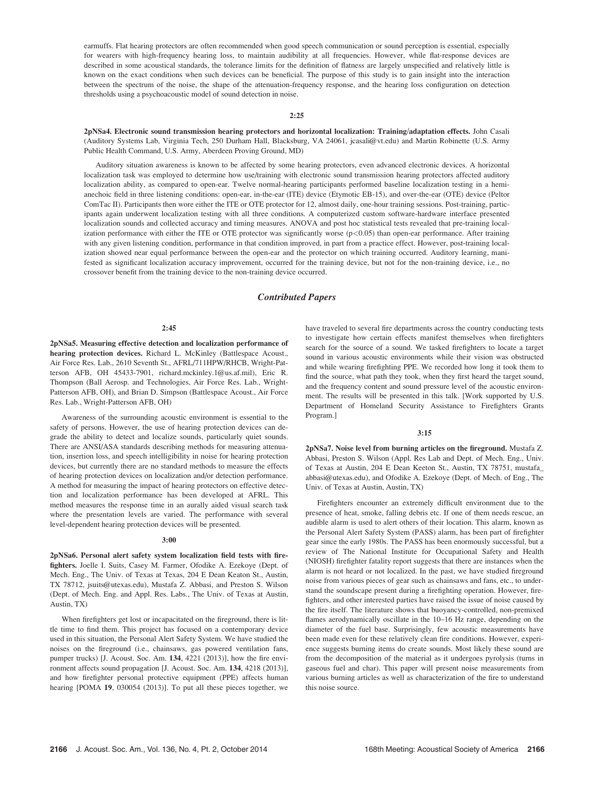earmuffs. Flat hearing protectors are often recommended when good speech communication or sound perception is essential, especially for wearers with high-frequency hearing loss, to maintain audibility at all frequencies. However, while flat-response devices are described in some acoustical standards, the tolerance limits for the definition of flatness are largely unspecified and relatively little is known on the exact conditions when such devices can be beneficial. The purpose of this study is to gain insight into the interaction between the spectrum of the noise, the shape of the attenuation-frequency response, and the hearing loss configuration on detection thresholds using a psychoacoustic model of sound detection in noise.

## 2:25

2pNSa4. Electronic sound transmission hearing protectors and horizontal localization: Training/adaptation effects. John Casali (Auditory Systems Lab, Virginia Tech, 250 Durham Hall, Blacksburg, VA 24061, jcasali@vt.edu) and Martin Robinette (U.S. Army Public Health Command, U.S. Army, Aberdeen Proving Ground, MD)

Auditory situation awareness is known to be affected by some hearing protectors, even advanced electronic devices. A horizontal localization task was employed to determine how use/training with electronic sound transmission hearing protectors affected auditory localization ability, as compared to open-ear. Twelve normal-hearing participants performed baseline localization testing in a hemianechoic field in three listening conditions: open-ear, in-the-ear (ITE) device (Etymotic EB-15), and over-the-ear (OTE) device (Peltor ComTac II). Participants then wore either the ITE or OTE protector for 12, almost daily, one-hour training sessions. Post-training, participants again underwent localization testing with all three conditions. A computerized custom software-hardware interface presented localization sounds and collected accuracy and timing measures. ANOVA and post hoc statistical tests revealed that pre-training localization performance with either the ITE or OTE protector was significantly worse  $(p<0.05)$  than open-ear performance. After training with any given listening condition, performance in that condition improved, in part from a practice effect. However, post-training localization showed near equal performance between the open-ear and the protector on which training occurred. Auditory learning, manifested as significant localization accuracy improvement, occurred for the training device, but not for the non-training device, i.e., no crossover benefit from the training device to the non-training device occurred.

# Contributed Papers

#### 2:45

2pNSa5. Measuring effective detection and localization performance of hearing protection devices. Richard L. McKinley (Battlespace Acoust., Air Force Res. Lab., 2610 Seventh St., AFRL/711HPW/RHCB, Wright-Patterson AFB, OH 45433-7901, richard.mckinley.1@us.af.mil), Eric R. Thompson (Ball Aerosp. and Technologies, Air Force Res. Lab., Wright-Patterson AFB, OH), and Brian D. Simpson (Battlespace Acoust., Air Force Res. Lab., Wright-Patterson AFB, OH)

Awareness of the surrounding acoustic environment is essential to the safety of persons. However, the use of hearing protection devices can degrade the ability to detect and localize sounds, particularly quiet sounds. There are ANSI/ASA standards describing methods for measuring attenuation, insertion loss, and speech intelligibility in noise for hearing protection devices, but currently there are no standard methods to measure the effects of hearing protection devices on localization and/or detection performance. A method for measuring the impact of hearing protectors on effective detection and localization performance has been developed at AFRL. This method measures the response time in an aurally aided visual search task where the presentation levels are varied. The performance with several level-dependent hearing protection devices will be presented.

#### 3:00

2pNSa6. Personal alert safety system localization field tests with firefighters. Joelle I. Suits, Casey M. Farmer, Ofodike A. Ezekoye (Dept. of Mech. Eng., The Univ. of Texas at Texas, 204 E Dean Keaton St., Austin, TX 78712, jsuits@utexas.edu), Mustafa Z. Abbasi, and Preston S. Wilson (Dept. of Mech. Eng. and Appl. Res. Labs., The Univ. of Texas at Austin, Austin, TX)

When firefighters get lost or incapacitated on the fireground, there is little time to find them. This project has focused on a contemporary device used in this situation, the Personal Alert Safety System. We have studied the noises on the fireground (i.e., chainsaws, gas powered ventilation fans, pumper trucks) [J. Acoust. Soc. Am. 134, 4221 (2013)], how the fire environment affects sound propagation [J. Acoust. Soc. Am. 134, 4218 (2013)], and how firefighter personal protective equipment (PPE) affects human hearing [POMA 19, 030054 (2013)]. To put all these pieces together, we have traveled to several fire departments across the country conducting tests to investigate how certain effects manifest themselves when firefighters search for the source of a sound. We tasked firefighters to locate a target sound in various acoustic environments while their vision was obstructed and while wearing firefighting PPE. We recorded how long it took them to find the source, what path they took, when they first heard the target sound, and the frequency content and sound pressure level of the acoustic environment. The results will be presented in this talk. [Work supported by U.S. Department of Homeland Security Assistance to Firefighters Grants Program.]

### 3:15

2pNSa7. Noise level from burning articles on the fireground. Mustafa Z. Abbasi, Preston S. Wilson (Appl. Res Lab and Dept. of Mech. Eng., Univ. of Texas at Austin, 204 E Dean Keeton St., Austin, TX 78751, mustafa\_ abbasi@utexas.edu), and Ofodike A. Ezekoye (Dept. of Mech. of Eng., The Univ. of Texas at Austin, Austin, TX)

Firefighters encounter an extremely difficult environment due to the presence of heat, smoke, falling debris etc. If one of them needs rescue, an audible alarm is used to alert others of their location. This alarm, known as the Personal Alert Safety System (PASS) alarm, has been part of firefighter gear since the early 1980s. The PASS has been enormously successful, but a review of The National Institute for Occupational Safety and Health (NIOSH) firefighter fatality report suggests that there are instances when the alarm is not heard or not localized. In the past, we have studied fireground noise from various pieces of gear such as chainsaws and fans, etc., to understand the soundscape present during a firefighting operation. However, firefighters, and other interested parties have raised the issue of noise caused by the fire itself. The literature shows that buoyancy-controlled, non-premixed flames aerodynamically oscillate in the 10–16 Hz range, depending on the diameter of the fuel base. Surprisingly, few acoustic measurements have been made even for these relatively clean fire conditions. However, experience suggests burning items do create sounds. Most likely these sound are from the decomposition of the material as it undergoes pyrolysis (turns in gaseous fuel and char). This paper will present noise measurements from various burning articles as well as characterization of the fire to understand this noise source.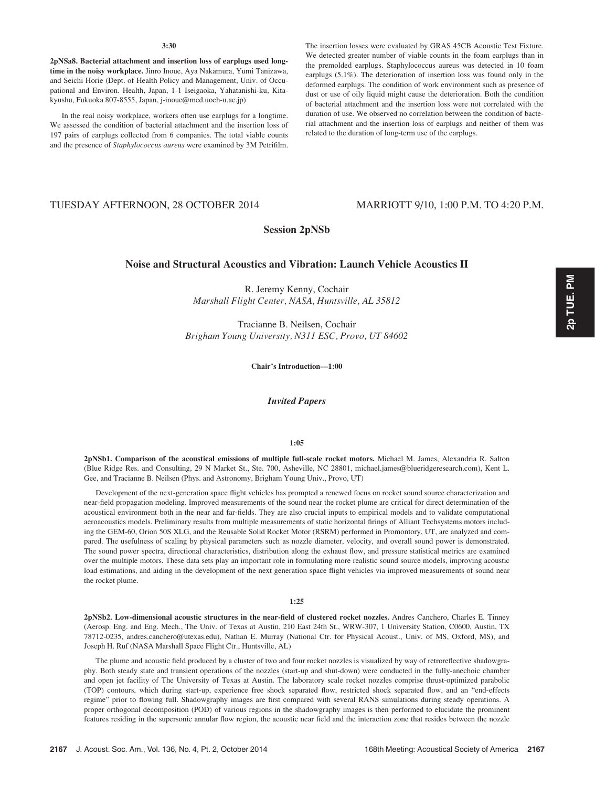## 3:30

2pNSa8. Bacterial attachment and insertion loss of earplugs used longtime in the noisy workplace. Jinro Inoue, Aya Nakamura, Yumi Tanizawa, and Seichi Horie (Dept. of Health Policy and Management, Univ. of Occupational and Environ. Health, Japan, 1-1 Iseigaoka, Yahatanishi-ku, Kitakyushu, Fukuoka 807-8555, Japan, j-inoue@med.uoeh-u.ac.jp)

In the real noisy workplace, workers often use earplugs for a longtime. We assessed the condition of bacterial attachment and the insertion loss of 197 pairs of earplugs collected from 6 companies. The total viable counts and the presence of Staphylococcus aureus were examined by 3M Petrifilm. The insertion losses were evaluated by GRAS 45CB Acoustic Test Fixture. We detected greater number of viable counts in the foam earplugs than in the premolded earplugs. Staphylococcus aureus was detected in 10 foam earplugs (5.1%). The deterioration of insertion loss was found only in the deformed earplugs. The condition of work environment such as presence of dust or use of oily liquid might cause the deterioration. Both the condition of bacterial attachment and the insertion loss were not correlated with the duration of use. We observed no correlation between the condition of bacterial attachment and the insertion loss of earplugs and neither of them was related to the duration of long-term use of the earplugs.

# TUESDAY AFTERNOON, 28 OCTOBER 2014 MARRIOTT 9/10, 1:00 P.M. TO 4:20 P.M.

# Session 2pNSb

## Noise and Structural Acoustics and Vibration: Launch Vehicle Acoustics II

R. Jeremy Kenny, Cochair Marshall Flight Center, NASA, Huntsville, AL 35812

Tracianne B. Neilsen, Cochair Brigham Young University, N311 ESC, Provo, UT 84602

Chair's Introduction—1:00

Invited Papers

#### 1:05

2pNSb1. Comparison of the acoustical emissions of multiple full-scale rocket motors. Michael M. James, Alexandria R. Salton (Blue Ridge Res. and Consulting, 29 N Market St., Ste. 700, Asheville, NC 28801, michael.james@blueridgeresearch.com), Kent L. Gee, and Tracianne B. Neilsen (Phys. and Astronomy, Brigham Young Univ., Provo, UT)

Development of the next-generation space flight vehicles has prompted a renewed focus on rocket sound source characterization and near-field propagation modeling. Improved measurements of the sound near the rocket plume are critical for direct determination of the acoustical environment both in the near and far-fields. They are also crucial inputs to empirical models and to validate computational aeroacoustics models. Preliminary results from multiple measurements of static horizontal firings of Alliant Techsystems motors including the GEM-60, Orion 50S XLG, and the Reusable Solid Rocket Motor (RSRM) performed in Promontory, UT, are analyzed and compared. The usefulness of scaling by physical parameters such as nozzle diameter, velocity, and overall sound power is demonstrated. The sound power spectra, directional characteristics, distribution along the exhaust flow, and pressure statistical metrics are examined over the multiple motors. These data sets play an important role in formulating more realistic sound source models, improving acoustic load estimations, and aiding in the development of the next generation space flight vehicles via improved measurements of sound near the rocket plume.

1:25

2pNSb2. Low-dimensional acoustic structures in the near-field of clustered rocket nozzles. Andres Canchero, Charles E. Tinney (Aerosp. Eng. and Eng. Mech., The Univ. of Texas at Austin, 210 East 24th St., WRW-307, 1 University Station, C0600, Austin, TX 78712-0235, andres.canchero@utexas.edu), Nathan E. Murray (National Ctr. for Physical Acoust., Univ. of MS, Oxford, MS), and Joseph H. Ruf (NASA Marshall Space Flight Ctr., Huntsville, AL)

The plume and acoustic field produced by a cluster of two and four rocket nozzles is visualized by way of retroreflective shadowgraphy. Both steady state and transient operations of the nozzles (start-up and shut-down) were conducted in the fully-anechoic chamber and open jet facility of The University of Texas at Austin. The laboratory scale rocket nozzles comprise thrust-optimized parabolic (TOP) contours, which during start-up, experience free shock separated flow, restricted shock separated flow, and an "end-effects regime" prior to flowing full. Shadowgraphy images are first compared with several RANS simulations during steady operations. A proper orthogonal decomposition (POD) of various regions in the shadowgraphy images is then performed to elucidate the prominent features residing in the supersonic annular flow region, the acoustic near field and the interaction zone that resides between the nozzle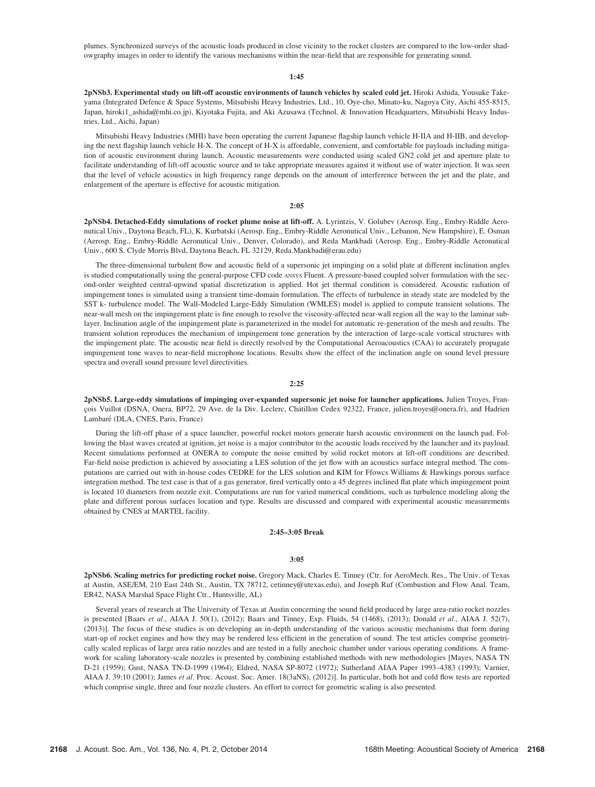plumes. Synchronized surveys of the acoustic loads produced in close vicinity to the rocket clusters are compared to the low-order shadowgraphy images in order to identify the various mechanisms within the near-field that are responsible for generating sound.

## 1:45

2pNSb3. Experimental study on lift-off acoustic environments of launch vehicles by scaled cold jet. Hiroki Ashida, Yousuke Takeyama (Integrated Defence & Space Systems, Mitsubishi Heavy Industries, Ltd., 10, Oye-cho, Minato-ku, Nagoya City, Aichi 455-8515, Japan, hiroki1\_ashida@mhi.co.jp), Kiyotaka Fujita, and Aki Azusawa (Technol. & Innovation Headquarters, Mitsubishi Heavy Industries, Ltd., Aichi, Japan)

Mitsubishi Heavy Industries (MHI) have been operating the current Japanese flagship launch vehicle H-IIA and H-IIB, and developing the next flagship launch vehicle H-X. The concept of H-X is affordable, convenient, and comfortable for payloads including mitigation of acoustic environment during launch. Acoustic measurements were conducted using scaled GN2 cold jet and aperture plate to facilitate understanding of lift-off acoustic source and to take appropriate measures against it without use of water injection. It was seen that the level of vehicle acoustics in high frequency range depends on the amount of interference between the jet and the plate, and enlargement of the aperture is effective for acoustic mitigation.

## 2:05

2pNSb4. Detached-Eddy simulations of rocket plume noise at lift-off. A. Lyrintzis, V. Golubev (Aerosp. Eng., Embry-Riddle Aeronutical Univ., Daytona Beach, FL), K. Kurbatski (Aerosp. Eng., Embry-Riddle Aeronutical Univ., Lebanon, New Hampshire), E. Osman (Aerosp. Eng., Embry-Riddle Aeronutical Univ., Denver, Colorado), and Reda Mankbadi (Aerosp. Eng., Embry-Riddle Aeronutical Univ., 600 S. Clyde Morris Blvd, Daytona Beach, FL 32129, Reda.Mankbadi@erau.edu)

The three-dimensional turbulent flow and acoustic field of a supersonic jet impinging on a solid plate at different inclination angles is studied computationally using the general-purpose CFD code ANSYS Fluent. A pressure-based coupled solver formulation with the second-order weighted central-upwind spatial discretization is applied. Hot jet thermal condition is considered. Acoustic radiation of impingement tones is simulated using a transient time-domain formulation. The effects of turbulence in steady state are modeled by the SST k- turbulence model. The Wall-Modeled Large-Eddy Simulation (WMLES) model is applied to compute transient solutions. The near-wall mesh on the impingement plate is fine enough to resolve the viscosity-affected near-wall region all the way to the laminar sublayer. Inclination angle of the impingement plate is parameterized in the model for automatic re-generation of the mesh and results. The transient solution reproduces the mechanism of impingement tone generation by the interaction of large-scale vortical structures with the impingement plate. The acoustic near field is directly resolved by the Computational Aeroacoustics (CAA) to accurately propagate impingement tone waves to near-field microphone locations. Results show the effect of the inclination angle on sound level pressure spectra and overall sound pressure level directivities.

## 2:25

2pNSb5. Large-eddy simulations of impinging over-expanded supersonic jet noise for launcher applications. Julien Troyes, Francois Vuillot (DSNA, Onera, BP72, 29 Ave. de la Div. Leclerc, Châtillon Cedex 92322, France, julien.troyes@onera.fr), and Hadrien Lambaré (DLA, CNES, Paris, France)

During the lift-off phase of a space launcher, powerful rocket motors generate harsh acoustic environment on the launch pad. Following the blast waves created at ignition, jet noise is a major contributor to the acoustic loads received by the launcher and its payload. Recent simulations performed at ONERA to compute the noise emitted by solid rocket motors at lift-off conditions are described. Far-field noise prediction is achieved by associating a LES solution of the jet flow with an acoustics surface integral method. The computations are carried out with in-house codes CEDRE for the LES solution and KIM for Ffowcs Williams & Hawkings porous surface integration method. The test case is that of a gas generator, fired vertically onto a 45 degrees inclined flat plate which impingement point is located 10 diameters from nozzle exit. Computations are run for varied numerical conditions, such as turbulence modeling along the plate and different porous surfaces location and type. Results are discussed and compared with experimental acoustic measurements obtained by CNES at MARTEL facility.

## 2:45–3:05 Break

### 3:05

2pNSb6. Scaling metrics for predicting rocket noise. Gregory Mack, Charles E. Tinney (Ctr. for AeroMech. Res., The Univ. of Texas at Austin, ASE/EM, 210 East 24th St., Austin, TX 78712, cetinney@utexas.edu), and Joseph Ruf (Combustion and Flow Anal. Team, ER42, NASA Marshal Space Flight Ctr., Huntsville, AL)

Several years of research at The University of Texas at Austin concerning the sound field produced by large area-ratio rocket nozzles is presented [Baars et al., AIAA J. 50(1), (2012); Baars and Tinney, Exp. Fluids, 54 (1468), (2013); Donald et al., AIAA J. 52(7), (2013)]. The focus of these studies is on developing an in-depth understanding of the various acoustic mechanisms that form during start-up of rocket engines and how they may be rendered less efficient in the generation of sound. The test articles comprise geometrically scaled replicas of large area ratio nozzles and are tested in a fully anechoic chamber under various operating conditions. A framework for scaling laboratory-scale nozzles is presented by combining established methods with new methodologies [Mayes, NASA TN D-21 (1959); Gust, NASA TN-D-1999 (1964); Eldred, NASA SP-8072 (1972); Sutherland AIAA Paper 1993–4383 (1993); Varnier, AIAA J. 39:10 (2001); James et al. Proc. Acoust. Soc. Amer. 18(3aNS), (2012)]. In particular, both hot and cold flow tests are reported which comprise single, three and four nozzle clusters. An effort to correct for geometric scaling is also presented.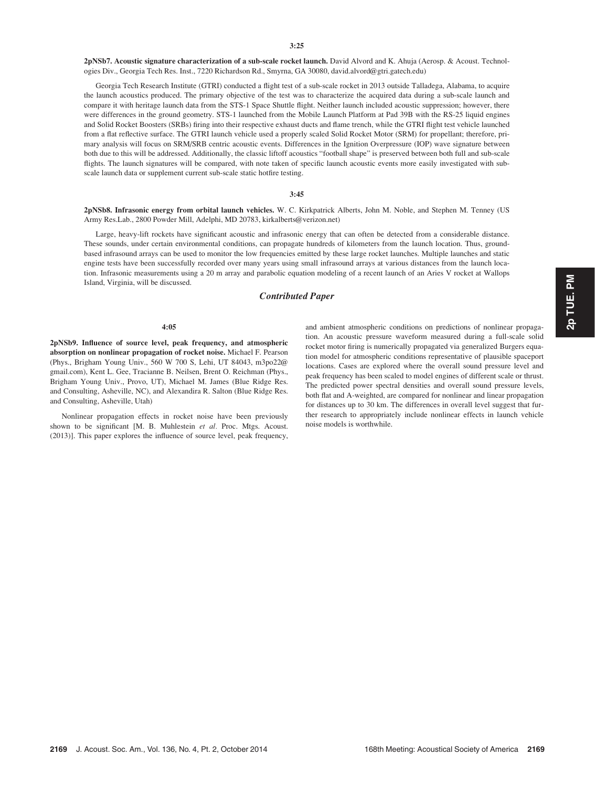2pNSb7. Acoustic signature characterization of a sub-scale rocket launch. David Alvord and K. Ahuja (Aerosp. & Acoust. Technologies Div., Georgia Tech Res. Inst., 7220 Richardson Rd., Smyrna, GA 30080, david.alvord@gtri.gatech.edu)

Georgia Tech Research Institute (GTRI) conducted a flight test of a sub-scale rocket in 2013 outside Talladega, Alabama, to acquire the launch acoustics produced. The primary objective of the test was to characterize the acquired data during a sub-scale launch and compare it with heritage launch data from the STS-1 Space Shuttle flight. Neither launch included acoustic suppression; however, there were differences in the ground geometry. STS-1 launched from the Mobile Launch Platform at Pad 39B with the RS-25 liquid engines and Solid Rocket Boosters (SRBs) firing into their respective exhaust ducts and flame trench, while the GTRI flight test vehicle launched from a flat reflective surface. The GTRI launch vehicle used a properly scaled Solid Rocket Motor (SRM) for propellant; therefore, primary analysis will focus on SRM/SRB centric acoustic events. Differences in the Ignition Overpressure (IOP) wave signature between both due to this will be addressed. Additionally, the classic liftoff acoustics "football shape" is preserved between both full and sub-scale flights. The launch signatures will be compared, with note taken of specific launch acoustic events more easily investigated with subscale launch data or supplement current sub-scale static hotfire testing.

## 3:45

2pNSb8. Infrasonic energy from orbital launch vehicles. W. C. Kirkpatrick Alberts, John M. Noble, and Stephen M. Tenney (US Army Res.Lab., 2800 Powder Mill, Adelphi, MD 20783, kirkalberts@verizon.net)

Large, heavy-lift rockets have significant acoustic and infrasonic energy that can often be detected from a considerable distance. These sounds, under certain environmental conditions, can propagate hundreds of kilometers from the launch location. Thus, groundbased infrasound arrays can be used to monitor the low frequencies emitted by these large rocket launches. Multiple launches and static engine tests have been successfully recorded over many years using small infrasound arrays at various distances from the launch location. Infrasonic measurements using a 20 m array and parabolic equation modeling of a recent launch of an Aries V rocket at Wallops Island, Virginia, will be discussed.

# Contributed Paper

#### 4:05

2pNSb9. Influence of source level, peak frequency, and atmospheric absorption on nonlinear propagation of rocket noise. Michael F. Pearson (Phys., Brigham Young Univ., 560 W 700 S, Lehi, UT 84043, m3po22@ gmail.com), Kent L. Gee, Tracianne B. Neilsen, Brent O. Reichman (Phys., Brigham Young Univ., Provo, UT), Michael M. James (Blue Ridge Res. and Consulting, Asheville, NC), and Alexandira R. Salton (Blue Ridge Res. and Consulting, Asheville, Utah)

Nonlinear propagation effects in rocket noise have been previously shown to be significant [M. B. Muhlestein et al. Proc. Mtgs. Acoust. (2013)]. This paper explores the influence of source level, peak frequency, and ambient atmospheric conditions on predictions of nonlinear propagation. An acoustic pressure waveform measured during a full-scale solid rocket motor firing is numerically propagated via generalized Burgers equation model for atmospheric conditions representative of plausible spaceport locations. Cases are explored where the overall sound pressure level and peak frequency has been scaled to model engines of different scale or thrust. The predicted power spectral densities and overall sound pressure levels, both flat and A-weighted, are compared for nonlinear and linear propagation for distances up to 30 km. The differences in overall level suggest that further research to appropriately include nonlinear effects in launch vehicle noise models is worthwhile.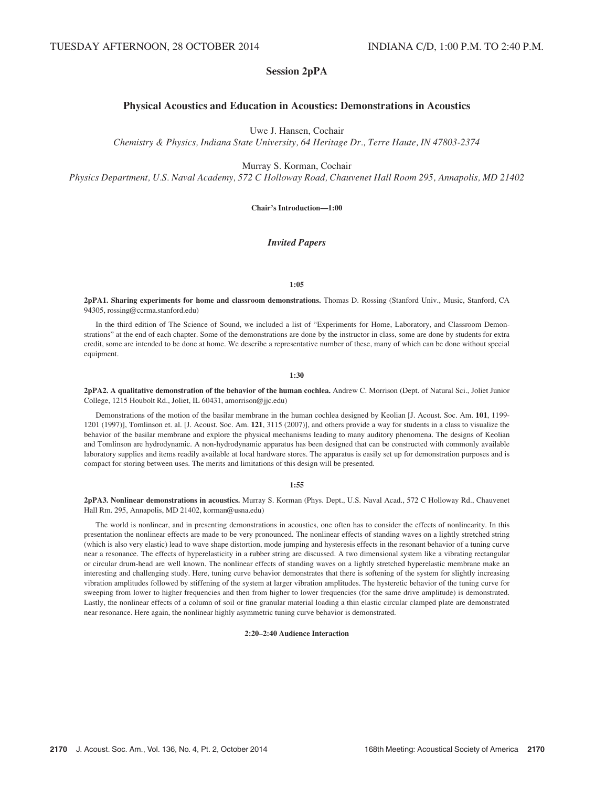# Session 2pPA

# Physical Acoustics and Education in Acoustics: Demonstrations in Acoustics

Uwe J. Hansen, Cochair

Chemistry & Physics, Indiana State University, 64 Heritage Dr., Terre Haute, IN 47803-2374

Murray S. Korman, Cochair

Physics Department, U.S. Naval Academy, 572 C Holloway Road, Chauvenet Hall Room 295, Annapolis, MD 21402

Chair's Introduction—1:00

## Invited Papers

#### 1:05

2pPA1. Sharing experiments for home and classroom demonstrations. Thomas D. Rossing (Stanford Univ., Music, Stanford, CA 94305, rossing@ccrma.stanford.edu)

In the third edition of The Science of Sound, we included a list of "Experiments for Home, Laboratory, and Classroom Demonstrations" at the end of each chapter. Some of the demonstrations are done by the instructor in class, some are done by students for extra credit, some are intended to be done at home. We describe a representative number of these, many of which can be done without special equipment.

1:30

2pPA2. A qualitative demonstration of the behavior of the human cochlea. Andrew C. Morrison (Dept. of Natural Sci., Joliet Junior College, 1215 Houbolt Rd., Joliet, IL 60431, amorrison@jjc.edu)

Demonstrations of the motion of the basilar membrane in the human cochlea designed by Keolian [J. Acoust. Soc. Am. 101, 1199- 1201 (1997)], Tomlinson et. al. [J. Acoust. Soc. Am. 121, 3115 (2007)], and others provide a way for students in a class to visualize the behavior of the basilar membrane and explore the physical mechanisms leading to many auditory phenomena. The designs of Keolian and Tomlinson are hydrodynamic. A non-hydrodynamic apparatus has been designed that can be constructed with commonly available laboratory supplies and items readily available at local hardware stores. The apparatus is easily set up for demonstration purposes and is compact for storing between uses. The merits and limitations of this design will be presented.

## 1:55

2pPA3. Nonlinear demonstrations in acoustics. Murray S. Korman (Phys. Dept., U.S. Naval Acad., 572 C Holloway Rd., Chauvenet Hall Rm. 295, Annapolis, MD 21402, korman@usna.edu)

The world is nonlinear, and in presenting demonstrations in acoustics, one often has to consider the effects of nonlinearity. In this presentation the nonlinear effects are made to be very pronounced. The nonlinear effects of standing waves on a lightly stretched string (which is also very elastic) lead to wave shape distortion, mode jumping and hysteresis effects in the resonant behavior of a tuning curve near a resonance. The effects of hyperelasticity in a rubber string are discussed. A two dimensional system like a vibrating rectangular or circular drum-head are well known. The nonlinear effects of standing waves on a lightly stretched hyperelastic membrane make an interesting and challenging study. Here, tuning curve behavior demonstrates that there is softening of the system for slightly increasing vibration amplitudes followed by stiffening of the system at larger vibration amplitudes. The hysteretic behavior of the tuning curve for sweeping from lower to higher frequencies and then from higher to lower frequencies (for the same drive amplitude) is demonstrated. Lastly, the nonlinear effects of a column of soil or fine granular material loading a thin elastic circular clamped plate are demonstrated near resonance. Here again, the nonlinear highly asymmetric tuning curve behavior is demonstrated.

## 2:20–2:40 Audience Interaction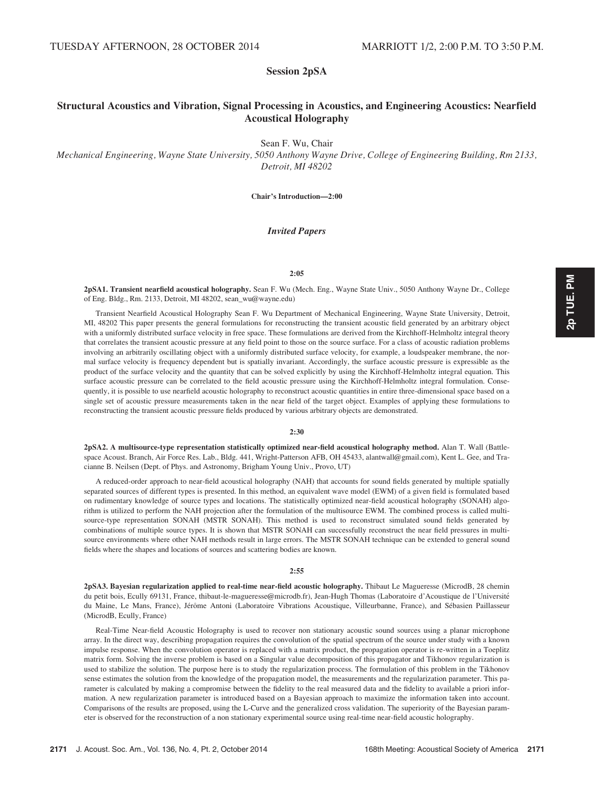# Session 2pSA

# Structural Acoustics and Vibration, Signal Processing in Acoustics, and Engineering Acoustics: Nearfield Acoustical Holography

Sean F. Wu, Chair

Mechanical Engineering, Wayne State University, 5050 Anthony Wayne Drive, College of Engineering Building, Rm 2133, Detroit, MI 48202

Chair's Introduction—2:00

## Invited Papers

## $2:05$

2pSA1. Transient nearfield acoustical holography. Sean F. Wu (Mech. Eng., Wayne State Univ., 5050 Anthony Wayne Dr., College of Eng. Bldg., Rm. 2133, Detroit, MI 48202, sean\_wu@wayne.edu)

Transient Nearfield Acoustical Holography Sean F. Wu Department of Mechanical Engineering, Wayne State University, Detroit, MI, 48202 This paper presents the general formulations for reconstructing the transient acoustic field generated by an arbitrary object with a uniformly distributed surface velocity in free space. These formulations are derived from the Kirchhoff-Helmholtz integral theory that correlates the transient acoustic pressure at any field point to those on the source surface. For a class of acoustic radiation problems involving an arbitrarily oscillating object with a uniformly distributed surface velocity, for example, a loudspeaker membrane, the normal surface velocity is frequency dependent but is spatially invariant. Accordingly, the surface acoustic pressure is expressible as the product of the surface velocity and the quantity that can be solved explicitly by using the Kirchhoff-Helmholtz integral equation. This surface acoustic pressure can be correlated to the field acoustic pressure using the Kirchhoff-Helmholtz integral formulation. Consequently, it is possible to use nearfield acoustic holography to reconstruct acoustic quantities in entire three-dimensional space based on a single set of acoustic pressure measurements taken in the near field of the target object. Examples of applying these formulations to reconstructing the transient acoustic pressure fields produced by various arbitrary objects are demonstrated.

#### $2.30$

2pSA2. A multisource-type representation statistically optimized near-field acoustical holography method. Alan T. Wall (Battlespace Acoust. Branch, Air Force Res. Lab., Bldg. 441, Wright-Patterson AFB, OH 45433, alantwall@gmail.com), Kent L. Gee, and Tracianne B. Neilsen (Dept. of Phys. and Astronomy, Brigham Young Univ., Provo, UT)

A reduced-order approach to near-field acoustical holography (NAH) that accounts for sound fields generated by multiple spatially separated sources of different types is presented. In this method, an equivalent wave model (EWM) of a given field is formulated based on rudimentary knowledge of source types and locations. The statistically optimized near-field acoustical holography (SONAH) algorithm is utilized to perform the NAH projection after the formulation of the multisource EWM. The combined process is called multisource-type representation SONAH (MSTR SONAH). This method is used to reconstruct simulated sound fields generated by combinations of multiple source types. It is shown that MSTR SONAH can successfully reconstruct the near field pressures in multisource environments where other NAH methods result in large errors. The MSTR SONAH technique can be extended to general sound fields where the shapes and locations of sources and scattering bodies are known.

#### 2:55

2pSA3. Bayesian regularization applied to real-time near-field acoustic holography. Thibaut Le Magueresse (MicrodB, 28 chemin du petit bois, Ecully 69131, France, thibaut-le-magueresse@microdb.fr), Jean-Hugh Thomas (Laboratoire d'Acoustique de l'Université du Maine, Le Mans, France), Jérôme Antoni (Laboratoire Vibrations Acoustique, Villeurbanne, France), and Sébasien Paillasseur (MicrodB, Ecully, France)

Real-Time Near-field Acoustic Holography is used to recover non stationary acoustic sound sources using a planar microphone array. In the direct way, describing propagation requires the convolution of the spatial spectrum of the source under study with a known impulse response. When the convolution operator is replaced with a matrix product, the propagation operator is re-written in a Toeplitz matrix form. Solving the inverse problem is based on a Singular value decomposition of this propagator and Tikhonov regularization is used to stabilize the solution. The purpose here is to study the regularization process. The formulation of this problem in the Tikhonov sense estimates the solution from the knowledge of the propagation model, the measurements and the regularization parameter. This parameter is calculated by making a compromise between the fidelity to the real measured data and the fidelity to available a priori information. A new regularization parameter is introduced based on a Bayesian approach to maximize the information taken into account. Comparisons of the results are proposed, using the L-Curve and the generalized cross validation. The superiority of the Bayesian parameter is observed for the reconstruction of a non stationary experimental source using real-time near-field acoustic holography.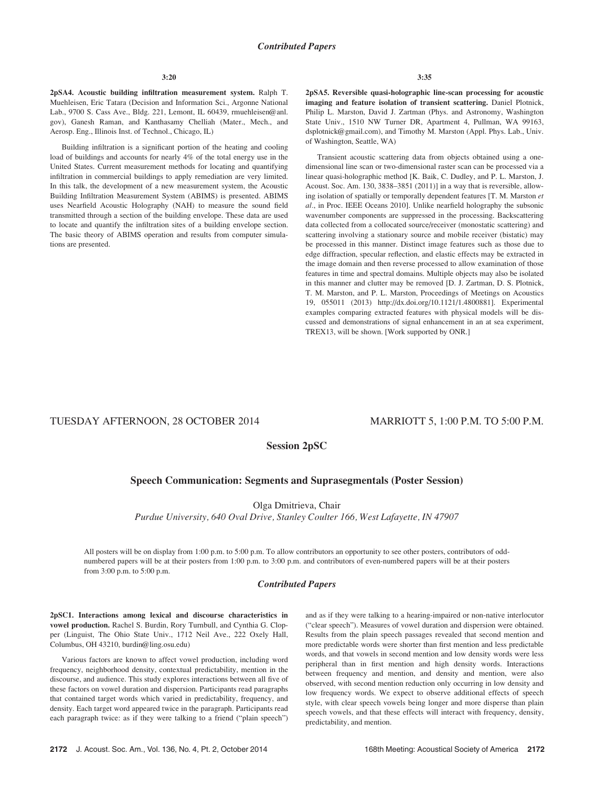2pSA4. Acoustic building infiltration measurement system. Ralph T. Muehleisen, Eric Tatara (Decision and Information Sci., Argonne National Lab., 9700 S. Cass Ave., Bldg. 221, Lemont, IL 60439, rmuehleisen@anl. gov), Ganesh Raman, and Kanthasamy Chelliah (Mater., Mech., and Aerosp. Eng., Illinois Inst. of Technol., Chicago, IL)

Building infiltration is a significant portion of the heating and cooling load of buildings and accounts for nearly 4% of the total energy use in the United States. Current measurement methods for locating and quantifying infiltration in commercial buildings to apply remediation are very limited. In this talk, the development of a new measurement system, the Acoustic Building Infiltration Measurement System (ABIMS) is presented. ABIMS uses Nearfield Acoustic Holography (NAH) to measure the sound field transmitted through a section of the building envelope. These data are used to locate and quantify the infiltration sites of a building envelope section. The basic theory of ABIMS operation and results from computer simulations are presented.

2pSA5. Reversible quasi-holographic line-scan processing for acoustic imaging and feature isolation of transient scattering. Daniel Plotnick, Philip L. Marston, David J. Zartman (Phys. and Astronomy, Washington State Univ., 1510 NW Turner DR, Apartment 4, Pullman, WA 99163, dsplotnick@gmail.com), and Timothy M. Marston (Appl. Phys. Lab., Univ. of Washington, Seattle, WA)

Transient acoustic scattering data from objects obtained using a onedimensional line scan or two-dimensional raster scan can be processed via a linear quasi-holographic method [K. Baik, C. Dudley, and P. L. Marston, J. Acoust. Soc. Am. 130, 3838–3851 (2011)] in a way that is reversible, allowing isolation of spatially or temporally dependent features [T. M. Marston et al., in Proc. IEEE Oceans 2010]. Unlike nearfield holography the subsonic wavenumber components are suppressed in the processing. Backscattering data collected from a collocated source/receiver (monostatic scattering) and scattering involving a stationary source and mobile receiver (bistatic) may be processed in this manner. Distinct image features such as those due to edge diffraction, specular reflection, and elastic effects may be extracted in the image domain and then reverse processed to allow examination of those features in time and spectral domains. Multiple objects may also be isolated in this manner and clutter may be removed [D. J. Zartman, D. S. Plotnick, T. M. Marston, and P. L. Marston, Proceedings of Meetings on Acoustics 19, 055011 (2013) http://dx.doi.org/10.1121/1.4800881]. Experimental examples comparing extracted features with physical models will be discussed and demonstrations of signal enhancement in an at sea experiment, TREX13, will be shown. [Work supported by ONR.]

# TUESDAY AFTERNOON, 28 OCTOBER 2014 MARRIOTT 5, 1:00 P.M. TO 5:00 P.M.

# Session 2pSC

# Speech Communication: Segments and Suprasegmentals (Poster Session)

Olga Dmitrieva, Chair

Purdue University, 640 Oval Drive, Stanley Coulter 166, West Lafayette, IN 47907

All posters will be on display from 1:00 p.m. to 5:00 p.m. To allow contributors an opportunity to see other posters, contributors of oddnumbered papers will be at their posters from 1:00 p.m. to 3:00 p.m. and contributors of even-numbered papers will be at their posters from 3:00 p.m. to 5:00 p.m.

## Contributed Papers

2pSC1. Interactions among lexical and discourse characteristics in vowel production. Rachel S. Burdin, Rory Turnbull, and Cynthia G. Clopper (Linguist, The Ohio State Univ., 1712 Neil Ave., 222 Oxely Hall, Columbus, OH 43210, burdin@ling.osu.edu)

Various factors are known to affect vowel production, including word frequency, neighborhood density, contextual predictability, mention in the discourse, and audience. This study explores interactions between all five of these factors on vowel duration and dispersion. Participants read paragraphs that contained target words which varied in predictability, frequency, and density. Each target word appeared twice in the paragraph. Participants read each paragraph twice: as if they were talking to a friend ("plain speech") and as if they were talking to a hearing-impaired or non-native interlocutor ("clear speech"). Measures of vowel duration and dispersion were obtained. Results from the plain speech passages revealed that second mention and more predictable words were shorter than first mention and less predictable words, and that vowels in second mention and low density words were less peripheral than in first mention and high density words. Interactions between frequency and mention, and density and mention, were also observed, with second mention reduction only occurring in low density and low frequency words. We expect to observe additional effects of speech style, with clear speech vowels being longer and more disperse than plain speech vowels, and that these effects will interact with frequency, density, predictability, and mention.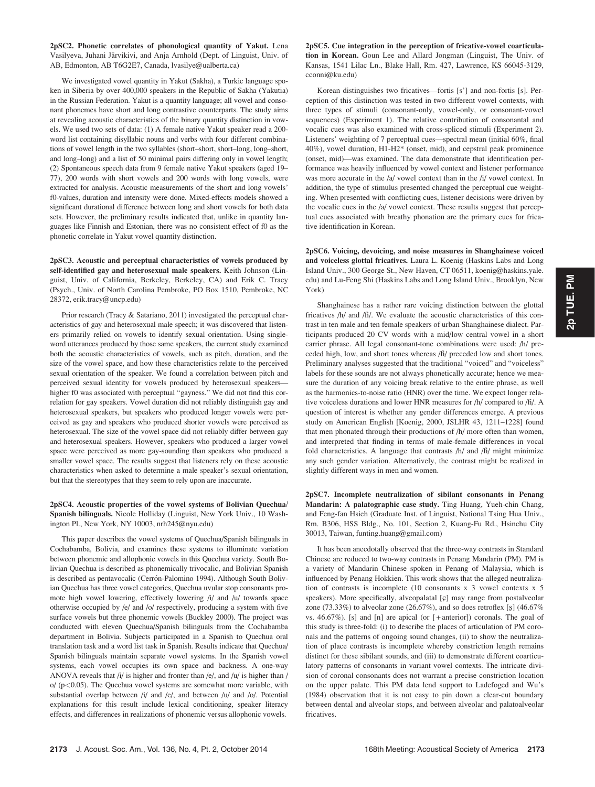2pSC2. Phonetic correlates of phonological quantity of Yakut. Lena Vasilyeva, Juhani Järvikivi, and Anja Arnhold (Dept. of Linguist, Univ. of AB, Edmonton, AB T6G2E7, Canada, lvasilye@ualberta.ca)

We investigated vowel quantity in Yakut (Sakha), a Turkic language spoken in Siberia by over 400,000 speakers in the Republic of Sakha (Yakutia) in the Russian Federation. Yakut is a quantity language; all vowel and consonant phonemes have short and long contrastive counterparts. The study aims at revealing acoustic characteristics of the binary quantity distinction in vowels. We used two sets of data: (1) A female native Yakut speaker read a 200 word list containing disyllabic nouns and verbs with four different combinations of vowel length in the two syllables (short–short, short–long, long–short, and long–long) and a list of 50 minimal pairs differing only in vowel length; (2) Spontaneous speech data from 9 female native Yakut speakers (aged 19– 77), 200 words with short vowels and 200 words with long vowels, were extracted for analysis. Acoustic measurements of the short and long vowels' f0-values, duration and intensity were done. Mixed-effects models showed a significant durational difference between long and short vowels for both data sets. However, the preliminary results indicated that, unlike in quantity languages like Finnish and Estonian, there was no consistent effect of f0 as the phonetic correlate in Yakut vowel quantity distinction.

2pSC3. Acoustic and perceptual characteristics of vowels produced by self-identified gay and heterosexual male speakers. Keith Johnson (Linguist, Univ. of California, Berkeley, Berkeley, CA) and Erik C. Tracy (Psych., Univ. of North Carolina Pembroke, PO Box 1510, Pembroke, NC 28372, erik.tracy@uncp.edu)

Prior research (Tracy & Satariano, 2011) investigated the perceptual characteristics of gay and heterosexual male speech; it was discovered that listeners primarily relied on vowels to identify sexual orientation. Using singleword utterances produced by those same speakers, the current study examined both the acoustic characteristics of vowels, such as pitch, duration, and the size of the vowel space, and how these characteristics relate to the perceived sexual orientation of the speaker. We found a correlation between pitch and perceived sexual identity for vowels produced by heterosexual speakers higher f0 was associated with perceptual "gayness." We did not find this correlation for gay speakers. Vowel duration did not reliably distinguish gay and heterosexual speakers, but speakers who produced longer vowels were perceived as gay and speakers who produced shorter vowels were perceived as heterosexual. The size of the vowel space did not reliably differ between gay and heterosexual speakers. However, speakers who produced a larger vowel space were perceived as more gay-sounding than speakers who produced a smaller vowel space. The results suggest that listeners rely on these acoustic characteristics when asked to determine a male speaker's sexual orientation, but that the stereotypes that they seem to rely upon are inaccurate.

## 2pSC4. Acoustic properties of the vowel systems of Bolivian Quechua/ Spanish bilinguals. Nicole Holliday (Linguist, New York Univ., 10 Washington Pl., New York, NY 10003, nrh245@nyu.edu)

This paper describes the vowel systems of Quechua/Spanish bilinguals in Cochabamba, Bolivia, and examines these systems to illuminate variation between phonemic and allophonic vowels in this Quechua variety. South Bolivian Quechua is described as phonemically trivocalic, and Bolivian Spanish is described as pentavocalic (Cerrón-Palomino 1994). Although South Bolivian Quechua has three vowel categories, Quechua uvular stop consonants promote high vowel lowering, effectively lowering /i/ and /u/ towards space otherwise occupied by /e/ and /o/ respectively, producing a system with five surface vowels but three phonemic vowels (Buckley 2000). The project was conducted with eleven Quechua/Spanish bilinguals from the Cochabamba department in Bolivia. Subjects participated in a Spanish to Quechua oral translation task and a word list task in Spanish. Results indicate that Quechua/ Spanish bilinguals maintain separate vowel systems. In the Spanish vowel systems, each vowel occupies its own space and backness. A one-way ANOVA reveals that /i/ is higher and fronter than /e/, and /u/ is higher than /  $o/$  ( $p<0.05$ ). The Quechua vowel systems are somewhat more variable, with substantial overlap between /i/ and /e/, and between /u/ and /o/. Potential explanations for this result include lexical conditioning, speaker literacy effects, and differences in realizations of phonemic versus allophonic vowels.

2pSC5. Cue integration in the perception of fricative-vowel coarticulation in Korean. Goun Lee and Allard Jongman (Linguist, The Univ. of Kansas, 1541 Lilac Ln., Blake Hall, Rm. 427, Lawrence, KS 66045-3129, cconni@ku.edu)

Korean distinguishes two fricatives—fortis [s'] and non-fortis [s]. Perception of this distinction was tested in two different vowel contexts, with three types of stimuli (consonant-only, vowel-only, or consonant-vowel sequences) (Experiment 1). The relative contribution of consonantal and vocalic cues was also examined with cross-spliced stimuli (Experiment 2). Listeners' weighting of 7 perceptual cues—spectral mean (initial 60%, final 40%), vowel duration, H1-H2\* (onset, mid), and cepstral peak prominence (onset, mid)—was examined. The data demonstrate that identification performance was heavily influenced by vowel context and listener performance was more accurate in the /a/ vowel context than in the /i/ vowel context. In addition, the type of stimulus presented changed the perceptual cue weighting. When presented with conflicting cues, listener decisions were driven by the vocalic cues in the /a/ vowel context. These results suggest that perceptual cues associated with breathy phonation are the primary cues for fricative identification in Korean.

2pSC6. Voicing, devoicing, and noise measures in Shanghainese voiced and voiceless glottal fricatives. Laura L. Koenig (Haskins Labs and Long Island Univ., 300 George St., New Haven, CT 06511, koenig@haskins.yale. edu) and Lu-Feng Shi (Haskins Labs and Long Island Univ., Brooklyn, New York)

Shanghainese has a rather rare voicing distinction between the glottal fricatives  $/h/$  and  $/h/$ . We evaluate the acoustic characteristics of this contrast in ten male and ten female speakers of urban Shanghainese dialect. Participants produced 20 CV words with a mid/low central vowel in a short carrier phrase. All legal consonant-tone combinations were used: /h/ preceded high, low, and short tones whereas /fi/ preceded low and short tones. Preliminary analyses suggested that the traditional "voiced" and "voiceless" labels for these sounds are not always phonetically accurate; hence we measure the duration of any voicing break relative to the entire phrase, as well as the harmonics-to-noise ratio (HNR) over the time. We expect longer relative voiceless durations and lower HNR measures for /h/ compared to /fi/. A question of interest is whether any gender differences emerge. A previous study on American English [Koenig, 2000, JSLHR 43, 1211–1228] found that men phonated through their productions of /h/ more often than women, and interpreted that finding in terms of male-female differences in vocal fold characteristics. A language that contrasts  $/h/$  and  $/h/$  might minimize any such gender variation. Alternatively, the contrast might be realized in slightly different ways in men and women.

2pSC7. Incomplete neutralization of sibilant consonants in Penang Mandarin: A palatographic case study. Ting Huang, Yueh-chin Chang, and Feng-fan Hsieh (Graduate Inst. of Linguist, National Tsing Hua Univ., Rm. B306, HSS Bldg., No. 101, Section 2, Kuang-Fu Rd., Hsinchu City 30013, Taiwan, funting.huang@gmail.com)

It has been anecdotally observed that the three-way contrasts in Standard Chinese are reduced to two-way contrasts in Penang Mandarin (PM). PM is a variety of Mandarin Chinese spoken in Penang of Malaysia, which is influenced by Penang Hokkien. This work shows that the alleged neutralization of contrasts is incomplete (10 consonants x 3 vowel contexts x 5 speakers). More specifically, alveopalatal [ $\varsigma$ ] may range from postalveolar zone (73.33%) to alveolar zone (26.67%), and so does retroflex [§] (46.67%) vs.  $46.67\%$ ). [s] and [n] are apical (or  $[+$  anterior]) coronals. The goal of this study is three-fold: (i) to describe the places of articulation of PM coronals and the patterns of ongoing sound changes, (ii) to show the neutralization of place contrasts is incomplete whereby constriction length remains distinct for these sibilant sounds, and (iii) to demonstrate different coarticulatory patterns of consonants in variant vowel contexts. The intricate division of coronal consonants does not warrant a precise constriction location on the upper palate. This PM data lend support to Ladefoged and Wu's (1984) observation that it is not easy to pin down a clear-cut boundary between dental and alveolar stops, and between alveolar and palatoalveolar fricatives.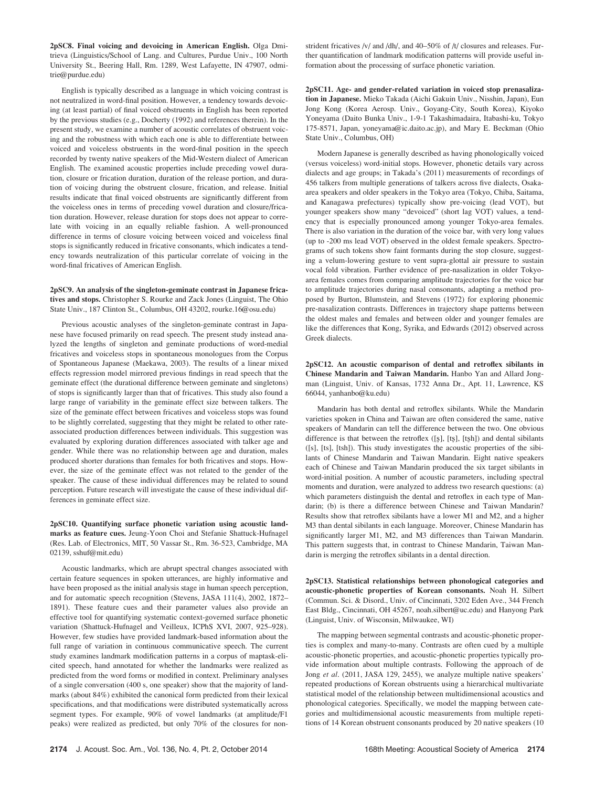2pSC8. Final voicing and devoicing in American English. Olga Dmitrieva (Linguistics/School of Lang. and Cultures, Purdue Univ., 100 North University St., Beering Hall, Rm. 1289, West Lafayette, IN 47907, odmitrie@purdue.edu)

English is typically described as a language in which voicing contrast is not neutralized in word-final position. However, a tendency towards devoicing (at least partial) of final voiced obstruents in English has been reported by the previous studies (e.g., Docherty (1992) and references therein). In the present study, we examine a number of acoustic correlates of obstruent voicing and the robustness with which each one is able to differentiate between voiced and voiceless obstruents in the word-final position in the speech recorded by twenty native speakers of the Mid-Western dialect of American English. The examined acoustic properties include preceding vowel duration, closure or frication duration, duration of the release portion, and duration of voicing during the obstruent closure, frication, and release. Initial results indicate that final voiced obstruents are significantly different from the voiceless ones in terms of preceding vowel duration and closure/frication duration. However, release duration for stops does not appear to correlate with voicing in an equally reliable fashion. A well-pronounced difference in terms of closure voicing between voiced and voiceless final stops is significantly reduced in fricative consonants, which indicates a tendency towards neutralization of this particular correlate of voicing in the word-final fricatives of American English.

## 2pSC9. An analysis of the singleton-geminate contrast in Japanese fricatives and stops. Christopher S. Rourke and Zack Jones (Linguist, The Ohio State Univ., 187 Clinton St., Columbus, OH 43202, rourke.16@osu.edu)

Previous acoustic analyses of the singleton-geminate contrast in Japanese have focused primarily on read speech. The present study instead analyzed the lengths of singleton and geminate productions of word-medial fricatives and voiceless stops in spontaneous monologues from the Corpus of Spontaneous Japanese (Maekawa, 2003). The results of a linear mixed effects regression model mirrored previous findings in read speech that the geminate effect (the durational difference between geminate and singletons) of stops is significantly larger than that of fricatives. This study also found a large range of variability in the geminate effect size between talkers. The size of the geminate effect between fricatives and voiceless stops was found to be slightly correlated, suggesting that they might be related to other rateassociated production differences between individuals. This suggestion was evaluated by exploring duration differences associated with talker age and gender. While there was no relationship between age and duration, males produced shorter durations than females for both fricatives and stops. However, the size of the geminate effect was not related to the gender of the speaker. The cause of these individual differences may be related to sound perception. Future research will investigate the cause of these individual differences in geminate effect size.

2pSC10. Quantifying surface phonetic variation using acoustic landmarks as feature cues. Jeung-Yoon Choi and Stefanie Shattuck-Hufnagel (Res. Lab. of Electronics, MIT, 50 Vassar St., Rm. 36-523, Cambridge, MA 02139, sshuf@mit.edu)

Acoustic landmarks, which are abrupt spectral changes associated with certain feature sequences in spoken utterances, are highly informative and have been proposed as the initial analysis stage in human speech perception, and for automatic speech recognition (Stevens, JASA 111(4), 2002, 1872– 1891). These feature cues and their parameter values also provide an effective tool for quantifying systematic context-governed surface phonetic variation (Shattuck-Hufnagel and Veilleux, ICPhS XVI, 2007, 925–928). However, few studies have provided landmark-based information about the full range of variation in continuous communicative speech. The current study examines landmark modification patterns in a corpus of maptask-elicited speech, hand annotated for whether the landmarks were realized as predicted from the word forms or modified in context. Preliminary analyses of a single conversation (400 s, one speaker) show that the majority of landmarks (about 84%) exhibited the canonical form predicted from their lexical specifications, and that modifications were distributed systematically across segment types. For example, 90% of vowel landmarks (at amplitude/F1 peaks) were realized as predicted, but only 70% of the closures for nonstrident fricatives /v/ and /dh/, and 40–50% of /t/ closures and releases. Further quantification of landmark modification patterns will provide useful information about the processing of surface phonetic variation.

2pSC11. Age- and gender-related variation in voiced stop prenasalization in Japanese. Mieko Takada (Aichi Gakuin Univ., Nisshin, Japan), Eun Jong Kong (Korea Aerosp. Univ., Goyang-City, South Korea), Kiyoko Yoneyama (Daito Bunka Univ., 1-9-1 Takashimadaira, Itabashi-ku, Tokyo 175-8571, Japan, yoneyama@ic.daito.ac.jp), and Mary E. Beckman (Ohio State Univ., Columbus, OH)

Modern Japanese is generally described as having phonologically voiced (versus voiceless) word-initial stops. However, phonetic details vary across dialects and age groups; in Takada's (2011) measurements of recordings of 456 talkers from multiple generations of talkers across five dialects, Osakaarea speakers and older speakers in the Tokyo area (Tokyo, Chiba, Saitama, and Kanagawa prefectures) typically show pre-voicing (lead VOT), but younger speakers show many "devoiced" (short lag VOT) values, a tendency that is especially pronounced among younger Tokyo-area females. There is also variation in the duration of the voice bar, with very long values (up to -200 ms lead VOT) observed in the oldest female speakers. Spectrograms of such tokens show faint formants during the stop closure, suggesting a velum-lowering gesture to vent supra-glottal air pressure to sustain vocal fold vibration. Further evidence of pre-nasalization in older Tokyoarea females comes from comparing amplitude trajectories for the voice bar to amplitude trajectories during nasal consonants, adapting a method proposed by Burton, Blumstein, and Stevens (1972) for exploring phonemic pre-nasalization contrasts. Differences in trajectory shape patterns between the oldest males and females and between older and younger females are like the differences that Kong, Syrika, and Edwards (2012) observed across Greek dialects.

2pSC12. An acoustic comparison of dental and retroflex sibilants in Chinese Mandarin and Taiwan Mandarin. Hanbo Yan and Allard Jongman (Linguist, Univ. of Kansas, 1732 Anna Dr., Apt. 11, Lawrence, KS 66044, yanhanbo@ku.edu)

Mandarin has both dental and retroflex sibilants. While the Mandarin varieties spoken in China and Taiwan are often considered the same, native speakers of Mandarin can tell the difference between the two. One obvious difference is that between the retroflex  $([s], [ts], [ts])$  and dental sibilants ([s], [ts], [tsh]). This study investigates the acoustic properties of the sibilants of Chinese Mandarin and Taiwan Mandarin. Eight native speakers each of Chinese and Taiwan Mandarin produced the six target sibilants in word-initial position. A number of acoustic parameters, including spectral moments and duration, were analyzed to address two research questions: (a) which parameters distinguish the dental and retroflex in each type of Mandarin; (b) is there a difference between Chinese and Taiwan Mandarin? Results show that retroflex sibilants have a lower M1 and M2, and a higher M3 than dental sibilants in each language. Moreover, Chinese Mandarin has significantly larger M1, M2, and M3 differences than Taiwan Mandarin. This pattern suggests that, in contrast to Chinese Mandarin, Taiwan Mandarin is merging the retroflex sibilants in a dental direction.

2pSC13. Statistical relationships between phonological categories and acoustic-phonetic properties of Korean consonants. Noah H. Silbert (Commun. Sci. & Disord., Univ. of Cincinnati, 3202 Eden Ave., 344 French East Bldg., Cincinnati, OH 45267, noah.silbert@uc.edu) and Hanyong Park (Linguist, Univ. of Wisconsin, Milwaukee, WI)

The mapping between segmental contrasts and acoustic-phonetic properties is complex and many-to-many. Contrasts are often cued by a multiple acoustic-phonetic properties, and acoustic-phonetic properties typically provide information about multiple contrasts. Following the approach of de Jong et al. (2011, JASA 129, 2455), we analyze multiple native speakers' repeated productions of Korean obstruents using a hierarchical multivariate statistical model of the relationship between multidimensional acoustics and phonological categories. Specifically, we model the mapping between categories and multidimensional acoustic measurements from multiple repetitions of 14 Korean obstruent consonants produced by 20 native speakers (10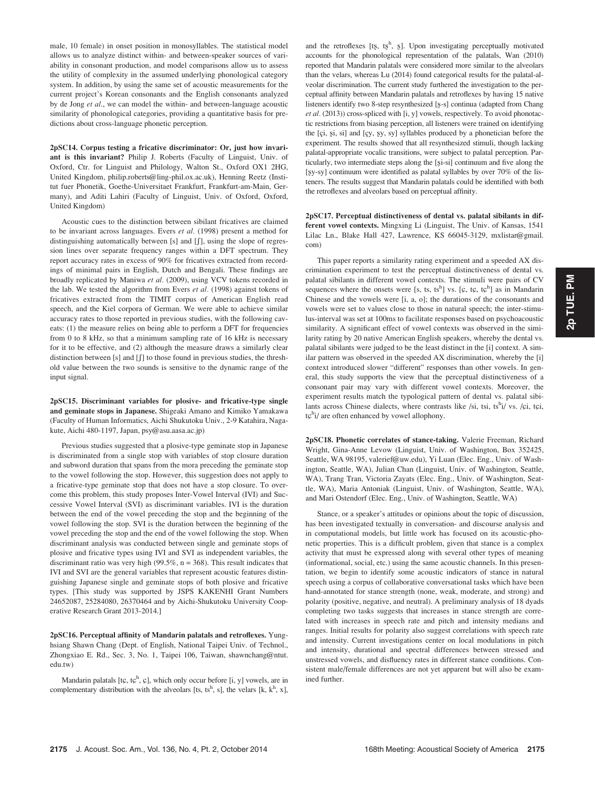male, 10 female) in onset position in monosyllables. The statistical model allows us to analyze distinct within- and between-speaker sources of variability in consonant production, and model comparisons allow us to assess the utility of complexity in the assumed underlying phonological category system. In addition, by using the same set of acoustic measurements for the current project's Korean consonants and the English consonants analyzed by de Jong et al., we can model the within- and between-language acoustic similarity of phonological categories, providing a quantitative basis for predictions about cross-language phonetic perception.

2pSC14. Corpus testing a fricative discriminator: Or, just how invariant is this invariant? Philip J. Roberts (Faculty of Linguist, Univ. of Oxford, Ctr. for Linguist and Philology, Walton St., Oxford OX1 2HG, United Kingdom, philip.roberts@ling-phil.ox.ac.uk), Henning Reetz (Institut fuer Phonetik, Goethe-Universitaet Frankfurt, Frankfurt-am-Main, Germany), and Aditi Lahiri (Faculty of Linguist, Univ. of Oxford, Oxford, United Kingdom)

Acoustic cues to the distinction between sibilant fricatives are claimed to be invariant across languages. Evers et al. (1998) present a method for distinguishing automatically between  $[s]$  and  $[f]$ , using the slope of regression lines over separate frequency ranges within a DFT spectrum. They report accuracy rates in excess of 90% for fricatives extracted from recordings of minimal pairs in English, Dutch and Bengali. These findings are broadly replicated by Maniwa et al. (2009), using VCV tokens recorded in the lab. We tested the algorithm from Evers et al. (1998) against tokens of fricatives extracted from the TIMIT corpus of American English read speech, and the Kiel corpora of German. We were able to achieve similar accuracy rates to those reported in previous studies, with the following caveats: (1) the measure relies on being able to perform a DFT for frequencies from 0 to 8 kHz, so that a minimum sampling rate of 16 kHz is necessary for it to be effective, and (2) although the measure draws a similarly clear distinction between [s] and  $[]$  to those found in previous studies, the threshold value between the two sounds is sensitive to the dynamic range of the input signal.

2pSC15. Discriminant variables for plosive- and fricative-type single and geminate stops in Japanese. Shigeaki Amano and Kimiko Yamakawa (Faculty of Human Informatics, Aichi Shukutoku Univ., 2-9 Katahira, Nagakute, Aichi 480-1197, Japan, psy@asu.aasa.ac.jp)

Previous studies suggested that a plosive-type geminate stop in Japanese is discriminated from a single stop with variables of stop closure duration and subword duration that spans from the mora preceding the geminate stop to the vowel following the stop. However, this suggestion does not apply to a fricative-type geminate stop that does not have a stop closure. To overcome this problem, this study proposes Inter-Vowel Interval (IVI) and Successive Vowel Interval (SVI) as discriminant variables. IVI is the duration between the end of the vowel preceding the stop and the beginning of the vowel following the stop. SVI is the duration between the beginning of the vowel preceding the stop and the end of the vowel following the stop. When discriminant analysis was conducted between single and geminate stops of plosive and fricative types using IVI and SVI as independent variables, the discriminant ratio was very high (99.5%,  $n = 368$ ). This result indicates that IVI and SVI are the general variables that represent acoustic features distinguishing Japanese single and geminate stops of both plosive and fricative types. [This study was supported by JSPS KAKENHI Grant Numbers 24652087, 25284080, 26370464 and by Aichi-Shukutoku University Cooperative Research Grant 2013-2014.]

2pSC16. Perceptual affinity of Mandarin palatals and retroflexes. Yunghsiang Shawn Chang (Dept. of English, National Taipei Univ. of Technol., Zhongxiao E. Rd., Sec. 3, No. 1, Taipei 106, Taiwan, shawnchang@ntut. edu.tw)

Mandarin palatals [tç, tç<sup>h</sup>, ç], which only occur before [i, y] vowels, are in complementary distribution with the alveolars [ts, ts<sup>h</sup>, s], the velars [k, k<sup>h</sup>, x],

and the retroflexes [ts, tsh, s]. Upon investigating perceptually motivated accounts for the phonological representation of the palatals, Wan (2010) reported that Mandarin palatals were considered more similar to the alveolars than the velars, whereas Lu (2014) found categorical results for the palatal-alveolar discrimination. The current study furthered the investigation to the perceptual affinity between Mandarin palatals and retroflexes by having 15 native listeners identify two 8-step resynthesized [§-s] continua (adapted from Chang et al. (2013)) cross-spliced with [i, y] vowels, respectively. To avoid phonotactic restrictions from biasing perception, all listeners were trained on identifying the [çi, şi, si] and [çy, şy, sy] syllables produced by a phonetician before the experiment. The results showed that all resynthesized stimuli, though lacking palatal-appropriate vocalic transitions, were subject to palatal perception. Particularly, two intermediate steps along the [şi-si] continuum and five along the [§y-sy] continuum were identified as palatal syllables by over 70% of the listeners. The results suggest that Mandarin palatals could be identified with both the retroflexes and alveolars based on perceptual affinity.

2pSC17. Perceptual distinctiveness of dental vs. palatal sibilants in different vowel contexts. Mingxing Li (Linguist, The Univ. of Kansas, 1541 Lilac Ln., Blake Hall 427, Lawrence, KS 66045-3129, mxlistar@gmail. com)

This paper reports a similarity rating experiment and a speeded AX discrimination experiment to test the perceptual distinctiveness of dental vs. palatal sibilants in different vowel contexts. The stimuli were pairs of CV sequences where the onsets were [s, ts, ts<sup>h</sup>] vs. [c, tc, tc<sup>h</sup>] as in Mandarin Chinese and the vowels were [i, a, o]; the durations of the consonants and vowels were set to values close to those in natural speech; the inter-stimulus-interval was set at 100ms to facilitate responses based on psychoacoustic similarity. A significant effect of vowel contexts was observed in the similarity rating by 20 native American English speakers, whereby the dental vs. palatal sibilants were judged to be the least distinct in the [i] context. A similar pattern was observed in the speeded AX discrimination, whereby the [i] context introduced slower "different" responses than other vowels. In general, this study supports the view that the perceptual distinctiveness of a consonant pair may vary with different vowel contexts. Moreover, the experiment results match the typological pattern of dental vs. palatal sibilants across Chinese dialects, where contrasts like /si, tsi, tsh i/ vs. /çi, tçi, tç<sup>h</sup>i/ are often enhanced by vowel allophony.

2pSC18. Phonetic correlates of stance-taking. Valerie Freeman, Richard Wright, Gina-Anne Levow (Linguist, Univ. of Washington, Box 352425, Seattle, WA 98195, valerief@uw.edu), Yi Luan (Elec. Eng., Univ. of Washington, Seattle, WA), Julian Chan (Linguist, Univ. of Washington, Seattle, WA), Trang Tran, Victoria Zayats (Elec. Eng., Univ. of Washington, Seattle, WA), Maria Antoniak (Linguist, Univ. of Washington, Seattle, WA), and Mari Ostendorf (Elec. Eng., Univ. of Washington, Seattle, WA)

Stance, or a speaker's attitudes or opinions about the topic of discussion, has been investigated textually in conversation- and discourse analysis and in computational models, but little work has focused on its acoustic-phonetic properties. This is a difficult problem, given that stance is a complex activity that must be expressed along with several other types of meaning (informational, social, etc.) using the same acoustic channels. In this presentation, we begin to identify some acoustic indicators of stance in natural speech using a corpus of collaborative conversational tasks which have been hand-annotated for stance strength (none, weak, moderate, and strong) and polarity (positive, negative, and neutral). A preliminary analysis of 18 dyads completing two tasks suggests that increases in stance strength are correlated with increases in speech rate and pitch and intensity medians and ranges. Initial results for polarity also suggest correlations with speech rate and intensity. Current investigations center on local modulations in pitch and intensity, durational and spectral differences between stressed and unstressed vowels, and disfluency rates in different stance conditions. Consistent male/female differences are not yet apparent but will also be examined further.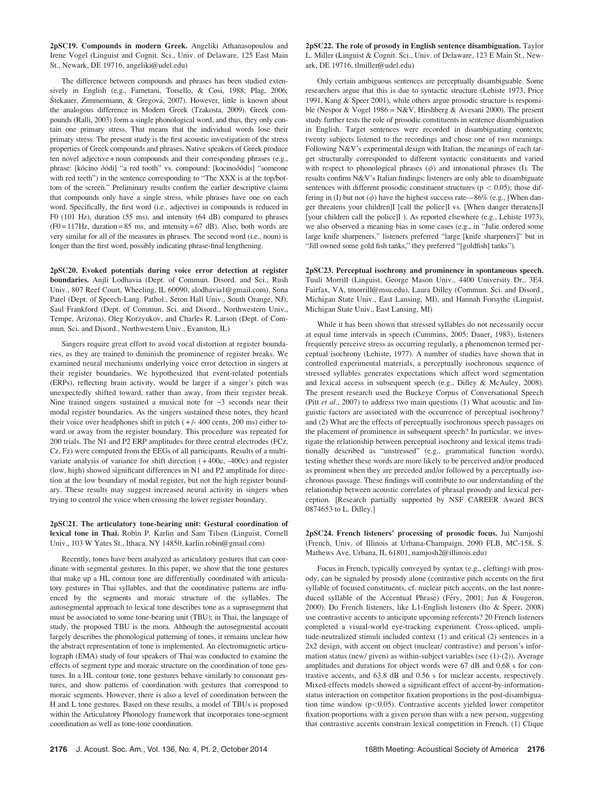2pSC19. Compounds in modern Greek. Angeliki Athanasopoulou and Irene Vogel (Linguist and Cognit. Sci., Univ. of Delaware, 125 East Main St., Newark, DE 19716, angeliki@udel.edu)

The difference between compounds and phrases has been studied extensively in English (e.g., Farnetani, Torsello, & Cosi, 1988; Plag, 2006; Štekauer, Zimmermann, & Gregová, 2007). However, little is known about the analogous difference in Modern Greek (Tzakosta, 2009). Greek compounds (Ralli, 2003) form a single phonological word, and thus, they only contain one primary stress. That means that the individual words lose their primary stress. The present study is the first acoustic investigation of the stress properties of Greek compounds and phrases. Native speakers of Greek produce ten novel adjective + noun compounds and their corresponding phrases (e.g., phrase: [kócino  $\delta$ ódi] "a red tooth" vs. compound: [kocino $\delta$ ódis] "someone with red teeth") in the sentence corresponding to "The XXX is at the top/bottom of the screen." Preliminary results confirm the earlier descriptive claims that compounds only have a single stress, while phrases have one on each word. Specifically, the first word (i.e., adjective) in compounds is reduced in F0 (101 Hz), duration (55 ms), and intensity (64 dB) compared to phrases  $(F0 = 117$  Hz, duration = 85 ms, and intensity = 67 dB). Also, both words are very similar for all of the measures in phrases. The second word (i.e., noun) is longer than the first word, possibly indicating phrase-final lengthening.

2pSC20. Evoked potentials during voice error detection at register boundaries. Anjli Lodhavia (Dept. of Commun. Disord. and Sci., Rush Univ., 807 Reef Court, Wheeling, IL 60090, alodhavia1@gmail.com), Sona Patel (Dept. of Speech-Lang. Pathol., Seton Hall Univ., South Orange, NJ), Saul Frankford (Dept. of Commun. Sci. and Disord., Northwestern Univ., Tempe, Arizona), Oleg Korzyukov, and Charles R. Larson (Dept. of Commun. Sci. and Disord., Northwestern Univ., Evanston, IL)

Singers require great effort to avoid vocal distortion at register boundaries, as they are trained to diminish the prominence of register breaks. We examined neural mechanisms underlying voice error detection in singers at their register boundaries. We hypothesized that event-related potentials (ERPs), reflecting brain activity, would be larger if a singer's pitch was unexpectedly shifted toward, rather than away, from their register break. Nine trained singers sustained a musical note for  $\sim$ 3 seconds near their modal register boundaries. As the singers sustained these notes, they heard their voice over headphones shift in pitch  $(+/- 400$  cents, 200 ms) either toward or away from the register boundary. This procedure was repeated for 200 trials. The N1 and P2 ERP amplitudes for three central electrodes (FCz, Cz, Fz) were computed from the EEGs of all participants. Results of a multivariate analysis of variance for shift direction ( + 400c, -400c) and register (low, high) showed significant differences in N1 and P2 amplitude for direction at the low boundary of modal register, but not the high register boundary. These results may suggest increased neural activity in singers when trying to control the voice when crossing the lower register boundary.

2pSC21. The articulatory tone-bearing unit: Gestural coordination of lexical tone in Thai. Robin P. Karlin and Sam Tilsen (Linguist, Cornell Univ., 103 W Yates St., Ithaca, NY 14850, karlin.robin@gmail.com)

Recently, tones have been analyzed as articulatory gestures that can coordinate with segmental gestures. In this paper, we show that the tone gestures that make up a HL contour tone are differentially coordinated with articulatory gestures in Thai syllables, and that the coordinative patterns are influenced by the segments and moraic structure of the syllables. The autosegmental approach to lexical tone describes tone as a suprasegment that must be associated to some tone-bearing unit (TBU); in Thai, the language of study, the proposed TBU is the mora. Although the autosegmental account largely describes the phonological patterning of tones, it remains unclear how the abstract representation of tone is implemented. An electromagnetic articulograph (EMA) study of four speakers of Thai was conducted to examine the effects of segment type and moraic structure on the coordination of tone gestures. In a HL contour tone, tone gestures behave similarly to consonant gestures, and show patterns of coordination with gestures that correspond to moraic segments. However, there is also a level of coordination between the H and L tone gestures. Based on these results, a model of TBUs is proposed within the Articulatory Phonology framework that incorporates tone-segment coordination as well as tone-tone coordination.

2pSC22. The role of prosody in English sentence disambiguation. Taylor L. Miller (Linguist & Cognit. Sci., Univ. of Delaware, 123 E Main St., Newark, DE 19716, tlmiller@udel.edu)

Only certain ambiguous sentences are perceptually disambiguable. Some researchers argue that this is due to syntactic structure (Lehiste 1973, Price 1991, Kang & Speer 2001), while others argue prosodic structure is responsible (Nespor & Vogel 1986 = N&V, Hirshberg & Avesani 2000). The present study further tests the role of prosodic constituents in sentence disambiguation in English. Target sentences were recorded in disambiguating contexts; twenty subjects listened to the recordings and chose one of two meanings. Following N&V's experimental design with Italian, the meanings of each target structurally corresponded to different syntactic constituents and varied with respect to phonological phrases  $(\phi)$  and intonational phrases (I). The results confirm N&V's Italian findings: listeners are only able to disambiguate sentences with different prosodic constituent structures ( $p < 0.05$ ); those differing in (I) but not  $(\phi)$  have the highest success rate—86% (e.g., [When danger threatens your children]I [call the police]I vs. [When danger threatens]I [your children call the police]I ). As reported elsewhere (e.g., Lehiste 1973), we also observed a meaning bias in some cases (e.g., in "Julie ordered some large knife sharpeners," listeners preferred "large [knife sharpeners]" but in "Jill owned some gold fish tanks," they preferred "[goldfish] tanks").

2pSC23. Perceptual isochrony and prominence in spontaneous speech. Tuuli Morrill (Linguist, George Mason Univ., 4400 University Dr., 3E4, Fairfax, VA, tmorrill@msu.edu), Laura Dilley (Commun. Sci. and Disord., Michigan State Univ., East Lansing, MI), and Hannah Forsythe (Linguist, Michigan State Univ., East Lansing, MI)

While it has been shown that stressed syllables do not necessarily occur at equal time intervals in speech (Cummins, 2005; Dauer, 1983), listeners frequently perceive stress as occurring regularly, a phenomenon termed perceptual isochrony (Lehiste, 1977). A number of studies have shown that in controlled experimental materials, a perceptually isochronous sequence of stressed syllables generates expectations which affect word segmentation and lexical access in subsequent speech (e.g., Dilley & McAuley, 2008). The present research used the Buckeye Corpus of Conversational Speech (Pitt et al., 2007) to address two main questions (1) What acoustic and linguistic factors are associated with the occurrence of perceptual isochrony? and (2) What are the effects of perceptually isochronous speech passages on the placement of prominence in subsequent speech? In particular, we investigate the relationship between perceptual isochrony and lexical items traditionally described as "unstressed" (e.g., grammatical function words), testing whether these words are more likely to be perceived and/or produced as prominent when they are preceded and/or followed by a perceptually isochronous passage. These findings will contribute to our understanding of the relationship between acoustic correlates of phrasal prosody and lexical perception. [Research partially supported by NSF CAREER Award BCS 0874653 to L. Dilley.]

2pSC24. French listeners' processing of prosodic focus. Jui Namjoshi (French, Univ. of Illinois at Urbana-Champaign, 2090 FLB, MC-158, S. Mathews Ave, Urbana, IL 61801, namjosh2@illinois.edu)

Focus in French, typically conveyed by syntax (e.g., clefting) with prosody, can be signaled by prosody alone (contrastive pitch accents on the first syllable of focused constituents, cf. nuclear pitch accents, on the last nonreduced syllable of the Accentual Phrase) (Féry, 2001; Jun & Fougeron, 2000). Do French listeners, like L1-English listeners (Ito & Speer, 2008) use contrastive accents to anticipate upcoming referents? 20 French listeners completed a visual-world eye-tracking experiment. Cross-spliced, amplitude-neutralized stimuli included context (1) and critical (2) sentences in a 2x2 design, with accent on object (nuclear/ contrastive) and person's information status (new/ given) as within-subject variables (see (1)-(2)). Average amplitudes and durations for object words were 67 dB and 0.68 s for contrastive accents, and 63.8 dB and 0.56 s for nuclear accents, respectively. Mixed-effects models showed a significant effect of accent-by-informationstatus interaction on competitor fixation proportions in the post-disambiguation time window  $(p<0.05)$ . Contrastive accents yielded lower competitor fixation proportions with a given person than with a new person, suggesting that contrastive accents constrain lexical competition in French. (1) Clique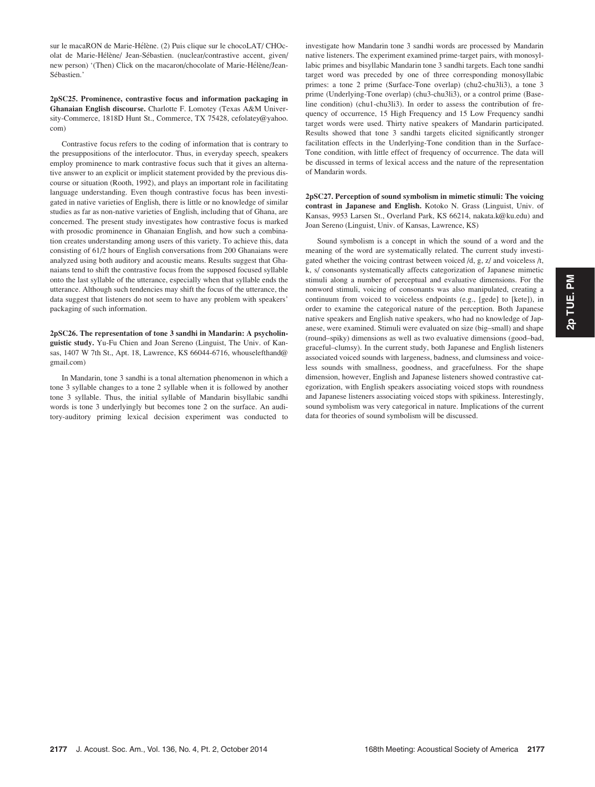sur le macaRON de Marie-Hélène. (2) Puis clique sur le chocoLAT/ CHOcolat de Marie-Hélène/ Jean-Sébastien. (nuclear/contrastive accent, given/ new person) '(Then) Click on the macaron/chocolate of Marie-Hélène/Jean-Sébastien.'

## 2pSC25. Prominence, contrastive focus and information packaging in Ghanaian English discourse. Charlotte F. Lomotey (Texas A&M University-Commerce, 1818D Hunt St., Commerce, TX 75428, cefolatey@yahoo. com)

Contrastive focus refers to the coding of information that is contrary to the presuppositions of the interlocutor. Thus, in everyday speech, speakers employ prominence to mark contrastive focus such that it gives an alternative answer to an explicit or implicit statement provided by the previous discourse or situation (Rooth, 1992), and plays an important role in facilitating language understanding. Even though contrastive focus has been investigated in native varieties of English, there is little or no knowledge of similar studies as far as non-native varieties of English, including that of Ghana, are concerned. The present study investigates how contrastive focus is marked with prosodic prominence in Ghanaian English, and how such a combination creates understanding among users of this variety. To achieve this, data consisting of 61/2 hours of English conversations from 200 Ghanaians were analyzed using both auditory and acoustic means. Results suggest that Ghanaians tend to shift the contrastive focus from the supposed focused syllable onto the last syllable of the utterance, especially when that syllable ends the utterance. Although such tendencies may shift the focus of the utterance, the data suggest that listeners do not seem to have any problem with speakers' packaging of such information.

2pSC26. The representation of tone 3 sandhi in Mandarin: A psycholinguistic study. Yu-Fu Chien and Joan Sereno (Linguist, The Univ. of Kansas, 1407 W 7th St., Apt. 18, Lawrence, KS 66044-6716, whouselefthand@ gmail.com)

In Mandarin, tone 3 sandhi is a tonal alternation phenomenon in which a tone 3 syllable changes to a tone 2 syllable when it is followed by another tone 3 syllable. Thus, the initial syllable of Mandarin bisyllabic sandhi words is tone 3 underlyingly but becomes tone 2 on the surface. An auditory-auditory priming lexical decision experiment was conducted to investigate how Mandarin tone 3 sandhi words are processed by Mandarin native listeners. The experiment examined prime-target pairs, with monosyllabic primes and bisyllabic Mandarin tone 3 sandhi targets. Each tone sandhi target word was preceded by one of three corresponding monosyllabic primes: a tone 2 prime (Surface-Tone overlap) (chu2-chu3li3), a tone 3 prime (Underlying-Tone overlap) (chu3-chu3li3), or a control prime (Baseline condition) (chu1-chu3li3). In order to assess the contribution of frequency of occurrence, 15 High Frequency and 15 Low Frequency sandhi target words were used. Thirty native speakers of Mandarin participated. Results showed that tone 3 sandhi targets elicited significantly stronger facilitation effects in the Underlying-Tone condition than in the Surface-Tone condition, with little effect of frequency of occurrence. The data will be discussed in terms of lexical access and the nature of the representation of Mandarin words.

2pSC27. Perception of sound symbolism in mimetic stimuli: The voicing contrast in Japanese and English. Kotoko N. Grass (Linguist, Univ. of Kansas, 9953 Larsen St., Overland Park, KS 66214, nakata.k@ku.edu) and Joan Sereno (Linguist, Univ. of Kansas, Lawrence, KS)

Sound symbolism is a concept in which the sound of a word and the meaning of the word are systematically related. The current study investigated whether the voicing contrast between voiced /d, g, z/ and voiceless /t, k, s/ consonants systematically affects categorization of Japanese mimetic stimuli along a number of perceptual and evaluative dimensions. For the nonword stimuli, voicing of consonants was also manipulated, creating a continuum from voiced to voiceless endpoints (e.g., [gede] to [kete]), in order to examine the categorical nature of the perception. Both Japanese native speakers and English native speakers, who had no knowledge of Japanese, were examined. Stimuli were evaluated on size (big–small) and shape (round–spiky) dimensions as well as two evaluative dimensions (good–bad, graceful–clumsy). In the current study, both Japanese and English listeners associated voiced sounds with largeness, badness, and clumsiness and voiceless sounds with smallness, goodness, and gracefulness. For the shape dimension, however, English and Japanese listeners showed contrastive categorization, with English speakers associating voiced stops with roundness and Japanese listeners associating voiced stops with spikiness. Interestingly, sound symbolism was very categorical in nature. Implications of the current data for theories of sound symbolism will be discussed.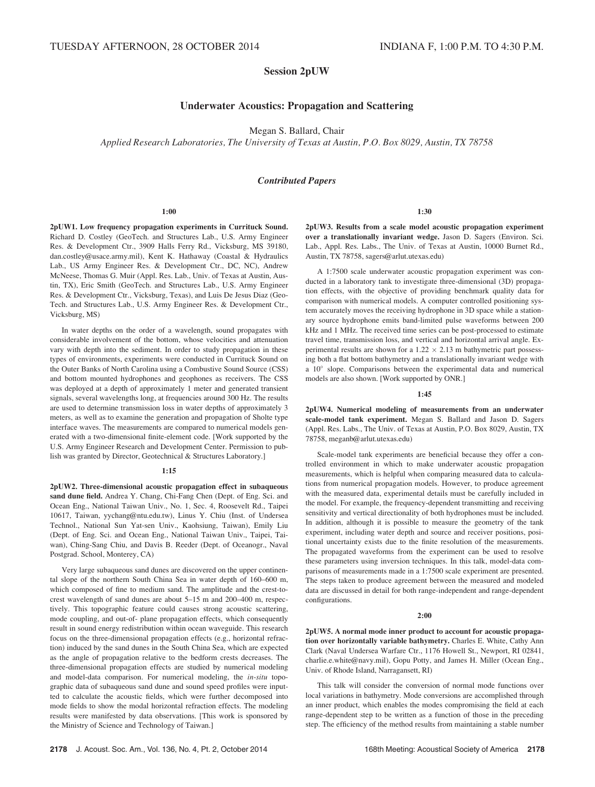# Session 2pUW

# Underwater Acoustics: Propagation and Scattering

Megan S. Ballard, Chair

Applied Research Laboratories, The University of Texas at Austin, P.O. Box 8029, Austin, TX 78758

## Contributed Papers

#### 1:00

2pUW1. Low frequency propagation experiments in Currituck Sound. Richard D. Costley (GeoTech. and Structures Lab., U.S. Army Engineer Res. & Development Ctr., 3909 Halls Ferry Rd., Vicksburg, MS 39180, dan.costley@usace.army.mil), Kent K. Hathaway (Coastal & Hydraulics Lab., US Army Engineer Res. & Development Ctr., DC, NC), Andrew McNeese, Thomas G. Muir (Appl. Res. Lab., Univ. of Texas at Austin, Austin, TX), Eric Smith (GeoTech. and Structures Lab., U.S. Army Engineer Res. & Development Ctr., Vicksburg, Texas), and Luis De Jesus Diaz (Geo-Tech. and Structures Lab., U.S. Army Engineer Res. & Development Ctr., Vicksburg, MS)

In water depths on the order of a wavelength, sound propagates with considerable involvement of the bottom, whose velocities and attenuation vary with depth into the sediment. In order to study propagation in these types of environments, experiments were conducted in Currituck Sound on the Outer Banks of North Carolina using a Combustive Sound Source (CSS) and bottom mounted hydrophones and geophones as receivers. The CSS was deployed at a depth of approximately 1 meter and generated transient signals, several wavelengths long, at frequencies around 300 Hz. The results are used to determine transmission loss in water depths of approximately 3 meters, as well as to examine the generation and propagation of Sholte type interface waves. The measurements are compared to numerical models generated with a two-dimensional finite-element code. [Work supported by the U.S. Army Engineer Research and Development Center. Permission to publish was granted by Director, Geotechnical & Structures Laboratory.]

#### 1:15

2pUW2. Three-dimensional acoustic propagation effect in subaqueous sand dune field. Andrea Y. Chang, Chi-Fang Chen (Dept. of Eng. Sci. and Ocean Eng., National Taiwan Univ., No. 1, Sec. 4, Roosevelt Rd., Taipei 10617, Taiwan, yychang@ntu.edu.tw), Linus Y. Chiu (Inst. of Undersea Technol., National Sun Yat-sen Univ., Kaohsiung, Taiwan), Emily Liu (Dept. of Eng. Sci. and Ocean Eng., National Taiwan Univ., Taipei, Taiwan), Ching-Sang Chiu, and Davis B. Reeder (Dept. of Oceanogr., Naval Postgrad. School, Monterey, CA)

Very large subaqueous sand dunes are discovered on the upper continental slope of the northern South China Sea in water depth of 160–600 m, which composed of fine to medium sand. The amplitude and the crest-tocrest wavelength of sand dunes are about 5–15 m and 200–400 m, respectively. This topographic feature could causes strong acoustic scattering, mode coupling, and out-of- plane propagation effects, which consequently result in sound energy redistribution within ocean waveguide. This research focus on the three-dimensional propagation effects (e.g., horizontal refraction) induced by the sand dunes in the South China Sea, which are expected as the angle of propagation relative to the bedform crests decreases. The three-dimensional propagation effects are studied by numerical modeling and model-data comparison. For numerical modeling, the in-situ topographic data of subaqueous sand dune and sound speed profiles were inputted to calculate the acoustic fields, which were further decomposed into mode fields to show the modal horizontal refraction effects. The modeling results were manifested by data observations. [This work is sponsored by the Ministry of Science and Technology of Taiwan.]

#### 1:30

2pUW3. Results from a scale model acoustic propagation experiment over a translationally invariant wedge. Jason D. Sagers (Environ. Sci. Lab., Appl. Res. Labs., The Univ. of Texas at Austin, 10000 Burnet Rd., Austin, TX 78758, sagers@arlut.utexas.edu)

A 1:7500 scale underwater acoustic propagation experiment was conducted in a laboratory tank to investigate three-dimensional (3D) propagation effects, with the objective of providing benchmark quality data for comparison with numerical models. A computer controlled positioning system accurately moves the receiving hydrophone in 3D space while a stationary source hydrophone emits band-limited pulse waveforms between 200 kHz and 1 MHz. The received time series can be post-processed to estimate travel time, transmission loss, and vertical and horizontal arrival angle. Experimental results are shown for a  $1.22 \times 2.13$  m bathymetric part possessing both a flat bottom bathymetry and a translationally invariant wedge with a 10° slope. Comparisons between the experimental data and numerical models are also shown. [Work supported by ONR.]

## 1:45

2pUW4. Numerical modeling of measurements from an underwater scale-model tank experiment. Megan S. Ballard and Jason D. Sagers (Appl. Res. Labs., The Univ. of Texas at Austin, P.O. Box 8029, Austin, TX 78758, meganb@arlut.utexas.edu)

Scale-model tank experiments are beneficial because they offer a controlled environment in which to make underwater acoustic propagation measurements, which is helpful when comparing measured data to calculations from numerical propagation models. However, to produce agreement with the measured data, experimental details must be carefully included in the model. For example, the frequency-dependent transmitting and receiving sensitivity and vertical directionality of both hydrophones must be included. In addition, although it is possible to measure the geometry of the tank experiment, including water depth and source and receiver positions, positional uncertainty exists due to the finite resolution of the measurements. The propagated waveforms from the experiment can be used to resolve these parameters using inversion techniques. In this talk, model-data comparisons of measurements made in a 1:7500 scale experiment are presented. The steps taken to produce agreement between the measured and modeled data are discussed in detail for both range-independent and range-dependent configurations.

### 2:00

2pUW5. A normal mode inner product to account for acoustic propagation over horizontally variable bathymetry. Charles E. White, Cathy Ann Clark (Naval Undersea Warfare Ctr., 1176 Howell St., Newport, RI 02841, charlie.e.white@navy.mil), Gopu Potty, and James H. Miller (Ocean Eng., Univ. of Rhode Island, Narragansett, RI)

This talk will consider the conversion of normal mode functions over local variations in bathymetry. Mode conversions are accomplished through an inner product, which enables the modes compromising the field at each range-dependent step to be written as a function of those in the preceding step. The efficiency of the method results from maintaining a stable number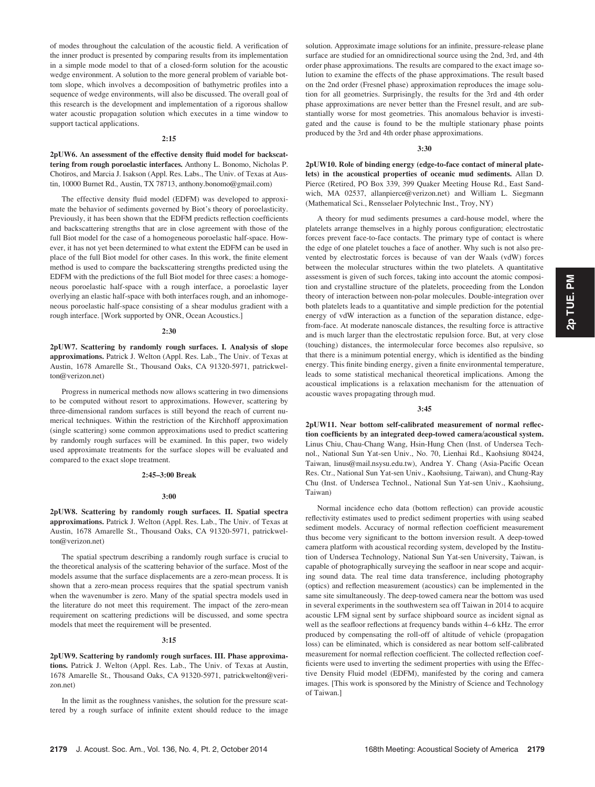of modes throughout the calculation of the acoustic field. A verification of the inner product is presented by comparing results from its implementation in a simple mode model to that of a closed-form solution for the acoustic wedge environment. A solution to the more general problem of variable bottom slope, which involves a decomposition of bathymetric profiles into a sequence of wedge environments, will also be discussed. The overall goal of this research is the development and implementation of a rigorous shallow water acoustic propagation solution which executes in a time window to support tactical applications.

## 2:15

## 2pUW6. An assessment of the effective density fluid model for backscattering from rough poroelastic interfaces. Anthony L. Bonomo, Nicholas P. Chotiros, and Marcia J. Isakson (Appl. Res. Labs., The Univ. of Texas at Austin, 10000 Burnet Rd., Austin, TX 78713, anthony.bonomo@gmail.com)

The effective density fluid model (EDFM) was developed to approximate the behavior of sediments governed by Biot's theory of poroelasticity. Previously, it has been shown that the EDFM predicts reflection coefficients and backscattering strengths that are in close agreement with those of the full Biot model for the case of a homogeneous poroelastic half-space. However, it has not yet been determined to what extent the EDFM can be used in place of the full Biot model for other cases. In this work, the finite element method is used to compare the backscattering strengths predicted using the EDFM with the predictions of the full Biot model for three cases: a homogeneous poroelastic half-space with a rough interface, a poroelastic layer overlying an elastic half-space with both interfaces rough, and an inhomogeneous poroelastic half-space consisting of a shear modulus gradient with a rough interface. [Work supported by ONR, Ocean Acoustics.]

## 2:30

2pUW7. Scattering by randomly rough surfaces. I. Analysis of slope approximations. Patrick J. Welton (Appl. Res. Lab., The Univ. of Texas at Austin, 1678 Amarelle St., Thousand Oaks, CA 91320-5971, patrickwelton@verizon.net)

Progress in numerical methods now allows scattering in two dimensions to be computed without resort to approximations. However, scattering by three-dimensional random surfaces is still beyond the reach of current numerical techniques. Within the restriction of the Kirchhoff approximation (single scattering) some common approximations used to predict scattering by randomly rough surfaces will be examined. In this paper, two widely used approximate treatments for the surface slopes will be evaluated and compared to the exact slope treatment.

## 2:45–3:00 Break

## 3:00

2pUW8. Scattering by randomly rough surfaces. II. Spatial spectra approximations. Patrick J. Welton (Appl. Res. Lab., The Univ. of Texas at Austin, 1678 Amarelle St., Thousand Oaks, CA 91320-5971, patrickwelton@verizon.net)

The spatial spectrum describing a randomly rough surface is crucial to the theoretical analysis of the scattering behavior of the surface. Most of the models assume that the surface displacements are a zero-mean process. It is shown that a zero-mean process requires that the spatial spectrum vanish when the wavenumber is zero. Many of the spatial spectra models used in the literature do not meet this requirement. The impact of the zero-mean requirement on scattering predictions will be discussed, and some spectra models that meet the requirement will be presented.

#### 3:15

2pUW9. Scattering by randomly rough surfaces. III. Phase approximations. Patrick J. Welton (Appl. Res. Lab., The Univ. of Texas at Austin, 1678 Amarelle St., Thousand Oaks, CA 91320-5971, patrickwelton@verizon.net)

In the limit as the roughness vanishes, the solution for the pressure scattered by a rough surface of infinite extent should reduce to the image solution. Approximate image solutions for an infinite, pressure-release plane surface are studied for an omnidirectional source using the 2nd, 3rd, and 4th order phase approximations. The results are compared to the exact image solution to examine the effects of the phase approximations. The result based on the 2nd order (Fresnel phase) approximation reproduces the image solution for all geometries. Surprisingly, the results for the 3rd and 4th order phase approximations are never better than the Fresnel result, and are substantially worse for most geometries. This anomalous behavior is investigated and the cause is found to be the multiple stationary phase points produced by the 3rd and 4th order phase approximations.

## 3:30

2pUW10. Role of binding energy (edge-to-face contact of mineral platelets) in the acoustical properties of oceanic mud sediments. Allan D. Pierce (Retired, PO Box 339, 399 Quaker Meeting House Rd., East Sandwich, MA 02537, allanpierce@verizon.net) and William L. Siegmann (Mathematical Sci., Rensselaer Polytechnic Inst., Troy, NY)

A theory for mud sediments presumes a card-house model, where the platelets arrange themselves in a highly porous configuration; electrostatic forces prevent face-to-face contacts. The primary type of contact is where the edge of one platelet touches a face of another. Why such is not also prevented by electrostatic forces is because of van der Waals (vdW) forces between the molecular structures within the two platelets. A quantitative assessment is given of such forces, taking into account the atomic composition and crystalline structure of the platelets, proceeding from the London theory of interaction between non-polar molecules. Double-integration over both platelets leads to a quantitative and simple prediction for the potential energy of vdW interaction as a function of the separation distance, edgefrom-face. At moderate nanoscale distances, the resulting force is attractive and is much larger than the electrostatic repulsion force. But, at very close (touching) distances, the intermolecular force becomes also repulsive, so that there is a minimum potential energy, which is identified as the binding energy. This finite binding energy, given a finite environmental temperature, leads to some statistical mechanical theoretical implications. Among the acoustical implications is a relaxation mechanism for the attenuation of acoustic waves propagating through mud.

#### 3:45

2pUW11. Near bottom self-calibrated measurement of normal reflection coefficients by an integrated deep-towed camera/acoustical system. Linus Chiu, Chau-Chang Wang, Hsin-Hung Chen (Inst. of Undersea Technol., National Sun Yat-sen Univ., No. 70, Lienhai Rd., Kaohsiung 80424, Taiwan, linus@mail.nsysu.edu.tw), Andrea Y. Chang (Asia-Pacific Ocean Res. Ctr., National Sun Yat-sen Univ., Kaohsiung, Taiwan), and Chung-Ray Chu (Inst. of Undersea Technol., National Sun Yat-sen Univ., Kaohsiung, Taiwan)

Normal incidence echo data (bottom reflection) can provide acoustic reflectivity estimates used to predict sediment properties with using seabed sediment models. Accuracy of normal reflection coefficient measurement thus become very significant to the bottom inversion result. A deep-towed camera platform with acoustical recording system, developed by the Institution of Undersea Technology, National Sun Yat-sen University, Taiwan, is capable of photographically surveying the seafloor in near scope and acquiring sound data. The real time data transference, including photography (optics) and reflection measurement (acoustics) can be implemented in the same site simultaneously. The deep-towed camera near the bottom was used in several experiments in the southwestern sea off Taiwan in 2014 to acquire acoustic LFM signal sent by surface shipboard source as incident signal as well as the seafloor reflections at frequency bands within 4–6 kHz. The error produced by compensating the roll-off of altitude of vehicle (propagation loss) can be eliminated, which is considered as near bottom self-calibrated measurement for normal reflection coefficient. The collected reflection coefficients were used to inverting the sediment properties with using the Effective Density Fluid model (EDFM), manifested by the coring and camera images. [This work is sponsored by the Ministry of Science and Technology of Taiwan.]